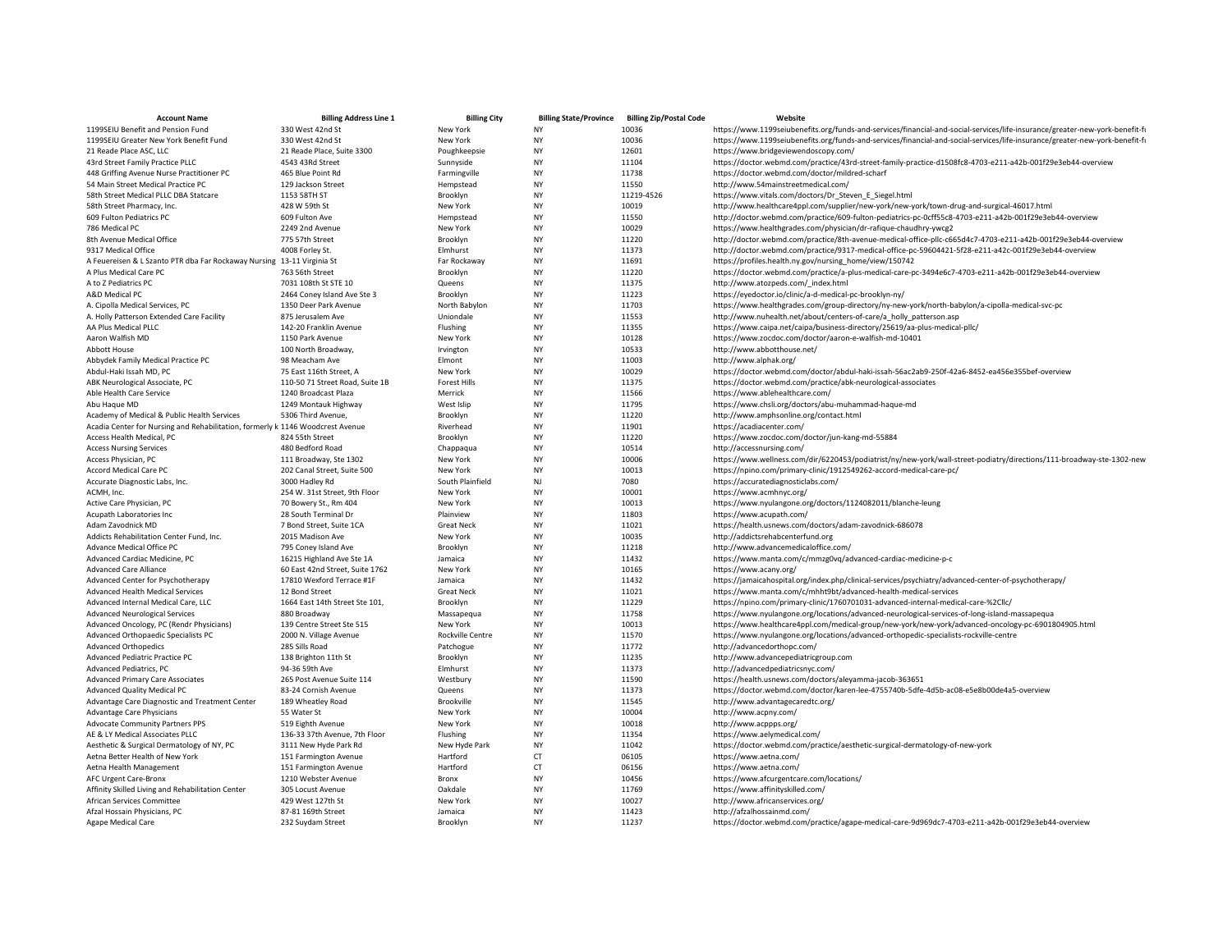| <b>Account Name</b>                                                            | <b>Billing Address Line 1</b>                         | <b>Billing City</b>   | <b>Billing State/Province</b> | <b>Billing Zip/Postal Code</b> | Website                                                                                                                                                                                      |
|--------------------------------------------------------------------------------|-------------------------------------------------------|-----------------------|-------------------------------|--------------------------------|----------------------------------------------------------------------------------------------------------------------------------------------------------------------------------------------|
| 1199SEIU Benefit and Pension Fund                                              | 330 West 42nd St                                      | New York              | NY                            | 10036                          | https://www.1199seiubenefits.org/funds-and-services/financial-and-social-services/life-insurance/greater-new-york-benefit-f                                                                  |
| 1199SEIU Greater New York Benefit Fund                                         | 330 West 42nd St                                      | New York              | <b>NY</b>                     | 10036                          | https://www.1199seiubenefits.org/funds-and-services/financial-and-social-services/life-insurance/greater-new-york-benefit-fi                                                                 |
| 21 Reade Place ASC, LLC                                                        | 21 Reade Place, Suite 3300                            | Poughkeepsie          | NY                            | 12601                          | https://www.bridgeviewendoscopy.com/                                                                                                                                                         |
| 43rd Street Family Practice PLLC                                               | 4543 43Rd Street                                      | Sunnyside             | <b>NY</b>                     | 11104                          | https://doctor.webmd.com/practice/43rd-street-family-practice-d1508fc8-4703-e211-a42b-001f29e3eb44-overview                                                                                  |
| 448 Griffing Avenue Nurse Practitioner PC                                      | 465 Blue Point Rd                                     | Farmingville          | NY                            | 11738                          | https://doctor.webmd.com/doctor/mildred-scharf                                                                                                                                               |
| 54 Main Street Medical Practice PC                                             | 129 Jackson Street                                    | Hempstead             | <b>NY</b>                     | 11550                          | http://www.54mainstreetmedical.com/                                                                                                                                                          |
| 58th Street Medical PLLC DBA Statcare                                          | 1153 58TH ST                                          | Brooklyn              | NY                            | 11219-4526                     | https://www.vitals.com/doctors/Dr_Steven_E_Siegel.html                                                                                                                                       |
| 58th Street Pharmacy, Inc.                                                     | 428 W 59th St                                         | New York              | NY                            | 10019                          | http://www.healthcare4ppl.com/supplier/new-york/new-york/town-drug-and-surgical-46017.html                                                                                                   |
| 609 Fulton Pediatrics PC                                                       | 609 Fulton Ave                                        | Hempstead             | <b>NY</b>                     | 11550                          | http://doctor.webmd.com/practice/609-fulton-pediatrics-pc-0cff55c8-4703-e211-a42b-001f29e3eb44-overview                                                                                      |
| 786 Medical PC                                                                 | 2249 2nd Avenue                                       | New York              | NY                            | 10029                          | https://www.healthgrades.com/physician/dr-rafique-chaudhry-ywcg2                                                                                                                             |
| 8th Avenue Medical Office                                                      | 775 57th Street                                       | Brooklyn              | NY                            | 11220                          | http://doctor.webmd.com/practice/8th-avenue-medical-office-pllc-c665d4c7-4703-e211-a42b-001f29e3eb44-overview                                                                                |
| 9317 Medical Office                                                            | 4008 Forley St.                                       | Elmhurst              | NY                            | 11373                          | http://doctor.webmd.com/practice/9317-medical-office-pc-59604421-5f28-e211-a42c-001f29e3eb44-overview                                                                                        |
| A Feuereisen & L Szanto PTR dba Far Rockaway Nursing 13-11 Virginia St         |                                                       | Far Rockaway          | NY                            | 11691                          | https://profiles.health.ny.gov/nursing_home/view/150742                                                                                                                                      |
| A Plus Medical Care PC                                                         | 763 56th Street                                       | Brooklyn              | <b>NY</b>                     | 11220                          | https://doctor.webmd.com/practice/a-plus-medical-care-pc-3494e6c7-4703-e211-a42b-001f29e3eb44-overview                                                                                       |
| A to Z Pediatrics PC                                                           | 7031 108th St STE 10                                  | Queens                | NY                            | 11375                          | http://www.atozpeds.com/_index.html                                                                                                                                                          |
| A&D Medical PC                                                                 | 2464 Coney Island Ave Ste 3                           | Brooklyn              | <b>NY</b>                     | 11223                          | https://eyedoctor.io/clinic/a-d-medical-pc-brooklyn-ny/                                                                                                                                      |
| A. Cipolla Medical Services, PC                                                | 1350 Deer Park Avenue                                 | North Babylon         | NY                            | 11703                          | https://www.healthgrades.com/group-directory/ny-new-york/north-babylon/a-cipolla-medical-svc-pc                                                                                              |
| A. Holly Patterson Extended Care Facility                                      | 875 Jerusalem Ave                                     | Uniondale             | NY                            | 11553                          | http://www.nuhealth.net/about/centers-of-care/a_holly_patterson.asp                                                                                                                          |
| AA Plus Medical PLLC                                                           | 142-20 Franklin Avenue                                | Flushing              | <b>NY</b>                     | 11355                          | https://www.caipa.net/caipa/business-directory/25619/aa-plus-medical-pllc/                                                                                                                   |
| Aaron Walfish MD                                                               | 1150 Park Avenue                                      | New York              | NY                            | 10128                          | https://www.zocdoc.com/doctor/aaron-e-walfish-md-10401                                                                                                                                       |
| Abbott House                                                                   | 100 North Broadway,                                   | Irvington             | <b>NY</b>                     | 10533                          | http://www.abbotthouse.net/                                                                                                                                                                  |
| Abbydek Family Medical Practice PC                                             | 98 Meacham Ave                                        | Elmont                | NY                            | 11003                          | http://www.alphak.org/                                                                                                                                                                       |
| Abdul-Haki Issah MD, PC                                                        | 75 East 116th Street, A                               | New York              | NY                            | 10029                          | https://doctor.webmd.com/doctor/abdul-haki-issah-56ac2ab9-250f-42a6-8452-ea456e355bef-overview                                                                                               |
| ABK Neurological Associate, PC                                                 | 110-50 71 Street Road, Suite 1B                       | <b>Forest Hills</b>   | <b>NY</b>                     | 11375                          | https://doctor.webmd.com/practice/abk-neurological-associates                                                                                                                                |
| Able Health Care Service                                                       | 1240 Broadcast Plaza                                  | Merrick               | NY<br><b>NY</b>               | 11566                          | https://www.ablehealthcare.com/                                                                                                                                                              |
| Abu Haque MD                                                                   | 1249 Montauk Highway                                  | West Islip            |                               | 11795                          | https://www.chsli.org/doctors/abu-muhammad-haque-md                                                                                                                                          |
| Academy of Medical & Public Health Services                                    | 5306 Third Avenue,                                    | Brooklyn              | NY                            | 11220                          | http://www.amphsonline.org/contact.html                                                                                                                                                      |
| Acadia Center for Nursing and Rehabilitation, formerly k 1146 Woodcrest Avenue |                                                       | Riverhead             | NY                            | 11901                          | https://acadiacenter.com/                                                                                                                                                                    |
| Access Health Medical, PC                                                      | 824 55th Street                                       | Brooklyn              | NY<br>NY                      | 11220                          | https://www.zocdoc.com/doctor/jun-kang-md-55884                                                                                                                                              |
| <b>Access Nursing Services</b><br>Access Physician, PC                         | 480 Bedford Road                                      | Chappaqua<br>New York | <b>NY</b>                     | 10514<br>10006                 | http://accessnursing.com/                                                                                                                                                                    |
| Accord Medical Care PC                                                         | 111 Broadway, Ste 1302<br>202 Canal Street, Suite 500 | New York              | NY                            | 10013                          | https://www.wellness.com/dir/6220453/podiatrist/ny/new-york/wall-street-podiatry/directions/111-broadway-ste-1302-new<br>https://npino.com/primary-clinic/1912549262-accord-medical-care-pc/ |
| Accurate Diagnostic Labs, Inc.                                                 | 3000 Hadley Rd                                        | South Plainfield      | NJ                            | 7080                           | https://accuratediagnosticlabs.com/                                                                                                                                                          |
| ACMH, Inc.                                                                     | 254 W. 31st Street, 9th Floor                         | New York              | NY                            | 10001                          | https://www.acmhnyc.org/                                                                                                                                                                     |
| Active Care Physician, PC                                                      | 70 Bowery St., Rm 404                                 | New York              | NY                            | 10013                          | https://www.nyulangone.org/doctors/1124082011/blanche-leung                                                                                                                                  |
| Acupath Laboratories Inc                                                       | 28 South Terminal Dr                                  | Plainview             | <b>NY</b>                     | 11803                          | https://www.acupath.com/                                                                                                                                                                     |
| Adam Zavodnick MD                                                              | 7 Bond Street, Suite 1CA                              | <b>Great Neck</b>     | NY                            | 11021                          | https://health.usnews.com/doctors/adam-zavodnick-686078                                                                                                                                      |
| Addicts Rehabilitation Center Fund, Inc.                                       | 2015 Madison Ave                                      | New York              | <b>NY</b>                     | 10035                          | http://addictsrehabcenterfund.org                                                                                                                                                            |
| Advance Medical Office PC                                                      | 795 Coney Island Ave                                  | Brooklyn              | NY                            | 11218                          | http://www.advancemedicaloffice.com/                                                                                                                                                         |
| Advanced Cardiac Medicine, PC                                                  | 16215 Highland Ave Ste 1A                             | Jamaica               | NY                            | 11432                          | https://www.manta.com/c/mmzg0vq/advanced-cardiac-medicine-p-c                                                                                                                                |
| <b>Advanced Care Alliance</b>                                                  | 60 East 42nd Street, Suite 1762                       | New York              | <b>NY</b>                     | 10165                          | https://www.acany.org/                                                                                                                                                                       |
| Advanced Center for Psychotherapy                                              | 17810 Wexford Terrace #1F                             | Jamaica               | NY                            | 11432                          | https://jamaicahospital.org/index.php/clinical-services/psychiatry/advanced-center-of-psychotherapy/                                                                                         |
| <b>Advanced Health Medical Services</b>                                        | 12 Bond Street                                        | <b>Great Neck</b>     | <b>NY</b>                     | 11021                          | https://www.manta.com/c/mhht9bt/advanced-health-medical-services                                                                                                                             |
| Advanced Internal Medical Care, LLC                                            | 1664 East 14th Street Ste 101,                        | Brooklyn              | NY                            | 11229                          | https://npino.com/primary-clinic/1760701031-advanced-internal-medical-care-%2Cllc/                                                                                                           |
| <b>Advanced Neurological Services</b>                                          | 880 Broadway                                          | Massapequa            | NY                            | 11758                          | https://www.nyulangone.org/locations/advanced-neurological-services-of-long-island-massapequa                                                                                                |
| Advanced Oncology, PC (Rendr Physicians)                                       | 139 Centre Street Ste 515                             | New York              | NY                            | 10013                          | https://www.healthcare4ppl.com/medical-group/new-york/new-york/advanced-oncology-pc-6901804905.html                                                                                          |
| Advanced Orthopaedic Specialists PC                                            | 2000 N. Village Avenue                                | Rockville Centre      | NY                            | 11570                          | https://www.nyulangone.org/locations/advanced-orthopedic-specialists-rockville-centre                                                                                                        |
| <b>Advanced Orthopedics</b>                                                    | 285 Sills Road                                        | Patchogue             | NY                            | 11772                          | http://advancedorthopc.com/                                                                                                                                                                  |
| Advanced Pediatric Practice PC                                                 | 138 Brighton 11th St                                  | Brooklyn              | <b>NY</b>                     | 11235                          | http://www.advancepediatricgroup.com                                                                                                                                                         |
| Advanced Pediatrics, PC                                                        | 94-36 59th Ave                                        | Elmhurst              | NY                            | 11373                          | http://advancedpediatricsnyc.com/                                                                                                                                                            |
| <b>Advanced Primary Care Associates</b>                                        | 265 Post Avenue Suite 114                             | Westbury              | NY                            | 11590                          | https://health.usnews.com/doctors/aleyamma-jacob-363651                                                                                                                                      |
| Advanced Quality Medical PC                                                    | 83-24 Cornish Avenue                                  | Queens                | NY                            | 11373                          | https://doctor.webmd.com/doctor/karen-lee-4755740b-5dfe-4d5b-ac08-e5e8b00de4a5-overview                                                                                                      |
| Advantage Care Diagnostic and Treatment Center                                 | 189 Wheatley Road                                     | Brookville            | <b>NY</b>                     | 11545                          | http://www.advantagecaredtc.org/                                                                                                                                                             |
| Advantage Care Physicians                                                      | 55 Water St                                           | New York              | NY                            | 10004                          | http://www.acpny.com/                                                                                                                                                                        |
| <b>Advocate Community Partners PPS</b>                                         | 519 Eighth Avenue                                     | New York              | NY                            | 10018                          | http://www.acppps.org/                                                                                                                                                                       |
| AE & LY Medical Associates PLLC                                                | 136-33 37th Avenue, 7th Floor                         | Flushing              | NY                            | 11354                          | https://www.aelymedical.com/                                                                                                                                                                 |
| Aesthetic & Surgical Dermatology of NY, PC                                     | 3111 New Hyde Park Rd                                 | New Hyde Park         | NY                            | 11042                          | https://doctor.webmd.com/practice/aesthetic-surgical-dermatology-of-new-york                                                                                                                 |
| Aetna Better Health of New York                                                | 151 Farmington Avenue                                 | Hartford              | <b>CT</b>                     | 06105                          | https://www.aetna.com/                                                                                                                                                                       |
| Aetna Health Management                                                        | 151 Farmington Avenue                                 | Hartford              | <b>CT</b>                     | 06156                          | https://www.aetna.com/                                                                                                                                                                       |
| AFC Urgent Care-Bronx                                                          | 1210 Webster Avenue                                   | Bronx                 | <b>NY</b>                     | 10456                          | https://www.afcurgentcare.com/locations/                                                                                                                                                     |
| Affinity Skilled Living and Rehabilitation Center                              | 305 Locust Avenue                                     | Oakdale               | NY                            | 11769                          | https://www.affinityskilled.com/                                                                                                                                                             |
| African Services Committee                                                     | 429 West 127th St                                     | New York              | NY                            | 10027                          | http://www.africanservices.org/                                                                                                                                                              |
| Afzal Hossain Physicians, PC                                                   | 87-81 169th Street                                    | Jamaica               | NY                            | 11423                          | http://afzalhossainmd.com/                                                                                                                                                                   |
| Agape Medical Care                                                             | 232 Suydam Street                                     | Brooklyn              | <b>NY</b>                     | 11237                          | https://doctor.webmd.com/practice/agape-medical-care-9d969dc7-4703-e211-a42b-001f29e3eb44-overview                                                                                           |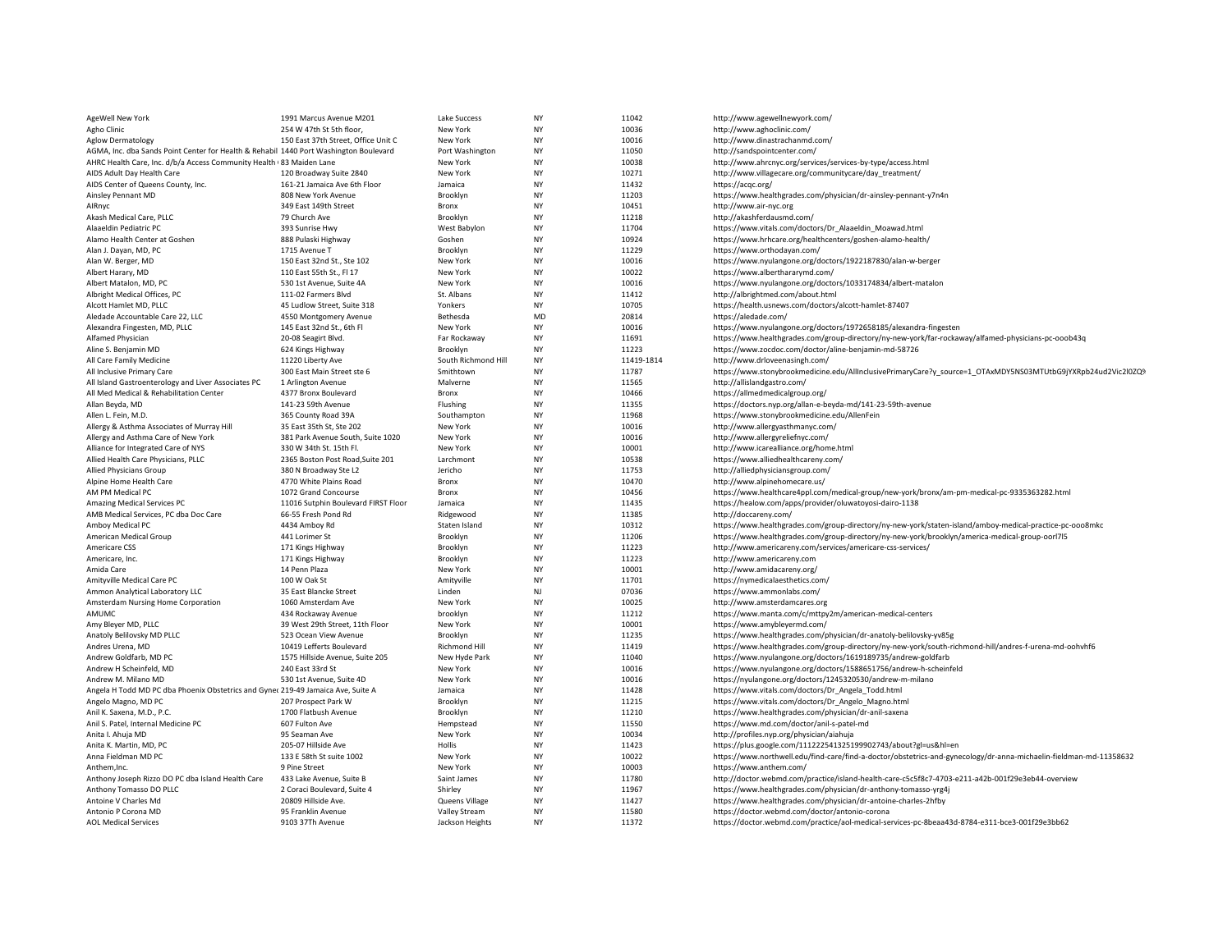| AgeWell New York                                                                      | 1991 Marcus Avenue M201                                     | Lake Success        | <b>NY</b>       | 11042          | http://www.agewellnewyork.com/                                                                                                                          |
|---------------------------------------------------------------------------------------|-------------------------------------------------------------|---------------------|-----------------|----------------|---------------------------------------------------------------------------------------------------------------------------------------------------------|
| Agho Clinic                                                                           | 254 W 47th St 5th floor,                                    | New York            | <b>NY</b>       | 10036          | http://www.aghoclinic.com/                                                                                                                              |
| <b>Aglow Dermatology</b>                                                              | 150 East 37th Street, Office Unit C                         | New York            | NY              | 10016          | http://www.dinastrachanmd.com/                                                                                                                          |
| AGMA, Inc. dba Sands Point Center for Health & Rehabil 1440 Port Washington Boulevard |                                                             | Port Washington     | <b>NY</b>       | 11050          | http://sandspointcenter.com/                                                                                                                            |
| AHRC Health Care, Inc. d/b/a Access Community Health 83 Maiden Lane                   |                                                             | New York            | NY              | 10038          | http://www.ahrcnyc.org/services/services-by-type/access.html                                                                                            |
| AIDS Adult Day Health Care                                                            | 120 Broadway Suite 2840                                     | New York            | <b>NY</b>       | 10271          | http://www.villagecare.org/communitycare/day_treatment/                                                                                                 |
| AIDS Center of Queens County, Inc.                                                    | 161-21 Jamaica Ave 6th Floor                                | Jamaica             | NY              | 11432          | https://acqc.org/                                                                                                                                       |
| Ainsley Pennant MD                                                                    | 808 New York Avenue                                         | Brooklyn            | NY              | 11203          | https://www.healthgrades.com/physician/dr-ainsley-pennant-y7n4n                                                                                         |
| AlRnyc                                                                                | 349 East 149th Street                                       | Bronx               | NY              | 10451          | http://www.air-nyc.org                                                                                                                                  |
| Akash Medical Care, PLLC                                                              | 79 Church Ave                                               | Brooklyn            | NY              | 11218          | http://akashferdausmd.com/                                                                                                                              |
| Alaaeldin Pediatric PC                                                                | 393 Sunrise Hwy                                             | West Babylon        | <b>NY</b>       | 11704          | https://www.vitals.com/doctors/Dr_Alaaeldin_Moawad.html                                                                                                 |
| Alamo Health Center at Goshen                                                         | 888 Pulaski Highway                                         | Goshen              | <b>NY</b>       | 10924          | https://www.hrhcare.org/healthcenters/goshen-alamo-health/                                                                                              |
| Alan J. Dayan, MD, PC                                                                 | 1715 Avenue T                                               | Brooklyn            | <b>NY</b>       | 11229          | https://www.orthodayan.com/                                                                                                                             |
| Alan W. Berger, MD                                                                    | 150 East 32nd St., Ste 102                                  | New York            | NY              | 10016          | https://www.nyulangone.org/doctors/1922187830/alan-w-berger                                                                                             |
| Albert Harary, MD                                                                     | 110 East 55th St., FI 17                                    | New York            | NY              | 10022          | https://www.alberthararymd.com/                                                                                                                         |
| Albert Matalon, MD, PC                                                                | 530 1st Avenue, Suite 4A                                    | New York            | <b>NY</b>       | 10016          | https://www.nyulangone.org/doctors/1033174834/albert-matalon                                                                                            |
| Albright Medical Offices, PC                                                          | 111-02 Farmers Blvd                                         | St. Albans          | NY              | 11412          | http://albrightmed.com/about.html                                                                                                                       |
| Alcott Hamlet MD, PLLC                                                                | 45 Ludlow Street, Suite 318                                 | Yonkers             | <b>NY</b>       | 10705          | https://health.usnews.com/doctors/alcott-hamlet-87407                                                                                                   |
| Aledade Accountable Care 22, LLC                                                      | 4550 Montgomery Avenue                                      | Bethesda            | MD              | 20814          | https://aledade.com/                                                                                                                                    |
| Alexandra Fingesten, MD, PLLC                                                         | 145 East 32nd St., 6th Fl                                   | New York            | NY              | 10016          | https://www.nyulangone.org/doctors/1972658185/alexandra-fingesten                                                                                       |
| Alfamed Physician                                                                     | 20-08 Seagirt Blvd.                                         | Far Rockaway        | NY              | 11691          | https://www.healthgrades.com/group-directory/ny-new-york/far-rockaway/alfamed-physicians-pc-ooob43q                                                     |
| Aline S. Benjamin MD                                                                  | 624 Kings Highway                                           | Brooklyn            | NY              | 11223          | https://www.zocdoc.com/doctor/aline-benjamin-md-58726                                                                                                   |
| All Care Family Medicine                                                              | 11220 Liberty Ave                                           | South Richmond Hill | <b>NY</b>       | 11419-1814     | http://www.drloveenasingh.com/                                                                                                                          |
| All Inclusive Primary Care                                                            | 300 East Main Street ste 6                                  | Smithtown           | NY              | 11787          | https://www.stonybrookmedicine.edu/AllInclusivePrimaryCare?y source=1 OTAxMDY5NS03MTUtbG9jYXRpb24ud2Vic2l0ZQ%                                           |
| All Island Gastroenterology and Liver Associates PC                                   | 1 Arlington Avenue                                          | Malverne            | NY              | 11565          | http://allislandgastro.com/                                                                                                                             |
| All Med Medical & Rehabilitation Center                                               | 4377 Bronx Boulevard                                        | Bronx               | <b>NY</b>       | 10466          | https://allmedmedicalgroup.org/                                                                                                                         |
| Allan Beyda, MD                                                                       | 141-23 59th Avenue                                          | Flushing            | NY              | 11355          | https://doctors.nyp.org/allan-e-beyda-md/141-23-59th-avenue                                                                                             |
| Allen L. Fein, M.D.                                                                   | 365 County Road 39A                                         | Southampton         | NY              | 11968          | https://www.stonybrookmedicine.edu/AllenFein                                                                                                            |
| Allergy & Asthma Associates of Murray Hill                                            | 35 East 35th St, Ste 202                                    | New York            | NY              | 10016          | http://www.allergyasthmanyc.com/                                                                                                                        |
| Allergy and Asthma Care of New York                                                   | 381 Park Avenue South, Suite 1020                           | New York            | <b>NY</b>       | 10016          | http://www.allergyreliefnyc.com/                                                                                                                        |
| Alliance for Integrated Care of NYS                                                   | 330 W 34th St. 15th Fl.                                     | New York            | NY              | 10001          | http://www.icarealliance.org/home.html                                                                                                                  |
| Allied Health Care Physicians, PLLC                                                   | 2365 Boston Post Road, Suite 201                            | Larchmont           | NY<br><b>NY</b> | 10538          | https://www.alliedhealthcareny.com/                                                                                                                     |
| Allied Physicians Group                                                               | 380 N Broadway Ste L2                                       | Jericho             |                 | 11753          | http://alliedphysiciansgroup.com/                                                                                                                       |
| Alpine Home Health Care                                                               | 4770 White Plains Road                                      | Bronx<br>Bronx      | NY<br>NY        | 10470<br>10456 | http://www.alpinehomecare.us/                                                                                                                           |
| AM PM Medical PC<br>Amazing Medical Services PC                                       | 1072 Grand Concourse<br>11016 Sutphin Boulevard FIRST Floor | Jamaica             | <b>NY</b>       | 11435          | https://www.healthcare4ppl.com/medical-group/new-york/bronx/am-pm-medical-pc-9335363282.html<br>https://healow.com/apps/provider/oluwatoyosi-dairo-1138 |
| AMB Medical Services, PC dba Doc Care                                                 | 66-55 Fresh Pond Rd                                         | Ridgewood           | NY              | 11385          | http://doccareny.com/                                                                                                                                   |
| Amboy Medical PC                                                                      | 4434 Amboy Rd                                               | Staten Island       | <b>NY</b>       | 10312          | https://www.healthgrades.com/group-directory/ny-new-york/staten-island/amboy-medical-practice-pc-ooo8mkc                                                |
| American Medical Group                                                                | 441 Lorimer St                                              | Brooklyn            | NY              | 11206          | https://www.healthgrades.com/group-directory/ny-new-york/brooklyn/america-medical-group-oorl7l5                                                         |
| Americare CSS                                                                         | 171 Kings Highway                                           | Brooklyn            | <b>NY</b>       | 11223          | http://www.americareny.com/services/americare-css-services/                                                                                             |
| Americare, Inc.                                                                       | 171 Kings Highway                                           | Brooklyn            | NY              | 11223          | http://www.americareny.com                                                                                                                              |
| Amida Care                                                                            | 14 Penn Plaza                                               | New York            | NY              | 10001          | http://www.amidacareny.org/                                                                                                                             |
| Amityville Medical Care PC                                                            | 100 W Oak St                                                | Amityville          | NY              | 11701          | https://nymedicalaesthetics.com/                                                                                                                        |
| Ammon Analytical Laboratory LLC                                                       | 35 East Blancke Street                                      | Linden              | NJ              | 07036          | https://www.ammonlabs.com/                                                                                                                              |
| Amsterdam Nursing Home Corporation                                                    | 1060 Amsterdam Ave                                          | New York            | NY              | 10025          | http://www.amsterdamcares.org                                                                                                                           |
| AMUMC                                                                                 | 434 Rockaway Avenue                                         | brooklyn            | NY              | 11212          | https://www.manta.com/c/mttpy2m/american-medical-centers                                                                                                |
| Amy Bleyer MD, PLLC                                                                   | 39 West 29th Street, 11th Floor                             | New York            | NY              | 10001          | https://www.amybleyermd.com/                                                                                                                            |
| Anatoly Belilovsky MD PLLC                                                            | 523 Ocean View Avenue                                       | Brooklyn            | <b>NY</b>       | 11235          | https://www.healthgrades.com/physician/dr-anatoly-belilovsky-yv85g                                                                                      |
| Andres Urena, MD                                                                      | 10419 Lefferts Boulevard                                    | Richmond Hill       | NY              | 11419          | https://www.healthgrades.com/group-directory/ny-new-york/south-richmond-hill/andres-f-urena-md-oohvhf6                                                  |
| Andrew Goldfarb, MD PC                                                                | 1575 Hillside Avenue, Suite 205                             | New Hyde Park       | NY              | 11040          | https://www.nyulangone.org/doctors/1619189735/andrew-goldfarb                                                                                           |
| Andrew H Scheinfeld, MD                                                               | 240 East 33rd St                                            | New York            | NY              | 10016          | https://www.nyulangone.org/doctors/1588651756/andrew-h-scheinfeld                                                                                       |
| Andrew M. Milano MD                                                                   | 530 1st Avenue, Suite 4D                                    | New York            | NY              | 10016          | https://nyulangone.org/doctors/1245320530/andrew-m-milano                                                                                               |
| Angela H Todd MD PC dba Phoenix Obstetrics and Gynec 219-49 Jamaica Ave, Suite A      |                                                             | Jamaica             | NY              | 11428          | https://www.vitals.com/doctors/Dr_Angela_Todd.html                                                                                                      |
| Angelo Magno, MD PC                                                                   | 207 Prospect Park W                                         | Brooklyn            | NY              | 11215          | https://www.vitals.com/doctors/Dr Angelo Magno.html                                                                                                     |
| Anil K. Saxena, M.D., P.C.                                                            | 1700 Flatbush Avenue                                        | Brooklyn            | <b>NY</b>       | 11210          | https://www.healthgrades.com/physician/dr-anil-saxena                                                                                                   |
| Anil S. Patel, Internal Medicine PC                                                   | 607 Fulton Ave                                              | Hempstead           | NY              | 11550          | https://www.md.com/doctor/anil-s-patel-md                                                                                                               |
| Anita I. Ahuja MD                                                                     | 95 Seaman Ave                                               | New York            | NY              | 10034          | http://profiles.nyp.org/physician/aiahuja                                                                                                               |
| Anita K. Martin, MD, PC                                                               | 205-07 Hillside Ave                                         | Hollis              | <b>NY</b>       | 11423          | https://plus.google.com/111222541325199902743/about?gl=us&hl=en                                                                                         |
| Anna Fieldman MD PC                                                                   | 133 E 58th St suite 1002                                    | New York            | <b>NY</b>       | 10022          | https://www.northwell.edu/find-care/find-a-doctor/obstetrics-and-gynecology/dr-anna-michaelin-fieldman-md-11358632                                      |
| Anthem, Inc.                                                                          | 9 Pine Street                                               | New York            | NY              | 10003          | https://www.anthem.com/                                                                                                                                 |
| Anthony Joseph Rizzo DO PC dba Island Health Care                                     | 433 Lake Avenue, Suite B                                    | Saint James         | <b>NY</b>       | 11780          | http://doctor.webmd.com/practice/island-health-care-c5c5f8c7-4703-e211-a42b-001f29e3eb44-overview                                                       |
| Anthony Tomasso DO PLLC                                                               | 2 Coraci Boulevard, Suite 4                                 | Shirley             | NY              | 11967          | https://www.healthgrades.com/physician/dr-anthony-tomasso-yrg4j                                                                                         |
| Antoine V Charles Md                                                                  | 20809 Hillside Ave.                                         | Queens Village      | <b>NY</b>       | 11427          | https://www.healthgrades.com/physician/dr-antoine-charles-2hfby                                                                                         |
| Antonio P Corona MD                                                                   | 95 Franklin Avenue                                          | Valley Stream       | NY              | 11580          | https://doctor.webmd.com/doctor/antonio-corona                                                                                                          |
| <b>AOL Medical Services</b>                                                           | 9103 37Th Avenue                                            | Jackson Heights     | <b>NY</b>       | 11372          | https://doctor.webmd.com/practice/aol-medical-services-pc-8beaa43d-8784-e311-bce3-001f29e3bb62                                                          |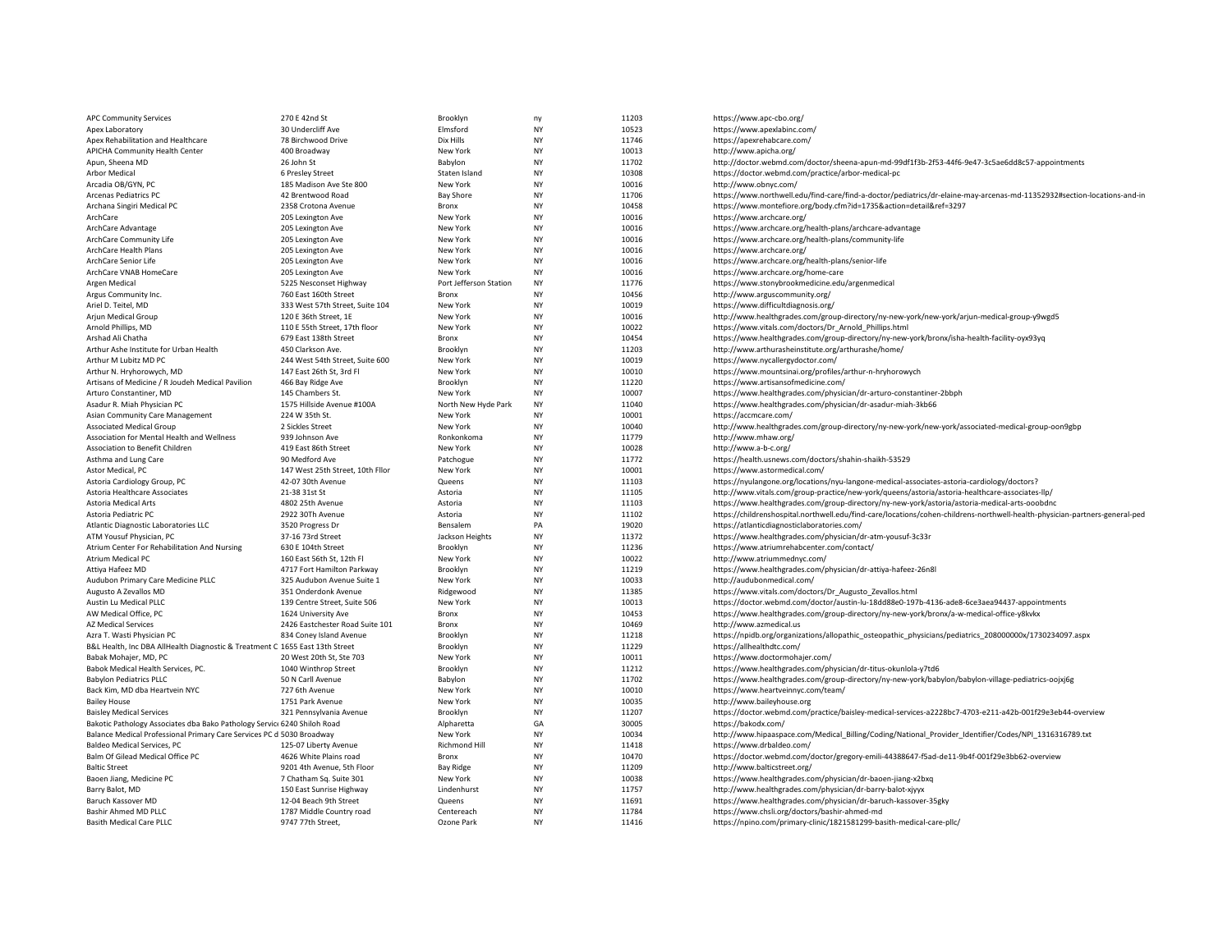| <b>APC Community Services</b>                                                 | 270 E 42nd St                    | Brooklyn               | ny                     | 11203          | https://www.apc-cbo.org/                                                                                                    |
|-------------------------------------------------------------------------------|----------------------------------|------------------------|------------------------|----------------|-----------------------------------------------------------------------------------------------------------------------------|
| Apex Laboratory                                                               | 30 Undercliff Ave                | Elmsford               | <b>NY</b>              | 10523          | https://www.apexlabinc.com/                                                                                                 |
| Apex Rehabilitation and Healthcare                                            | 78 Birchwood Drive               | Dix Hills              | <b>NY</b>              | 11746          | https://apexrehabcare.com/                                                                                                  |
| APICHA Community Health Center                                                | 400 Broadway                     | New York               | <b>NY</b>              | 10013          | http://www.apicha.org/                                                                                                      |
| Apun, Sheena MD                                                               | 26 John St                       | Babylon                | <b>NY</b>              | 11702          | http://doctor.webmd.com/doctor/sheena-apun-md-99df1f3b-2f53-44f6-9e47-3c5ae6dd8c57-appointments                             |
| Arbor Medical                                                                 | 6 Presley Street                 | Staten Island          | <b>NY</b>              | 10308          | https://doctor.webmd.com/practice/arbor-medical-pc                                                                          |
| Arcadia OB/GYN, PC                                                            | 185 Madison Ave Ste 800          | New York               | <b>NY</b>              | 10016          | http://www.obnyc.com/                                                                                                       |
| <b>Arcenas Pediatrics PC</b>                                                  | 42 Brentwood Road                | <b>Bay Shore</b>       | <b>NY</b>              | 11706          | https://www.northwell.edu/find-care/find-a-doctor/pediatrics/dr-elaine-may-arcenas-md-11352932#section-locations-and-in     |
| Archana Singiri Medical PC                                                    | 2358 Crotona Avenue              | Bronx                  | <b>NY</b>              | 10458          | https://www.montefiore.org/body.cfm?id=1735&action=detail&ref=3297                                                          |
| ArchCare                                                                      | 205 Lexington Ave                | New York               | <b>NY</b>              | 10016          | https://www.archcare.org/                                                                                                   |
| ArchCare Advantage                                                            | 205 Lexington Ave                | New York               | <b>NY</b>              | 10016          | https://www.archcare.org/health-plans/archcare-advantage                                                                    |
| ArchCare Community Life                                                       | 205 Lexington Ave                | New York               | <b>NY</b>              | 10016          | https://www.archcare.org/health-plans/community-life                                                                        |
| ArchCare Health Plans                                                         | 205 Lexington Ave                | New York               | <b>NY</b>              | 10016          | https://www.archcare.org/                                                                                                   |
| ArchCare Senior Life                                                          | 205 Lexington Ave                | New York               | <b>NY</b>              | 10016          | https://www.archcare.org/health-plans/senior-life                                                                           |
| ArchCare VNAB HomeCare                                                        | 205 Lexington Ave                | New York               | <b>NY</b>              | 10016          | https://www.archcare.org/home-care                                                                                          |
| Argen Medical                                                                 | 5225 Nesconset Highway           | Port Jefferson Station | <b>NY</b>              | 11776          | https://www.stonybrookmedicine.edu/argenmedical                                                                             |
| Argus Community Inc.                                                          | 760 East 160th Street            | Bronx                  | <b>NY</b>              | 10456          | http://www.arguscommunity.org/                                                                                              |
| Ariel D. Teitel, MD                                                           | 333 West 57th Street, Suite 104  | New York               | <b>NY</b>              | 10019          | https://www.difficultdiagnosis.org/                                                                                         |
| Arjun Medical Group                                                           | 120 E 36th Street, 1E            | New York               | <b>NY</b>              | 10016          | http://www.healthgrades.com/group-directory/ny-new-york/new-york/arjun-medical-group-y9wgd5                                 |
| Arnold Phillips, MD                                                           | 110 E 55th Street, 17th floor    | New York               | <b>NY</b>              | 10022          | https://www.vitals.com/doctors/Dr_Arnold_Phillips.html                                                                      |
| Arshad Ali Chatha                                                             | 679 East 138th Street            | Bronx                  | <b>NY</b>              | 10454          | https://www.healthgrades.com/group-directory/ny-new-york/bronx/isha-health-facility-oyx93yq                                 |
| Arthur Ashe Institute for Urban Health                                        | 450 Clarkson Ave.                | Brooklyn               | <b>NY</b>              | 11203          | http://www.arthurasheinstitute.org/arthurashe/home/                                                                         |
| Arthur M Lubitz MD PC                                                         | 244 West 54th Street, Suite 600  | New York               | <b>NY</b>              | 10019          | https://www.nycallergydoctor.com/                                                                                           |
|                                                                               | 147 East 26th St, 3rd Fl         | New York               | <b>NY</b>              | 10010          |                                                                                                                             |
| Arthur N. Hryhorowych, MD<br>Artisans of Medicine / R Joudeh Medical Pavilion | 466 Bay Ridge Ave                | Brooklyn               | <b>NY</b>              | 11220          | https://www.mountsinai.org/profiles/arthur-n-hryhorowych<br>https://www.artisansofmedicine.com/                             |
|                                                                               |                                  |                        |                        |                |                                                                                                                             |
| Arturo Constantiner, MD                                                       | 145 Chambers St.                 | New York               | <b>NY</b><br><b>NY</b> | 10007<br>11040 | https://www.healthgrades.com/physician/dr-arturo-constantiner-2bbph                                                         |
| Asadur R. Miah Physician PC                                                   | 1575 Hillside Avenue #100A       | North New Hyde Park    |                        |                | https://www.healthgrades.com/physician/dr-asadur-miah-3kb66                                                                 |
| Asian Community Care Management                                               | 224 W 35th St.                   | New York               | <b>NY</b><br><b>NY</b> | 10001          | https://accmcare.com/                                                                                                       |
| <b>Associated Medical Group</b>                                               | 2 Sickles Street                 | New York               |                        | 10040          | http://www.healthgrades.com/group-directory/ny-new-york/new-york/associated-medical-group-oon9gbp                           |
| Association for Mental Health and Wellness                                    | 939 Johnson Ave                  | Ronkonkoma             | <b>NY</b>              | 11779          | http://www.mhaw.org/                                                                                                        |
| Association to Benefit Children                                               | 419 East 86th Street             | New York               | <b>NY</b>              | 10028          | http://www.a-b-c.org/                                                                                                       |
| Asthma and Lung Care                                                          | 90 Medford Ave                   | Patchogue              | <b>NY</b>              | 11772          | https://health.usnews.com/doctors/shahin-shaikh-53529                                                                       |
| Astor Medical, PC                                                             | 147 West 25th Street, 10th Fllor | New York               | <b>NY</b>              | 10001          | https://www.astormedical.com/                                                                                               |
| Astoria Cardiology Group, PC                                                  | 42-07 30th Avenue                | Queens                 | <b>NY</b>              | 11103          | https://nyulangone.org/locations/nyu-langone-medical-associates-astoria-cardiology/doctors?                                 |
| Astoria Healthcare Associates                                                 | 21-38 31st St                    | Astoria                | <b>NY</b>              | 11105          | http://www.vitals.com/group-practice/new-york/queens/astoria/astoria-healthcare-associates-llp/                             |
| Astoria Medical Arts                                                          | 4802 25th Avenue                 | Astoria                | <b>NY</b>              | 11103          | https://www.healthgrades.com/group-directory/ny-new-york/astoria/astoria-medical-arts-ooobdnc                               |
| Astoria Pediatric PC                                                          | 2922 30Th Avenue                 | Astoria                | <b>NY</b>              | 11102          | https://childrenshospital.northwell.edu/find-care/locations/cohen-childrens-northwell-health-physician-partners-general-ped |
| Atlantic Diagnostic Laboratories LLC                                          | 3520 Progress Dr                 | Bensalem               | PA                     | 19020          | https://atlanticdiagnosticlaboratories.com/                                                                                 |
| ATM Yousuf Physician, PC                                                      | 37-16 73rd Street                | Jackson Heights        | <b>NY</b>              | 11372          | https://www.healthgrades.com/physician/dr-atm-yousuf-3c33r                                                                  |
| Atrium Center For Rehabilitation And Nursing                                  | 630 E 104th Street               | Brooklyn               | <b>NY</b>              | 11236          | https://www.atriumrehabcenter.com/contact/                                                                                  |
| Atrium Medical PC                                                             | 160 East 56th St, 12th Fl        | New York               | <b>NY</b>              | 10022          | http://www.atriummednyc.com/                                                                                                |
| Attiya Hafeez MD                                                              | 4717 Fort Hamilton Parkway       | Brooklyn               | <b>NY</b>              | 11219          | https://www.healthgrades.com/physician/dr-attiya-hafeez-26n8l                                                               |
| Audubon Primary Care Medicine PLLC                                            | 325 Audubon Avenue Suite 1       | New York               | <b>NY</b>              | 10033          | http://audubonmedical.com/                                                                                                  |
| Augusto A Zevallos MD                                                         | 351 Onderdonk Avenue             | Ridgewood              | <b>NY</b>              | 11385          | https://www.vitals.com/doctors/Dr_Augusto_Zevallos.html                                                                     |
| Austin Lu Medical PLLC                                                        | 139 Centre Street, Suite 506     | New York               | <b>NY</b>              | 10013          | https://doctor.webmd.com/doctor/austin-lu-18dd88e0-197b-4136-ade8-6ce3aea94437-appointments                                 |
| AW Medical Office, PC                                                         | 1624 University Ave              | <b>Bronx</b>           | <b>NY</b>              | 10453          | https://www.healthgrades.com/group-directory/ny-new-york/bronx/a-w-medical-office-y8kvkx                                    |
| <b>AZ Medical Services</b>                                                    | 2426 Eastchester Road Suite 101  | Bronx                  | <b>NY</b>              | 10469          | http://www.azmedical.us                                                                                                     |
| Azra T. Wasti Physician PC                                                    | 834 Coney Island Avenue          | Brooklyn               | <b>NY</b>              | 11218          | https://npidb.org/organizations/allopathic_osteopathic_physicians/pediatrics_208000000x/1730234097.aspx                     |
| B&L Health, Inc DBA AllHealth Diagnostic & Treatment C 1655 East 13th Street  |                                  | Brooklyn               | <b>NY</b>              | 11229          | https://allhealthdtc.com/                                                                                                   |
| Babak Mohajer, MD, PC                                                         | 20 West 20th St, Ste 703         | New York               | <b>NY</b>              | 10011          | https://www.doctormohajer.com/                                                                                              |
| Babok Medical Health Services, PC.                                            | 1040 Winthrop Street             | Brooklyn               | <b>NY</b>              | 11212          | https://www.healthgrades.com/physician/dr-titus-okunlola-y7td6                                                              |
| <b>Babylon Pediatrics PLLC</b>                                                | 50 N Carll Avenue                | Babylon                | <b>NY</b>              | 11702          | https://www.healthgrades.com/group-directory/ny-new-york/babylon/babylon-village-pediatrics-oojxj6g                         |
| Back Kim, MD dba Heartvein NYC                                                | 727 6th Avenue                   | New York               | <b>NY</b>              | 10010          | https://www.heartveinnyc.com/team/                                                                                          |
| <b>Bailey House</b>                                                           | 1751 Park Avenue                 | New York               | <b>NY</b>              | 10035          | http://www.baileyhouse.org                                                                                                  |
| <b>Baisley Medical Services</b>                                               | 321 Pennsylvania Avenue          | Brooklyn               | <b>NY</b>              | 11207          | https://doctor.webmd.com/practice/baisley-medical-services-a2228bc7-4703-e211-a42b-001f29e3eb44-overview                    |
| Bakotic Pathology Associates dba Bako Pathology Servic: 6240 Shiloh Road      |                                  | Alpharetta             | GA                     | 30005          | https://bakodx.com/                                                                                                         |
| Balance Medical Professional Primary Care Services PC d 5030 Broadway         |                                  | New York               | <b>NY</b>              | 10034          | http://www.hipaaspace.com/Medical_Billing/Coding/National_Provider_Identifier/Codes/NPI_1316316789.txt                      |
| Baldeo Medical Services, PC                                                   | 125-07 Liberty Avenue            | <b>Richmond Hill</b>   | <b>NY</b>              | 11418          | https://www.drbaldeo.com/                                                                                                   |
| Balm Of Gilead Medical Office PC                                              | 4626 White Plains road           | Bronx                  | <b>NY</b>              | 10470          | https://doctor.webmd.com/doctor/gregory-emili-44388647-f5ad-de11-9b4f-001f29e3bb62-overview                                 |
| <b>Baltic Street</b>                                                          | 9201 4th Avenue, 5th Floor       | <b>Bay Ridge</b>       | <b>NY</b>              | 11209          | http://www.balticstreet.org/                                                                                                |
| Baoen Jiang, Medicine PC                                                      | 7 Chatham Sq. Suite 301          | New York               | <b>NY</b>              | 10038          | https://www.healthgrades.com/physician/dr-baoen-jiang-x2bxq                                                                 |
| Barry Balot, MD                                                               | 150 East Sunrise Highway         | Lindenhurst            | <b>NY</b>              | 11757          | http://www.healthgrades.com/physician/dr-barry-balot-xjyyx                                                                  |
| Baruch Kassover MD                                                            | 12-04 Beach 9th Street           | Queens                 | <b>NY</b>              | 11691          | https://www.healthgrades.com/physician/dr-baruch-kassover-35gky                                                             |
| Bashir Ahmed MD PLLC                                                          | 1787 Middle Country road         | Centereach             | <b>NY</b>              | 11784          | https://www.chsli.org/doctors/bashir-ahmed-md                                                                               |
| <b>Basith Medical Care PLLC</b>                                               | 9747 77th Street.                | Ozone Park             | <b>NY</b>              | 11416          | https://npino.com/primary-clinic/1821581299-basith-medical-care-pllc/                                                       |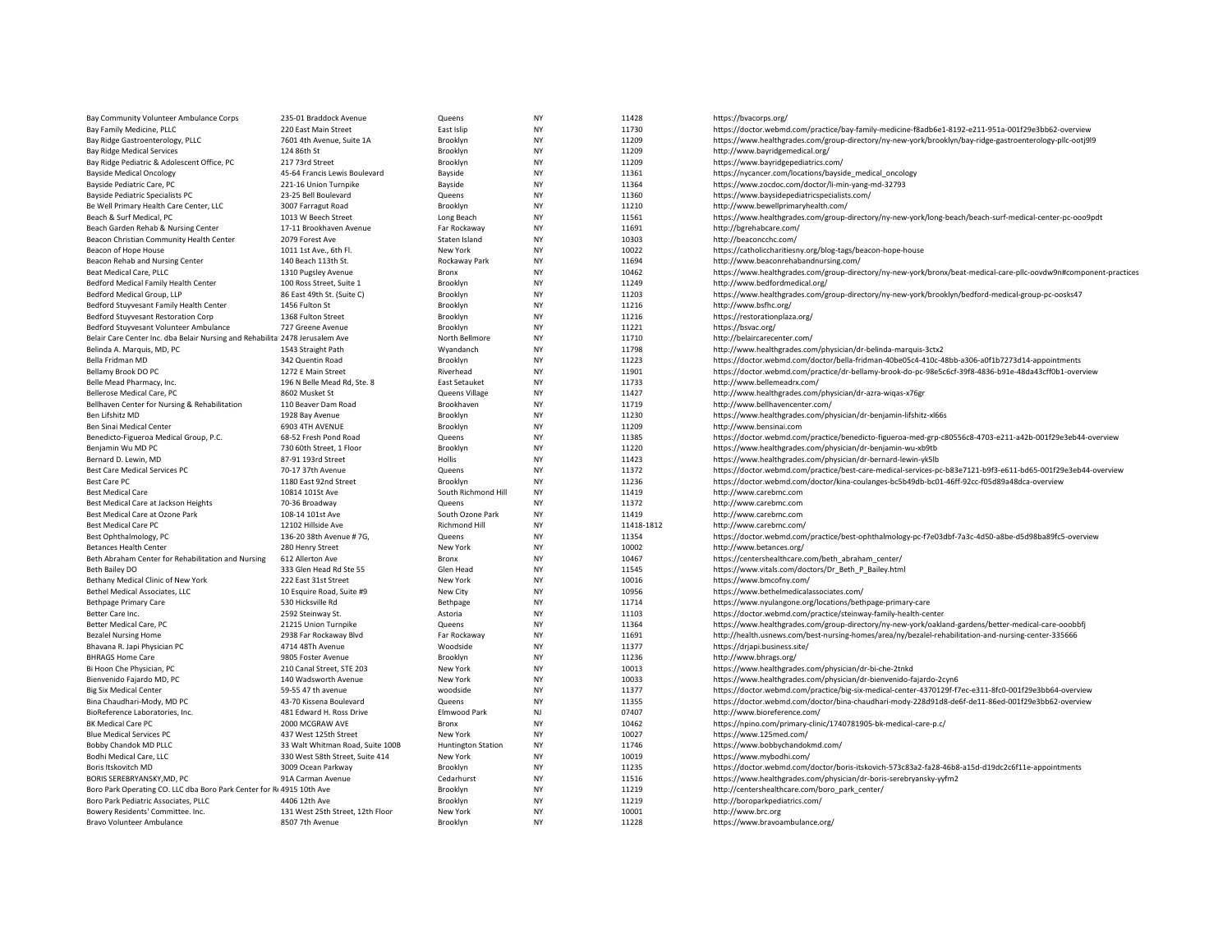| Bay Community Volunteer Ambulance Corps                                      | 235-01 Braddock Avenue                 | Queens                                   | <b>NY</b>       | 11428               | https://bvacorps.org/                                                                                             |
|------------------------------------------------------------------------------|----------------------------------------|------------------------------------------|-----------------|---------------------|-------------------------------------------------------------------------------------------------------------------|
| Bay Family Medicine, PLLC                                                    | 220 East Main Street                   | East Islip                               | <b>NY</b>       | 11730               | https://doctor.webmd.com/practice/bay-family-medicine-f8adb6e1-8192-e211-951a-001f29e3bb62-overview               |
| Bay Ridge Gastroenterology, PLLC                                             | 7601 4th Avenue, Suite 1A              | Brooklyn                                 | <b>NY</b>       | 11209               | https://www.healthgrades.com/group-directory/ny-new-york/brooklyn/bay-ridge-gastroenterology-pllc-ootj9l9         |
| <b>Bay Ridge Medical Services</b>                                            | 124 86th St                            | Brooklyn                                 | <b>NY</b>       | 11209               | http://www.bayridgemedical.org/                                                                                   |
| Bay Ridge Pediatric & Adolescent Office, PC                                  | 217 73rd Street                        | Brooklyn                                 | NY              | 11209               | https://www.bayridgepediatrics.com/                                                                               |
| <b>Bayside Medical Oncology</b>                                              | 45-64 Francis Lewis Boulevard          | Bayside                                  | <b>NY</b>       | 11361               | https://nycancer.com/locations/bayside_medical_oncology                                                           |
| Bayside Pediatric Care, PC                                                   | 221-16 Union Turnpike                  | Bayside                                  | <b>NY</b>       | 11364               | https://www.zocdoc.com/doctor/li-min-yang-md-32793                                                                |
| Bayside Pediatric Specialists PC                                             | 23-25 Bell Boulevard                   | Queens                                   | NY              | 11360               | https://www.baysidepediatricspecialists.com/                                                                      |
| Be Well Primary Health Care Center, LLC                                      | 3007 Farragut Road                     | Brooklyn                                 | <b>NY</b>       | 11210               | http://www.bewellprimaryhealth.com/                                                                               |
| Beach & Surf Medical, PC                                                     | 1013 W Beech Street                    | Long Beach                               | <b>NY</b>       | 11561               | https://www.healthgrades.com/group-directory/ny-new-york/long-beach/beach-surf-medical-center-pc-ooo9pdt          |
| Beach Garden Rehab & Nursing Center                                          | 17-11 Brookhaven Avenue                | Far Rockaway                             | NY              | 11691               | http://bgrehabcare.com/                                                                                           |
| Beacon Christian Community Health Center                                     | 2079 Forest Ave                        | Staten Island                            | NY              | 10303               | http://beaconcchc.com/                                                                                            |
| Beacon of Hope House                                                         | 1011 1st Ave., 6th Fl.                 | New York                                 | <b>NY</b>       | 10022               | https://catholiccharitiesny.org/blog-tags/beacon-hope-house                                                       |
| Beacon Rehab and Nursing Center                                              | 140 Beach 113th St.                    | Rockaway Park                            | NY              | 11694               | http://www.beaconrehabandnursing.com/                                                                             |
| Beat Medical Care, PLLC                                                      | 1310 Pugsley Avenue                    | Bronx                                    | NY              | 10462               | https://www.healthgrades.com/group-directory/ny-new-york/bronx/beat-medical-care-pllc-oovdw9n#component-practices |
| Bedford Medical Family Health Center                                         | 100 Ross Street, Suite 1               | Brooklyn                                 | <b>NY</b>       | 11249               | http://www.bedfordmedical.org/                                                                                    |
| Bedford Medical Group, LLP                                                   | 86 East 49th St. (Suite C)             | Brooklyn                                 | <b>NY</b>       | 11203               | https://www.healthgrades.com/group-directory/ny-new-york/brooklyn/bedford-medical-group-pc-oosks47                |
| Bedford Stuyvesant Family Health Center                                      | 1456 Fulton St                         | Brooklyn                                 | <b>NY</b>       | 11216               | http://www.bsfhc.org/                                                                                             |
| Bedford Stuyvesant Restoration Corp                                          | 1368 Fulton Street                     | Brooklyn                                 | <b>NY</b>       | 11216               | https://restorationplaza.org/                                                                                     |
| Bedford Stuyvesant Volunteer Ambulance                                       | 727 Greene Avenue                      | Brooklyn                                 | ΝY              | 11221               | https://bsvac.org/                                                                                                |
| Belair Care Center Inc. dba Belair Nursing and Rehabilita 2478 Jerusalem Ave |                                        | North Bellmore                           | <b>NY</b>       | 11710               | http://belaircarecenter.com/                                                                                      |
| Belinda A. Marquis, MD, PC                                                   | 1543 Straight Path                     | Wyandanch                                | NY              | 11798               | http://www.healthgrades.com/physician/dr-belinda-marquis-3ctx2                                                    |
| Bella Fridman MD                                                             | 342 Quentin Road                       | Brooklyn                                 | <b>NY</b>       | 11223               | https://doctor.webmd.com/doctor/bella-fridman-40be05c4-410c-48bb-a306-a0f1b7273d14-appointments                   |
| Bellamy Brook DO PC                                                          | 1272 E Main Street                     | Riverhead                                | <b>NY</b>       | 11901               | https://doctor.webmd.com/practice/dr-bellamy-brook-do-pc-98e5c6cf-39f8-4836-b91e-48da43cff0b1-overview            |
| Belle Mead Pharmacy, Inc.                                                    | 196 N Belle Mead Rd, Ste. 8            | <b>East Setauket</b>                     | NY              | 11733               | http://www.bellemeadrx.com/                                                                                       |
| Bellerose Medical Care, PC                                                   | 8602 Musket St                         | Queens Village                           | <b>NY</b>       | 11427               | http://www.healthgrades.com/physician/dr-azra-wiqas-x76gr                                                         |
| Bellhaven Center for Nursing & Rehabilitation                                | 110 Beaver Dam Road                    | Brookhaven                               | NY              | 11719               | http://www.bellhavencenter.com/                                                                                   |
| Ben Lifshitz MD                                                              | 1928 Bay Avenue                        | Brooklyn                                 | NY              | 11230               | https://www.healthgrades.com/physician/dr-benjamin-lifshitz-xl66s                                                 |
| Ben Sinai Medical Center                                                     | 6903 4TH AVENUE                        | Brooklyn                                 | <b>NY</b>       | 11209               | http://www.bensinai.com                                                                                           |
| Benedicto-Figueroa Medical Group, P.C.                                       | 68-52 Fresh Pond Road                  | Queens                                   | <b>NY</b>       | 11385               | https://doctor.webmd.com/practice/benedicto-figueroa-med-grp-c80556c8-4703-e211-a42b-001f29e3eb44-overview        |
| Benjamin Wu MD PC                                                            | 730 60th Street, 1 Floor               | Brooklyn                                 | <b>NY</b>       | 11220               | https://www.healthgrades.com/physician/dr-benjamin-wu-xb9tb                                                       |
| Bernard D. Lewin, MD                                                         | 87-91 193rd Street                     | Hollis                                   | NY              | 11423               | https://www.healthgrades.com/physician/dr-bernard-lewin-yk5lb                                                     |
| <b>Best Care Medical Services PC</b>                                         | 70-17 37th Avenue                      | Queens                                   | <b>NY</b>       | 11372               | https://doctor.webmd.com/practice/best-care-medical-services-pc-b83e7121-b9f3-e611-bd65-001f29e3eb44-overview     |
| Best Care PC                                                                 | 1180 East 92nd Street                  | Brooklyn                                 | NY              | 11236               | https://doctor.webmd.com/doctor/kina-coulanges-bc5b49db-bc01-46ff-92cc-f05d89a48dca-overview                      |
|                                                                              |                                        | South Richmond Hill                      | NY              | 11419               |                                                                                                                   |
| <b>Best Medical Care</b><br>Best Medical Care at Jackson Heights             | 10814 101St Ave<br>70-36 Broadway      | Queens                                   | <b>NY</b>       | 11372               | http://www.carebmc.com<br>http://www.carebmc.com                                                                  |
|                                                                              |                                        |                                          |                 |                     |                                                                                                                   |
| Best Medical Care at Ozone Park<br><b>Best Medical Care PC</b>               | 108-14 101st Ave<br>12102 Hillside Ave | South Ozone Park<br><b>Richmond Hill</b> | NY<br><b>NY</b> | 11419<br>11418-1812 | http://www.carebmc.com<br>http://www.carebmc.com/                                                                 |
|                                                                              |                                        |                                          |                 |                     |                                                                                                                   |
| Best Ophthalmology, PC                                                       | 136-20 38th Avenue #7G,                | Queens                                   | ΝY<br><b>NY</b> | 11354<br>10002      | https://doctor.webmd.com/practice/best-ophthalmology-pc-f7e03dbf-7a3c-4d50-a8be-d5d98ba89fc5-overview             |
| <b>Betances Health Center</b>                                                | 280 Henry Street                       | New York                                 |                 |                     | http://www.betances.org/                                                                                          |
| Beth Abraham Center for Rehabilitation and Nursing                           | 612 Allerton Ave                       | Bronx                                    | <b>NY</b>       | 10467               | https://centershealthcare.com/beth_abraham_center/                                                                |
| Beth Bailey DO                                                               | 333 Glen Head Rd Ste 55                | Glen Head                                | NY              | 11545               | https://www.vitals.com/doctors/Dr_Beth_P_Bailey.html                                                              |
| Bethany Medical Clinic of New York                                           | 222 East 31st Street                   | New York                                 | <b>NY</b>       | 10016               | https://www.bmcofny.com/                                                                                          |
| Bethel Medical Associates, LLC                                               | 10 Esquire Road, Suite #9              | New City                                 | <b>NY</b>       | 10956               | https://www.bethelmedicalassociates.com/                                                                          |
| <b>Bethpage Primary Care</b>                                                 | 530 Hicksville Rd                      | Bethpage                                 | <b>NY</b>       | 11714               | https://www.nyulangone.org/locations/bethpage-primary-care                                                        |
| Better Care Inc.                                                             | 2592 Steinway St.                      | Astoria                                  | <b>NY</b>       | 11103               | https://doctor.webmd.com/practice/steinway-family-health-center                                                   |
| Better Medical Care, PC                                                      | 21215 Union Turnpike                   | Queens                                   | <b>NY</b>       | 11364               | https://www.healthgrades.com/group-directory/ny-new-york/oakland-gardens/better-medical-care-ooobbfj              |
| <b>Bezalel Nursing Home</b>                                                  | 2938 Far Rockaway Blyd                 | Far Rockaway                             | <b>NY</b>       | 11691               | http://health.usnews.com/best-nursing-homes/area/ny/bezalel-rehabilitation-and-nursing-center-335666              |
| Bhavana R. Japi Physician PC                                                 | 4714 48Th Avenue                       | Woodside                                 | NY              | 11377               | https://drjapi.business.site/                                                                                     |
| <b>BHRAGS Home Care</b>                                                      | 9805 Foster Avenue                     | Brooklyn                                 | <b>NY</b>       | 11236               | http://www.bhrags.org/                                                                                            |
| Bi Hoon Che Physician, PC                                                    | 210 Canal Street, STE 203              | New York                                 | <b>NY</b>       | 10013               | https://www.healthgrades.com/physician/dr-bi-che-2tnkd                                                            |
| Bienvenido Fajardo MD, PC                                                    | 140 Wadsworth Avenue                   | New York                                 | NY              | 10033               | https://www.healthgrades.com/physician/dr-bienvenido-fajardo-2cyn6                                                |
| <b>Big Six Medical Center</b>                                                | 59-55 47 th avenue                     | woodside                                 | <b>NY</b>       | 11377               | https://doctor.webmd.com/practice/big-six-medical-center-4370129f-f7ec-e311-8fc0-001f29e3bb64-overview            |
| Bina Chaudhari-Mody, MD PC                                                   | 43-70 Kissena Boulevard                | Queens                                   | <b>NY</b>       | 11355               | https://doctor.webmd.com/doctor/bina-chaudhari-mody-228d91d8-de6f-de11-86ed-001f29e3bb62-overview                 |
| BioReference Laboratories, Inc.                                              | 481 Edward H. Ross Drive               | <b>Elmwood Park</b>                      | <b>NJ</b>       | 07407               | http://www.bioreference.com/                                                                                      |
| BK Medical Care PC                                                           | 2000 MCGRAW AVE                        | Bronx                                    | NY              | 10462               | https://npino.com/primary-clinic/1740781905-bk-medical-care-p.c/                                                  |
| <b>Blue Medical Services PC</b>                                              | 437 West 125th Street                  | New York                                 | <b>NY</b>       | 10027               | https://www.125med.com/                                                                                           |
| Bobby Chandok MD PLLC                                                        | 33 Walt Whitman Road, Suite 100B       | <b>Huntington Station</b>                | NY              | 11746               | https://www.bobbychandokmd.com/                                                                                   |
| Bodhi Medical Care, LLC                                                      | 330 West 58th Street, Suite 414        | New York                                 | NY              | 10019               | https://www.mybodhi.com/                                                                                          |
| Boris Itskovitch MD                                                          | 3009 Ocean Parkway                     | Brooklyn                                 | <b>NY</b>       | 11235               | https://doctor.webmd.com/doctor/boris-itskovich-573c83a2-fa28-46b8-a15d-d19dc2c6f11e-appointments                 |
| BORIS SEREBRYANSKY, MD, PC                                                   | 91A Carman Avenue                      | Cedarhurst                               | <b>NY</b>       | 11516               | https://www.healthgrades.com/physician/dr-boris-serebryansky-yyfm2                                                |
| Boro Park Operating CO. LLC dba Boro Park Center for R: 4915 10th Ave        |                                        | Brooklyn                                 | <b>NY</b>       | 11219               | http://centershealthcare.com/boro_park_center/                                                                    |
| Boro Park Pediatric Associates, PLLC                                         | 4406 12th Ave                          | Brooklyn                                 | <b>NY</b>       | 11219               | http://boroparkpediatrics.com/                                                                                    |
| Bowery Residents' Committee. Inc.                                            | 131 West 25th Street, 12th Floor       | New York                                 | <b>NY</b>       | 10001               | http://www.brc.org                                                                                                |
| <b>Bravo Volunteer Ambulance</b>                                             | 8507 7th Avenue                        | <b>Brooklyn</b>                          | <b>NY</b>       | 11228               | https://www.bravoambulance.org/                                                                                   |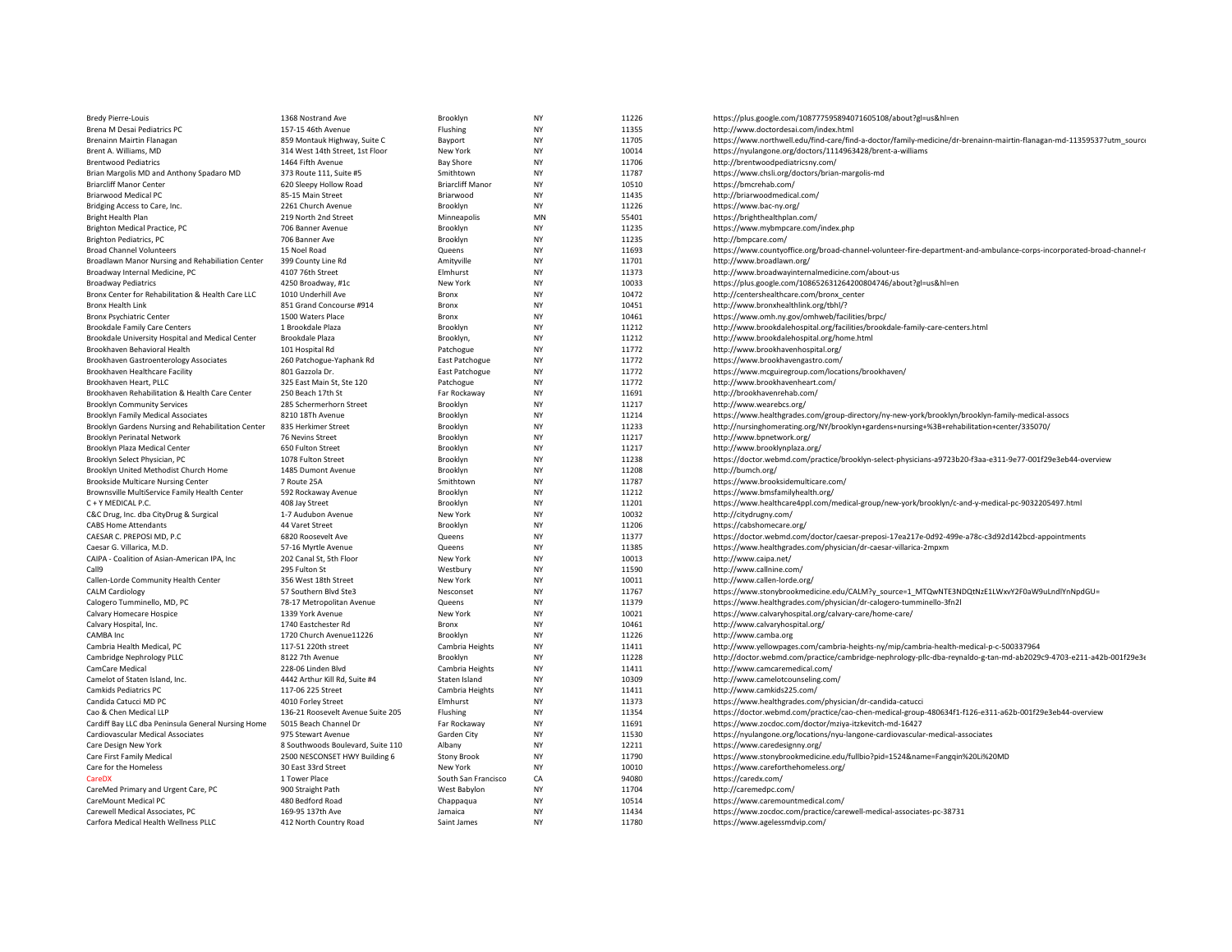| <b>Bredy Pierre-Louis</b>                                             | 1368 Nostrand Ave                     | Brooklyn                | NY              | 11226          | https://plus.google.com/108777595894071605108/about?gl=us&hl=en                                                       |
|-----------------------------------------------------------------------|---------------------------------------|-------------------------|-----------------|----------------|-----------------------------------------------------------------------------------------------------------------------|
| Brena M Desai Pediatrics PC                                           | 157-15 46th Avenue                    | Flushing                | NY              | 11355          | http://www.doctordesai.com/index.html                                                                                 |
| Brenainn Mairtin Flanagan                                             | 859 Montauk Highway, Suite C          | Bayport                 | NY              | 11705          | https://www.northwell.edu/find-care/find-a-doctor/family-medicine/dr-brenainn-mairtin-flanagan-md-11359537?utm_source |
| Brent A. Williams, MD                                                 | 314 West 14th Street, 1st Floor       | New York                | NY              | 10014          | https://nyulangone.org/doctors/1114963428/brent-a-williams                                                            |
| <b>Brentwood Pediatrics</b>                                           | 1464 Fifth Avenue                     | <b>Bay Shore</b>        | NY              | 11706          | http://brentwoodpediatricsny.com/                                                                                     |
| Brian Margolis MD and Anthony Spadaro MD                              | 373 Route 111, Suite #5               | Smithtown               | NY              | 11787          | https://www.chsli.org/doctors/brian-margolis-md                                                                       |
| <b>Briarcliff Manor Center</b>                                        | 620 Sleepy Hollow Road                | <b>Briarcliff Manor</b> | NY              | 10510          | https://bmcrehab.com/                                                                                                 |
| <b>Briarwood Medical PC</b>                                           | 85-15 Main Street                     | Briarwood               | NY              | 11435          | http://briarwoodmedical.com/                                                                                          |
| Bridging Access to Care, Inc.                                         | 2261 Church Avenue                    | Brooklyn                | <b>NY</b>       | 11226          | https://www.bac-ny.org/                                                                                               |
| Bright Health Plan                                                    | 219 North 2nd Street                  | Minneapolis             | MN              | 55401          | https://brighthealthplan.com/                                                                                         |
| Brighton Medical Practice, PC                                         | 706 Banner Avenue                     | Brooklyn                | NY              | 11235          | https://www.mybmpcare.com/index.php                                                                                   |
| <b>Brighton Pediatrics, PC</b>                                        | 706 Banner Ave                        | Brooklyn                | NY              | 11235          | http://bmpcare.com/                                                                                                   |
| <b>Broad Channel Volunteers</b>                                       | 15 Noel Road                          | Queens                  | <b>NY</b>       | 11693          | https://www.countyoffice.org/broad-channel-volunteer-fire-department-and-ambulance-corps-incorporated-broad-channel-  |
| Broadlawn Manor Nursing and Rehabiliation Center                      | 399 County Line Rd                    | Amityville              | NY              | 11701          | http://www.broadlawn.org/                                                                                             |
| Broadway Internal Medicine, PC                                        | 4107 76th Street                      | Elmhurst                | NY              | 11373          | http://www.broadwayinternalmedicine.com/about-us                                                                      |
| <b>Broadway Pediatrics</b>                                            | 4250 Broadway, #1c                    | New York                | NY              | 10033          | https://plus.google.com/108652631264200804746/about?gl=us&hl=en                                                       |
| Bronx Center for Rehabilitation & Health Care LLC                     | 1010 Underhill Ave                    | Bronx                   | NY              | 10472          | http://centershealthcare.com/bronx_center                                                                             |
| Bronx Health Link                                                     | 851 Grand Concourse #914              | Bronx                   | NY              | 10451          | http://www.bronxhealthlink.org/tbhl/?                                                                                 |
| <b>Bronx Psychiatric Center</b>                                       | 1500 Waters Place                     | Bronx                   | <b>NY</b>       | 10461          | https://www.omh.ny.gov/omhweb/facilities/brpc/                                                                        |
| <b>Brookdale Family Care Centers</b>                                  | 1 Brookdale Plaza                     | Brooklyn                | NY              | 11212          | http://www.brookdalehospital.org/facilities/brookdale-family-care-centers.html                                        |
| Brookdale University Hospital and Medical Center                      | Brookdale Plaza                       | Brooklyn,               | <b>NY</b>       | 11212          | http://www.brookdalehospital.org/home.html                                                                            |
| Brookhaven Behavioral Health                                          | 101 Hospital Rd                       | Patchogue               | NY              | 11772          | http://www.brookhavenhospital.org/                                                                                    |
| Brookhaven Gastroenterology Associates                                | 260 Patchogue-Yaphank Rd              | East Patchogue          | NY              | 11772          | https://www.brookhavengastro.com/                                                                                     |
| Brookhaven Healthcare Facility                                        | 801 Gazzola Dr.                       | East Patchogue          | NY              | 11772          | https://www.mcguiregroup.com/locations/brookhaven/                                                                    |
| Brookhaven Heart, PLLC                                                | 325 East Main St, Ste 120             | Patchogue               | NY              | 11772          | http://www.brookhavenheart.com/                                                                                       |
| Brookhaven Rehabilitation & Health Care Center                        | 250 Beach 17th St                     | Far Rockaway            | <b>NY</b>       | 11691          | http://brookhavenrehab.com/                                                                                           |
| <b>Brooklyn Community Services</b>                                    | 285 Schermerhorn Street               | Brooklyn                | NY              | 11217          | http://www.wearebcs.org/                                                                                              |
| Brooklyn Family Medical Associates                                    | 8210 18Th Avenue                      | Brooklyn                | NY              | 11214          | https://www.healthgrades.com/group-directory/ny-new-york/brooklyn/brooklyn-family-medical-assocs                      |
| Brooklyn Gardens Nursing and Rehabilitation Center                    | 835 Herkimer Street                   | Brooklyn                | <b>NY</b>       | 11233          | http://nursinghomerating.org/NY/brooklyn+gardens+nursing+%3B+rehabilitation+center/335070/                            |
| Brooklyn Perinatal Network                                            | 76 Nevins Street                      | Brooklyn                | NY              | 11217          | http://www.bpnetwork.org/                                                                                             |
| Brooklyn Plaza Medical Center                                         | 650 Fulton Street                     | Brooklyn                | <b>NY</b>       | 11217          | http://www.brooklynplaza.org/                                                                                         |
| Brooklyn Select Physician, PC                                         | 1078 Fulton Street                    | Brooklyn                | NY              | 11238          | https://doctor.webmd.com/practice/brooklyn-select-physicians-a9723b20-f3aa-e311-9e77-001f29e3eb44-overview            |
| Brooklyn United Methodist Church Home                                 | 1485 Dumont Avenue                    | Brooklyn                | <b>NY</b>       | 11208          | http://bumch.org/                                                                                                     |
| <b>Brookside Multicare Nursing Center</b>                             | 7 Route 25A                           | Smithtown               | NY              | 11787          | https://www.brooksidemulticare.com/                                                                                   |
| Brownsville MultiService Family Health Center                         | 592 Rockaway Avenue                   | Brooklyn                | NY<br><b>NY</b> | 11212          | https://www.bmsfamilyhealth.org/                                                                                      |
| C + Y MEDICAL P.C.                                                    | 408 Jay Street                        | Brooklyn                |                 | 11201          | https://www.healthcare4ppl.com/medical-group/new-york/brooklyn/c-and-y-medical-pc-9032205497.html                     |
| C&C Drug, Inc. dba CityDrug & Surgical<br><b>CABS Home Attendants</b> | 1-7 Audubon Avenue<br>44 Varet Street | New York<br>Brooklyn    | NY<br>NY        | 10032<br>11206 | http://citydrugny.com/<br>https://cabshomecare.org/                                                                   |
| CAESAR C. PREPOSI MD, P.C                                             | 6820 Roosevelt Ave                    | Queens                  | NY              | 11377          | https://doctor.webmd.com/doctor/caesar-preposi-17ea217e-0d92-499e-a78c-c3d92d142bcd-appointments                      |
| Caesar G. Villarica, M.D.                                             | 57-16 Myrtle Avenue                   | Queens                  | NY              | 11385          | https://www.healthgrades.com/physician/dr-caesar-villarica-2mpxm                                                      |
| CAIPA - Coalition of Asian-American IPA, Inc                          | 202 Canal St, 5th Floor               | New York                | <b>NY</b>       | 10013          | http://www.caipa.net/                                                                                                 |
| Call9                                                                 | 295 Fulton St                         | Westbury                | NY              | 11590          | http://www.callnine.com/                                                                                              |
| Callen-Lorde Community Health Center                                  | 356 West 18th Street                  | New York                | <b>NY</b>       | 10011          | http://www.callen-lorde.org/                                                                                          |
| <b>CALM Cardiology</b>                                                | 57 Southern Blvd Ste3                 | Nesconset               | NY              | 11767          | https://www.stonybrookmedicine.edu/CALM?y_source=1_MTQwNTE3NDQtNzE1LWxvY2F0aW9uLndlYnNpdGU=                           |
| Calogero Tumminello, MD, PC                                           | 78-17 Metropolitan Avenue             | Queens                  | NY              | 11379          | https://www.healthgrades.com/physician/dr-calogero-tumminello-3fn2l                                                   |
| Calvary Homecare Hospice                                              | 1339 York Avenue                      | New York                | NY              | 10021          | https://www.calvaryhospital.org/calvary-care/home-care/                                                               |
| Calvary Hospital, Inc.                                                | 1740 Eastchester Rd                   | Bronx                   | NY              | 10461          | http://www.calvaryhospital.org/                                                                                       |
| CAMBA Inc                                                             | 1720 Church Avenue11226               | Brooklyn                | NY              | 11226          | http://www.camba.org                                                                                                  |
| Cambria Health Medical, PC                                            | 117-51 220th street                   | Cambria Heights         | NY              | 11411          | http://www.yellowpages.com/cambria-heights-ny/mip/cambria-health-medical-p-c-500337964                                |
| Cambridge Nephrology PLLC                                             | 8122 7th Avenue                       | Brooklyn                | NY              | 11228          | http://doctor.webmd.com/practice/cambridge-nephrology-pllc-dba-reynaldo-g-tan-md-ab2029c9-4703-e211-a42b-001f29e3e    |
| CamCare Medical                                                       | 228-06 Linden Blvd                    | Cambria Heights         | <b>NY</b>       | 11411          | http://www.camcaremedical.com/                                                                                        |
| Camelot of Staten Island, Inc.                                        | 4442 Arthur Kill Rd, Suite #4         | Staten Island           | NY              | 10309          | http://www.camelotcounseling.com/                                                                                     |
| Camkids Pediatrics PC                                                 | 117-06 225 Street                     | Cambria Heights         | <b>NY</b>       | 11411          | http://www.camkids225.com/                                                                                            |
| Candida Catucci MD PC                                                 | 4010 Forley Street                    | Elmhurst                | NY              | 11373          | https://www.healthgrades.com/physician/dr-candida-catucci                                                             |
| Cao & Chen Medical LLP                                                | 136-21 Roosevelt Avenue Suite 205     | Flushing                | NY              | 11354          | https://doctor.webmd.com/practice/cao-chen-medical-group-480634f1-f126-e311-a62b-001f29e3eb44-overview                |
| Cardiff Bay LLC dba Peninsula General Nursing Home                    | 5015 Beach Channel Dr                 | Far Rockaway            | NY              | 11691          | https://www.zocdoc.com/doctor/mziya-itzkevitch-md-16427                                                               |
| Cardiovascular Medical Associates                                     | 975 Stewart Avenue                    | Garden City             | NY              | 11530          | https://nyulangone.org/locations/nyu-langone-cardiovascular-medical-associates                                        |
| Care Design New York                                                  | 8 Southwoods Boulevard, Suite 110     | Albany                  | NY              | 12211          | https://www.caredesignny.org/                                                                                         |
| Care First Family Medical                                             | 2500 NESCONSET HWY Building 6         | <b>Stony Brook</b>      | NY              | 11790          | https://www.stonybrookmedicine.edu/fullbio?pid=1524&name=Fanggin%20Li%20MD                                            |
| Care for the Homeless                                                 | 30 East 33rd Street                   | New York                | NY              | 10010          | https://www.careforthehomeless.org/                                                                                   |
| <b>CareDX</b>                                                         | 1 Tower Place                         | South San Francisco     | CA              | 94080          | https://caredx.com/                                                                                                   |
| CareMed Primary and Urgent Care, PC                                   | 900 Straight Path                     | West Babylon            | NY              | 11704          | http://caremedpc.com/                                                                                                 |
| CareMount Medical PC                                                  | 480 Bedford Road                      | Chappagua               | <b>NY</b>       | 10514          | https://www.caremountmedical.com/                                                                                     |
| Carewell Medical Associates, PC                                       | 169-95 137th Ave                      | Jamaica                 | NY              | 11434          | https://www.zocdoc.com/practice/carewell-medical-associates-pc-38731                                                  |
| Carfora Medical Health Wellness PLLC                                  | 412 North Country Road                | Saint James             | <b>NY</b>       | 11780          | https://www.agelessmdvip.com/                                                                                         |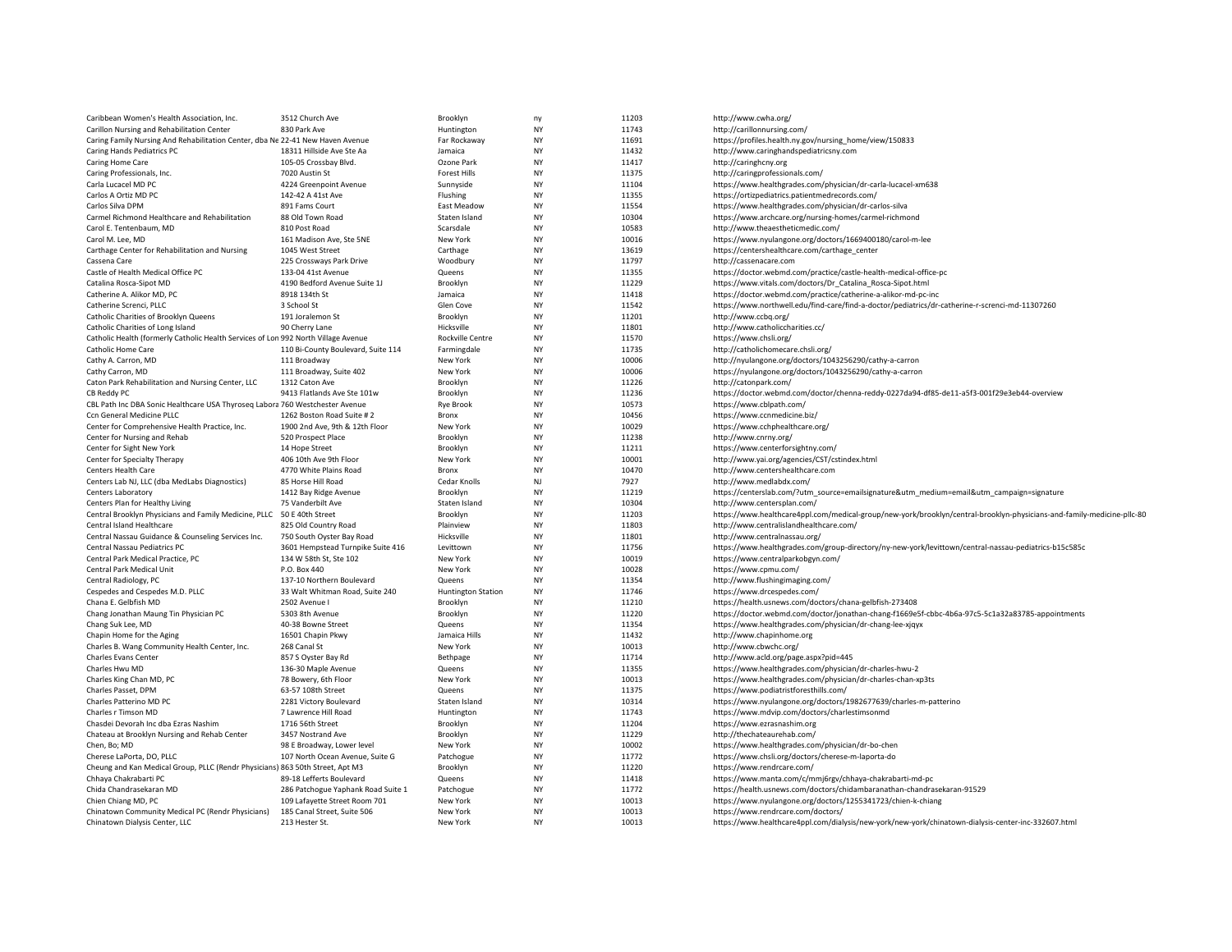| Caribbean Women's Health Association, Inc.                                         | 3512 Church Ave                    | Brooklyn                  | ny                     | 11203 | http://www.cwha.org/                                                                                                   |
|------------------------------------------------------------------------------------|------------------------------------|---------------------------|------------------------|-------|------------------------------------------------------------------------------------------------------------------------|
| Carillon Nursing and Rehabilitation Center                                         | 830 Park Ave                       | Huntington                | <b>NY</b>              | 11743 | http://carillonnursing.com/                                                                                            |
| Caring Family Nursing And Rehabilitation Center, dba Ne 22-41 New Haven Avenue     |                                    | Far Rockaway              | <b>NY</b>              | 11691 | https://profiles.health.ny.gov/nursing home/view/150833                                                                |
| Caring Hands Pediatrics PC                                                         | 18311 Hillside Ave Ste Aa          | Jamaica                   | <b>NY</b>              | 11432 | http://www.caringhandspediatricsny.com                                                                                 |
| Caring Home Care                                                                   | 105-05 Crossbay Blvd.              | Ozone Park                | <b>NY</b>              | 11417 | http://caringhcny.org                                                                                                  |
| Caring Professionals, Inc.                                                         | 7020 Austin St                     | <b>Forest Hills</b>       | <b>NY</b>              | 11375 | http://caringprofessionals.com/                                                                                        |
| Carla Lucacel MD PC                                                                | 4224 Greenpoint Avenue             | Sunnyside                 | <b>NY</b>              | 11104 | https://www.healthgrades.com/physician/dr-carla-lucacel-xm638                                                          |
| Carlos A Ortiz MD PC                                                               | 142-42 A 41st Ave                  | Flushing                  | <b>NY</b>              | 11355 | https://ortizpediatrics.patientmedrecords.com/                                                                         |
| Carlos Silva DPM                                                                   | 891 Fams Court                     | East Meadow               | <b>NY</b>              | 11554 | https://www.healthgrades.com/physician/dr-carlos-silva                                                                 |
| Carmel Richmond Healthcare and Rehabilitation                                      | 88 Old Town Road                   | Staten Island             | <b>NY</b>              | 10304 | https://www.archcare.org/nursing-homes/carmel-richmond                                                                 |
| Carol E. Tentenbaum, MD                                                            | 810 Post Road                      | Scarsdale                 | <b>NY</b>              | 10583 | http://www.theaestheticmedic.com/                                                                                      |
| Carol M. Lee, MD                                                                   | 161 Madison Ave, Ste 5NE           | New York                  | <b>NY</b>              | 10016 | https://www.nyulangone.org/doctors/1669400180/carol-m-lee                                                              |
| Carthage Center for Rehabilitation and Nursing                                     | 1045 West Street                   | Carthage                  | <b>NY</b>              | 13619 | https://centershealthcare.com/carthage_center                                                                          |
| Cassena Care                                                                       | 225 Crossways Park Drive           | Woodbury                  | <b>NY</b>              | 11797 | http://cassenacare.com                                                                                                 |
| Castle of Health Medical Office PC                                                 | 133-04 41st Avenue                 | Queens                    | <b>NY</b>              | 11355 | https://doctor.webmd.com/practice/castle-health-medical-office-pc                                                      |
| Catalina Rosca-Sipot MD                                                            | 4190 Bedford Avenue Suite 1J       | Brooklyn                  | <b>NY</b>              | 11229 | https://www.vitals.com/doctors/Dr_Catalina_Rosca-Sipot.html                                                            |
| Catherine A. Alikor MD, PC                                                         | 8918 134th St                      | Jamaica                   | <b>NY</b>              | 11418 | https://doctor.webmd.com/practice/catherine-a-alikor-md-pc-inc                                                         |
| Catherine Screnci, PLLC                                                            | 3 School St                        | Glen Cove                 | <b>NY</b>              | 11542 | https://www.northwell.edu/find-care/find-a-doctor/pediatrics/dr-catherine-r-screnci-md-11307260                        |
| Catholic Charities of Brooklyn Queens                                              | 191 Joralemon St                   | Brooklyn                  | <b>NY</b>              | 11201 | http://www.ccbq.org/                                                                                                   |
| Catholic Charities of Long Island                                                  | 90 Cherry Lane                     | Hicksville                | <b>NY</b>              | 11801 | http://www.catholiccharities.cc/                                                                                       |
| Catholic Health (formerly Catholic Health Services of Lon 992 North Village Avenue |                                    | Rockville Centre          | <b>NY</b>              | 11570 | https://www.chsli.org/                                                                                                 |
| Catholic Home Care                                                                 | 110 Bi-County Boulevard, Suite 114 | Farmingdale               | <b>NY</b>              | 11735 | http://catholichomecare.chsli.org/                                                                                     |
|                                                                                    |                                    | New York                  | <b>NY</b>              | 10006 |                                                                                                                        |
| Cathy A. Carron, MD                                                                | 111 Broadway                       |                           | <b>NY</b>              |       | http://nyulangone.org/doctors/1043256290/cathy-a-carron                                                                |
| Cathy Carron, MD                                                                   | 111 Broadway, Suite 402            | New York                  |                        | 10006 | https://nyulangone.org/doctors/1043256290/cathy-a-carron                                                               |
| Caton Park Rehabilitation and Nursing Center, LLC                                  | 1312 Caton Ave                     | Brooklyn                  | <b>NY</b><br><b>NY</b> | 11226 | http://catonpark.com/                                                                                                  |
| CB Reddy PC                                                                        | 9413 Flatlands Ave Ste 101w        | Brooklyn                  |                        | 11236 | https://doctor.webmd.com/doctor/chenna-reddy-0227da94-df85-de11-a5f3-001f29e3eb44-overview                             |
| CBL Path Inc DBA Sonic Healthcare USA Thyroseg Labora 760 Westchester Avenue       |                                    | <b>Rye Brook</b>          | <b>NY</b>              | 10573 | https://www.cblpath.com/                                                                                               |
| Ccn General Medicine PLLC                                                          | 1262 Boston Road Suite #2          | Bronx                     | <b>NY</b>              | 10456 | https://www.ccnmedicine.biz/                                                                                           |
| Center for Comprehensive Health Practice, Inc.                                     | 1900 2nd Ave, 9th & 12th Floor     | New York                  | <b>NY</b>              | 10029 | https://www.cchphealthcare.org/                                                                                        |
| Center for Nursing and Rehab                                                       | 520 Prospect Place                 | Brooklyn                  | <b>NY</b>              | 11238 | http://www.cnrny.org/                                                                                                  |
| Center for Sight New York                                                          | 14 Hope Street                     | Brooklyn                  | <b>NY</b>              | 11211 | https://www.centerforsightny.com/                                                                                      |
| Center for Specialty Therapy                                                       | 406 10th Ave 9th Floor             | New York                  | <b>NY</b>              | 10001 | http://www.yai.org/agencies/CST/cstindex.html                                                                          |
| Centers Health Care                                                                | 4770 White Plains Road             | Bronx                     | <b>NY</b>              | 10470 | http://www.centershealthcare.com                                                                                       |
| Centers Lab NJ, LLC (dba MedLabs Diagnostics)                                      | 85 Horse Hill Road                 | Cedar Knolls              | NJ                     | 7927  | http://www.medlabdx.com/                                                                                               |
| Centers Laboratory                                                                 | 1412 Bay Ridge Avenue              | Brooklyn                  | <b>NY</b>              | 11219 | https://centerslab.com/?utm_source=emailsignature&utm_medium=email&utm_campaign=signature                              |
| Centers Plan for Healthy Living                                                    | 75 Vanderbilt Ave                  | Staten Island             | <b>NY</b>              | 10304 | http://www.centersplan.com/                                                                                            |
| Central Brooklyn Physicians and Family Medicine, PLLC 50 E 40th Street             |                                    | Brooklyn                  | <b>NY</b>              | 11203 | https://www.healthcare4ppl.com/medical-group/new-york/brooklyn/central-brooklyn-physicians-and-family-medicine-pllc-80 |
| Central Island Healthcare                                                          | 825 Old Country Road               | Plainview                 | <b>NY</b>              | 11803 | http://www.centralislandhealthcare.com/                                                                                |
| Central Nassau Guidance & Counseling Services Inc.                                 | 750 South Oyster Bay Road          | Hicksville                | <b>NY</b>              | 11801 | http://www.centralnassau.org/                                                                                          |
| Central Nassau Pediatrics PC                                                       | 3601 Hempstead Turnpike Suite 416  | Levittown                 | <b>NY</b>              | 11756 | https://www.healthgrades.com/group-directory/ny-new-york/levittown/central-nassau-pediatrics-b15c585c                  |
| Central Park Medical Practice, PC                                                  | 134 W 58th St. Ste 102             | New York                  | <b>NY</b>              | 10019 | https://www.centralparkobgyn.com/                                                                                      |
| Central Park Medical Unit                                                          | P.O. Box 440                       | New York                  | <b>NY</b>              | 10028 | https://www.cpmu.com/                                                                                                  |
| Central Radiology, PC                                                              | 137-10 Northern Boulevard          | Queens                    | <b>NY</b>              | 11354 | http://www.flushingimaging.com/                                                                                        |
| Cespedes and Cespedes M.D. PLLC                                                    | 33 Walt Whitman Road, Suite 240    | <b>Huntington Station</b> | <b>NY</b>              | 11746 | https://www.drcespedes.com/                                                                                            |
| Chana E. Gelbfish MD                                                               | 2502 Avenue I                      | Brooklyn                  | <b>NY</b>              | 11210 | https://health.usnews.com/doctors/chana-gelbfish-273408                                                                |
| Chang Jonathan Maung Tin Physician PC                                              | 5303 8th Avenue                    | Brooklyn                  | <b>NY</b>              | 11220 | https://doctor.webmd.com/doctor/jonathan-chang-f1669e5f-cbbc-4b6a-97c5-5c1a32a83785-appointments                       |
| Chang Suk Lee, MD                                                                  | 40-38 Bowne Street                 | Queens                    | <b>NY</b>              | 11354 | https://www.healthgrades.com/physician/dr-chang-lee-xjqyx                                                              |
| Chapin Home for the Aging                                                          | 16501 Chapin Pkwy                  | Jamaica Hills             | <b>NY</b>              | 11432 | http://www.chapinhome.org                                                                                              |
| Charles B. Wang Community Health Center, Inc.                                      | 268 Canal St                       | New York                  | <b>NY</b>              | 10013 | http://www.cbwchc.org/                                                                                                 |
| Charles Evans Center                                                               | 857 S Oyster Bay Rd                | Bethpage                  | <b>NY</b>              | 11714 | http://www.acld.org/page.aspx?pid=445                                                                                  |
| Charles Hwu MD                                                                     | 136-30 Maple Avenue                | Queens                    | <b>NY</b>              | 11355 | https://www.healthgrades.com/physician/dr-charles-hwu-2                                                                |
| Charles King Chan MD, PC                                                           | 78 Bowery, 6th Floor               | New York                  | <b>NY</b>              | 10013 | https://www.healthgrades.com/physician/dr-charles-chan-xp3ts                                                           |
| Charles Passet, DPM                                                                | 63-57 108th Street                 | Queens                    | <b>NY</b>              | 11375 | https://www.podiatristforesthills.com/                                                                                 |
| Charles Patterino MD PC                                                            | 2281 Victory Boulevard             | Staten Island             | <b>NY</b>              | 10314 | https://www.nyulangone.org/doctors/1982677639/charles-m-patterino                                                      |
| Charles r Timson MD                                                                | 7 Lawrence Hill Road               | Huntington                | <b>NY</b>              | 11743 | https://www.mdvip.com/doctors/charlestimsonmd                                                                          |
| Chasdei Devorah Inc dba Ezras Nashim                                               | 1716 56th Street                   | Brooklyn                  | <b>NY</b>              | 11204 | https://www.ezrasnashim.org                                                                                            |
| Chateau at Brooklyn Nursing and Rehab Center                                       | 3457 Nostrand Ave                  | Brooklyn                  | <b>NY</b>              | 11229 | http://thechateaurehab.com/                                                                                            |
| Chen, Bo; MD                                                                       | 98 E Broadway, Lower level         | New York                  | <b>NY</b>              | 10002 | https://www.healthgrades.com/physician/dr-bo-chen                                                                      |
| Cherese LaPorta, DO, PLLC                                                          | 107 North Ocean Avenue, Suite G    | Patchogue                 | <b>NY</b>              | 11772 | https://www.chsli.org/doctors/cherese-m-laporta-do                                                                     |
| Cheung and Kan Medical Group, PLLC (Rendr Physicians) 863 50th Street, Apt M3      |                                    | Brooklyn                  | <b>NY</b>              | 11220 | https://www.rendrcare.com/                                                                                             |
| Chhaya Chakrabarti PC                                                              | 89-18 Lefferts Boulevard           | Queens                    | <b>NY</b>              | 11418 | https://www.manta.com/c/mmj6rgv/chhaya-chakrabarti-md-pc                                                               |
| Chida Chandrasekaran MD                                                            | 286 Patchogue Yaphank Road Suite 1 | Patchogue                 | <b>NY</b>              | 11772 | https://health.usnews.com/doctors/chidambaranathan-chandrasekaran-91529                                                |
| Chien Chiang MD, PC                                                                | 109 Lafayette Street Room 701      | New York                  | <b>NY</b>              | 10013 | https://www.nyulangone.org/doctors/1255341723/chien-k-chiang                                                           |
| Chinatown Community Medical PC (Rendr Physicians)                                  | 185 Canal Street, Suite 506        | New York                  | <b>NY</b>              | 10013 | https://www.rendrcare.com/doctors/                                                                                     |
| Chinatown Dialysis Center, LLC                                                     | 213 Hester St.                     | New York                  | <b>NY</b>              | 10013 | https://www.healthcare4ppl.com/dialysis/new-york/new-york/chinatown-dialysis-center-inc-332607.html                    |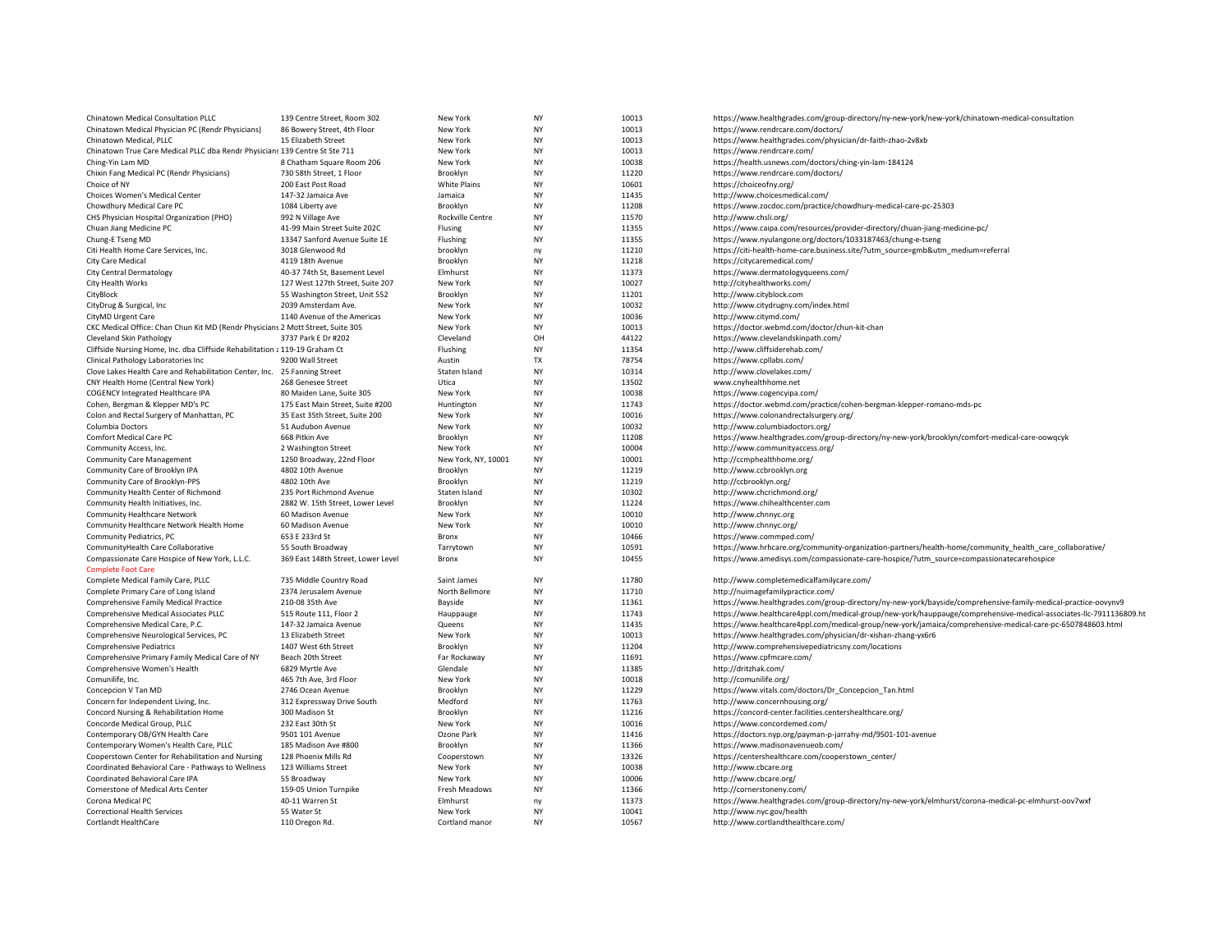| Chinatown Medical Consultation PLLC                                             | 139 Centre Street, Room 302        | New York            | <b>NY</b> | 10013 | https://www.healthgrades.com/group-directory/ny-new-york/new-york/chinatown-medical-consultation                   |
|---------------------------------------------------------------------------------|------------------------------------|---------------------|-----------|-------|--------------------------------------------------------------------------------------------------------------------|
| Chinatown Medical Physician PC (Rendr Physicians)                               | 86 Bowery Street, 4th Floor        | New York            | <b>NY</b> | 10013 | https://www.rendrcare.com/doctors/                                                                                 |
| Chinatown Medical, PLLC                                                         | 15 Elizabeth Street                | New York            | <b>NY</b> | 10013 | https://www.healthgrades.com/physician/dr-faith-zhao-2v8xb                                                         |
| Chinatown True Care Medical PLLC dba Rendr Physicians 139 Centre St Ste 711     |                                    | New York            | <b>NY</b> | 10013 | https://www.rendrcare.com/                                                                                         |
| Ching-Yin Lam MD                                                                | 8 Chatham Square Room 206          | New York            | <b>NY</b> | 10038 | https://health.usnews.com/doctors/ching-yin-lam-184124                                                             |
| Chixin Fang Medical PC (Rendr Physicians)                                       | 730 58th Street, 1 Floor           | Brooklyn            | <b>NY</b> | 11220 | https://www.rendrcare.com/doctors/                                                                                 |
| Choice of NY                                                                    | 200 East Post Road                 | <b>White Plains</b> | <b>NY</b> | 10601 | https://choiceofny.org/                                                                                            |
|                                                                                 |                                    |                     | <b>NY</b> |       |                                                                                                                    |
| Choices Women's Medical Center                                                  | 147-32 Jamaica Ave                 | Jamaica             |           | 11435 | http://www.choicesmedical.com/                                                                                     |
| Chowdhury Medical Care PC                                                       | 1084 Liberty ave                   | Brooklyn            | <b>NY</b> | 11208 | https://www.zocdoc.com/practice/chowdhury-medical-care-pc-25303                                                    |
| CHS Physician Hospital Organization (PHO)                                       | 992 N Village Ave                  | Rockville Centre    | <b>NY</b> | 11570 | http://www.chsli.org/                                                                                              |
| Chuan Jiang Medicine PC                                                         | 41-99 Main Street Suite 202C       | Flusing             | <b>NY</b> | 11355 | https://www.caipa.com/resources/provider-directory/chuan-jiang-medicine-pc/                                        |
| Chung-E Tseng MD                                                                | 13347 Sanford Avenue Suite 1E      | Flushing            | <b>NY</b> | 11355 | https://www.nyulangone.org/doctors/1033187463/chung-e-tseng                                                        |
| Citi Health Home Care Services, Inc.                                            | 3018 Glenwood Rd                   | brooklyn            | ny        | 11210 | https://citi-health-home-care.business.site/?utm_source=gmb&utm_medium=referral                                    |
| City Care Medical                                                               | 4119 18th Avenue                   | Brooklyn            | <b>NY</b> | 11218 | https://citycaremedical.com/                                                                                       |
| <b>City Central Dermatology</b>                                                 | 40-37 74th St, Basement Level      | Elmhurst            | NY        | 11373 | https://www.dermatologyqueens.com/                                                                                 |
| City Health Works                                                               | 127 West 127th Street, Suite 207   | New York            | <b>NY</b> | 10027 | http://cityhealthworks.com/                                                                                        |
| CityBlock                                                                       | 55 Washington Street, Unit 552     | Brooklyn            | <b>NY</b> | 11201 | http://www.cityblock.com                                                                                           |
| CityDrug & Surgical, Inc.                                                       | 2039 Amsterdam Ave.                | New York            | <b>NY</b> | 10032 | http://www.citydrugny.com/index.html                                                                               |
| CityMD Urgent Care                                                              | 1140 Avenue of the Americas        | New York            | <b>NY</b> | 10036 | http://www.citymd.com/                                                                                             |
| CKC Medical Office: Chan Chun Kit MD (Rendr Physicians 2 Mott Street, Suite 305 |                                    | New York            | <b>NY</b> | 10013 | https://doctor.webmd.com/doctor/chun-kit-chan                                                                      |
| Cleveland Skin Pathology                                                        | 3737 Park E Dr #202                | Cleveland           | OH        | 44122 | https://www.clevelandskinpath.com/                                                                                 |
| Cliffside Nursing Home, Inc. dba Cliffside Rehabilitation ¿ 119-19 Graham Ct    |                                    | Flushing            | <b>NY</b> | 11354 | http://www.cliffsiderehab.com/                                                                                     |
| Clinical Pathology Laboratories Inc                                             | 9200 Wall Street                   | Austin              | <b>TX</b> | 78754 | https://www.cpllabs.com/                                                                                           |
| Clove Lakes Health Care and Rehabilitation Center, Inc. 25 Fanning Street       |                                    | Staten Island       | <b>NY</b> | 10314 | http://www.clovelakes.com/                                                                                         |
| CNY Health Home (Central New York)                                              | 268 Genesee Street                 | Utica               | ΝY        | 13502 | www.cnyhealthhome.net                                                                                              |
|                                                                                 |                                    |                     | <b>NY</b> | 10038 |                                                                                                                    |
| <b>COGENCY Integrated Healthcare IPA</b>                                        | 80 Maiden Lane, Suite 305          | New York            |           |       | https://www.cogencyipa.com/                                                                                        |
| Cohen, Bergman & Klepper MD's PC                                                | 175 East Main Street, Suite #200   | Huntington          | <b>NY</b> | 11743 | https://doctor.webmd.com/practice/cohen-bergman-klepper-romano-mds-pc                                              |
| Colon and Rectal Surgery of Manhattan, PC                                       | 35 East 35th Street, Suite 200     | New York            | <b>NY</b> | 10016 | https://www.colonandrectalsurgery.org/                                                                             |
| Columbia Doctors                                                                | 51 Audubon Avenue                  | New York            | <b>NY</b> | 10032 | http://www.columbiadoctors.org/                                                                                    |
| Comfort Medical Care PC                                                         | 668 Pitkin Ave                     | Brooklyn            | NY        | 11208 | https://www.healthgrades.com/group-directory/ny-new-york/brooklyn/comfort-medical-care-oowqcyk                     |
| Community Access, Inc.                                                          | 2 Washington Street                | New York            | <b>NY</b> | 10004 | http://www.communityaccess.org/                                                                                    |
| <b>Community Care Management</b>                                                | 1250 Broadway, 22nd Floor          | New York, NY, 10001 | NY        | 10001 | http://ccmphealthhome.org/                                                                                         |
| Community Care of Brooklyn IPA                                                  | 4802 10th Avenue                   | Brooklyn            | <b>NY</b> | 11219 | http://www.ccbrooklyn.org                                                                                          |
| Community Care of Brooklyn-PPS                                                  | 4802 10th Ave                      | Brooklyn            | <b>NY</b> | 11219 | http://ccbrooklyn.org/                                                                                             |
| Community Health Center of Richmond                                             | 235 Port Richmond Avenue           | Staten Island       | <b>NY</b> | 10302 | http://www.chcrichmond.org/                                                                                        |
| Community Health Initiatives, Inc.                                              | 2882 W. 15th Street, Lower Level   | Brooklyn            | <b>NY</b> | 11224 | https://www.chihealthcenter.com                                                                                    |
| Community Healthcare Network                                                    | 60 Madison Avenue                  | New York            | <b>NY</b> | 10010 | http://www.chnnyc.org                                                                                              |
| Community Healthcare Network Health Home                                        | 60 Madison Avenue                  | New York            | <b>NY</b> | 10010 | http://www.chnnyc.org/                                                                                             |
| Community Pediatrics, PC                                                        | 653 E 233rd St                     | Bronx               | <b>NY</b> | 10466 | https://www.commped.com/                                                                                           |
| CommunityHealth Care Collaborative                                              | 55 South Broadway                  | Tarrytown           | <b>NY</b> | 10591 | https://www.hrhcare.org/community-organization-partners/health-home/community_health_care_collaborative/           |
| Compassionate Care Hospice of New York, L.L.C.                                  | 369 East 148th Street, Lower Level | Bronx               | <b>NY</b> | 10455 | https://www.amedisys.com/compassionate-care-hospice/?utm_source=compassionatecarehospice                           |
| <b>Complete Foot Care</b>                                                       |                                    |                     |           |       |                                                                                                                    |
|                                                                                 |                                    |                     | <b>NY</b> | 11780 |                                                                                                                    |
| Complete Medical Family Care, PLLC                                              | 735 Middle Country Road            | Saint James         |           |       | http://www.completemedicalfamilycare.com/                                                                          |
| Complete Primary Care of Long Island                                            | 2374 Jerusalem Avenue              | North Bellmore      | <b>NY</b> | 11710 | http://nuimagefamilypractice.com/                                                                                  |
| Comprehensive Family Medical Practice                                           | 210-08 35th Ave                    | Bayside             | <b>NY</b> | 11361 | https://www.healthgrades.com/group-directory/ny-new-york/bayside/comprehensive-family-medical-practice-oovynv9     |
| Comprehensive Medical Associates PLLC                                           | 515 Route 111, Floor 2             | Hauppauge           | <b>NY</b> | 11743 | https://www.healthcare4ppl.com/medical-group/new-york/hauppauge/comprehensive-medical-associates-llc-7911136809.ht |
| Comprehensive Medical Care, P.C.                                                | 147-32 Jamaica Avenue              | Queens              | <b>NY</b> | 11435 | https://www.healthcare4ppl.com/medical-group/new-york/jamaica/comprehensive-medical-care-pc-6507848603.html        |
| Comprehensive Neurological Services, PC                                         | 13 Elizabeth Street                | New York            | <b>NY</b> | 10013 | https://www.healthgrades.com/physician/dr-xishan-zhang-yx6r6                                                       |
| <b>Comprehensive Pediatrics</b>                                                 | 1407 West 6th Street               | Brooklyn            | <b>NY</b> | 11204 | http://www.comprehensivepediatricsny.com/locations                                                                 |
| Comprehensive Primary Family Medical Care of NY                                 | Beach 20th Street                  | Far Rockaway        | <b>NY</b> | 11691 | https://www.cpfmcare.com/                                                                                          |
| Comprehensive Women's Health                                                    | 6829 Myrtle Ave                    | Glendale            | <b>NY</b> | 11385 | http://dritzhak.com/                                                                                               |
| Comunilife, Inc.                                                                | 465 7th Ave, 3rd Floor             | New York            | <b>NY</b> | 10018 | http://comunilife.org/                                                                                             |
| Concepcion V Tan MD                                                             | 2746 Ocean Avenue                  | Brooklyn            | <b>NY</b> | 11229 | https://www.vitals.com/doctors/Dr_Concepcion_Tan.html                                                              |
| Concern for Independent Living, Inc.                                            | 312 Expressway Drive South         | Medford             | <b>NY</b> | 11763 | http://www.concernhousing.org/                                                                                     |
| Concord Nursing & Rehabilitation Home                                           | 300 Madison St                     | Brooklyn            | <b>NY</b> | 11216 | https://concord-center.facilities.centershealthcare.org/                                                           |
| Concorde Medical Group, PLLC                                                    | 232 East 30th St                   | New York            | NY        | 10016 | https://www.concordemed.com/                                                                                       |
| Contemporary OB/GYN Health Care                                                 | 9501 101 Avenue                    | Ozone Park          | <b>NY</b> | 11416 | https://doctors.nyp.org/payman-p-jarrahy-md/9501-101-avenue                                                        |
| Contemporary Women's Health Care, PLLC                                          | 185 Madison Ave #800               | Brooklyn            | <b>NY</b> | 11366 | https://www.madisonavenueob.com/                                                                                   |
| Cooperstown Center for Rehabilitation and Nursing                               | 128 Phoenix Mills Rd               | Cooperstown         | <b>NY</b> | 13326 | https://centershealthcare.com/cooperstown_center/                                                                  |
| Coordinated Behavioral Care - Pathways to Wellness                              | 123 Williams Street                | New York            | <b>NY</b> | 10038 | http://www.cbcare.org                                                                                              |
|                                                                                 |                                    | New York            |           |       |                                                                                                                    |
| Coordinated Behavioral Care IPA                                                 | 55 Broadway                        |                     | <b>NY</b> | 10006 | http://www.cbcare.org/                                                                                             |
| Cornerstone of Medical Arts Center                                              | 159-05 Union Turnpike              | Fresh Meadows       | <b>NY</b> | 11366 | http://cornerstoneny.com/                                                                                          |
| Corona Medical PC                                                               | 40-11 Warren St                    | Elmhurst            | ny        | 11373 | https://www.healthgrades.com/group-directory/ny-new-york/elmhurst/corona-medical-pc-elmhurst-oov7wxf               |
| Correctional Health Services                                                    | 55 Water St                        | New York            | <b>NY</b> | 10041 | http://www.nyc.gov/health                                                                                          |
| Cortlandt HealthCare                                                            | 110 Oregon Rd.                     | Cortland manor      | <b>NY</b> | 10567 | http://www.cortlandthealthcare.com/                                                                                |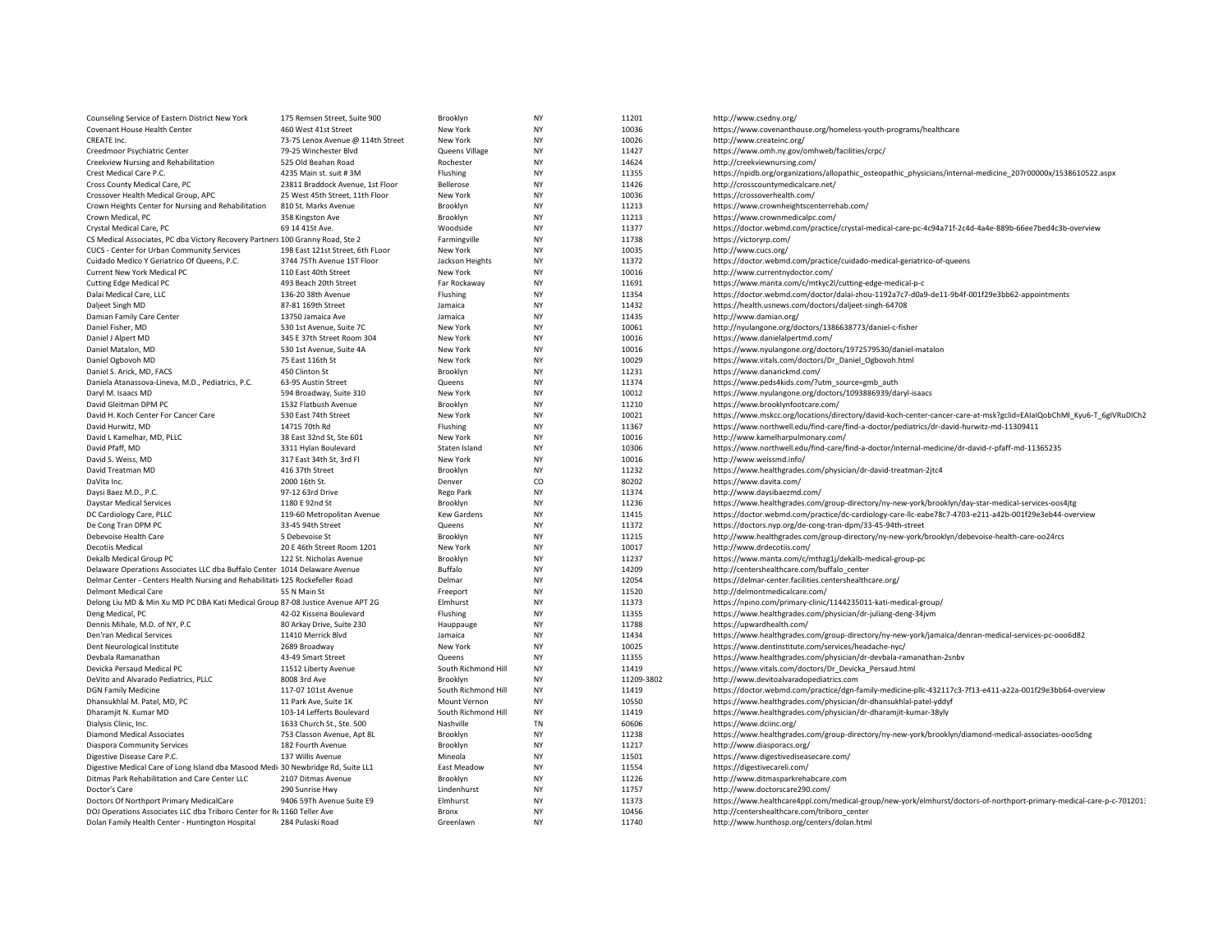| Counseling Service of Eastern District New York                                  | 175 Remsen Street, Suite 900      | Brooklyn            | <b>NY</b> | 11201          | http://www.csedny.org/                                                                                               |
|----------------------------------------------------------------------------------|-----------------------------------|---------------------|-----------|----------------|----------------------------------------------------------------------------------------------------------------------|
| Covenant House Health Center                                                     | 460 West 41st Street              | New York            | <b>NY</b> | 10036          | https://www.covenanthouse.org/homeless-youth-programs/healthcare                                                     |
| CREATE Inc.                                                                      | 73-75 Lenox Avenue @ 114th Street | New York            | <b>NY</b> | 10026          | http://www.createinc.org/                                                                                            |
| Creedmoor Psychiatric Center                                                     | 79-25 Winchester Blvd             | Queens Village      | <b>NY</b> | 11427          | https://www.omh.ny.gov/omhweb/facilities/crpc/                                                                       |
| Creekview Nursing and Rehabilitation                                             | 525 Old Beahan Road               | Rochester           | <b>NY</b> | 14624          | http://creekviewnursing.com/                                                                                         |
| Crest Medical Care P.C.                                                          | 4235 Main st. suit #3M            | Flushing            | <b>NY</b> | 11355          | https://npidb.org/organizations/allopathic_osteopathic_physicians/internal-medicine_207r00000x/1538610522.aspx       |
| Cross County Medical Care, PC                                                    | 23811 Braddock Avenue, 1st Floor  | Bellerose           | <b>NY</b> | 11426          | http://crosscountymedicalcare.net/                                                                                   |
| Crossover Health Medical Group, APC                                              | 25 West 45th Street, 11th Floor   | New York            | <b>NY</b> | 10036          | https://crossoverhealth.com/                                                                                         |
| Crown Heights Center for Nursing and Rehabilitation                              | 810 St. Marks Avenue              | Brooklyn            | <b>NY</b> | 11213          | https://www.crownheightscenterrehab.com/                                                                             |
| Crown Medical, PC                                                                | 358 Kingston Ave                  | Brooklyn            | <b>NY</b> | 11213          | https://www.crownmedicalpc.com/                                                                                      |
| Crystal Medical Care, PC                                                         | 69 14 41St Ave.                   | Woodside            | <b>NY</b> | 11377          | https://doctor.webmd.com/practice/crystal-medical-care-pc-4c94a71f-2c4d-4a4e-889b-66ee7bed4c3b-overview              |
| CS Medical Associates, PC dba Victory Recovery Partners 100 Granny Road, Ste 2   |                                   | Farmingville        | <b>NY</b> | 11738          | https://victoryrp.com/                                                                                               |
| CUCS - Center for Urban Community Services                                       | 198 East 121st Street, 6th FLoor  | New York            | <b>NY</b> | 10035          | http://www.cucs.org/                                                                                                 |
| Cuidado Medico Y Geriatrico Of Queens, P.C.                                      | 3744 75Th Avenue 1ST Floor        | Jackson Heights     | <b>NY</b> | 11372          | https://doctor.webmd.com/practice/cuidado-medical-geriatrico-of-queens                                               |
| Current New York Medical PC                                                      | 110 East 40th Street              | New York            | <b>NY</b> | 10016          | http://www.currentnydoctor.com/                                                                                      |
| <b>Cutting Edge Medical PC</b>                                                   | 493 Beach 20th Street             | Far Rockaway        | <b>NY</b> | 11691          | https://www.manta.com/c/mtkyc2l/cutting-edge-medical-p-c                                                             |
| Dalai Medical Care, LLC                                                          | 136-20 38th Avenue                | Flushing            | ΝY        | 11354          | https://doctor.webmd.com/doctor/dalai-zhou-1192a7c7-d0a9-de11-9b4f-001f29e3bb62-appointments                         |
| Daljeet Singh MD                                                                 | 87-81 169th Street                | Jamaica             | <b>NY</b> | 11432          | https://health.usnews.com/doctors/daljeet-singh-64708                                                                |
|                                                                                  |                                   |                     | <b>NY</b> | 11435          |                                                                                                                      |
| Damian Family Care Center                                                        | 13750 Jamaica Ave                 | Jamaica             | <b>NY</b> |                | http://www.damian.org/                                                                                               |
| Daniel Fisher, MD                                                                | 530 1st Avenue, Suite 7C          | New York            | <b>NY</b> | 10061<br>10016 | http://nyulangone.org/doctors/1386638773/daniel-c-fisher                                                             |
| Daniel J Alpert MD                                                               | 345 E 37th Street Room 304        | New York            |           |                | https://www.danielalpertmd.com/                                                                                      |
| Daniel Matalon, MD                                                               | 530 1st Avenue, Suite 4A          | New York            | <b>NY</b> | 10016          | https://www.nyulangone.org/doctors/1972579530/daniel-matalon                                                         |
| Daniel Ogbovoh MD                                                                | 75 East 116th St                  | New York            | <b>NY</b> | 10029          | https://www.vitals.com/doctors/Dr_Daniel_Ogbovoh.html                                                                |
| Daniel S. Arick, MD, FACS                                                        | 450 Clinton St                    | Brooklyn            | <b>NY</b> | 11231          | https://www.danarickmd.com/                                                                                          |
| Daniela Atanassova-Lineva, M.D., Pediatrics, P.C.                                | 63-95 Austin Street               | Queens              | <b>NY</b> | 11374          | https://www.peds4kids.com/?utm_source=gmb_auth                                                                       |
| Daryl M. Isaacs MD                                                               | 594 Broadway, Suite 310           | New York            | <b>NY</b> | 10012          | https://www.nyulangone.org/doctors/1093886939/daryl-isaacs                                                           |
| David Gleitman DPM PC                                                            | 1532 Flatbush Avenue              | Brooklyn            | <b>NY</b> | 11210          | https://www.brooklynfootcare.com/                                                                                    |
| David H. Koch Center For Cancer Care                                             | 530 East 74th Street              | New York            | <b>NY</b> | 10021          | https://www.mskcc.org/locations/directory/david-koch-center-cancer-care-at-msk?gclid=EAIaIQobChMI_Kyu6-T_6gIVRuDICh2 |
| David Hurwitz, MD                                                                | 14715 70th Rd                     | Flushing            | <b>NY</b> | 11367          | https://www.northwell.edu/find-care/find-a-doctor/pediatrics/dr-david-hurwitz-md-11309411                            |
| David L Kamelhar, MD, PLLC                                                       | 38 East 32nd St, Ste 601          | New York            | <b>NY</b> | 10016          | http://www.kamelharpulmonary.com/                                                                                    |
| David Pfaff, MD                                                                  | 3311 Hylan Boulevard              | Staten Island       | <b>NY</b> | 10306          | https://www.northwell.edu/find-care/find-a-doctor/internal-medicine/dr-david-r-pfaff-md-11365235                     |
| David S. Weiss, MD                                                               | 317 East 34th St, 3rd Fl          | New York            | <b>NY</b> | 10016          | http://www.weissmd.info/                                                                                             |
| David Treatman MD                                                                | 416 37th Street                   | Brooklyn            | <b>NY</b> | 11232          | https://www.healthgrades.com/physician/dr-david-treatman-2jtc4                                                       |
| DaVita Inc.                                                                      | 2000 16th St.                     | Denver              | CO        | 80202          | https://www.davita.com/                                                                                              |
| Daysi Baez M.D., P.C.                                                            | 97-12 63rd Drive                  | Rego Park           | <b>NY</b> | 11374          | http://www.daysibaezmd.com/                                                                                          |
| <b>Daystar Medical Services</b>                                                  | 1180 E 92nd St                    | Brooklyn            | <b>NY</b> | 11236          | https://www.healthgrades.com/group-directory/ny-new-york/brooklyn/day-star-medical-services-oos4jtg                  |
| DC Cardiology Care, PLLC                                                         | 119-60 Metropolitan Avenue        | Kew Gardens         | <b>NY</b> | 11415          | https://doctor.webmd.com/practice/dc-cardiology-care-llc-eabe78c7-4703-e211-a42b-001f29e3eb44-overview               |
| De Cong Tran DPM PC                                                              | 33-45 94th Street                 | Queens              | <b>NY</b> | 11372          | https://doctors.nyp.org/de-cong-tran-dpm/33-45-94th-street                                                           |
| Debevoise Health Care                                                            | 5 Debevoise St                    | Brooklyn            | <b>NY</b> | 11215          | http://www.healthgrades.com/group-directory/ny-new-york/brooklyn/debevoise-health-care-oo24rcs                       |
| Decotiis Medical                                                                 | 20 E 46th Street Room 1201        | New York            | <b>NY</b> | 10017          | http://www.drdecotiis.com/                                                                                           |
| Dekalb Medical Group PC                                                          | 122 St. Nicholas Avenue           | Brooklyn            | <b>NY</b> | 11237          | https://www.manta.com/c/mthzg1j/dekalb-medical-group-pc                                                              |
| Delaware Operations Associates LLC dba Buffalo Center 1014 Delaware Avenue       |                                   | Buffalo             | <b>NY</b> | 14209          | http://centershealthcare.com/buffalo_center                                                                          |
| Delmar Center - Centers Health Nursing and Rehabilitati 125 Rockefeller Road     |                                   | Delmar              | <b>NY</b> | 12054          | https://delmar-center.facilities.centershealthcare.org/                                                              |
| <b>Delmont Medical Care</b>                                                      | 55 N Main St                      | Freeport            | <b>NY</b> | 11520          | http://delmontmedicalcare.com/                                                                                       |
| Delong Liu MD & Min Xu MD PC DBA Kati Medical Group 87-08 Justice Avenue APT 2G  |                                   | Elmhurst            | <b>NY</b> | 11373          | https://npino.com/primary-clinic/1144235011-kati-medical-group/                                                      |
| Deng Medical, PC                                                                 | 42-02 Kissena Boulevard           | Flushing            | <b>NY</b> | 11355          | https://www.healthgrades.com/physician/dr-juliang-deng-34jvm                                                         |
| Dennis Mihale, M.D. of NY, P.C                                                   | 80 Arkay Drive, Suite 230         | Hauppauge           | <b>NY</b> | 11788          | https://upwardhealth.com/                                                                                            |
| Den'ran Medical Services                                                         | 11410 Merrick Blvd                | Jamaica             | <b>NY</b> | 11434          | https://www.healthgrades.com/group-directory/ny-new-york/jamaica/denran-medical-services-pc-ooo6d82                  |
| Dent Neurological Institute                                                      | 2689 Broadway                     | New York            | <b>NY</b> | 10025          | https://www.dentinstitute.com/services/headache-nyc/                                                                 |
| Devbala Ramanathan                                                               | 43-49 Smart Street                | Queens              | <b>NY</b> | 11355          | https://www.healthgrades.com/physician/dr-devbala-ramanathan-2snbv                                                   |
| Devicka Persaud Medical PC                                                       | 11512 Liberty Avenue              | South Richmond Hill | <b>NY</b> | 11419          | https://www.vitals.com/doctors/Dr_Devicka_Persaud.html                                                               |
| DeVito and Alvarado Pediatrics, PLLC                                             | 8008 3rd Ave                      | Brooklyn            | ΝY        | 11209-3802     | http://www.devitoalvaradopediatrics.com                                                                              |
| <b>DGN Family Medicine</b>                                                       | 117-07 101st Avenue               | South Richmond Hill | <b>NY</b> | 11419          | https://doctor.webmd.com/practice/dgn-family-medicine-pllc-432117c3-7f13-e411-a22a-001f29e3bb64-overview             |
| Dhansukhlal M. Patel, MD, PC                                                     | 11 Park Ave, Suite 1K             | Mount Vernon        | <b>NY</b> | 10550          | https://www.healthgrades.com/physician/dr-dhansukhlal-patel-yddyf                                                    |
| Dharamjit N. Kumar MD                                                            | 103-14 Lefferts Boulevard         | South Richmond Hill | <b>NY</b> | 11419          |                                                                                                                      |
|                                                                                  |                                   |                     |           |                | https://www.healthgrades.com/physician/dr-dharamjit-kumar-38yly                                                      |
| Dialysis Clinic, Inc.                                                            | 1633 Church St., Ste. 500         | Nashville           | TN        | 60606          | https://www.dciinc.org/                                                                                              |
| Diamond Medical Associates                                                       | 753 Classon Avenue, Apt 8L        | Brooklyn            | <b>NY</b> | 11238          | https://www.healthgrades.com/group-directory/ny-new-york/brooklyn/diamond-medical-associates-ooo5dng                 |
| <b>Diaspora Community Services</b>                                               | 182 Fourth Avenue                 | Brooklyn            | <b>NY</b> | 11217          | http://www.diasporacs.org/                                                                                           |
| Digestive Disease Care P.C.                                                      | 137 Willis Avenue                 | Mineola             | <b>NY</b> | 11501          | https://www.digestivediseasecare.com/                                                                                |
| Digestive Medical Care of Long Island dba Masood Medi 30 Newbridge Rd, Suite LL1 |                                   | East Meadow         | <b>NY</b> | 11554          | https://digestivecareli.com/                                                                                         |
| Ditmas Park Rehabilitation and Care Center LLC                                   | 2107 Ditmas Avenue                | Brooklyn            | <b>NY</b> | 11226          | http://www.ditmasparkrehabcare.com                                                                                   |
| Doctor's Care                                                                    | 290 Sunrise Hwy                   | Lindenhurst         | <b>NY</b> | 11757          | http://www.doctorscare290.com/                                                                                       |
| Doctors Of Northport Primary MedicalCare                                         | 9406 59Th Avenue Suite E9         | Elmhurst            | <b>NY</b> | 11373          | https://www.healthcare4ppl.com/medical-group/new-york/elmhurst/doctors-of-northport-primary-medical-care-p-c-7012013 |
| DOJ Operations Associates LLC dba Triboro Center for Rt 1160 Teller Ave          |                                   | Bronx               | NY        | 10456          | http://centershealthcare.com/triboro_center                                                                          |
| Dolan Family Health Center - Huntington Hospital                                 | 284 Pulaski Road                  | Greenlawn           | <b>NY</b> | 11740          | http://www.hunthosp.org/centers/dolan.html                                                                           |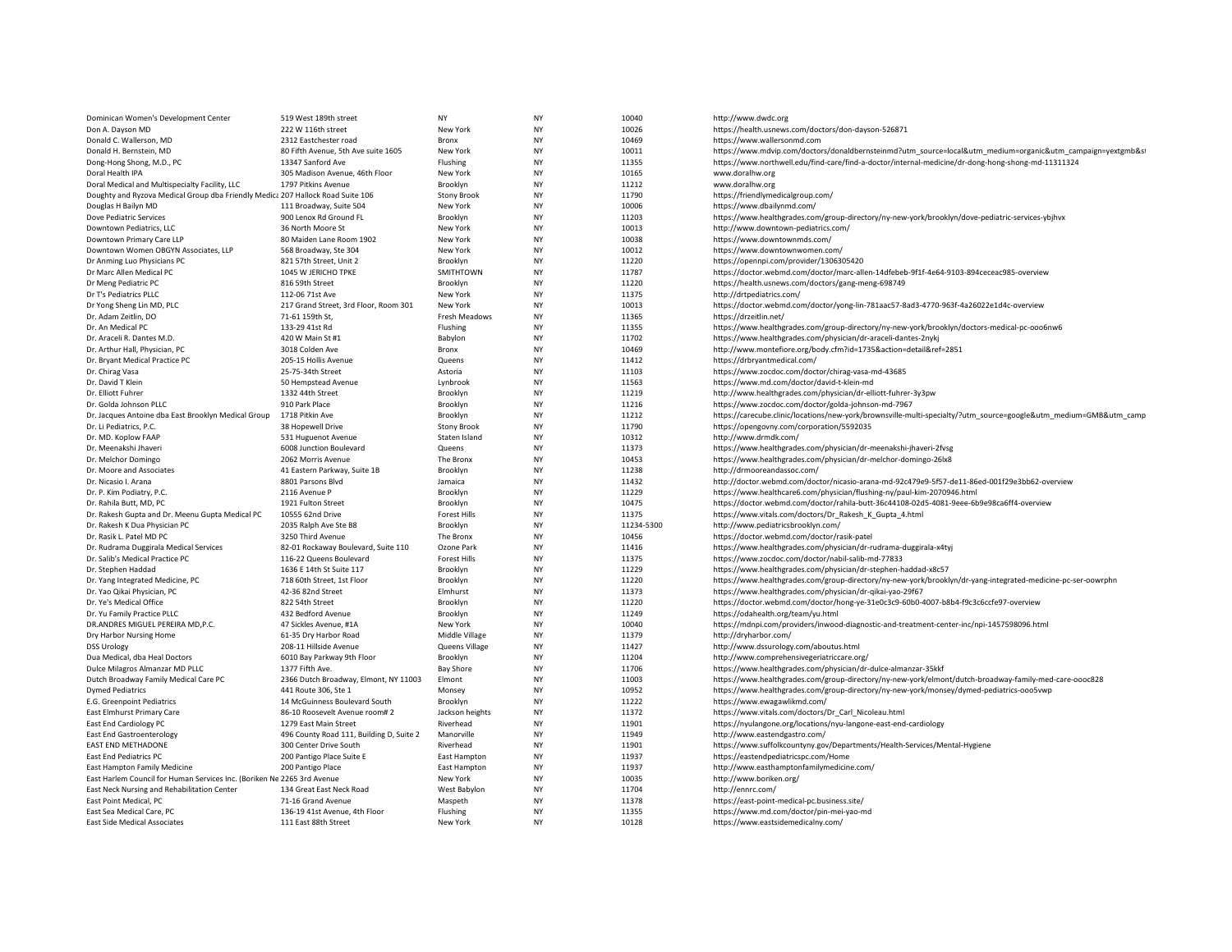| Dominican Women's Development Center                                            | 519 West 189th street                    | <b>NY</b>           | <b>NY</b> | 10040      | http://www.dwdc.org                                                                                               |
|---------------------------------------------------------------------------------|------------------------------------------|---------------------|-----------|------------|-------------------------------------------------------------------------------------------------------------------|
| Don A. Dayson MD                                                                | 222 W 116th street                       | New York            | <b>NY</b> | 10026      | https://health.usnews.com/doctors/don-dayson-526871                                                               |
| Donald C. Wallerson, MD                                                         | 2312 Eastchester road                    | Bronx               | <b>NY</b> | 10469      | https://www.wallersonmd.com                                                                                       |
| Donald H. Bernstein, MD                                                         | 80 Fifth Avenue, 5th Ave suite 1605      | New York            | <b>NY</b> | 10011      | https://www.mdvip.com/doctors/donaldbernsteinmd?utm_source=local&utm_medium=organic&utm_campaign=yextgmb&st       |
| Dong-Hong Shong, M.D., PC                                                       | 13347 Sanford Ave                        | Flushing            | <b>NY</b> | 11355      | https://www.northwell.edu/find-care/find-a-doctor/internal-medicine/dr-dong-hong-shong-md-11311324                |
| Doral Health IPA                                                                | 305 Madison Avenue, 46th Floor           | New York            | <b>NY</b> | 10165      | www.doralhw.org                                                                                                   |
| Doral Medical and Multispecialty Facility, LLC                                  | 1797 Pitkins Avenue                      | Brooklyn            | <b>NY</b> | 11212      | www.doralhw.org                                                                                                   |
| Doughty and Ryzova Medical Group dba Friendly Medica 207 Hallock Road Suite 106 |                                          | <b>Stony Brook</b>  | <b>NY</b> | 11790      | https://friendlymedicalgroup.com/                                                                                 |
| Douglas H Bailyn MD                                                             | 111 Broadway, Suite 504                  | New York            | <b>NY</b> | 10006      | https://www.dbailynmd.com/                                                                                        |
| Dove Pediatric Services                                                         | 900 Lenox Rd Ground FL                   | Brooklyn            | <b>NY</b> | 11203      | https://www.healthgrades.com/group-directory/ny-new-york/brooklyn/dove-pediatric-services-ybjhvx                  |
| Downtown Pediatrics, LLC                                                        | 36 North Moore St                        | New York            | <b>NY</b> | 10013      | http://www.downtown-pediatrics.com/                                                                               |
| Downtown Primary Care LLP                                                       | 80 Maiden Lane Room 1902                 | New York            | <b>NY</b> | 10038      | https://www.downtownmds.com/                                                                                      |
| Downtown Women OBGYN Associates, LLP                                            | 568 Broadway, Ste 304                    | New York            | <b>NY</b> | 10012      | https://www.downtownwomen.com/                                                                                    |
| Dr Anming Luo Physicians PC                                                     | 821 57th Street, Unit 2                  | Brooklyn            | <b>NY</b> | 11220      | https://opennpi.com/provider/1306305420                                                                           |
| Dr Marc Allen Medical PC                                                        | 1045 W JERICHO TPKE                      | SMITHTOWN           | <b>NY</b> | 11787      | https://doctor.webmd.com/doctor/marc-allen-14dfebeb-9f1f-4e64-9103-894ceceac985-overview                          |
| Dr Meng Pediatric PC                                                            | 816 59th Street                          | Brooklyn            | <b>NY</b> | 11220      | https://health.usnews.com/doctors/gang-meng-698749                                                                |
| Dr T's Pediatrics PLLC                                                          | 112-06 71st Ave                          | New York            | <b>NY</b> | 11375      | http://drtpediatrics.com/                                                                                         |
| Dr Yong Sheng Lin MD, PLC                                                       | 217 Grand Street, 3rd Floor, Room 301    | New York            | <b>NY</b> | 10013      | https://doctor.webmd.com/doctor/yong-lin-781aac57-8ad3-4770-963f-4a26022e1d4c-overview                            |
| Dr. Adam Zeitlin, DO                                                            | 71-61 159th St,                          | Fresh Meadows       | <b>NY</b> | 11365      | https://drzeitlin.net/                                                                                            |
| Dr. An Medical PC                                                               | 133-29 41st Rd                           | Flushing            | <b>NY</b> | 11355      | https://www.healthgrades.com/group-directory/ny-new-york/brooklyn/doctors-medical-pc-ooo6nw6                      |
| Dr. Araceli R. Dantes M.D.                                                      | 420 W Main St #1                         | Babylon             | <b>NY</b> | 11702      | https://www.healthgrades.com/physician/dr-araceli-dantes-2nykj                                                    |
| Dr. Arthur Hall, Physician, PC                                                  | 3018 Colden Ave                          | Bronx               | <b>NY</b> | 10469      | http://www.montefiore.org/body.cfm?id=1735&action=detail&ref=2851                                                 |
| Dr. Bryant Medical Practice PC                                                  | 205-15 Hollis Avenue                     | Queens              | <b>NY</b> | 11412      | https://drbryantmedical.com/                                                                                      |
| Dr. Chirag Vasa                                                                 | 25-75-34th Street                        | Astoria             | <b>NY</b> | 11103      | https://www.zocdoc.com/doctor/chirag-vasa-md-43685                                                                |
| Dr. David T Klein                                                               | 50 Hempstead Avenue                      | Lynbrook            | <b>NY</b> | 11563      | https://www.md.com/doctor/david-t-klein-md                                                                        |
| Dr. Elliott Fuhrer                                                              | 1332 44th Street                         | Brooklyn            | <b>NY</b> | 11219      | http://www.healthgrades.com/physician/dr-elliott-fuhrer-3y3pw                                                     |
| Dr. Golda Johnson PLLC                                                          | 910 Park Place                           | Brooklyn            | <b>NY</b> | 11216      | https://www.zocdoc.com/doctor/golda-johnson-md-7967                                                               |
| Dr. Jacques Antoine dba East Brooklyn Medical Group                             | 1718 Pitkin Ave                          | Brooklyn            | <b>NY</b> | 11212      | https://carecube.clinic/locations/new-york/brownsville-multi-specialty/?utm_source=google&utm_medium=GMB&utm_camp |
| Dr. Li Pediatrics, P.C.                                                         | 38 Hopewell Drive                        | <b>Stony Brook</b>  | <b>NY</b> | 11790      | https://opengovny.com/corporation/5592035                                                                         |
| Dr. MD. Koplow FAAP                                                             | 531 Huguenot Avenue                      | Staten Island       | <b>NY</b> | 10312      | http://www.drmdk.com/                                                                                             |
| Dr. Meenakshi Jhaveri                                                           | 6008 Junction Boulevard                  | Queens              | <b>NY</b> | 11373      | https://www.healthgrades.com/physician/dr-meenakshi-jhaveri-2fvsg                                                 |
| Dr. Melchor Domingo                                                             | 2062 Morris Avenue                       | The Bronx           | <b>NY</b> | 10453      | https://www.healthgrades.com/physician/dr-melchor-domingo-26lx8                                                   |
| Dr. Moore and Associates                                                        | 41 Eastern Parkway, Suite 1B             | Brooklyn            | <b>NY</b> | 11238      | http://drmooreandassoc.com/                                                                                       |
| Dr. Nicasio I. Arana                                                            | 8801 Parsons Blvd                        | Jamaica             | <b>NY</b> | 11432      | http://doctor.webmd.com/doctor/nicasio-arana-md-92c479e9-5f57-de11-86ed-001f29e3bb62-overview                     |
| Dr. P. Kim Podiatry, P.C.                                                       | 2116 Avenue P                            | Brooklyn            | <b>NY</b> | 11229      | https://www.healthcare6.com/physician/flushing-ny/paul-kim-2070946.html                                           |
| Dr. Rahila Butt, MD, PC                                                         | 1921 Fulton Street                       | Brooklyn            | <b>NY</b> | 10475      | https://doctor.webmd.com/doctor/rahila-butt-36c44108-02d5-4081-9eee-6b9e98ca6ff4-overview                         |
| Dr. Rakesh Gupta and Dr. Meenu Gupta Medical PC                                 | 10555 62nd Drive                         | <b>Forest Hills</b> | <b>NY</b> | 11375      | https://www.vitals.com/doctors/Dr_Rakesh_K_Gupta_4.html                                                           |
| Dr. Rakesh K Dua Physician PC                                                   | 2035 Ralph Ave Ste B8                    | Brooklyn            | <b>NY</b> | 11234-5300 | http://www.pediatricsbrooklyn.com/                                                                                |
| Dr. Rasik L. Patel MD PC                                                        | 3250 Third Avenue                        | The Bronx           | <b>NY</b> | 10456      | https://doctor.webmd.com/doctor/rasik-patel                                                                       |
| Dr. Rudrama Duggirala Medical Services                                          | 82-01 Rockaway Boulevard, Suite 110      | Ozone Park          | <b>NY</b> | 11416      | https://www.healthgrades.com/physician/dr-rudrama-duggirala-x4tyj                                                 |
| Dr. Salib's Medical Practice PC                                                 | 116-22 Queens Boulevard                  | <b>Forest Hills</b> | <b>NY</b> | 11375      | https://www.zocdoc.com/doctor/nabil-salib-md-77833                                                                |
| Dr. Stephen Haddad                                                              | 1636 E 14th St Suite 117                 | Brooklyn            | <b>NY</b> | 11229      | https://www.healthgrades.com/physician/dr-stephen-haddad-x8c57                                                    |
| Dr. Yang Integrated Medicine, PC                                                | 718 60th Street, 1st Floor               | Brooklyn            | <b>NY</b> | 11220      | https://www.healthgrades.com/group-directory/ny-new-york/brooklyn/dr-yang-integrated-medicine-pc-ser-oowrphn      |
| Dr. Yao Qikai Physician, PC                                                     | 42-36 82nd Street                        | Elmhurst            | <b>NY</b> | 11373      | https://www.healthgrades.com/physician/dr-qikai-yao-29f67                                                         |
| Dr. Ye's Medical Office                                                         | 822 54th Street                          | Brooklyn            | <b>NY</b> | 11220      | https://doctor.webmd.com/doctor/hong-ye-31e0c3c9-60b0-4007-b8b4-f9c3c6ccfe97-overview                             |
| Dr. Yu Family Practice PLLC                                                     | 432 Bedford Avenue                       | Brooklyn            | <b>NY</b> | 11249      | https://odahealth.org/team/yu.html                                                                                |
| DR.ANDRES MIGUEL PEREIRA MD, P.C.                                               | 47 Sickles Avenue, #1A                   | New York            | <b>NY</b> | 10040      | https://mdnpi.com/providers/inwood-diagnostic-and-treatment-center-inc/npi-1457598096.html                        |
| Dry Harbor Nursing Home                                                         | 61-35 Dry Harbor Road                    | Middle Village      | <b>NY</b> | 11379      | http://dryharbor.com/                                                                                             |
| <b>DSS Urology</b>                                                              | 208-11 Hillside Avenue                   | Queens Village      | <b>NY</b> | 11427      | http://www.dssurology.com/aboutus.html                                                                            |
| Dua Medical, dba Heal Doctors                                                   | 6010 Bay Parkway 9th Floor               | Brooklyn            | <b>NY</b> | 11204      | http://www.comprehensivegeriatriccare.org/                                                                        |
| Dulce Milagros Almanzar MD PLLC                                                 | 1377 Fifth Ave.                          | <b>Bay Shore</b>    | <b>NY</b> | 11706      | https://www.healthgrades.com/physician/dr-dulce-almanzar-35kkf                                                    |
| Dutch Broadway Family Medical Care PC                                           | 2366 Dutch Broadway, Elmont, NY 11003    | Elmont              | <b>NY</b> | 11003      | https://www.healthgrades.com/group-directory/ny-new-york/elmont/dutch-broadway-family-med-care-oooc828            |
| <b>Dymed Pediatrics</b>                                                         | 441 Route 306, Ste 1                     | Monsey              | <b>NY</b> | 10952      | https://www.healthgrades.com/group-directory/ny-new-york/monsey/dymed-pediatrics-ooo5vwp                          |
| E.G. Greenpoint Pediatrics                                                      | 14 McGuinness Boulevard South            | Brooklyn            | <b>NY</b> | 11222      | https://www.ewagawlikmd.com/                                                                                      |
| East Elmhurst Primary Care                                                      | 86-10 Roosevelt Avenue room#2            | Jackson heights     | <b>NY</b> | 11372      | https://www.vitals.com/doctors/Dr_Carl_Nicoleau.html                                                              |
| East End Cardiology PC                                                          | 1279 East Main Street                    | Riverhead           | <b>NY</b> | 11901      | https://nyulangone.org/locations/nyu-langone-east-end-cardiology                                                  |
| <b>East End Gastroenterology</b>                                                | 496 County Road 111, Building D, Suite 2 | Manorville          | <b>NY</b> | 11949      | http://www.eastendgastro.com/                                                                                     |
| EAST END METHADONE                                                              | 300 Center Drive South                   | Riverhead           | <b>NY</b> | 11901      | https://www.suffolkcountyny.gov/Departments/Health-Services/Mental-Hygiene                                        |
| East End Pediatrics PC                                                          | 200 Pantigo Place Suite E                | East Hampton        | <b>NY</b> | 11937      | https://eastendpediatricspc.com/Home                                                                              |
| East Hampton Family Medicine                                                    | 200 Pantigo Place                        | East Hampton        | <b>NY</b> | 11937      | http://www.easthamptonfamilymedicine.com/                                                                         |
| East Harlem Council for Human Services Inc. (Boriken Ne 2265 3rd Avenue         |                                          | New York            | <b>NY</b> | 10035      | http://www.boriken.org/                                                                                           |
| East Neck Nursing and Rehabilitation Center                                     | 134 Great East Neck Road                 | West Babylon        | <b>NY</b> | 11704      | http://ennrc.com/                                                                                                 |
| East Point Medical, PC                                                          | 71-16 Grand Avenue                       | Maspeth             | <b>NY</b> | 11378      | https://east-point-medical-pc.business.site/                                                                      |
| East Sea Medical Care, PC                                                       | 136-19 41st Avenue, 4th Floor            | Flushing            | <b>NY</b> | 11355      | https://www.md.com/doctor/pin-mei-yao-md                                                                          |
| <b>East Side Medical Associates</b>                                             | 111 East 88th Street                     | New York            | <b>NY</b> | 10128      | https://www.eastsidemedicalny.com/                                                                                |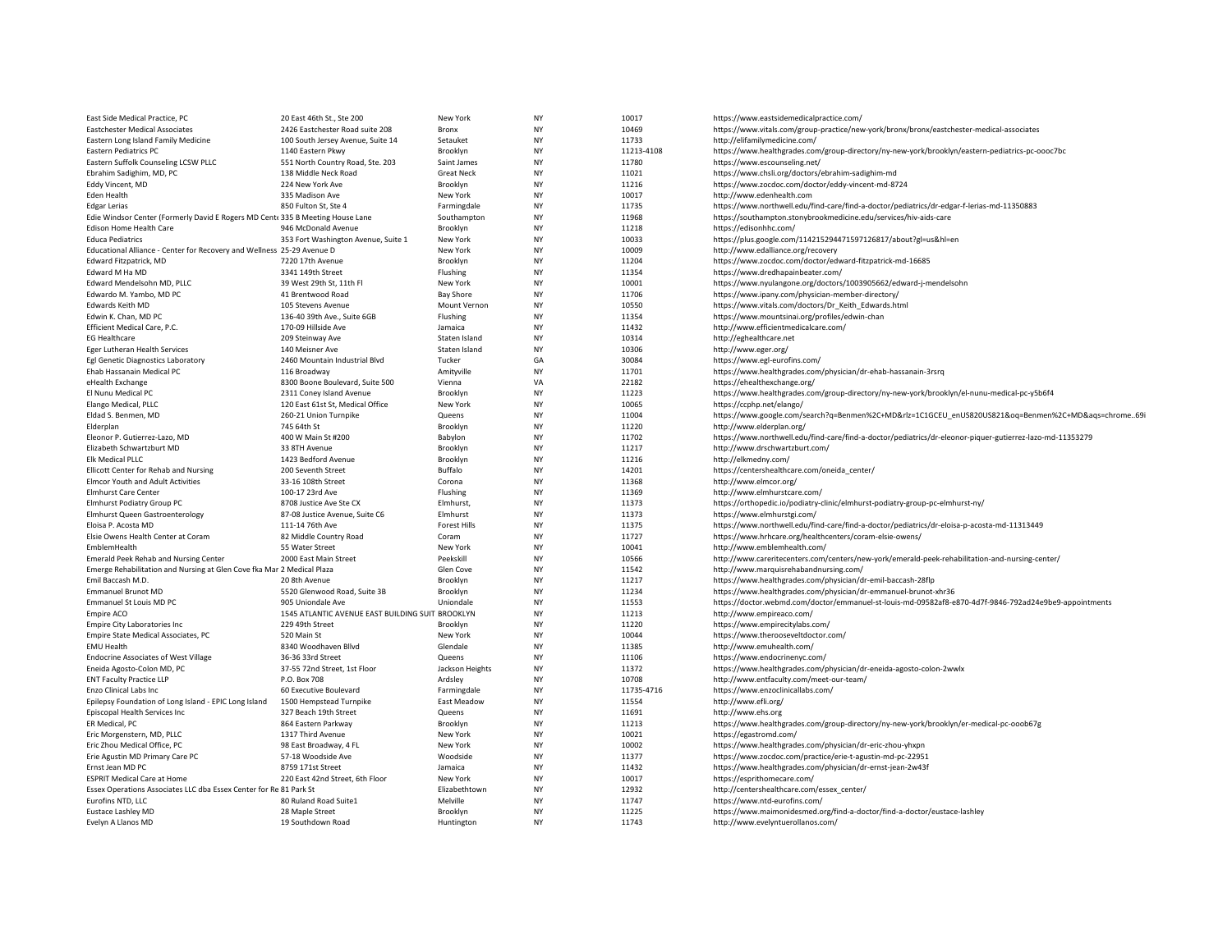| East Side Medical Practice, PC                                                 | 20 East 46th St., Ste 200                        | New York            | <b>NY</b> | 10017      | https://www.eastsidemedicalpractice.com/                                                                  |
|--------------------------------------------------------------------------------|--------------------------------------------------|---------------------|-----------|------------|-----------------------------------------------------------------------------------------------------------|
| <b>Eastchester Medical Associates</b>                                          | 2426 Eastchester Road suite 208                  | Bronx               | <b>NY</b> | 10469      | https://www.vitals.com/group-practice/new-york/bronx/bronx/eastchester-medical-associates                 |
| Eastern Long Island Family Medicine                                            | 100 South Jersey Avenue, Suite 14                | Setauket            | <b>NY</b> | 11733      | http://elifamilymedicine.com/                                                                             |
| Eastern Pediatrics PC                                                          | 1140 Eastern Pkwy                                | Brooklyn            | <b>NY</b> | 11213-4108 | https://www.healthgrades.com/group-directory/ny-new-york/brooklyn/eastern-pediatrics-pc-oooc7bc           |
| Eastern Suffolk Counseling LCSW PLLC                                           | 551 North Country Road, Ste. 203                 | Saint James         | <b>NY</b> | 11780      | https://www.escounseling.net/                                                                             |
| Ebrahim Sadighim, MD, PC                                                       | 138 Middle Neck Road                             | <b>Great Neck</b>   | <b>NY</b> | 11021      | https://www.chsli.org/doctors/ebrahim-sadighim-md                                                         |
| Eddy Vincent, MD                                                               | 224 New York Ave                                 | Brooklyn            | <b>NY</b> | 11216      | https://www.zocdoc.com/doctor/eddy-vincent-md-8724                                                        |
| Eden Health                                                                    | 335 Madison Ave                                  | New York            | <b>NY</b> | 10017      | http://www.edenhealth.com                                                                                 |
| <b>Edgar Lerias</b>                                                            | 850 Fulton St, Ste 4                             | Farmingdale         | <b>NY</b> | 11735      | https://www.northwell.edu/find-care/find-a-doctor/pediatrics/dr-edgar-f-lerias-md-11350883                |
| Edie Windsor Center (Formerly David E Rogers MD Cent  335 B Meeting House Lane |                                                  | Southampton         | <b>NY</b> | 11968      | https://southampton.stonybrookmedicine.edu/services/hiv-aids-care                                         |
| Edison Home Health Care                                                        | 946 McDonald Avenue                              | Brooklyn            | <b>NY</b> | 11218      | https://edisonhhc.com/                                                                                    |
| <b>Educa Pediatrics</b>                                                        | 353 Fort Washington Avenue, Suite 1              | New York            | <b>NY</b> | 10033      | https://plus.google.com/114215294471597126817/about?gl=us&hl=en                                           |
| Educational Alliance - Center for Recovery and Wellness 25-29 Avenue D         |                                                  | New York            | <b>NY</b> | 10009      | http://www.edalliance.org/recovery                                                                        |
| Edward Fitzpatrick, MD                                                         | 7220 17th Avenue                                 | Brooklyn            | <b>NY</b> | 11204      | https://www.zocdoc.com/doctor/edward-fitzpatrick-md-16685                                                 |
| Edward M Ha MD                                                                 | 3341 149th Street                                | Flushing            | <b>NY</b> | 11354      | https://www.dredhapainbeater.com/                                                                         |
| Edward Mendelsohn MD, PLLC                                                     | 39 West 29th St, 11th Fl                         | New York            | <b>NY</b> | 10001      | https://www.nyulangone.org/doctors/1003905662/edward-j-mendelsohn                                         |
| Edwardo M. Yambo, MD PC                                                        | 41 Brentwood Road                                | <b>Bay Shore</b>    | <b>NY</b> | 11706      | https://www.ipany.com/physician-member-directory/                                                         |
| <b>Edwards Keith MD</b>                                                        | 105 Stevens Avenue                               | Mount Vernon        | <b>NY</b> | 10550      | https://www.vitals.com/doctors/Dr Keith Edwards.html                                                      |
| Edwin K. Chan, MD PC                                                           | 136-40 39th Ave., Suite 6GB                      | Flushing            | <b>NY</b> | 11354      | https://www.mountsinai.org/profiles/edwin-chan                                                            |
|                                                                                | 170-09 Hillside Ave                              | Jamaica             | <b>NY</b> | 11432      |                                                                                                           |
| Efficient Medical Care, P.C.<br><b>EG Healthcare</b>                           | 209 Steinway Ave                                 | Staten Island       | <b>NY</b> | 10314      | http://www.efficientmedicalcare.com/<br>http://eghealthcare.net                                           |
|                                                                                |                                                  |                     |           |            |                                                                                                           |
| Eger Lutheran Health Services                                                  | 140 Meisner Ave                                  | Staten Island       | <b>NY</b> | 10306      | http://www.eger.org/                                                                                      |
| Egl Genetic Diagnostics Laboratory                                             | 2460 Mountain Industrial Blvd                    | Tucker              | GA        | 30084      | https://www.egl-eurofins.com/                                                                             |
| Ehab Hassanain Medical PC                                                      | 116 Broadway                                     | Amityville          | <b>NY</b> | 11701      | https://www.healthgrades.com/physician/dr-ehab-hassanain-3rsrq                                            |
| eHealth Exchange                                                               | 8300 Boone Boulevard, Suite 500                  | Vienna              | VA        | 22182      | https://ehealthexchange.org/                                                                              |
| El Nunu Medical PC                                                             | 2311 Coney Island Avenue                         | Brooklyn            | <b>NY</b> | 11223      | https://www.healthgrades.com/group-directory/ny-new-york/brooklyn/el-nunu-medical-pc-y5b6f4               |
| Elango Medical, PLLC                                                           | 120 East 61st St, Medical Office                 | New York            | <b>NY</b> | 10065      | https://ccphp.net/elango/                                                                                 |
| Eldad S. Benmen, MD                                                            | 260-21 Union Turnpike                            | Queens              | <b>NY</b> | 11004      | https://www.google.com/search?q=Benmen%2C+MD&rlz=1C1GCEU_enUS820US821&oq=Benmen%2C+MD&aqs=chrome69i       |
| Elderplan                                                                      | 745 64th St                                      | Brooklyn            | <b>NY</b> | 11220      | http://www.elderplan.org/                                                                                 |
| Eleonor P. Gutierrez-Lazo, MD                                                  | 400 W Main St #200                               | Babylon             | <b>NY</b> | 11702      | https://www.northwell.edu/find-care/find-a-doctor/pediatrics/dr-eleonor-piquer-gutierrez-lazo-md-11353279 |
| Elizabeth Schwartzburt MD                                                      | 33 8TH Avenue                                    | Brooklyn            | <b>NY</b> | 11217      | http://www.drschwartzburt.com/                                                                            |
| Elk Medical PLLC                                                               | 1423 Bedford Avenue                              | Brooklyn            | <b>NY</b> | 11216      | http://elkmedny.com/                                                                                      |
| Ellicott Center for Rehab and Nursing                                          | 200 Seventh Street                               | Buffalo             | <b>NY</b> | 14201      | https://centershealthcare.com/oneida_center/                                                              |
| <b>Elmcor Youth and Adult Activities</b>                                       | 33-16 108th Street                               | Corona              | <b>NY</b> | 11368      | http://www.elmcor.org/                                                                                    |
| <b>Elmhurst Care Center</b>                                                    | 100-17 23rd Ave                                  | Flushing            | <b>NY</b> | 11369      | http://www.elmhurstcare.com/                                                                              |
| Elmhurst Podiatry Group PC                                                     | 8708 Justice Ave Ste CX                          | Elmhurst,           | <b>NY</b> | 11373      | https://orthopedic.io/podiatry-clinic/elmhurst-podiatry-group-pc-elmhurst-ny/                             |
| Elmhurst Queen Gastroenterology                                                | 87-08 Justice Avenue, Suite C6                   | Elmhurst            | <b>NY</b> | 11373      | https://www.elmhurstgi.com/                                                                               |
| Eloisa P. Acosta MD                                                            | 111-14 76th Ave                                  | <b>Forest Hills</b> | <b>NY</b> | 11375      | https://www.northwell.edu/find-care/find-a-doctor/pediatrics/dr-eloisa-p-acosta-md-11313449               |
| Elsie Owens Health Center at Coram                                             | 82 Middle Country Road                           | Coram               | <b>NY</b> | 11727      | https://www.hrhcare.org/healthcenters/coram-elsie-owens/                                                  |
| EmblemHealth                                                                   | 55 Water Street                                  | New York            | <b>NY</b> | 10041      | http://www.emblemhealth.com/                                                                              |
| Emerald Peek Rehab and Nursing Center                                          | 2000 East Main Street                            | Peekskill           | <b>NY</b> | 10566      | http://www.careritecenters.com/centers/new-york/emerald-peek-rehabilitation-and-nursing-center/           |
| Emerge Rehabilitation and Nursing at Glen Cove fka Mar 2 Medical Plaza         |                                                  | Glen Cove           | <b>NY</b> | 11542      | http://www.marquisrehabandnursing.com/                                                                    |
| Emil Baccash M.D.                                                              | 20 8th Avenue                                    | Brooklyn            | <b>NY</b> | 11217      | https://www.healthgrades.com/physician/dr-emil-baccash-28flp                                              |
| <b>Emmanuel Brunot MD</b>                                                      | 5520 Glenwood Road, Suite 3B                     | Brooklyn            | <b>NY</b> | 11234      | https://www.healthgrades.com/physician/dr-emmanuel-brunot-xhr36                                           |
| Emmanuel St Louis MD PC                                                        | 905 Uniondale Ave                                | Uniondale           | <b>NY</b> | 11553      | https://doctor.webmd.com/doctor/emmanuel-st-louis-md-09582af8-e870-4d7f-9846-792ad24e9be9-appointments    |
| Empire ACO                                                                     | 1545 ATLANTIC AVENUE EAST BUILDING SUIT BROOKLYN |                     | <b>NY</b> | 11213      | http://www.empireaco.com/                                                                                 |
| Empire City Laboratories Inc.                                                  | 229 49th Street                                  | Brooklyn            | <b>NY</b> | 11220      | https://www.empirecitylabs.com/                                                                           |
| Empire State Medical Associates, PC                                            | 520 Main St                                      | New York            | <b>NY</b> | 10044      | https://www.therooseveltdoctor.com/                                                                       |
| <b>EMU Health</b>                                                              | 8340 Woodhaven Bllvd                             | Glendale            | <b>NY</b> | 11385      | http://www.emuhealth.com/                                                                                 |
| <b>Endocrine Associates of West Village</b>                                    | 36-36 33rd Street                                | Queens              | <b>NY</b> | 11106      | https://www.endocrinenyc.com/                                                                             |
| Eneida Agosto-Colon MD, PC                                                     | 37-55 72nd Street, 1st Floor                     | Jackson Heights     | <b>NY</b> | 11372      | https://www.healthgrades.com/physician/dr-eneida-agosto-colon-2wwlx                                       |
|                                                                                |                                                  |                     | <b>NY</b> | 10708      |                                                                                                           |
| <b>ENT Faculty Practice LLP</b>                                                | P.O. Box 708                                     | Ardsley             | <b>NY</b> |            | http://www.entfaculty.com/meet-our-team/                                                                  |
| Enzo Clinical Labs Inc                                                         | 60 Executive Boulevard                           | Farmingdale         |           | 11735-4716 | https://www.enzoclinicallabs.com/                                                                         |
| Epilepsy Foundation of Long Island - EPIC Long Island                          | 1500 Hempstead Turnpike                          | East Meadow         | <b>NY</b> | 11554      | http://www.efli.org/                                                                                      |
| Episcopal Health Services Inc                                                  | 327 Beach 19th Street                            | Queens              | <b>NY</b> | 11691      | http://www.ehs.org                                                                                        |
| ER Medical, PC                                                                 | 864 Eastern Parkway                              | Brooklyn            | <b>NY</b> | 11213      | https://www.healthgrades.com/group-directory/ny-new-york/brooklyn/er-medical-pc-ooob67g                   |
| Eric Morgenstern, MD, PLLC                                                     | 1317 Third Avenue                                | New York            | <b>NY</b> | 10021      | https://egastromd.com/                                                                                    |
| Eric Zhou Medical Office, PC                                                   | 98 East Broadway, 4 FL                           | New York            | <b>NY</b> | 10002      | https://www.healthgrades.com/physician/dr-eric-zhou-yhxpn                                                 |
| Erie Agustin MD Primary Care PC                                                | 57-18 Woodside Ave                               | Woodside            | <b>NY</b> | 11377      | https://www.zocdoc.com/practice/erie-t-agustin-md-pc-22951                                                |
| Ernst Jean MD PC                                                               | 8759 171st Street                                | Jamaica             | <b>NY</b> | 11432      | https://www.healthgrades.com/physician/dr-ernst-jean-2w43f                                                |
| <b>ESPRIT Medical Care at Home</b>                                             | 220 East 42nd Street, 6th Floor                  | New York            | <b>NY</b> | 10017      | https://esprithomecare.com/                                                                               |
| Essex Operations Associates LLC dba Essex Center for Re 81 Park St             |                                                  | Elizabethtown       | <b>NY</b> | 12932      | http://centershealthcare.com/essex_center/                                                                |
| Eurofins NTD, LLC                                                              | 80 Ruland Road Suite1                            | Melville            | <b>NY</b> | 11747      | https://www.ntd-eurofins.com/                                                                             |
| <b>Eustace Lashley MD</b>                                                      | 28 Maple Street                                  | Brooklyn            | NY        | 11225      | https://www.maimonidesmed.org/find-a-doctor/find-a-doctor/eustace-lashley                                 |
| Evelyn A Llanos MD                                                             | 19 Southdown Road                                | Huntington          | <b>NY</b> | 11743      | http://www.evelyntuerollanos.com/                                                                         |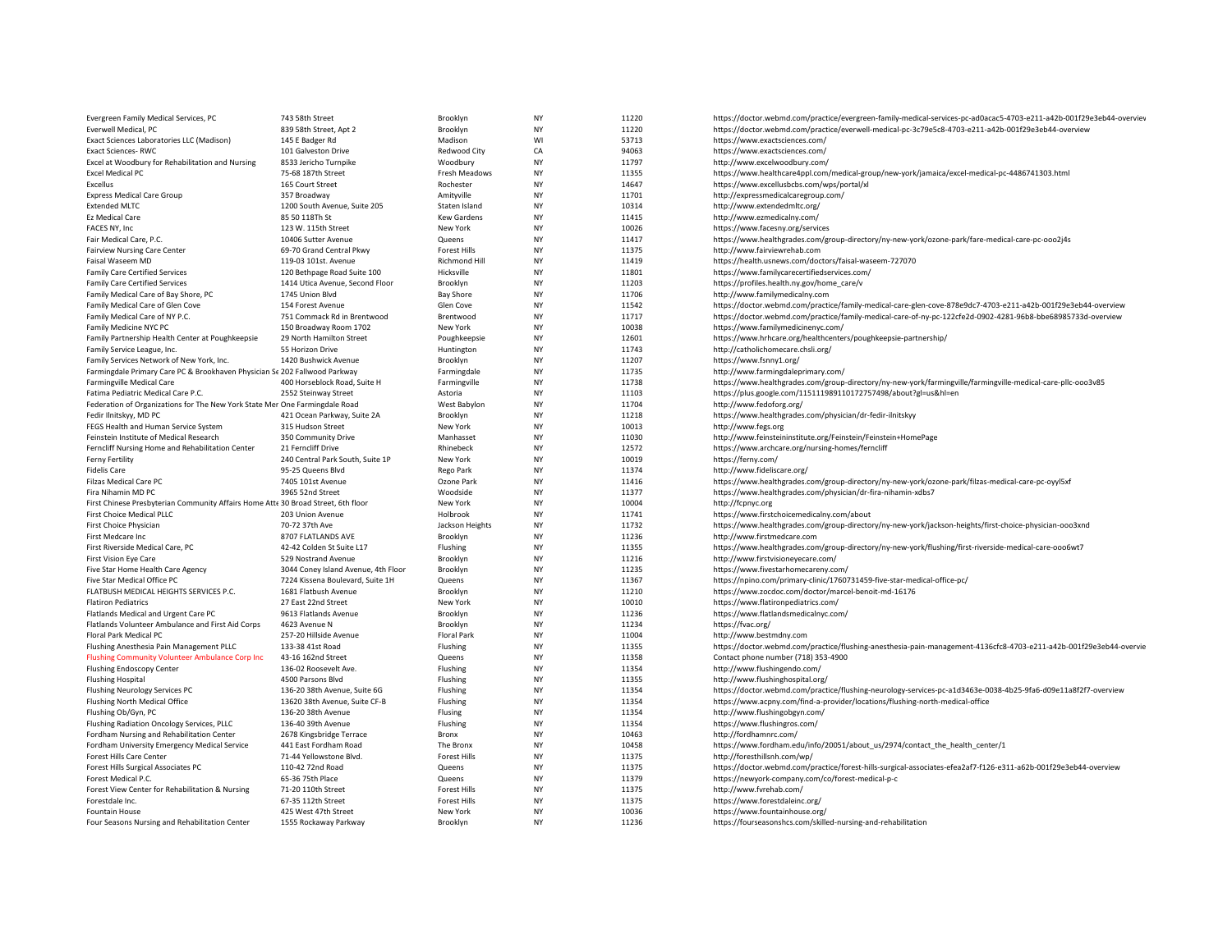| Evergreen Family Medical Services, PC                                             | 743 58th Street                                                         | Brooklyn             | <b>NY</b>       | 11220          | https://doctor.webmd.com/practice/evergreen-family-medical-services-pc-ad0acac5-4703-e211-a42b-001f29e3eb44-overviev             |
|-----------------------------------------------------------------------------------|-------------------------------------------------------------------------|----------------------|-----------------|----------------|----------------------------------------------------------------------------------------------------------------------------------|
| Everwell Medical, PC                                                              | 839 58th Street, Apt 2                                                  | Brooklyn             | NY              | 11220          | https://doctor.webmd.com/practice/everwell-medical-pc-3c79e5c8-4703-e211-a42b-001f29e3eb44-overview                              |
| Exact Sciences Laboratories LLC (Madison)                                         | 145 E Badger Rd                                                         | Madison              | WI              | 53713          | https://www.exactsciences.com/                                                                                                   |
| <b>Exact Sciences-RWC</b>                                                         | 101 Galveston Drive                                                     | Redwood City         | CA              | 94063          | https://www.exactsciences.com/                                                                                                   |
| Excel at Woodbury for Rehabilitation and Nursing                                  | 8533 Jericho Turnpike                                                   | Woodbury             | NY              | 11797          | http://www.excelwoodbury.com/                                                                                                    |
| <b>Excel Medical PC</b>                                                           | 75-68 187th Street                                                      | Fresh Meadows        | NY              | 11355          | https://www.healthcare4ppl.com/medical-group/new-york/jamaica/excel-medical-pc-4486741303.html                                   |
| Excellus                                                                          | 165 Court Street                                                        | Rochester            | NY              | 14647          | https://www.excellusbcbs.com/wps/portal/xl                                                                                       |
| <b>Express Medical Care Group</b>                                                 | 357 Broadway                                                            | Amityville           | NY              | 11701          | http://expressmedicalcaregroup.com/                                                                                              |
| <b>Extended MLTC</b>                                                              | 1200 South Avenue, Suite 205                                            | Staten Island        | NY              | 10314          | http://www.extendedmltc.org/                                                                                                     |
| Ez Medical Care                                                                   | 85 50 118Th St                                                          | <b>Kew Gardens</b>   | NY              | 11415          | http://www.ezmedicalny.com/                                                                                                      |
| FACES NY. Inc.                                                                    | 123 W. 115th Street                                                     | New York             | <b>NY</b>       | 10026          | https://www.facesny.org/services                                                                                                 |
| Fair Medical Care, P.C.                                                           | 10406 Sutter Avenue                                                     | Queens               | NY              | 11417          | https://www.healthgrades.com/group-directory/ny-new-york/ozone-park/fare-medical-care-pc-ooo2j4s                                 |
| <b>Fairview Nursing Care Center</b>                                               | 69-70 Grand Central Pkwy                                                | <b>Forest Hills</b>  | <b>NY</b>       | 11375          | http://www.fairviewrehab.com                                                                                                     |
| Faisal Waseem MD                                                                  | 119-03 101st. Avenue                                                    | Richmond Hill        | NY              | 11419          | https://health.usnews.com/doctors/faisal-waseem-727070                                                                           |
| <b>Family Care Certified Services</b>                                             | 120 Bethpage Road Suite 100                                             | Hicksville           | NY              | 11801          | https://www.familycarecertifiedservices.com/                                                                                     |
| <b>Family Care Certified Services</b>                                             | 1414 Utica Avenue, Second Floor                                         | Brooklyn             | NY              | 11203          | https://profiles.health.ny.gov/home_care/v                                                                                       |
| Family Medical Care of Bay Shore, PC                                              | 1745 Union Blvd                                                         | <b>Bay Shore</b>     | NY              | 11706          | http://www.familymedicalny.com                                                                                                   |
| Family Medical Care of Glen Cove                                                  | 154 Forest Avenue                                                       | Glen Cove            | NY              | 11542          | https://doctor.webmd.com/practice/family-medical-care-glen-cove-878e9dc7-4703-e211-a42b-001f29e3eb44-overview                    |
| Family Medical Care of NY P.C.                                                    | 751 Commack Rd in Brentwood                                             | Brentwood            | NY              | 11717          | https://doctor.webmd.com/practice/family-medical-care-of-ny-pc-122cfe2d-0902-4281-96b8-bbe68985733d-overview                     |
| Family Medicine NYC PC                                                            | 150 Broadway Room 1702                                                  | New York             | NY              | 10038          | https://www.familymedicinenyc.com/                                                                                               |
| Family Partnership Health Center at Poughkeepsie                                  | 29 North Hamilton Street                                                | Poughkeepsie         | NY              | 12601          | https://www.hrhcare.org/healthcenters/poughkeepsie-partnership/                                                                  |
| Family Service League, Inc.                                                       | 55 Horizon Drive                                                        | Huntington           | NY              | 11743          | http://catholichomecare.chsli.org/                                                                                               |
| Family Services Network of New York, Inc.                                         | 1420 Bushwick Avenue                                                    | Brooklyn             | <b>NY</b>       | 11207          | https://www.fsnny1.org/                                                                                                          |
| Farmingdale Primary Care PC & Brookhaven Physician Se 202 Fallwood Parkway        |                                                                         | Farmingdale          | NY              | 11735          | http://www.farmingdaleprimary.com/                                                                                               |
| Farmingville Medical Care                                                         | 400 Horseblock Road, Suite H                                            | Farmingville         | NY              | 11738          | https://www.healthgrades.com/group-directory/ny-new-york/farmingville/farmingville-medical-care-pllc-0003v85                     |
| Fatima Pediatric Medical Care P.C.                                                | 2552 Steinway Street                                                    | Astoria              | NY              | 11103          | https://plus.google.com/115111989110172757498/about?gl=us&hl=en                                                                  |
| Federation of Organizations for The New York State Mer One Farmingdale Road       |                                                                         | West Babylon         | NY              | 11704          | http://www.fedoforg.org/                                                                                                         |
| Fedir Ilnitskyy, MD PC                                                            | 421 Ocean Parkway, Suite 2A                                             | Brooklyn             | NY              | 11218          | https://www.healthgrades.com/physician/dr-fedir-ilnitskyy                                                                        |
| FEGS Health and Human Service System                                              | 315 Hudson Street                                                       | New York             | NY              | 10013          | http://www.fegs.org                                                                                                              |
| Feinstein Institute of Medical Research                                           | 350 Community Drive                                                     | Manhasset            | <b>NY</b>       | 11030          | http://www.feinsteininstitute.org/Feinstein/Feinstein+HomePage                                                                   |
| Ferncliff Nursing Home and Rehabilitation Center                                  | 21 Ferncliff Drive                                                      | Rhinebeck            | NY              | 12572          | https://www.archcare.org/nursing-homes/ferncliff                                                                                 |
| Ferny Fertility                                                                   | 240 Central Park South, Suite 1P                                        | New York             | NY              | 10019          | https://ferny.com/                                                                                                               |
| <b>Fidelis Care</b>                                                               | 95-25 Queens Blvd                                                       | Rego Park            | <b>NY</b>       | 11374          | http://www.fideliscare.org/                                                                                                      |
| Filzas Medical Care PC                                                            | 7405 101st Avenue                                                       | Ozone Park           | NY              | 11416          | https://www.healthgrades.com/group-directory/ny-new-york/ozone-park/filzas-medical-care-pc-oyyl5xf                               |
| Fira Nihamin MD PC                                                                | 3965 52nd Street                                                        | Woodside             | NY              | 11377          | https://www.healthgrades.com/physician/dr-fira-nihamin-xdbs7                                                                     |
| First Chinese Presbyterian Community Affairs Home Atte 30 Broad Street, 6th floor |                                                                         | New York             | NY              | 10004          | http://fcpnyc.org                                                                                                                |
| First Choice Medical PLLC                                                         | 203 Union Avenue                                                        | Holbrook             | NY              | 11741          | https://www.firstchoicemedicalny.com/about                                                                                       |
| First Choice Physician                                                            | 70-72 37th Ave                                                          | Jackson Heights      | NY              | 11732          | https://www.healthgrades.com/group-directory/ny-new-york/jackson-heights/first-choice-physician-ooo3xnd                          |
| First Medcare Inc                                                                 | 8707 FLATLANDS AVE                                                      | Brooklyn             | NY<br><b>NY</b> | 11236          | http://www.firstmedcare.com                                                                                                      |
| First Riverside Medical Care, PC                                                  | 42-42 Colden St Suite L17                                               | Flushing             |                 | 11355          | https://www.healthgrades.com/group-directory/ny-new-york/flushing/first-riverside-medical-care-ooo6wt7                           |
| <b>First Vision Eye Care</b>                                                      | 529 Nostrand Avenue                                                     | Brooklyn             | NY<br>NY        | 11216          | http://www.firstvisioneyecare.com/                                                                                               |
| Five Star Home Health Care Agency<br>Five Star Medical Office PC                  | 3044 Coney Island Avenue, 4th Floor<br>7224 Kissena Boulevard, Suite 1H | Brooklyn<br>Queens   | <b>NY</b>       | 11235<br>11367 | https://www.fivestarhomecareny.com/                                                                                              |
| FLATBUSH MEDICAL HEIGHTS SERVICES P.C.                                            | 1681 Flatbush Avenue                                                    |                      | NY              | 11210          | https://npino.com/primary-clinic/1760731459-five-star-medical-office-pc/<br>https://www.zocdoc.com/doctor/marcel-benoit-md-16176 |
| <b>Flatiron Pediatrics</b>                                                        | 27 East 22nd Street                                                     | Brooklyn<br>New York | <b>NY</b>       | 10010          | https://www.flatironpediatrics.com/                                                                                              |
| Flatlands Medical and Urgent Care PC                                              | 9613 Flatlands Avenue                                                   | Brooklyn             | NY              | 11236          | https://www.flatlandsmedicalnyc.com/                                                                                             |
| Flatlands Volunteer Ambulance and First Aid Corps                                 | 4623 Avenue N                                                           | Brooklyn             | <b>NY</b>       | 11234          | https://fvac.org/                                                                                                                |
| Floral Park Medical PC                                                            | 257-20 Hillside Avenue                                                  | <b>Floral Park</b>   | NY              | 11004          | http://www.bestmdny.com                                                                                                          |
| Flushing Anesthesia Pain Management PLLC                                          | 133-38 41st Road                                                        | Flushing             | NY              | 11355          | https://doctor.webmd.com/practice/flushing-anesthesia-pain-management-4136cfc8-4703-e211-a42b-001f29e3eb44-overvie               |
| Flushing Community Volunteer Ambulance Corp Inc                                   | 43-16 162nd Street                                                      | Queens               | <b>NY</b>       | 11358          | Contact phone number (718) 353-4900                                                                                              |
| <b>Flushing Endoscopy Center</b>                                                  | 136-02 Roosevelt Ave.                                                   | Flushing             | NY              | 11354          | http://www.flushingendo.com/                                                                                                     |
| <b>Flushing Hospital</b>                                                          | 4500 Parsons Blvd                                                       | Flushing             | NY              | 11355          | http://www.flushinghospital.org/                                                                                                 |
| Flushing Neurology Services PC                                                    | 136-20 38th Avenue, Suite 6G                                            | Flushing             | <b>NY</b>       | 11354          | https://doctor.webmd.com/practice/flushing-neurology-services-pc-a1d3463e-0038-4b25-9fa6-d09e11a8f2f7-overview                   |
| Flushing North Medical Office                                                     | 13620 38th Avenue, Suite CF-B                                           | Flushing             | NY              | 11354          | https://www.acpny.com/find-a-provider/locations/flushing-north-medical-office                                                    |
| Flushing Ob/Gyn, PC                                                               | 136-20 38th Avenue                                                      | Flusing              | <b>NY</b>       | 11354          | http://www.flushingobgyn.com/                                                                                                    |
| Flushing Radiation Oncology Services, PLLC                                        | 136-40 39th Avenue                                                      | Flushing             | NY              | 11354          | https://www.flushingros.com/                                                                                                     |
| Fordham Nursing and Rehabilitation Center                                         | 2678 Kingsbridge Terrace                                                | Bronx                | <b>NY</b>       | 10463          | http://fordhamnrc.com/                                                                                                           |
| Fordham University Emergency Medical Service                                      | 441 East Fordham Road                                                   | The Bronx            | NY              | 10458          | https://www.fordham.edu/info/20051/about_us/2974/contact_the_health_center/1                                                     |
| Forest Hills Care Center                                                          | 71-44 Yellowstone Blvd.                                                 | Forest Hills         | NY              | 11375          | http://foresthillsnh.com/wp/                                                                                                     |
| Forest Hills Surgical Associates PC                                               | 110-42 72nd Road                                                        | Queens               | <b>NY</b>       | 11375          | https://doctor.webmd.com/practice/forest-hills-surgical-associates-efea2af7-f126-e311-a62b-001f29e3eb44-overview                 |
| Forest Medical P.C.                                                               | 65-36 75th Place                                                        | Queens               | <b>NY</b>       | 11379          | https://newyork-company.com/co/forest-medical-p-c                                                                                |
| Forest View Center for Rehabilitation & Nursing                                   | 71-20 110th Street                                                      | <b>Forest Hills</b>  | NY              | 11375          | http://www.fvrehab.com/                                                                                                          |
| Forestdale Inc.                                                                   | 67-35 112th Street                                                      | <b>Forest Hills</b>  | <b>NY</b>       | 11375          | https://www.forestdaleinc.org/                                                                                                   |
| <b>Fountain House</b>                                                             | 425 West 47th Street                                                    | New York             | <b>NY</b>       | 10036          | https://www.fountainhouse.org/                                                                                                   |
| Four Seasons Nursing and Rehabilitation Center                                    | 1555 Rockaway Parkway                                                   | Brooklyn             | <b>NY</b>       | 11236          | https://fourseasonshcs.com/skilled-nursing-and-rehabilitation                                                                    |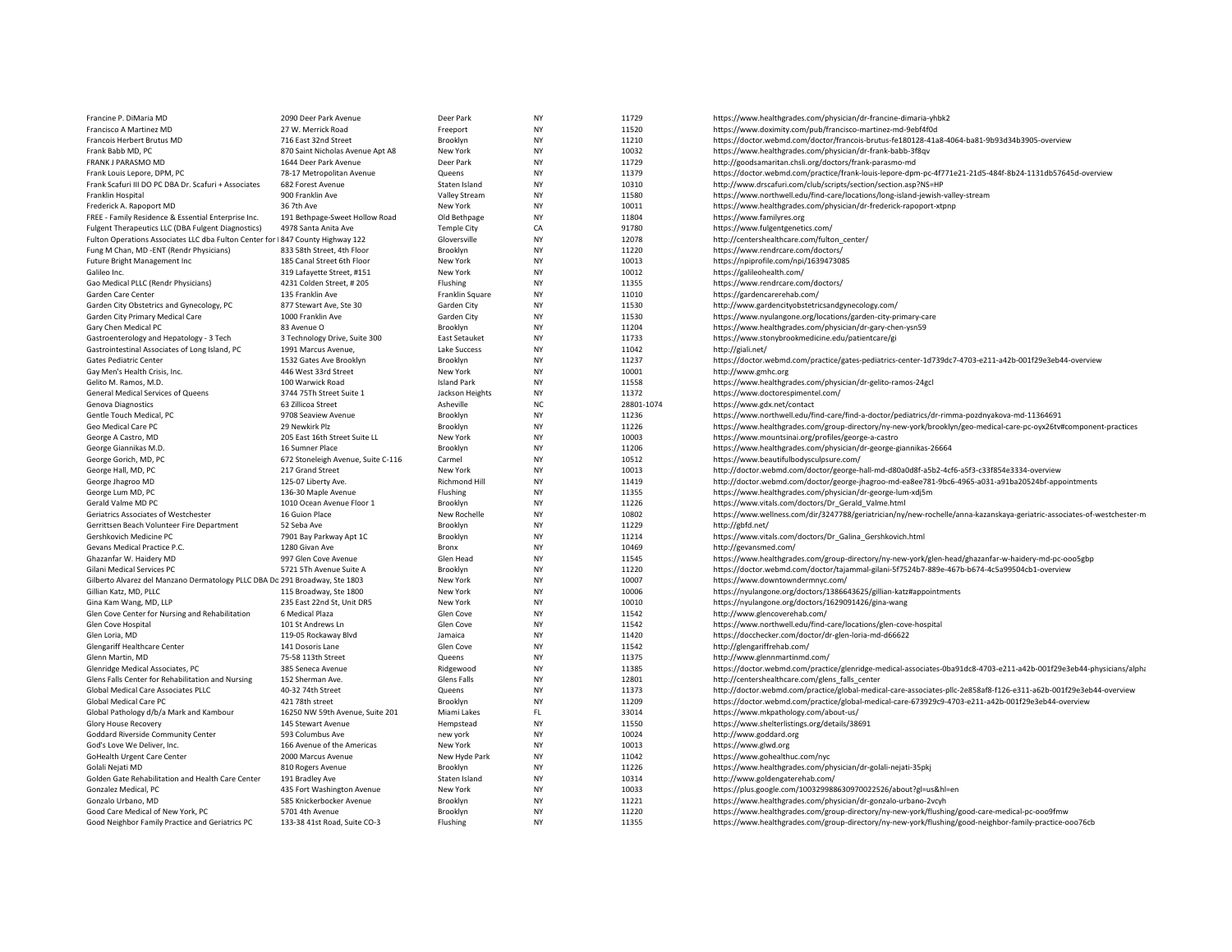| Francine P. DiMaria MD                                                          | 2090 Deer Park Avenue                         | Deer Park             | <b>NY</b>              | 11729          | https://www.healthgrades.com/physician/dr-francine-dimaria-yhbk2                                                          |
|---------------------------------------------------------------------------------|-----------------------------------------------|-----------------------|------------------------|----------------|---------------------------------------------------------------------------------------------------------------------------|
| Francisco A Martinez MD                                                         | 27 W. Merrick Road                            | Freeport              | <b>NY</b>              | 11520          | https://www.doximity.com/pub/francisco-martinez-md-9ebf4f0d                                                               |
| Francois Herbert Brutus MD                                                      | 716 East 32nd Street                          | Brooklyn              | <b>NY</b>              | 11210          | https://doctor.webmd.com/doctor/francois-brutus-fe180128-41a8-4064-ba81-9b93d34b3905-overview                             |
| Frank Babb MD, PC                                                               | 870 Saint Nicholas Avenue Apt A8              | New York              | <b>NY</b>              | 10032          | https://www.healthgrades.com/physician/dr-frank-babb-3f8qv                                                                |
| FRANK J PARASMO MD                                                              | 1644 Deer Park Avenue                         | Deer Park             | <b>NY</b>              | 11729          | http://goodsamaritan.chsli.org/doctors/frank-parasmo-md                                                                   |
| Frank Louis Lepore, DPM, PC                                                     | 78-17 Metropolitan Avenue                     | Queens                | <b>NY</b>              | 11379          | https://doctor.webmd.com/practice/frank-louis-lepore-dpm-pc-4f771e21-21d5-484f-8b24-1131db57645d-overview                 |
| Frank Scafuri III DO PC DBA Dr. Scafuri + Associates                            | 682 Forest Avenue                             | Staten Island         | <b>NY</b>              | 10310          | http://www.drscafuri.com/club/scripts/section/section.asp?NS=HP                                                           |
| Franklin Hospital                                                               | 900 Franklin Ave                              | Valley Stream         | <b>NY</b>              | 11580          | https://www.northwell.edu/find-care/locations/long-island-jewish-valley-stream                                            |
| Frederick A. Rapoport MD                                                        | 36 7th Ave                                    | New York              | <b>NY</b>              | 10011          | https://www.healthgrades.com/physician/dr-frederick-rapoport-xtpnp                                                        |
| FREE - Family Residence & Essential Enterprise Inc.                             | 191 Bethpage-Sweet Hollow Road                | Old Bethpage          | <b>NY</b>              | 11804          | https://www.familyres.org                                                                                                 |
| Fulgent Therapeutics LLC (DBA Fulgent Diagnostics)                              | 4978 Santa Anita Ave                          | <b>Temple City</b>    | CA                     | 91780          | https://www.fulgentgenetics.com/                                                                                          |
| Fulton Operations Associates LLC dba Fulton Center for   847 County Highway 122 |                                               | Gloversville          | <b>NY</b>              | 12078          | http://centershealthcare.com/fulton_center/                                                                               |
| Fung M Chan, MD -ENT (Rendr Physicians)                                         | 833 58th Street, 4th Floor                    | Brooklyn              | NY                     | 11220          | https://www.rendrcare.com/doctors/                                                                                        |
| Future Bright Management Inc                                                    | 185 Canal Street 6th Floor                    | New York              | <b>NY</b>              | 10013          | https://npiprofile.com/npi/1639473085                                                                                     |
| Galileo Inc.                                                                    | 319 Lafayette Street, #151                    | New York              | <b>NY</b>              | 10012          | https://galileohealth.com/                                                                                                |
| Gao Medical PLLC (Rendr Physicians)                                             | 4231 Colden Street, #205                      | Flushing              | <b>NY</b>              | 11355          | https://www.rendrcare.com/doctors/                                                                                        |
| Garden Care Center                                                              | 135 Franklin Ave                              | Franklin Square       | <b>NY</b>              | 11010          | https://gardencarerehab.com/                                                                                              |
| Garden City Obstetrics and Gynecology, PC                                       | 877 Stewart Ave, Ste 30                       | Garden City           | <b>NY</b>              | 11530          | http://www.gardencityobstetricsandgynecology.com/                                                                         |
| Garden City Primary Medical Care                                                | 1000 Franklin Ave                             | Garden City           | <b>NY</b>              | 11530          | https://www.nyulangone.org/locations/garden-city-primary-care                                                             |
| Gary Chen Medical PC                                                            | 83 Avenue O                                   | Brooklyn              | <b>NY</b>              | 11204          | https://www.healthgrades.com/physician/dr-gary-chen-ysn59                                                                 |
| Gastroenterology and Hepatology - 3 Tech                                        | 3 Technology Drive, Suite 300                 | <b>East Setauket</b>  | <b>NY</b>              | 11733          | https://www.stonybrookmedicine.edu/patientcare/gi                                                                         |
| Gastrointestinal Associates of Long Island, PC                                  | 1991 Marcus Avenue,                           | Lake Success          | <b>NY</b>              | 11042          | http://giali.net/                                                                                                         |
| Gates Pediatric Center                                                          | 1532 Gates Ave Brooklyn                       | Brooklyn              | <b>NY</b>              | 11237          | https://doctor.webmd.com/practice/gates-pediatrics-center-1d739dc7-4703-e211-a42b-001f29e3eb44-overview                   |
| Gay Men's Health Crisis, Inc.                                                   | 446 West 33rd Street                          | New York              | <b>NY</b>              | 10001          | http://www.gmhc.org                                                                                                       |
| Gelito M. Ramos, M.D.                                                           | 100 Warwick Road                              | <b>Island Park</b>    | <b>NY</b>              | 11558          | https://www.healthgrades.com/physician/dr-gelito-ramos-24gcl                                                              |
| General Medical Services of Queens                                              | 3744 75Th Street Suite 1                      | Jackson Heights       | <b>NY</b>              | 11372          | https://www.doctorespimentel.com/                                                                                         |
| Genova Diagnostics                                                              | 63 Zillicoa Street                            | Asheville             | <b>NC</b>              | 28801-1074     | https://www.gdx.net/contact                                                                                               |
| Gentle Touch Medical, PC                                                        | 9708 Seaview Avenue                           | Brooklyn              | <b>NY</b>              | 11236          | https://www.northwell.edu/find-care/find-a-doctor/pediatrics/dr-rimma-pozdnyakova-md-11364691                             |
| Geo Medical Care PC                                                             | 29 Newkirk Plz                                | Brooklyn              | <b>NY</b>              | 11226          | https://www.healthgrades.com/group-directory/ny-new-york/brooklyn/geo-medical-care-pc-oyx26tv#component-practices         |
| George A Castro, MD                                                             | 205 East 16th Street Suite LL                 | New York              | NY                     | 10003          | https://www.mountsinai.org/profiles/george-a-castro                                                                       |
| George Giannikas M.D.                                                           | 16 Sumner Place                               | Brooklyn              | <b>NY</b>              | 11206          | https://www.healthgrades.com/physician/dr-george-giannikas-26664                                                          |
| George Gorich, MD, PC                                                           | 672 Stoneleigh Avenue, Suite C-116            | Carmel                | <b>NY</b>              | 10512          | https://www.beautifulbodysculpsure.com/                                                                                   |
| George Hall, MD, PC                                                             | 217 Grand Street                              | New York              | <b>NY</b>              | 10013          | http://doctor.webmd.com/doctor/george-hall-md-d80a0d8f-a5b2-4cf6-a5f3-c33f854e3334-overview                               |
| George Jhagroo MD                                                               | 125-07 Liberty Ave.                           | Richmond Hill         | <b>NY</b>              | 11419          | http://doctor.webmd.com/doctor/george-jhagroo-md-ea8ee781-9bc6-4965-a031-a91ba20524bf-appointments                        |
| George Lum MD, PC                                                               | 136-30 Maple Avenue                           | Flushing              | <b>NY</b>              | 11355          | https://www.healthgrades.com/physician/dr-george-lum-xdj5m                                                                |
| Gerald Valme MD PC                                                              | 1010 Ocean Avenue Floor 1                     | Brooklyn              | <b>NY</b>              | 11226          | https://www.vitals.com/doctors/Dr_Gerald_Valme.html                                                                       |
| Geriatrics Associates of Westchester                                            | 16 Guion Place                                | New Rochelle          | <b>NY</b>              | 10802          | https://www.wellness.com/dir/3247788/geriatrician/ny/new-rochelle/anna-kazanskaya-geriatric-associates-of-westchester-m   |
| Gerrittsen Beach Volunteer Fire Department                                      | 52 Seba Ave                                   | Brooklyn              | <b>NY</b>              | 11229          | http://gbfd.net/                                                                                                          |
| Gershkovich Medicine PC                                                         | 7901 Bay Parkway Apt 1C                       | Brooklyn              | <b>NY</b>              | 11214          | https://www.vitals.com/doctors/Dr Galina Gershkovich.html                                                                 |
| Gevans Medical Practice P.C.                                                    | 1280 Givan Ave                                | Bronx                 | <b>NY</b>              | 10469          | http://gevansmed.com/                                                                                                     |
| Ghazanfar W. Haidery MD                                                         | 997 Glen Cove Avenue                          | Glen Head             | <b>NY</b>              | 11545          | https://www.healthgrades.com/group-directory/ny-new-york/glen-head/ghazanfar-w-haidery-md-pc-ooo5gbp                      |
| Gilani Medical Services PC                                                      | 5721 5Th Avenue Suite A                       | Brooklyn              | <b>NY</b>              | 11220          | https://doctor.webmd.com/doctor/tajammal-gilani-5f7524b7-889e-467b-b674-4c5a99504cb1-overview                             |
| Gilberto Alvarez del Manzano Dermatology PLLC DBA Dc 291 Broadway, Ste 1803     |                                               | New York              | <b>NY</b>              | 10007          | https://www.downtowndermnyc.com/                                                                                          |
| Gillian Katz, MD, PLLC                                                          | 115 Broadway, Ste 1800                        | New York              | <b>NY</b>              | 10006          | https://nyulangone.org/doctors/1386643625/gillian-katz#appointments                                                       |
| Gina Kam Wang, MD, LLP<br>Glen Cove Center for Nursing and Rehabilitation       | 235 East 22nd St, Unit DR5<br>6 Medical Plaza | New York<br>Glen Cove | <b>NY</b><br><b>NY</b> | 10010<br>11542 | https://nyulangone.org/doctors/1629091426/gina-wang<br>http://www.glencoverehab.com/                                      |
|                                                                                 |                                               |                       | <b>NY</b>              | 11542          |                                                                                                                           |
| Glen Cove Hospital<br>Glen Loria, MD                                            | 101 St Andrews Ln<br>119-05 Rockaway Blvd     | Glen Cove<br>Jamaica  | <b>NY</b>              | 11420          | https://www.northwell.edu/find-care/locations/glen-cove-hospital<br>https://docchecker.com/doctor/dr-glen-loria-md-d66622 |
| Glengariff Healthcare Center                                                    | 141 Dosoris Lane                              | Glen Cove             | <b>NY</b>              | 11542          | http://glengariffrehab.com/                                                                                               |
| Glenn Martin, MD                                                                | 75-58 113th Street                            | Queens                | <b>NY</b>              | 11375          | http://www.glennmartinmd.com/                                                                                             |
| Glenridge Medical Associates, PC                                                | 385 Seneca Avenue                             | Ridgewood             | <b>NY</b>              | 11385          | https://doctor.webmd.com/practice/glenridge-medical-associates-0ba91dc8-4703-e211-a42b-001f29e3eb44-physicians/alpha      |
| Glens Falls Center for Rehabilitation and Nursing                               | 152 Sherman Ave.                              | Glens Falls           | <b>NY</b>              | 12801          | http://centershealthcare.com/glens_falls_center                                                                           |
| Global Medical Care Associates PLLC                                             | 40-32 74th Street                             | Queens                | <b>NY</b>              | 11373          | http://doctor.webmd.com/practice/global-medical-care-associates-pllc-2e858af8-f126-e311-a62b-001f29e3eb44-overview        |
| Global Medical Care PC                                                          | 421 78th street                               | Brooklyn              | <b>NY</b>              | 11209          | https://doctor.webmd.com/practice/global-medical-care-673929c9-4703-e211-a42b-001f29e3eb44-overview                       |
| Global Pathology d/b/a Mark and Kambour                                         | 16250 NW 59th Avenue, Suite 201               | Miami Lakes           | FL.                    | 33014          | https://www.mkpathology.com/about-us/                                                                                     |
| Glory House Recovery                                                            | 145 Stewart Avenue                            | Hempstead             | <b>NY</b>              | 11550          | https://www.shelterlistings.org/details/38691                                                                             |
| Goddard Riverside Community Center                                              | 593 Columbus Ave                              | new york              | <b>NY</b>              | 10024          | http://www.goddard.org                                                                                                    |
| God's Love We Deliver, Inc.                                                     | 166 Avenue of the Americas                    | New York              | <b>NY</b>              | 10013          | https://www.glwd.org                                                                                                      |
| GoHealth Urgent Care Center                                                     | 2000 Marcus Avenue                            | New Hyde Park         | <b>NY</b>              | 11042          | https://www.gohealthuc.com/nyc                                                                                            |
| Golali Nejati MD                                                                | 810 Rogers Avenue                             | Brooklyn              | <b>NY</b>              | 11226          | https://www.healthgrades.com/physician/dr-golali-nejati-35pkj                                                             |
| Golden Gate Rehabilitation and Health Care Center                               | 191 Bradley Ave                               | Staten Island         | <b>NY</b>              | 10314          | http://www.goldengaterehab.com/                                                                                           |
| Gonzalez Medical, PC                                                            | 435 Fort Washington Avenue                    | New York              | <b>NY</b>              | 10033          | https://plus.google.com/100329988630970022526/about?gl=us&hl=en                                                           |
| Gonzalo Urbano, MD                                                              | 585 Knickerbocker Avenue                      | Brooklyn              | <b>NY</b>              | 11221          | https://www.healthgrades.com/physician/dr-gonzalo-urbano-2vcyh                                                            |
| Good Care Medical of New York, PC                                               | 5701 4th Avenue                               | Brooklyn              | <b>NY</b>              | 11220          | https://www.healthgrades.com/group-directory/ny-new-york/flushing/good-care-medical-pc-ooo9fmw                            |
| Good Neighbor Family Practice and Geriatrics PC                                 | 133-38 41st Road, Suite CO-3                  | Flushing              | <b>NY</b>              | 11355          | https://www.healthgrades.com/group-directory/ny-new-york/flushing/good-neighbor-family-practice-ooo76cb                   |
|                                                                                 |                                               |                       |                        |                |                                                                                                                           |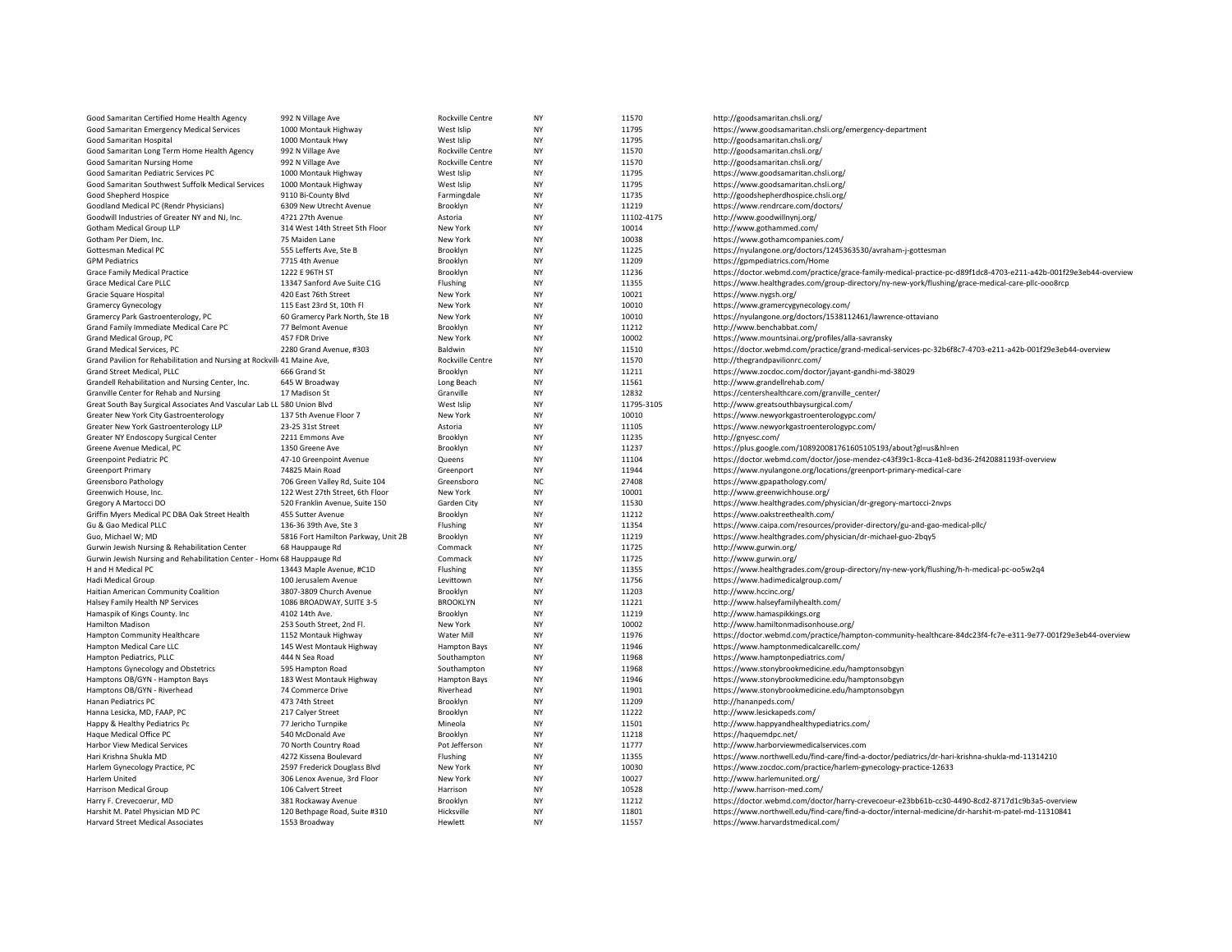| Good Samaritan Certified Home Health Agency                                                  | 992 N Village Ave                               | Rockville Centre      | NY              | 11570          | http://goodsamaritan.chsli.org/                                                                                  |
|----------------------------------------------------------------------------------------------|-------------------------------------------------|-----------------------|-----------------|----------------|------------------------------------------------------------------------------------------------------------------|
| Good Samaritan Emergency Medical Services                                                    | 1000 Montauk Highway                            | West Islip            | NY              | 11795          | https://www.goodsamaritan.chsli.org/emergency-department                                                         |
| Good Samaritan Hospital                                                                      | 1000 Montauk Hwy                                | West Islip            | <b>NY</b>       | 11795          | http://goodsamaritan.chsli.org/                                                                                  |
| Good Samaritan Long Term Home Health Agency                                                  | 992 N Village Ave                               | Rockville Centre      | NY              | 11570          | http://goodsamaritan.chsli.org/                                                                                  |
| Good Samaritan Nursing Home                                                                  | 992 N Village Ave                               | Rockville Centre      | <b>NY</b>       | 11570          | http://goodsamaritan.chsli.org/                                                                                  |
| Good Samaritan Pediatric Services PC                                                         | 1000 Montauk Highway                            | West Islip            | NY              | 11795          | https://www.goodsamaritan.chsli.org/                                                                             |
| Good Samaritan Southwest Suffolk Medical Services                                            | 1000 Montauk Highway                            | West Islip            | <b>NY</b>       | 11795          | https://www.goodsamaritan.chsli.org/                                                                             |
| Good Shepherd Hospice                                                                        | 9110 Bi-County Blvd                             | Farmingdale           | NY              | 11735          | http://goodshepherdhospice.chsli.org/                                                                            |
| Goodland Medical PC (Rendr Physicians)                                                       | 6309 New Utrecht Avenue                         | Brooklyn              | NY              | 11219          | https://www.rendrcare.com/doctors/                                                                               |
| Goodwill Industries of Greater NY and NJ, Inc.                                               | 4?21 27th Avenue                                | Astoria               | <b>NY</b>       | 11102-4175     | http://www.goodwillnynj.org/                                                                                     |
| Gotham Medical Group LLP                                                                     | 314 West 14th Street 5th Floor                  | New York              | NY              | 10014          | http://www.gothammed.com/                                                                                        |
| Gotham Per Diem, Inc.                                                                        | 75 Maiden Lane                                  | New York              | NY              | 10038          | https://www.gothamcompanies.com/                                                                                 |
| Gottesman Medical PC                                                                         | 555 Lefferts Ave, Ste B                         | Brooklyn              | NY              | 11225          | https://nyulangone.org/doctors/1245363530/avraham-j-gottesman                                                    |
| <b>GPM Pediatrics</b>                                                                        | 7715 4th Avenue                                 | Brooklyn              | NY              | 11209          | https://gpmpediatrics.com/Home                                                                                   |
| <b>Grace Family Medical Practice</b>                                                         | 1222 E 96TH ST                                  | Brooklyn              | <b>NY</b>       | 11236          | https://doctor.webmd.com/practice/grace-family-medical-practice-pc-d89f1dc8-4703-e211-a42b-001f29e3eb44-overview |
| Grace Medical Care PLLC                                                                      | 13347 Sanford Ave Suite C1G                     | Flushing              | NY              | 11355          | https://www.healthgrades.com/group-directory/ny-new-york/flushing/grace-medical-care-pllc-ooo8rcp                |
| Gracie Square Hospital                                                                       | 420 East 76th Street                            | New York              | <b>NY</b>       | 10021          | https://www.nygsh.org/                                                                                           |
| <b>Gramercy Gynecology</b>                                                                   | 115 East 23rd St, 10th Fl                       | New York              | NY              | 10010          | https://www.gramercygynecology.com/                                                                              |
| Gramercy Park Gastroenterology, PC                                                           | 60 Gramercy Park North, Ste 1B                  | New York              | NY              | 10010          | https://nyulangone.org/doctors/1538112461/lawrence-ottaviano                                                     |
| Grand Family Immediate Medical Care PC                                                       | 77 Belmont Avenue                               | Brooklyn              | <b>NY</b>       | 11212          | http://www.benchabbat.com/                                                                                       |
| Grand Medical Group, PC                                                                      | 457 FDR Drive                                   | New York              | NY              | 10002          | https://www.mountsinai.org/profiles/alla-savransky                                                               |
| Grand Medical Services, PC                                                                   | 2280 Grand Avenue, #303                         | Baldwin               | <b>NY</b>       | 11510          | https://doctor.webmd.com/practice/grand-medical-services-pc-32b6f8c7-4703-e211-a42b-001f29e3eb44-overview        |
| Grand Pavilion for Rehabilitation and Nursing at Rockvill 41 Maine Ave,                      |                                                 | Rockville Centre      | NY              | 11570          | http://thegrandpavilionrc.com/                                                                                   |
| Grand Street Medical, PLLC                                                                   | 666 Grand St                                    | Brooklyn              | NY              | 11211          | https://www.zocdoc.com/doctor/jayant-gandhi-md-38029                                                             |
| Grandell Rehabilitation and Nursing Center, Inc.                                             | 645 W Broadway                                  | Long Beach            | <b>NY</b>       | 11561          | http://www.grandellrehab.com/                                                                                    |
| Granville Center for Rehab and Nursing                                                       | 17 Madison St                                   | Granville             | NY              | 12832          | https://centershealthcare.com/granville_center/                                                                  |
| Great South Bay Surgical Associates And Vascular Lab LL 580 Union Blvd                       |                                                 | West Islip            | <b>NY</b>       | 11795-3105     | http://www.greatsouthbaysurgical.com/                                                                            |
| Greater New York City Gastroenterology                                                       | 137 5th Avenue Floor 7                          | New York              | NY              | 10010          | https://www.newyorkgastroenterologypc.com/                                                                       |
| Greater New York Gastroenterology LLP                                                        | 23-25 31st Street                               | Astoria               | NY              | 11105          | https://www.newyorkgastroenterologypc.com/                                                                       |
| Greater NY Endoscopy Surgical Center                                                         | 2211 Emmons Ave                                 | Brooklyn              | NY              | 11235          | http://gnyesc.com/                                                                                               |
| Greene Avenue Medical, PC                                                                    | 1350 Greene Ave                                 | Brooklyn              | NY              | 11237          | https://plus.google.com/108920081761605105193/about?gl=us&hl=en                                                  |
| Greenpoint Pediatric PC                                                                      | 47-10 Greenpoint Avenue                         | Queens                | <b>NY</b>       | 11104          | https://doctor.webmd.com/doctor/jose-mendez-c43f39c1-8cca-41e8-bd36-2f420881193f-overview                        |
| <b>Greenport Primary</b>                                                                     | 74825 Main Road                                 | Greenport             | NY              | 11944          | https://www.nyulangone.org/locations/greenport-primary-medical-care                                              |
| Greensboro Pathology                                                                         | 706 Green Valley Rd, Suite 104                  | Greensboro            | <b>NC</b>       | 27408          | https://www.gpapathology.com/                                                                                    |
| Greenwich House, Inc.                                                                        | 122 West 27th Street, 6th Floor                 | New York              | NY              | 10001          | http://www.greenwichhouse.org/                                                                                   |
| Gregory A Martocci DO                                                                        | 520 Franklin Avenue, Suite 150                  | Garden City           | NY              | 11530          | https://www.healthgrades.com/physician/dr-gregory-martocci-2nvps                                                 |
| Griffin Myers Medical PC DBA Oak Street Health                                               | 455 Sutter Avenue                               | Brooklyn              | <b>NY</b>       | 11212          | https://www.oakstreethealth.com/                                                                                 |
| Gu & Gao Medical PLLC                                                                        | 136-36 39th Ave, Ste 3                          | Flushing              | NY<br><b>NY</b> | 11354          | https://www.caipa.com/resources/provider-directory/gu-and-gao-medical-pllc/                                      |
| Guo, Michael W; MD                                                                           | 5816 Fort Hamilton Parkway, Unit 2B             | Brooklyn              |                 | 11219          | https://www.healthgrades.com/physician/dr-michael-guo-2bqy5                                                      |
| Gurwin Jewish Nursing & Rehabilitation Center                                                | 68 Hauppauge Rd                                 | Commack               | NY<br>NY        | 11725          | http://www.gurwin.org/                                                                                           |
| Gurwin Jewish Nursing and Rehabilitation Center - Home 68 Hauppauge Rd<br>H and H Medical PC | 13443 Maple Avenue, #C1D                        | Commack<br>Flushing   | <b>NY</b>       | 11725<br>11355 | http://www.gurwin.org/                                                                                           |
|                                                                                              |                                                 |                       | NY              | 11756          | https://www.healthgrades.com/group-directory/ny-new-york/flushing/h-h-medical-pc-oo5w2q4                         |
| <b>Hadi Medical Group</b><br>Haitian American Community Coalition                            | 100 Jerusalem Avenue<br>3807-3809 Church Avenue | Levittown<br>Brooklyn | <b>NY</b>       | 11203          | https://www.hadimedicalgroup.com/<br>http://www.hccinc.org/                                                      |
| Halsey Family Health NP Services                                                             | 1086 BROADWAY, SUITE 3-5                        | <b>BROOKLYN</b>       | NY              | 11221          | http://www.halseyfamilyhealth.com/                                                                               |
| Hamaspik of Kings County. Inc                                                                | 4102 14th Ave.                                  | Brooklyn              | <b>NY</b>       | 11219          | http://www.hamaspikkings.org                                                                                     |
| <b>Hamilton Madison</b>                                                                      | 253 South Street, 2nd Fl.                       | New York              | NY              | 10002          | http://www.hamiltonmadisonhouse.org/                                                                             |
| Hampton Community Healthcare                                                                 | 1152 Montauk Highway                            | Water Mill            | NY              | 11976          | https://doctor.webmd.com/practice/hampton-community-healthcare-84dc23f4-fc7e-e311-9e77-001f29e3eb44-overview     |
| Hampton Medical Care LLC                                                                     | 145 West Montauk Highway                        | <b>Hampton Bays</b>   | NY              | 11946          | https://www.hamptonmedicalcarellc.com/                                                                           |
| Hampton Pediatrics, PLLC                                                                     | 444 N Sea Road                                  | Southampton           | NY              | 11968          | https://www.hamptonpediatrics.com/                                                                               |
| Hamptons Gynecology and Obstetrics                                                           | 595 Hampton Road                                | Southampton           | NY              | 11968          | https://www.stonybrookmedicine.edu/hamptonsobgyn                                                                 |
| Hamptons OB/GYN - Hampton Bays                                                               | 183 West Montauk Highway                        | <b>Hampton Bays</b>   | NY              | 11946          | https://www.stonybrookmedicine.edu/hamptonsobgyn                                                                 |
| Hamptons OB/GYN - Riverhead                                                                  | 74 Commerce Drive                               | Riverhead             | NY              | 11901          | https://www.stonybrookmedicine.edu/hamptonsobgyn                                                                 |
| Hanan Pediatrics PC                                                                          | 473 74th Street                                 | Brooklyn              | <b>NY</b>       | 11209          | http://hananpeds.com/                                                                                            |
| Hanna Lesicka, MD, FAAP, PC                                                                  | 217 Calyer Street                               | Brooklyn              | NY              | 11222          | http://www.lesickapeds.com/                                                                                      |
| Happy & Healthy Pediatrics Pc                                                                | 77 Jericho Turnpike                             | Mineola               | NY              | 11501          | http://www.happyandhealthypediatrics.com/                                                                        |
| Haque Medical Office PC                                                                      | 540 McDonald Ave                                | Brooklyn              | NY              | 11218          | https://haquemdpc.net/                                                                                           |
| Harbor View Medical Services                                                                 | 70 North Country Road                           | Pot Jefferson         | NY              | 11777          | http://www.harborviewmedicalservices.com                                                                         |
| Hari Krishna Shukla MD                                                                       | 4272 Kissena Boulevard                          | Flushing              | <b>NY</b>       | 11355          | https://www.northwell.edu/find-care/find-a-doctor/pediatrics/dr-hari-krishna-shukla-md-11314210                  |
| Harlem Gynecology Practice, PC                                                               | 2597 Frederick Douglass Blvd                    | New York              | NY              | 10030          | https://www.zocdoc.com/practice/harlem-gynecology-practice-12633                                                 |
| Harlem United                                                                                | 306 Lenox Avenue, 3rd Floor                     | New York              | <b>NY</b>       | 10027          | http://www.harlemunited.org/                                                                                     |
| Harrison Medical Group                                                                       | 106 Calvert Street                              | Harrison              | NY              | 10528          | http://www.harrison-med.com/                                                                                     |
| Harry F. Crevecoerur, MD                                                                     | 381 Rockaway Avenue                             | Brooklyn              | <b>NY</b>       | 11212          | https://doctor.webmd.com/doctor/harry-crevecoeur-e23bb61b-cc30-4490-8cd2-8717d1c9b3a5-overview                   |
| Harshit M. Patel Physician MD PC                                                             | 120 Bethpage Road, Suite #310                   | Hicksville            | NY              | 11801          | https://www.northwell.edu/find-care/find-a-doctor/internal-medicine/dr-harshit-m-patel-md-11310841               |
| Harvard Street Medical Associates                                                            | 1553 Broadway                                   | Hewlett               | NY              | 11557          | https://www.harvardstmedical.com/                                                                                |
|                                                                                              |                                                 |                       |                 |                |                                                                                                                  |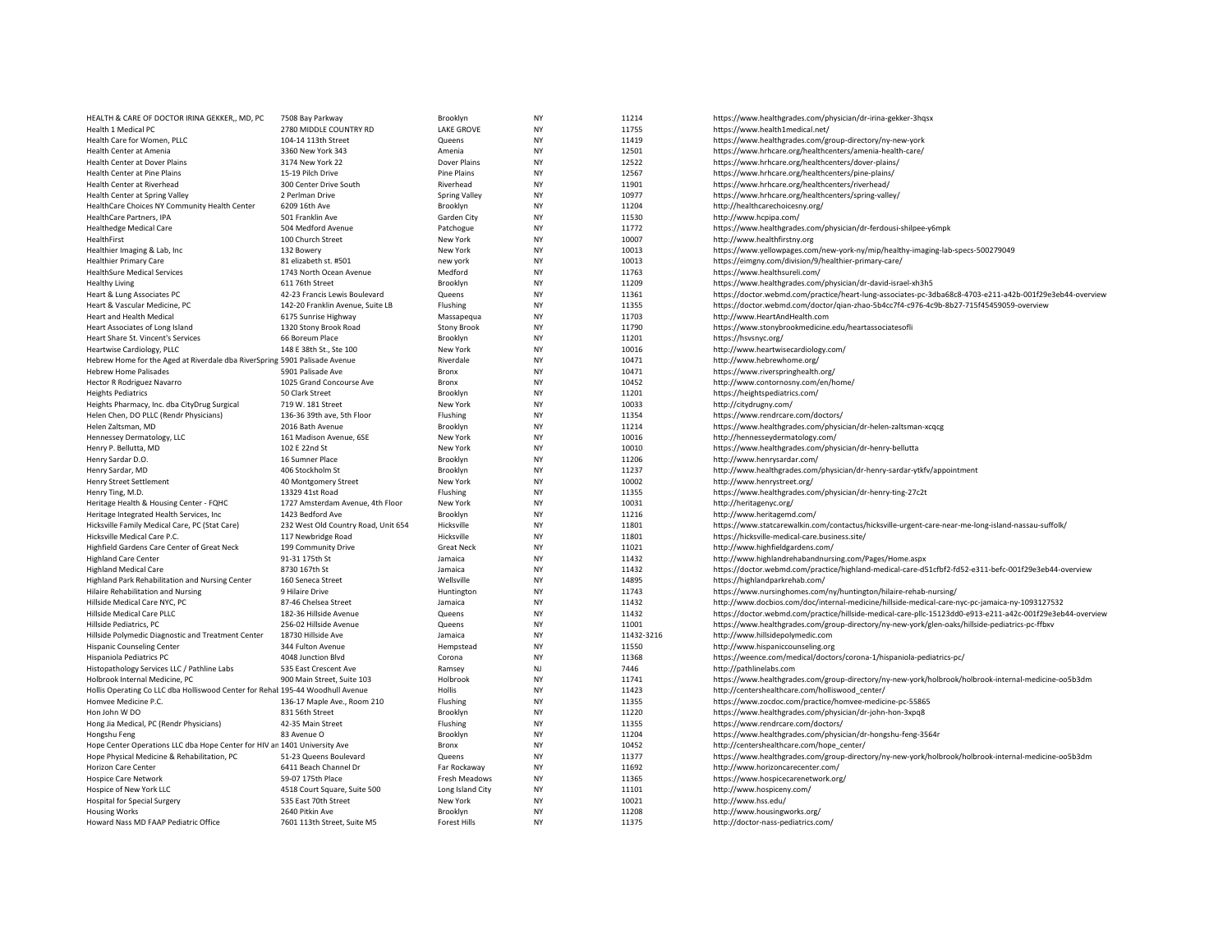| HEALTH & CARE OF DOCTOR IRINA GEKKER,, MD, PC                                  | 7508 Bay Parkway                    | Brooklyn             | NY        | 11214      | https://www.healthgrades.com/physician/dr-irina-gekker-3hqsx                                               |
|--------------------------------------------------------------------------------|-------------------------------------|----------------------|-----------|------------|------------------------------------------------------------------------------------------------------------|
| Health 1 Medical PC                                                            | 2780 MIDDLE COUNTRY RD              | <b>LAKE GROVE</b>    | <b>NY</b> | 11755      | https://www.health1medical.net/                                                                            |
| Health Care for Women, PLLC                                                    | 104-14 113th Street                 | Queens               | NY        | 11419      | https://www.healthgrades.com/group-directory/ny-new-york                                                   |
| Health Center at Amenia                                                        | 3360 New York 343                   | Amenia               | <b>NY</b> | 12501      | https://www.hrhcare.org/healthcenters/amenia-health-care/                                                  |
| Health Center at Dover Plains                                                  | 3174 New York 22                    | Dover Plains         | NY        | 12522      | https://www.hrhcare.org/healthcenters/dover-plains/                                                        |
| Health Center at Pine Plains                                                   | 15-19 Pilch Drive                   | Pine Plains          | NY        | 12567      | https://www.hrhcare.org/healthcenters/pine-plains/                                                         |
| Health Center at Riverhead                                                     | 300 Center Drive South              | Riverhead            | <b>NY</b> | 11901      | https://www.hrhcare.org/healthcenters/riverhead/                                                           |
| Health Center at Spring Valley                                                 | 2 Perlman Drive                     | <b>Spring Valley</b> | NY        | 10977      | https://www.hrhcare.org/healthcenters/spring-valley/                                                       |
| HealthCare Choices NY Community Health Center                                  | 6209 16th Ave                       | Brooklyn             | <b>NY</b> | 11204      | http://healthcarechoicesny.org/                                                                            |
| HealthCare Partners, IPA                                                       | 501 Franklin Ave                    | Garden City          | NY        | 11530      | http://www.hcpipa.com/                                                                                     |
| <b>Healthedge Medical Care</b>                                                 | 504 Medford Avenue                  | Patchogue            | NY        | 11772      | https://www.healthgrades.com/physician/dr-ferdousi-shilpee-y6mpk                                           |
| HealthFirst                                                                    | 100 Church Street                   | New York             | NY        | 10007      | http://www.healthfirstny.org                                                                               |
| Healthier Imaging & Lab, Inc.                                                  | 132 Bowery                          | New York             | NY        | 10013      | https://www.yellowpages.com/new-york-ny/mip/healthy-imaging-lab-specs-500279049                            |
| <b>Healthier Primary Care</b>                                                  | 81 elizabeth st. #501               | new york             | <b>NY</b> | 10013      | https://eimgny.com/division/9/healthier-primary-care/                                                      |
| <b>HealthSure Medical Services</b>                                             | 1743 North Ocean Avenue             | Medford              | NY        | 11763      | https://www.healthsureli.com/                                                                              |
| <b>Healthy Living</b>                                                          | 611 76th Street                     | Brooklyn             | NY        | 11209      | https://www.healthgrades.com/physician/dr-david-israel-xh3h5                                               |
| Heart & Lung Associates PC                                                     | 42-23 Francis Lewis Boulevard       | Queens               | <b>NY</b> | 11361      | https://doctor.webmd.com/practice/heart-lung-associates-pc-3dba68c8-4703-e211-a42b-001f29e3eb44-overview   |
| Heart & Vascular Medicine, PC                                                  | 142-20 Franklin Avenue, Suite LB    | Flushing             | NY        | 11355      | https://doctor.webmd.com/doctor/qian-zhao-5b4cc7f4-c976-4c9b-8b27-715f45459059-overview                    |
|                                                                                |                                     |                      |           |            |                                                                                                            |
| Heart and Health Medical                                                       | 6175 Sunrise Highway                | Massapequa           | NY        | 11703      | http://www.HeartAndHealth.com                                                                              |
| Heart Associates of Long Island                                                | 1320 Stony Brook Road               | <b>Stony Brook</b>   | <b>NY</b> | 11790      | https://www.stonybrookmedicine.edu/heartassociatesofli                                                     |
| Heart Share St. Vincent's Services                                             | 66 Boreum Place                     | Brooklyn             | NY        | 11201      | https://hsvsnyc.org/                                                                                       |
| Heartwise Cardiology, PLLC                                                     | 148 E 38th St., Ste 100             | New York             | <b>NY</b> | 10016      | http://www.heartwisecardiology.com/                                                                        |
| Hebrew Home for the Aged at Riverdale dba RiverSpring 5901 Palisade Avenue     |                                     | Riverdale            | <b>NY</b> | 10471      | http://www.hebrewhome.org/                                                                                 |
| <b>Hebrew Home Palisades</b>                                                   | 5901 Palisade Ave                   | Bronx                | NY        | 10471      | https://www.riverspringhealth.org/                                                                         |
| Hector R Rodriguez Navarro                                                     | 1025 Grand Concourse Ave            | <b>Bronx</b>         | <b>NY</b> | 10452      | http://www.contornosny.com/en/home/                                                                        |
| <b>Heights Pediatrics</b>                                                      | 50 Clark Street                     | Brooklyn             | NY        | 11201      | https://heightspediatrics.com/                                                                             |
| Heights Pharmacy, Inc. dba CityDrug Surgical                                   | 719 W. 181 Street                   | New York             | <b>NY</b> | 10033      | http://citydrugny.com/                                                                                     |
| Helen Chen, DO PLLC (Rendr Physicians)                                         | 136-36 39th ave. 5th Floor          | Flushing             | <b>NY</b> | 11354      | https://www.rendrcare.com/doctors/                                                                         |
| Helen Zaltsman, MD                                                             | 2016 Bath Avenue                    | Brooklyn             | NY        | 11214      | https://www.healthgrades.com/physician/dr-helen-zaltsman-xcqcg                                             |
| Hennessey Dermatology, LLC                                                     | 161 Madison Avenue, 6SE             | New York             | <b>NY</b> | 10016      | http://hennesseydermatology.com/                                                                           |
| Henry P. Bellutta, MD                                                          | 102 E 22nd St                       | New York             | NY        | 10010      | https://www.healthgrades.com/physician/dr-henry-bellutta                                                   |
| Henry Sardar D.O.                                                              | 16 Sumner Place                     | Brooklyn             | <b>NY</b> | 11206      | http://www.henrysardar.com/                                                                                |
| Henry Sardar, MD                                                               | 406 Stockholm St                    | Brooklyn             | NY        | 11237      | http://www.healthgrades.com/physician/dr-henry-sardar-ytkfv/appointment                                    |
| Henry Street Settlement                                                        | 40 Montgomery Street                | New York             | NY        | 10002      | http://www.henrystreet.org/                                                                                |
| Henry Ting, M.D.                                                               | 13329 41st Road                     | Flushing             | NY        | 11355      | https://www.healthgrades.com/physician/dr-henry-ting-27c2t                                                 |
| Heritage Health & Housing Center - FQHC                                        | 1727 Amsterdam Avenue, 4th Floor    | New York             | NY        | 10031      | http://heritagenyc.org/                                                                                    |
| Heritage Integrated Health Services, Inc.                                      | 1423 Bedford Ave                    | Brooklyn             | NY        | 11216      | http://www.heritagemd.com/                                                                                 |
| Hicksville Family Medical Care, PC (Stat Care)                                 | 232 West Old Country Road, Unit 654 | Hicksville           | NY        | 11801      | https://www.statcarewalkin.com/contactus/hicksville-urgent-care-near-me-long-island-nassau-suffolk/        |
| Hicksville Medical Care P.C.                                                   | 117 Newbridge Road                  | Hicksville           | NY        | 11801      | https://hicksville-medical-care.business.site/                                                             |
| Highfield Gardens Care Center of Great Neck                                    | 199 Community Drive                 | <b>Great Neck</b>    | <b>NY</b> | 11021      | http://www.highfieldgardens.com/                                                                           |
| <b>Highland Care Center</b>                                                    | 91-31 175th St                      | Jamaica              | NY        | 11432      | http://www.highlandrehabandnursing.com/Pages/Home.aspx                                                     |
| <b>Highland Medical Care</b>                                                   | 8730 167th St                       | Jamaica              | NY        | 11432      | https://doctor.webmd.com/practice/highland-medical-care-d51cfbf2-fd52-e311-befc-001f29e3eb44-overview      |
| Highland Park Rehabilitation and Nursing Center                                | 160 Seneca Street                   | Wellsville           | <b>NY</b> | 14895      | https://highlandparkrehab.com/                                                                             |
| Hilaire Rehabilitation and Nursing                                             | 9 Hilaire Drive                     | Huntington           | <b>NY</b> | 11743      | https://www.nursinghomes.com/ny/huntington/hilaire-rehab-nursing/                                          |
| Hillside Medical Care NYC, PC                                                  | 87-46 Chelsea Street                | Jamaica              | NY        | 11432      | http://www.docbios.com/doc/internal-medicine/hillside-medical-care-nyc-pc-jamaica-ny-1093127532            |
| Hillside Medical Care PLLC                                                     | 182-36 Hillside Avenue              | Queens               | NY        | 11432      | https://doctor.webmd.com/practice/hillside-medical-care-pllc-15123dd0-e913-e211-a42c-001f29e3eb44-overview |
| Hillside Pediatrics, PC                                                        | 256-02 Hillside Avenue              | Queens               | NY        | 11001      | https://www.healthgrades.com/group-directory/ny-new-york/glen-oaks/hillside-pediatrics-pc-ffbxv            |
| Hillside Polymedic Diagnostic and Treatment Center                             | 18730 Hillside Ave                  | Jamaica              | <b>NY</b> | 11432-3216 | http://www.hillsidepolymedic.com                                                                           |
|                                                                                |                                     |                      | NY        |            |                                                                                                            |
| <b>Hispanic Counseling Center</b>                                              | 344 Fulton Avenue                   | Hempstead            | <b>NY</b> | 11550      | http://www.hispaniccounseling.org                                                                          |
| Hispaniola Pediatrics PC                                                       | 4048 Junction Blvd                  | Corona               |           | 11368      | https://weence.com/medical/doctors/corona-1/hispaniola-pediatrics-pc/                                      |
| Histopathology Services LLC / Pathline Labs                                    | 535 East Crescent Ave               | Ramsey               | NJ        | 7446       | http://pathlinelabs.com                                                                                    |
| Holbrook Internal Medicine, PC                                                 | 900 Main Street, Suite 103          | Holbrook             | NY        | 11741      | https://www.healthgrades.com/group-directory/ny-new-york/holbrook/holbrook-internal-medicine-oo5b3dm       |
| Hollis Operating Co LLC dba Holliswood Center for Rehal 195-44 Woodhull Avenue |                                     | Hollis               | <b>NY</b> | 11423      | http://centershealthcare.com/holliswood_center/                                                            |
| Homvee Medicine P.C.                                                           | 136-17 Maple Ave., Room 210         | Flushing             | NY        | 11355      | https://www.zocdoc.com/practice/homvee-medicine-pc-55865                                                   |
| Hon John W DO                                                                  | 831 56th Street                     | Brooklyn             | NY        | 11220      | https://www.healthgrades.com/physician/dr-john-hon-3xpq8                                                   |
| Hong Jia Medical, PC (Rendr Physicians)                                        | 42-35 Main Street                   | Flushing             | NY        | 11355      | https://www.rendrcare.com/doctors/                                                                         |
| Hongshu Feng                                                                   | 83 Avenue O                         | Brooklyn             | NY        | 11204      | https://www.healthgrades.com/physician/dr-hongshu-feng-3564r                                               |
| Hope Center Operations LLC dba Hope Center for HIV an 1401 University Ave      |                                     | Bronx                | <b>NY</b> | 10452      | http://centershealthcare.com/hope_center/                                                                  |
| Hope Physical Medicine & Rehabilitation, PC                                    | 51-23 Queens Boulevard              | Queens               | NY        | 11377      | https://www.healthgrades.com/group-directory/ny-new-york/holbrook/holbrook-internal-medicine-oo5b3dm       |
| <b>Horizon Care Center</b>                                                     | 6411 Beach Channel Dr               | Far Rockaway         | NY        | 11692      | http://www.horizoncarecenter.com/                                                                          |
| <b>Hospice Care Network</b>                                                    | 59-07 175th Place                   | Fresh Meadows        | NY        | 11365      | https://www.hospicecarenetwork.org/                                                                        |
| Hospice of New York LLC                                                        | 4518 Court Square, Suite 500        | Long Island City     | NY        | 11101      | http://www.hospiceny.com/                                                                                  |
| <b>Hospital for Special Surgery</b>                                            | 535 East 70th Street                | New York             | <b>NY</b> | 10021      | http://www.hss.edu/                                                                                        |
| <b>Housing Works</b>                                                           | 2640 Pitkin Ave                     | Brooklyn             | NY        | 11208      | http://www.housingworks.org/                                                                               |
| Howard Nass MD FAAP Pediatric Office                                           | 7601 113th Street, Suite M5         | <b>Forest Hills</b>  | <b>NY</b> | 11375      | http://doctor-nass-pediatrics.com/                                                                         |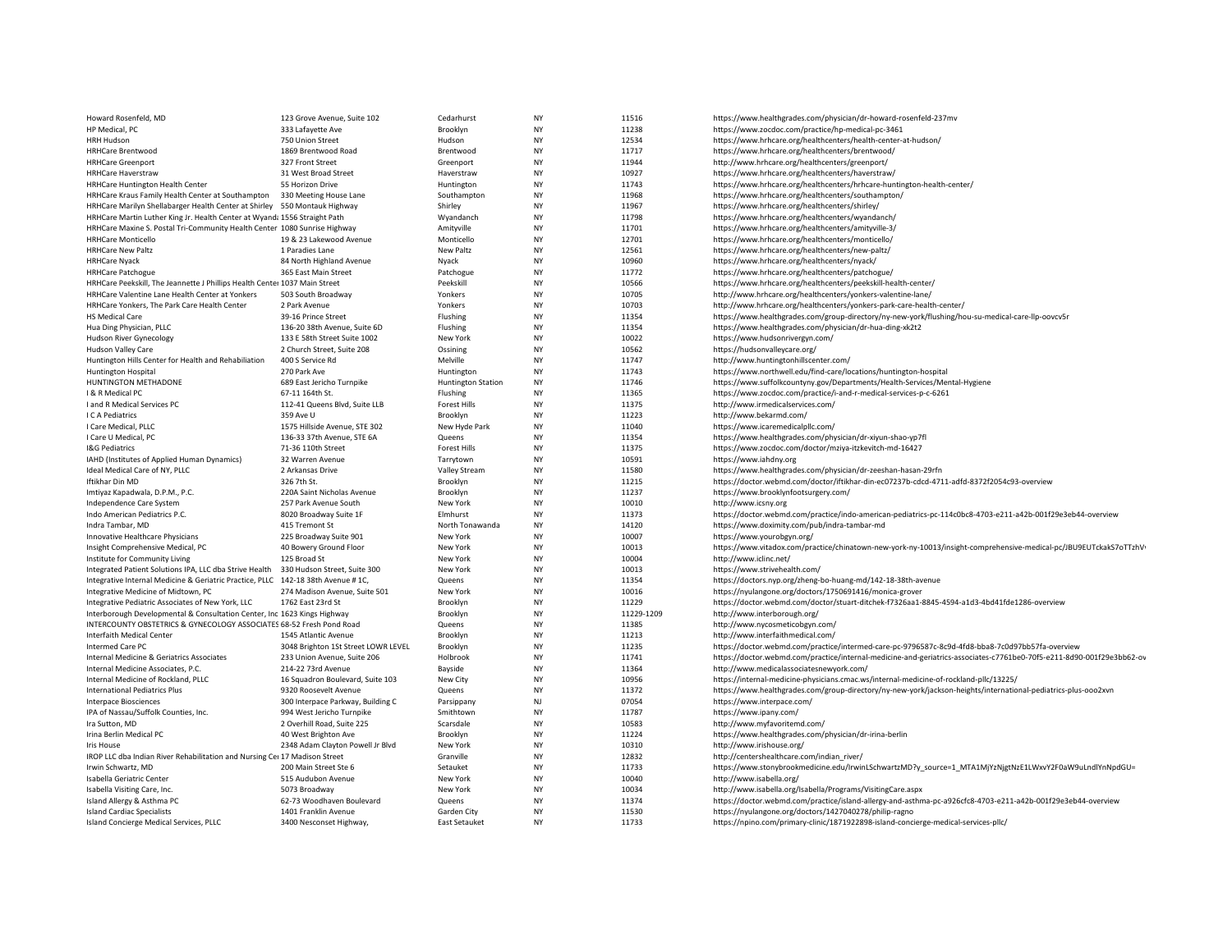| Howard Rosenfeld, MD                                                             | 123 Grove Avenue, Suite 102         | Cedarhurst                | <b>NY</b>              | 11516          | https://www.healthgrades.com/physician/dr-howard-rosenfeld-237mv                                                      |
|----------------------------------------------------------------------------------|-------------------------------------|---------------------------|------------------------|----------------|-----------------------------------------------------------------------------------------------------------------------|
| HP Medical, PC                                                                   | 333 Lafayette Ave                   | Brooklyn                  | <b>NY</b>              | 11238          | https://www.zocdoc.com/practice/hp-medical-pc-3461                                                                    |
| <b>HRH Hudson</b>                                                                | 750 Union Street                    | Hudson                    | <b>NY</b>              | 12534          | https://www.hrhcare.org/healthcenters/health-center-at-hudson/                                                        |
| <b>HRHCare Brentwood</b>                                                         | 1869 Brentwood Road                 | Brentwood                 | <b>NY</b>              | 11717          | https://www.hrhcare.org/healthcenters/brentwood/                                                                      |
| <b>HRHCare Greenport</b>                                                         | 327 Front Street                    | Greenport                 | <b>NY</b>              | 11944          | http://www.hrhcare.org/healthcenters/greenport/                                                                       |
| <b>HRHCare Haverstraw</b>                                                        | 31 West Broad Street                | Haverstraw                | <b>NY</b>              | 10927          | https://www.hrhcare.org/healthcenters/haverstraw/                                                                     |
| HRHCare Huntington Health Center                                                 | 55 Horizon Drive                    | Huntington                | <b>NY</b>              | 11743          | https://www.hrhcare.org/healthcenters/hrhcare-huntington-health-center/                                               |
| HRHCare Kraus Family Health Center at Southampton 330 Meeting House Lane         |                                     | Southampton               | <b>NY</b>              | 11968          | https://www.hrhcare.org/healthcenters/southampton/                                                                    |
| HRHCare Marilyn Shellabarger Health Center at Shirley 550 Montauk Highway        |                                     | Shirley                   | <b>NY</b>              | 11967          | https://www.hrhcare.org/healthcenters/shirley/                                                                        |
| HRHCare Martin Luther King Jr. Health Center at Wyand: 1556 Straight Path        |                                     | Wyandanch                 | <b>NY</b>              | 11798          | https://www.hrhcare.org/healthcenters/wyandanch/                                                                      |
| HRHCare Maxine S. Postal Tri-Community Health Center 1080 Sunrise Highway        |                                     | Amityville                | <b>NY</b>              | 11701          | https://www.hrhcare.org/healthcenters/amityville-3/                                                                   |
| <b>HRHCare Monticello</b>                                                        | 19 & 23 Lakewood Avenue             | Monticello                | <b>NY</b>              | 12701          | https://www.hrhcare.org/healthcenters/monticello/                                                                     |
| <b>HRHCare New Paltz</b>                                                         | 1 Paradies Lane                     | <b>New Paltz</b>          | <b>NY</b>              | 12561          | https://www.hrhcare.org/healthcenters/new-paltz/                                                                      |
| <b>HRHCare Nyack</b>                                                             | 84 North Highland Avenue            | Nyack                     | <b>NY</b>              | 10960          | https://www.hrhcare.org/healthcenters/nyack/                                                                          |
| <b>HRHCare Patchogue</b>                                                         | 365 East Main Street                | Patchogue                 | <b>NY</b>              | 11772          | https://www.hrhcare.org/healthcenters/patchogue/                                                                      |
| HRHCare Peekskill, The Jeannette J Phillips Health Center 1037 Main Street       |                                     | Peekskill                 | <b>NY</b>              | 10566          | https://www.hrhcare.org/healthcenters/peekskill-health-center/                                                        |
| HRHCare Valentine Lane Health Center at Yonkers                                  | 503 South Broadway                  | Yonkers                   | <b>NY</b>              | 10705          | http://www.hrhcare.org/healthcenters/yonkers-valentine-lane/                                                          |
| HRHCare Yonkers, The Park Care Health Center                                     | 2 Park Avenue                       | Yonkers                   | <b>NY</b>              | 10703          | http://www.hrhcare.org/healthcenters/yonkers-park-care-health-center/                                                 |
| <b>HS Medical Care</b>                                                           | 39-16 Prince Street                 | Flushing                  | <b>NY</b>              | 11354          | https://www.healthgrades.com/group-directory/ny-new-york/flushing/hou-su-medical-care-llp-oovcv5r                     |
| Hua Ding Physician, PLLC                                                         | 136-20 38th Avenue, Suite 6D        | Flushing                  | <b>NY</b>              | 11354          | https://www.healthgrades.com/physician/dr-hua-ding-xk2t2                                                              |
| <b>Hudson River Gynecology</b>                                                   | 133 E 58th Street Suite 1002        | New York                  | <b>NY</b>              | 10022          | https://www.hudsonrivergyn.com/                                                                                       |
| Hudson Valley Care                                                               | 2 Church Street, Suite 208          | Ossining                  | <b>NY</b>              | 10562          | https://hudsonvalleycare.org/                                                                                         |
| Huntington Hills Center for Health and Rehabiliation                             | 400 S Service Rd                    | Melville                  | <b>NY</b>              | 11747          | http://www.huntingtonhillscenter.com/                                                                                 |
| <b>Huntington Hospital</b>                                                       | 270 Park Ave                        | Huntington                | <b>NY</b>              | 11743          | https://www.northwell.edu/find-care/locations/huntington-hospital                                                     |
| HUNTINGTON METHADONE                                                             | 689 East Jericho Turnpike           | <b>Huntington Station</b> | <b>NY</b>              | 11746          | https://www.suffolkcountyny.gov/Departments/Health-Services/Mental-Hygiene                                            |
| I & R Medical PC                                                                 | 67-11 164th St.                     | Flushing                  | <b>NY</b>              | 11365          | https://www.zocdoc.com/practice/i-and-r-medical-services-p-c-6261                                                     |
| I and R Medical Services PC                                                      | 112-41 Queens Blvd, Suite LLB       | <b>Forest Hills</b>       | <b>NY</b>              | 11375          | http://www.irmedicalservices.com/                                                                                     |
| I C A Pediatrics                                                                 | 359 Ave U                           | Brooklyn                  | <b>NY</b>              | 11223          | http://www.bekarmd.com/                                                                                               |
| I Care Medical, PLLC                                                             | 1575 Hillside Avenue, STE 302       | New Hyde Park             | <b>NY</b>              | 11040          | https://www.icaremedicalpllc.com/                                                                                     |
| I Care U Medical, PC                                                             | 136-33 37th Avenue, STE 6A          | Queens                    | <b>NY</b>              | 11354          | https://www.healthgrades.com/physician/dr-xiyun-shao-yp7fl                                                            |
| I&G Pediatrics                                                                   | 71-36 110th Street                  | <b>Forest Hills</b>       | <b>NY</b>              | 11375          | https://www.zocdoc.com/doctor/mziya-itzkevitch-md-16427                                                               |
| IAHD (Institutes of Applied Human Dynamics)                                      | 32 Warren Avenue                    | Tarrytown                 | <b>NY</b>              | 10591          | https://www.iahdny.org                                                                                                |
|                                                                                  |                                     |                           | <b>NY</b>              | 11580          |                                                                                                                       |
| Ideal Medical Care of NY, PLLC<br>Iftikhar Din MD                                | 2 Arkansas Drive<br>326 7th St.     | Valley Stream             | <b>NY</b>              | 11215          | https://www.healthgrades.com/physician/dr-zeeshan-hasan-29rfn                                                         |
|                                                                                  |                                     | Brooklyn                  | <b>NY</b>              |                | https://doctor.webmd.com/doctor/iftikhar-din-ec07237b-cdcd-4711-adfd-8372f2054c93-overview                            |
| Imtiyaz Kapadwala, D.P.M., P.C.                                                  | 220A Saint Nicholas Avenue          | Brooklyn                  | <b>NY</b>              | 11237          | https://www.brooklynfootsurgery.com/                                                                                  |
| Independence Care System                                                         | 257 Park Avenue South               | New York                  |                        | 10010          | http://www.icsny.org                                                                                                  |
| Indo American Pediatrics P.C.                                                    | 8020 Broadway Suite 1F              | Elmhurst                  | <b>NY</b>              | 11373          | https://doctor.webmd.com/practice/indo-american-pediatrics-pc-114c0bc8-4703-e211-a42b-001f29e3eb44-overview           |
| Indra Tambar, MD                                                                 | 415 Tremont St                      | North Tonawanda           | <b>NY</b><br><b>NY</b> | 14120<br>10007 | https://www.doximity.com/pub/indra-tambar-md                                                                          |
| Innovative Healthcare Physicians                                                 | 225 Broadway Suite 901              | New York                  |                        |                | https://www.yourobgyn.org/                                                                                            |
| Insight Comprehensive Medical, PC                                                | 40 Bowery Ground Floor              | New York                  | <b>NY</b>              | 10013          | https://www.vitadox.com/practice/chinatown-new-york-ny-10013/insight-comprehensive-medical-pc/JBU9EUTckakS7oTTzhV     |
| Institute for Community Living                                                   | 125 Broad St                        | New York                  | <b>NY</b>              | 10004          | http://www.iclinc.net/                                                                                                |
| Integrated Patient Solutions IPA, LLC dba Strive Health                          | 330 Hudson Street, Suite 300        | New York                  | <b>NY</b>              | 10013          | https://www.strivehealth.com/                                                                                         |
| Integrative Internal Medicine & Geriatric Practice, PLLC 142-18 38th Avenue #1C, |                                     | Queens                    | <b>NY</b>              | 11354          | https://doctors.nyp.org/zheng-bo-huang-md/142-18-38th-avenue                                                          |
| Integrative Medicine of Midtown, PC                                              | 274 Madison Avenue, Suite 501       | New York                  | <b>NY</b>              | 10016          | https://nyulangone.org/doctors/1750691416/monica-grover                                                               |
| Integrative Pediatric Associates of New York, LLC                                | 1762 East 23rd St                   | Brooklyn                  | <b>NY</b>              | 11229          | https://doctor.webmd.com/doctor/stuart-ditchek-f7326aa1-8845-4594-a1d3-4bd41fde1286-overview                          |
| Interborough Developmental & Consultation Center, Inc 1623 Kings Highway         |                                     | Brooklyn                  | <b>NY</b>              | 11229-1209     | http://www.interborough.org/                                                                                          |
| INTERCOUNTY OBSTETRICS & GYNECOLOGY ASSOCIATES 68-52 Fresh Pond Road             |                                     | Queens                    | <b>NY</b>              | 11385          | http://www.nycosmeticobgyn.com/                                                                                       |
| Interfaith Medical Center                                                        | 1545 Atlantic Avenue                | Brooklyn                  | NY                     | 11213          | http://www.interfaithmedical.com/                                                                                     |
| Intermed Care PC                                                                 | 3048 Brighton 1St Street LOWR LEVEL | Brooklyn                  | <b>NY</b>              | 11235          | https://doctor.webmd.com/practice/intermed-care-pc-9796587c-8c9d-4fd8-bba8-7c0d97bb57fa-overview                      |
| Internal Medicine & Geriatrics Associates                                        | 233 Union Avenue, Suite 206         | Holbrook                  | <b>NY</b>              | 11741          | https://doctor.webmd.com/practice/internal-medicine-and-geriatrics-associates-c7761be0-70f5-e211-8d90-001f29e3bb62-ov |
| Internal Medicine Associates, P.C.                                               | 214-22 73rd Avenue                  | Bayside                   | <b>NY</b>              | 11364          | http://www.medicalassociatesnewyork.com/                                                                              |
| Internal Medicine of Rockland, PLLC                                              | 16 Squadron Boulevard, Suite 103    | New City                  | <b>NY</b>              | 10956          | https://internal-medicine-physicians.cmac.ws/internal-medicine-of-rockland-pllc/13225/                                |
| <b>International Pediatrics Plus</b>                                             | 9320 Roosevelt Avenue               | Queens                    | <b>NY</b>              | 11372          | https://www.healthgrades.com/group-directory/ny-new-york/jackson-heights/international-pediatrics-plus-ooo2xvn        |
| <b>Interpace Biosciences</b>                                                     | 300 Interpace Parkway, Building C   | Parsippany                | NJ                     | 07054          | https://www.interpace.com/                                                                                            |
| IPA of Nassau/Suffolk Counties, Inc.                                             | 994 West Jericho Turnpike           | Smithtown                 | <b>NY</b>              | 11787          | https://www.ipany.com/                                                                                                |
| Ira Sutton, MD                                                                   | 2 Overhill Road, Suite 225          | Scarsdale                 | <b>NY</b>              | 10583          | http://www.myfavoritemd.com/                                                                                          |
| Irina Berlin Medical PC                                                          | 40 West Brighton Ave                | Brooklyn                  | <b>NY</b>              | 11224          | https://www.healthgrades.com/physician/dr-irina-berlin                                                                |
| <b>Iris House</b>                                                                | 2348 Adam Clayton Powell Jr Blvd    | New York                  | <b>NY</b>              | 10310          | http://www.irishouse.org/                                                                                             |
| IROP LLC dba Indian River Rehabilitation and Nursing Ce: 17 Madison Street       |                                     | Granville                 | <b>NY</b>              | 12832          | http://centershealthcare.com/indian_river/                                                                            |
| Irwin Schwartz, MD                                                               | 200 Main Street Ste 6               | Setauket                  | <b>NY</b>              | 11733          | https://www.stonybrookmedicine.edu/IrwinLSchwartzMD?y source=1 MTA1MjYzNjgtNzE1LWxvY2F0aW9uLndlYnNpdGU=               |
| Isabella Geriatric Center                                                        | 515 Audubon Avenue                  | New York                  | NY                     | 10040          | http://www.isabella.org/                                                                                              |
| Isabella Visiting Care, Inc.                                                     | 5073 Broadway                       | New York                  | <b>NY</b>              | 10034          | http://www.isabella.org/Isabella/Programs/VisitingCare.aspx                                                           |
| Island Allergy & Asthma PC                                                       | 62-73 Woodhaven Boulevard           | Queens                    | <b>NY</b>              | 11374          | https://doctor.webmd.com/practice/island-allergy-and-asthma-pc-a926cfc8-4703-e211-a42b-001f29e3eb44-overview          |
| <b>Island Cardiac Specialists</b>                                                | 1401 Franklin Avenue                | Garden City               | <b>NY</b>              | 11530          | https://nyulangone.org/doctors/1427040278/philip-ragno                                                                |
| Island Concierge Medical Services, PLLC                                          | 3400 Nesconset Highway.             | East Setauket             | <b>NY</b>              | 11733          | https://npino.com/primary-clinic/1871922898-island-concierge-medical-services-pllc/                                   |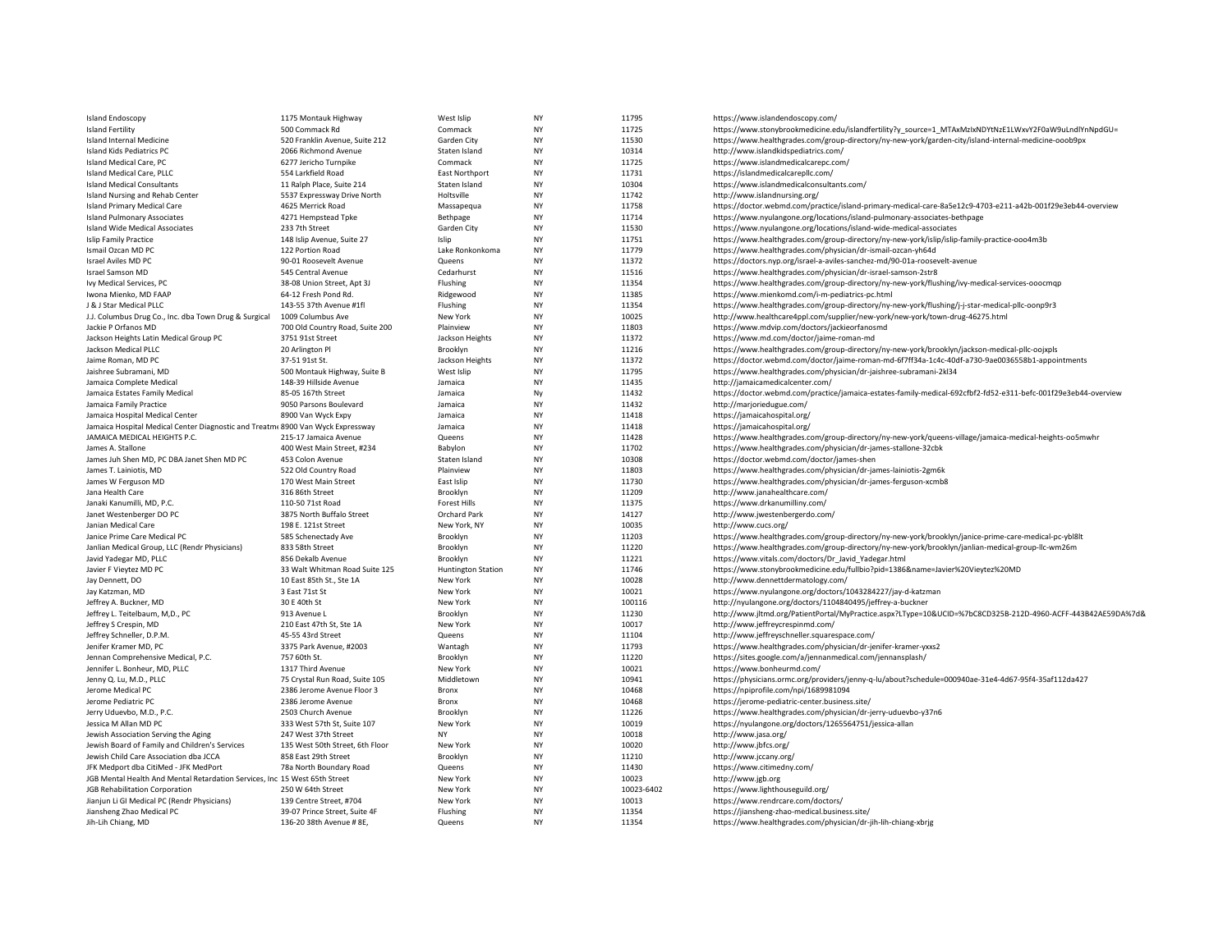| <b>Island Endoscopy</b>                                                        | 1175 Montauk Highway            | West Islip                | NY        | 11795      | https://www.islandendoscopy.com/                                                                               |
|--------------------------------------------------------------------------------|---------------------------------|---------------------------|-----------|------------|----------------------------------------------------------------------------------------------------------------|
| <b>Island Fertility</b>                                                        | 500 Commack Rd                  | Commack                   | NY        | 11725      | https://www.stonybrookmedicine.edu/islandfertility?y_source=1_MTAxMzIxNDYtNzE1LWxvY2F0aW9uLndlYnNpdGU=         |
| Island Internal Medicine                                                       | 520 Franklin Avenue, Suite 212  | Garden City               | NY        | 11530      | https://www.healthgrades.com/group-directory/ny-new-york/garden-city/island-internal-medicine-ooob9px          |
| Island Kids Pediatrics PC                                                      | 2066 Richmond Avenue            | Staten Island             | <b>NY</b> | 10314      | http://www.islandkidspediatrics.com/                                                                           |
| Island Medical Care, PC                                                        | 6277 Jericho Turnpike           | Commack                   | NY        | 11725      | https://www.islandmedicalcarepc.com/                                                                           |
| Island Medical Care, PLLC                                                      | 554 Larkfield Road              | <b>East Northport</b>     | <b>NY</b> | 11731      | https://islandmedicalcarepllc.com/                                                                             |
| <b>Island Medical Consultants</b>                                              | 11 Ralph Place, Suite 214       | Staten Island             | <b>NY</b> | 10304      | https://www.islandmedicalconsultants.com/                                                                      |
| Island Nursing and Rehab Center                                                | 5537 Expressway Drive North     | Holtsville                | NY        | 11742      | http://www.islandnursing.org/                                                                                  |
| <b>Island Primary Medical Care</b>                                             | 4625 Merrick Road               | Massapequa                | <b>NY</b> | 11758      | https://doctor.webmd.com/practice/island-primary-medical-care-8a5e12c9-4703-e211-a42b-001f29e3eb44-overview    |
| <b>Island Pulmonary Associates</b>                                             | 4271 Hempstead Tpke             | Bethpage                  | NY        | 11714      | https://www.nyulangone.org/locations/island-pulmonary-associates-bethpage                                      |
| <b>Island Wide Medical Associates</b>                                          | 233 7th Street                  | Garden City               | <b>NY</b> | 11530      | https://www.nyulangone.org/locations/island-wide-medical-associates                                            |
| <b>Islip Family Practice</b>                                                   | 148 Islip Avenue, Suite 27      | Islip                     | NY        | 11751      | https://www.healthgrades.com/group-directory/ny-new-york/islip/islip-family-practice-ooo4m3b                   |
| Ismail Ozcan MD PC                                                             | 122 Portion Road                | Lake Ronkonkoma           | <b>NY</b> | 11779      | https://www.healthgrades.com/physician/dr-ismail-ozcan-yh64d                                                   |
| Israel Aviles MD PC                                                            | 90-01 Roosevelt Avenue          | Queens                    | <b>NY</b> | 11372      | https://doctors.nyp.org/israel-a-aviles-sanchez-md/90-01a-roosevelt-avenue                                     |
| Israel Samson MD                                                               | 545 Central Avenue              | Cedarhurst                | NY        | 11516      | https://www.healthgrades.com/physician/dr-israel-samson-2str8                                                  |
| Ivy Medical Services, PC                                                       | 38-08 Union Street, Apt 3J      | Flushing                  | <b>NY</b> | 11354      | https://www.healthgrades.com/group-directory/ny-new-york/flushing/ivy-medical-services-ooocmqp                 |
| Iwona Mienko, MD FAAP                                                          | 64-12 Fresh Pond Rd.            | Ridgewood                 | NY        | 11385      | https://www.mienkomd.com/i-m-pediatrics-pc.html                                                                |
| J & J Star Medical PLLC                                                        | 143-55 37th Avenue #1fl         | Flushing                  | NY        | 11354      | https://www.healthgrades.com/group-directory/ny-new-york/flushing/j-j-star-medical-pllc-oonp9r3                |
| J.J. Columbus Drug Co., Inc. dba Town Drug & Surgical                          | 1009 Columbus Ave               | New York                  | NY        | 10025      | http://www.healthcare4ppl.com/supplier/new-york/new-york/town-drug-46275.html                                  |
| Jackie P Orfanos MD                                                            | 700 Old Country Road, Suite 200 | Plainview                 | NY        | 11803      | https://www.mdvip.com/doctors/jackieorfanosmd                                                                  |
| Jackson Heights Latin Medical Group PC                                         | 3751 91st Street                | Jackson Heights           | NY        | 11372      | https://www.md.com/doctor/jaime-roman-md                                                                       |
| Jackson Medical PLLC                                                           | 20 Arlington Pl                 | Brooklyn                  | NY        | 11216      | https://www.healthgrades.com/group-directory/ny-new-york/brooklyn/jackson-medical-pllc-oojxpls                 |
| Jaime Roman, MD PC                                                             | 37-51 91st St.                  | Jackson Heights           | <b>NY</b> | 11372      | https://doctor.webmd.com/doctor/jaime-roman-md-6f7ff34a-1c4c-40df-a730-9ae0036558b1-appointments               |
| Jaishree Subramani, MD                                                         | 500 Montauk Highway, Suite B    | West Islip                | <b>NY</b> | 11795      | https://www.healthgrades.com/physician/dr-jaishree-subramani-2kl34                                             |
| Jamaica Complete Medical                                                       | 148-39 Hillside Avenue          | Jamaica                   | NY        | 11435      | http://jamaicamedicalcenter.com/                                                                               |
| Jamaica Estates Family Medical                                                 | 85-05 167th Street              | Jamaica                   | Nv        | 11432      | https://doctor.webmd.com/practice/jamaica-estates-family-medical-692cfbf2-fd52-e311-befc-001f29e3eb44-overview |
| Jamaica Family Practice                                                        | 9050 Parsons Boulevard          | Jamaica                   | NY        | 11432      | http://marjoriedugue.com/                                                                                      |
| Jamaica Hospital Medical Center                                                | 8900 Van Wyck Expy              | Jamaica                   | NY        | 11418      | https://jamaicahospital.org/                                                                                   |
| Jamaica Hospital Medical Center Diagnostic and Treatm 8900 Van Wyck Expressway |                                 | Jamaica                   | NY        | 11418      | https://jamaicahospital.org/                                                                                   |
| JAMAICA MEDICAL HEIGHTS P.C.                                                   | 215-17 Jamaica Avenue           | Queens                    | <b>NY</b> | 11428      | https://www.healthgrades.com/group-directory/ny-new-york/queens-village/jamaica-medical-heights-oo5mwhr        |
| James A. Stallone                                                              | 400 West Main Street, #234      | Babylon                   | NY        | 11702      | https://www.healthgrades.com/physician/dr-james-stallone-32cbk                                                 |
| James Juh Shen MD, PC DBA Janet Shen MD PC                                     | 453 Colon Avenue                | Staten Island             | NY        | 10308      | https://doctor.webmd.com/doctor/james-shen                                                                     |
| James T. Lainiotis, MD                                                         | 522 Old Country Road            | Plainview                 | <b>NY</b> | 11803      | https://www.healthgrades.com/physician/dr-james-lainiotis-2gm6k                                                |
| James W Ferguson MD                                                            | 170 West Main Street            | East Islip                | NY        | 11730      | https://www.healthgrades.com/physician/dr-james-ferguson-xcmb8                                                 |
| Jana Health Care                                                               | 316 86th Street                 | Brooklyn                  | NY        | 11209      | http://www.janahealthcare.com/                                                                                 |
| Janaki Kanumilli, MD, P.C.                                                     | 110-50 71st Road                | <b>Forest Hills</b>       | NY        | 11375      | https://www.drkanumilliny.com/                                                                                 |
| Janet Westenberger DO PC                                                       | 3875 North Buffalo Street       | Orchard Park              | NY        | 14127      | http://www.jwestenbergerdo.com/                                                                                |
| Janian Medical Care                                                            | 198 E. 121st Street             | New York, NY              | NY        | 10035      | http://www.cucs.org/                                                                                           |
| Janice Prime Care Medical PC                                                   | 585 Schenectady Ave             | Brooklyn                  | NY        | 11203      | https://www.healthgrades.com/group-directory/ny-new-york/brooklyn/janice-prime-care-medical-pc-ybl8lt          |
| Janlian Medical Group, LLC (Rendr Physicians)                                  | 833 58th Street                 | Brooklyn                  | <b>NY</b> | 11220      | https://www.healthgrades.com/group-directory/ny-new-york/brooklyn/janlian-medical-group-llc-wm26m              |
| Javid Yadegar MD, PLLC                                                         | 856 Dekalb Avenue               | Brooklyn                  | <b>NY</b> | 11221      | https://www.vitals.com/doctors/Dr Javid Yadegar.html                                                           |
| Javier F Vieytez MD PC                                                         | 33 Walt Whitman Road Suite 125  | <b>Huntington Station</b> | NY        | 11746      | https://www.stonybrookmedicine.edu/fullbio?pid=1386&name=Javier%20Vieytez%20MD                                 |
| Jay Dennett, DO                                                                | 10 East 85th St., Ste 1A        | New York                  | NY        | 10028      | http://www.dennettdermatology.com/                                                                             |
| Jay Katzman, MD                                                                | 3 East 71st St                  | New York                  | NY        | 10021      | https://www.nyulangone.org/doctors/1043284227/jay-d-katzman                                                    |
| Jeffrey A. Buckner, MD                                                         | 30 E 40th St                    | New York                  | <b>NY</b> | 100116     | http://nyulangone.org/doctors/1104840495/jeffrey-a-buckner                                                     |
| Jeffrey L. Teitelbaum, M,D., PC                                                | 913 Avenue L                    | Brooklyn                  | NY        | 11230      | http://www.jltmd.org/PatientPortal/MyPractice.aspx?LType=10&UCID=%7bC8CD325B-212D-4960-ACFF-443B42AE59DA%7d&   |
| Jeffrey S Crespin, MD                                                          | 210 East 47th St, Ste 1A        | New York                  | <b>NY</b> | 10017      | http://www.jeffreycrespinmd.com/                                                                               |
| Jeffrey Schneller, D.P.M.                                                      | 45-55 43rd Street               | Queens                    | <b>NY</b> | 11104      | http://www.jeffreyschneller.squarespace.com/                                                                   |
| Jenifer Kramer MD, PC                                                          | 3375 Park Avenue, #2003         | Wantagh                   | NY        | 11793      | https://www.healthgrades.com/physician/dr-jenifer-kramer-yxxs2                                                 |
| Jennan Comprehensive Medical, P.C.                                             | 757 60th St.                    | Brooklyn                  | <b>NY</b> | 11220      | https://sites.google.com/a/jennanmedical.com/jennansplash/                                                     |
| Jennifer L. Bonheur, MD, PLLC                                                  | 1317 Third Avenue               | New York                  | NY        | 10021      | https://www.bonheurmd.com/                                                                                     |
| Jenny Q. Lu, M.D., PLLC                                                        | 75 Crystal Run Road, Suite 105  | Middletown                | <b>NY</b> | 10941      | https://physicians.ormc.org/providers/jenny-q-lu/about?schedule=000940ae-31e4-4d67-95f4-35af112da427           |
| Jerome Medical PC                                                              | 2386 Jerome Avenue Floor 3      | Bronx                     | NY        | 10468      | https://npiprofile.com/npi/1689981094                                                                          |
| Jerome Pediatric PC                                                            | 2386 Jerome Avenue              | Bronx                     | <b>NY</b> | 10468      | https://jerome-pediatric-center.business.site/                                                                 |
| Jerry Uduevbo, M.D., P.C.                                                      | 2503 Church Avenue              | Brooklyn                  | NY        | 11226      | https://www.healthgrades.com/physician/dr-jerry-uduevbo-y37n6                                                  |
| Jessica M Allan MD PC                                                          | 333 West 57th St, Suite 107     | New York                  | NY        | 10019      | https://nyulangone.org/doctors/1265564751/jessica-allan                                                        |
| Jewish Association Serving the Aging                                           | 247 West 37th Street            | <b>NY</b>                 | <b>NY</b> | 10018      | http://www.jasa.org/                                                                                           |
| Jewish Board of Family and Children's Services                                 | 135 West 50th Street, 6th Floor | New York                  | NY        | 10020      | http://www.jbfcs.org/                                                                                          |
| Jewish Child Care Association dba JCCA                                         | 858 East 29th Street            | Brooklyn                  | NY        | 11210      | http://www.jccany.org/                                                                                         |
| JFK Medport dba CitiMed - JFK MedPort                                          | 78a North Boundary Road         | Queens                    | NY        | 11430      | https://www.citimedny.com/                                                                                     |
| JGB Mental Health And Mental Retardation Services, Inc 15 West 65th Street     |                                 | New York                  | NY        | 10023      | http://www.jgb.org                                                                                             |
| JGB Rehabilitation Corporation                                                 | 250 W 64th Street               | New York                  | <b>NY</b> | 10023-6402 | https://www.lighthouseguild.org/                                                                               |
| Jianjun Li GI Medical PC (Rendr Physicians)                                    | 139 Centre Street, #704         | New York                  | NY        | 10013      | https://www.rendrcare.com/doctors/                                                                             |
| Jiansheng Zhao Medical PC                                                      | 39-07 Prince Street, Suite 4F   | Flushing                  | <b>NY</b> | 11354      | https://jiansheng-zhao-medical.business.site/                                                                  |
| Jih-Lih Chiang, MD                                                             | 136-20 38th Avenue # 8E,        | Queens                    | <b>NY</b> | 11354      | https://www.healthgrades.com/physician/dr-jih-lih-chiang-xbrig                                                 |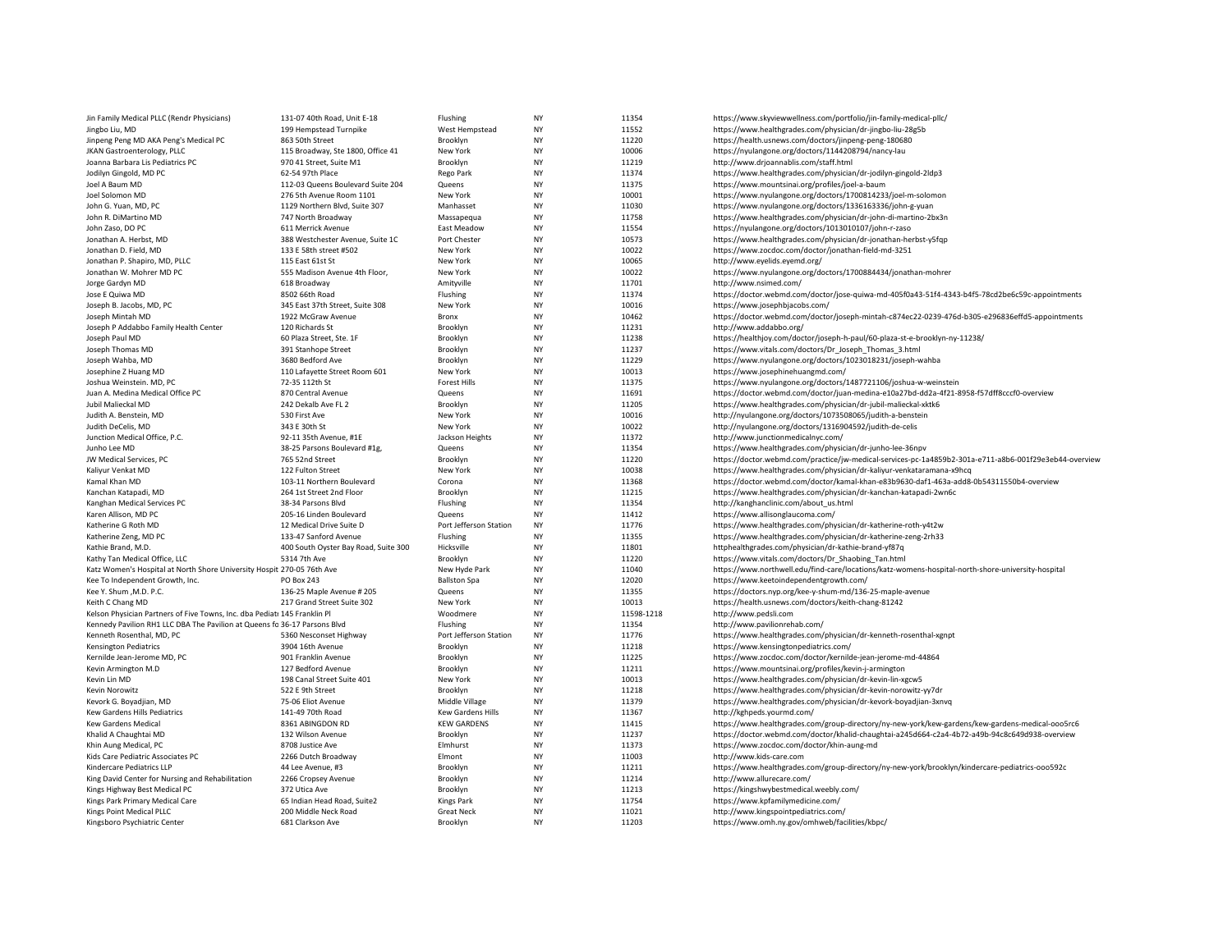| Jin Family Medical PLLC (Rendr Physicians)                                | 131-07 40th Road, Unit E-18          | Flushing               | <b>NY</b> | 11354      | https://www.skyviewwellness.com/portfolio/jin-family-medical-pllc/                                     |
|---------------------------------------------------------------------------|--------------------------------------|------------------------|-----------|------------|--------------------------------------------------------------------------------------------------------|
| Jingbo Liu, MD                                                            | 199 Hempstead Turnpike               | West Hempstead         | <b>NY</b> | 11552      | https://www.healthgrades.com/physician/dr-jingbo-liu-28g5b                                             |
| Jinpeng Peng MD AKA Peng's Medical PC                                     | 863 50th Street                      | Brooklyn               | <b>NY</b> | 11220      | https://health.usnews.com/doctors/jinpeng-peng-180680                                                  |
| JKAN Gastroenterology, PLLC                                               | 115 Broadway, Ste 1800, Office 41    | New York               | <b>NY</b> | 10006      | https://nyulangone.org/doctors/1144208794/nancy-lau                                                    |
| Joanna Barbara Lis Pediatrics PC                                          | 970 41 Street, Suite M1              | Brooklyn               | NY        | 11219      | http://www.drjoannablis.com/staff.html                                                                 |
| Jodilyn Gingold, MD PC                                                    | 62-54 97th Place                     | Rego Park              | <b>NY</b> | 11374      | https://www.healthgrades.com/physician/dr-jodilyn-gingold-2ldp3                                        |
| Joel A Baum MD                                                            | 112-03 Queens Boulevard Suite 204    | Queens                 | <b>NY</b> | 11375      | https://www.mountsinai.org/profiles/joel-a-baum                                                        |
|                                                                           |                                      |                        | <b>NY</b> |            |                                                                                                        |
| Joel Solomon MD                                                           | 276 5th Avenue Room 1101             | New York               |           | 10001      | https://www.nyulangone.org/doctors/1700814233/joel-m-solomon                                           |
| John G. Yuan, MD, PC                                                      | 1129 Northern Blvd, Suite 307        | Manhasset              | <b>NY</b> | 11030      | https://www.nyulangone.org/doctors/1336163336/john-g-yuan                                              |
| John R. DiMartino MD                                                      | 747 North Broadway                   | Massapequa             | <b>NY</b> | 11758      | https://www.healthgrades.com/physician/dr-john-di-martino-2bx3n                                        |
| John Zaso, DO PC                                                          | 611 Merrick Avenue                   | East Meadow            | <b>NY</b> | 11554      | https://nyulangone.org/doctors/1013010107/john-r-zaso                                                  |
| Jonathan A. Herbst, MD                                                    | 388 Westchester Avenue, Suite 1C     | Port Chester           | <b>NY</b> | 10573      | https://www.healthgrades.com/physician/dr-jonathan-herbst-y5fqp                                        |
| Jonathan D. Field, MD                                                     | 133 E 58th street #502               | New York               | <b>NY</b> | 10022      | https://www.zocdoc.com/doctor/jonathan-field-md-3251                                                   |
| Jonathan P. Shapiro, MD, PLLC                                             | 115 East 61st St                     | New York               | <b>NY</b> | 10065      | http://www.eyelids.eyemd.org/                                                                          |
| Jonathan W. Mohrer MD PC                                                  | 555 Madison Avenue 4th Floor,        | New York               | <b>NY</b> | 10022      | https://www.nyulangone.org/doctors/1700884434/jonathan-mohrer                                          |
| Jorge Gardyn MD                                                           | 618 Broadway                         | Amityville             | <b>NY</b> | 11701      | http://www.nsimed.com/                                                                                 |
| Jose E Quiwa MD                                                           | 8502 66th Road                       | Flushing               | <b>NY</b> | 11374      | https://doctor.webmd.com/doctor/jose-quiwa-md-405f0a43-51f4-4343-b4f5-78cd2be6c59c-appointments        |
| Joseph B. Jacobs, MD, PC                                                  | 345 East 37th Street, Suite 308      | New York               | <b>NY</b> | 10016      | https://www.josephbjacobs.com/                                                                         |
| Joseph Mintah MD                                                          | 1922 McGraw Avenue                   | Bronx                  | <b>NY</b> | 10462      | https://doctor.webmd.com/doctor/joseph-mintah-c874ec22-0239-476d-b305-e296836effd5-appointments        |
| Joseph P Addabbo Family Health Center                                     | 120 Richards St                      | Brooklyn               | <b>NY</b> | 11231      | http://www.addabbo.org/                                                                                |
| Joseph Paul MD                                                            | 60 Plaza Street, Ste. 1F             | Brooklyn               | <b>NY</b> | 11238      | https://healthjoy.com/doctor/joseph-h-paul/60-plaza-st-e-brooklyn-ny-11238/                            |
| Joseph Thomas MD                                                          | 391 Stanhope Street                  | Brooklyn               | <b>NY</b> | 11237      | https://www.vitals.com/doctors/Dr_Joseph_Thomas_3.html                                                 |
| Joseph Wahba, MD                                                          | 3680 Bedford Ave                     | Brooklyn               | <b>NY</b> | 11229      | https://www.nyulangone.org/doctors/1023018231/joseph-wahba                                             |
| Josephine Z Huang MD                                                      | 110 Lafayette Street Room 601        | New York               | <b>NY</b> | 10013      | https://www.josephinehuangmd.com/                                                                      |
| Joshua Weinstein. MD, PC                                                  | 72-35 112th St                       | <b>Forest Hills</b>    | <b>NY</b> | 11375      | https://www.nyulangone.org/doctors/1487721106/joshua-w-weinstein                                       |
| Juan A. Medina Medical Office PC                                          | 870 Central Avenue                   | Queens                 | <b>NY</b> | 11691      | https://doctor.webmd.com/doctor/juan-medina-e10a27bd-dd2a-4f21-8958-f57dff8cccf0-overview              |
| Jubil Malieckal MD                                                        | 242 Dekalb Ave FL 2                  | Brooklyn               | <b>NY</b> | 11205      | https://www.healthgrades.com/physician/dr-jubil-malieckal-xktk6                                        |
| Judith A. Benstein, MD                                                    | 530 First Ave                        | New York               | <b>NY</b> | 10016      | http://nyulangone.org/doctors/1073508065/judith-a-benstein                                             |
| Judith DeCelis, MD                                                        | 343 E 30th St                        | New York               | <b>NY</b> | 10022      | http://nyulangone.org/doctors/1316904592/judith-de-celis                                               |
| Junction Medical Office, P.C.                                             | 92-11 35th Avenue, #1E               | Jackson Heights        | <b>NY</b> | 11372      | http://www.junctionmedicalnyc.com/                                                                     |
| Junho Lee MD                                                              | 38-25 Parsons Boulevard #1g,         | Queens                 | <b>NY</b> | 11354      | https://www.healthgrades.com/physician/dr-junho-lee-36npv                                              |
|                                                                           |                                      |                        | <b>NY</b> |            |                                                                                                        |
| JW Medical Services, PC                                                   | 765 52nd Street                      | Brooklyn               | <b>NY</b> | 11220      | https://doctor.webmd.com/practice/jw-medical-services-pc-1a4859b2-301a-e711-a8b6-001f29e3eb44-overview |
| Kaliyur Venkat MD                                                         | 122 Fulton Street                    | New York               |           | 10038      | https://www.healthgrades.com/physician/dr-kaliyur-venkataramana-x9hcq                                  |
| Kamal Khan MD                                                             | 103-11 Northern Boulevard            | Corona                 | <b>NY</b> | 11368      | https://doctor.webmd.com/doctor/kamal-khan-e83b9630-daf1-463a-add8-0b54311550b4-overview               |
| Kanchan Katapadi, MD                                                      | 264 1st Street 2nd Floor             | Brooklyn               | <b>NY</b> | 11215      | https://www.healthgrades.com/physician/dr-kanchan-katapadi-2wn6c                                       |
| Kanghan Medical Services PC                                               | 38-34 Parsons Blvd                   | Flushing               | <b>NY</b> | 11354      | http://kanghanclinic.com/about_us.html                                                                 |
| Karen Allison, MD PC                                                      | 205-16 Linden Boulevard              | Queens                 | <b>NY</b> | 11412      | https://www.allisonglaucoma.com/                                                                       |
| Katherine G Roth MD                                                       | 12 Medical Drive Suite D             | Port Jefferson Station | <b>NY</b> | 11776      | https://www.healthgrades.com/physician/dr-katherine-roth-y4t2w                                         |
| Katherine Zeng, MD PC                                                     | 133-47 Sanford Avenue                | Flushing               | <b>NY</b> | 11355      | https://www.healthgrades.com/physician/dr-katherine-zeng-2rh33                                         |
| Kathie Brand, M.D.                                                        | 400 South Oyster Bay Road, Suite 300 | Hicksville             | <b>NY</b> | 11801      | httphealthgrades.com/physician/dr-kathie-brand-yf87q                                                   |
| Kathy Tan Medical Office, LLC                                             | 5314 7th Ave                         | Brooklyn               | <b>NY</b> | 11220      | https://www.vitals.com/doctors/Dr_Shaobing_Tan.html                                                    |
| Katz Women's Hospital at North Shore University Hospit 270-05 76th Ave    |                                      | New Hyde Park          | <b>NY</b> | 11040      | https://www.northwell.edu/find-care/locations/katz-womens-hospital-north-shore-university-hospital     |
| Kee To Independent Growth, Inc.                                           | <b>PO Box 243</b>                    | <b>Ballston Spa</b>    | <b>NY</b> | 12020      | https://www.keetoindependentgrowth.com/                                                                |
| Kee Y. Shum , M.D. P.C.                                                   | 136-25 Maple Avenue # 205            | Queens                 | <b>NY</b> | 11355      | https://doctors.nyp.org/kee-y-shum-md/136-25-maple-avenue                                              |
| Keith C Chang MD                                                          | 217 Grand Street Suite 302           | New York               | <b>NY</b> | 10013      | https://health.usnews.com/doctors/keith-chang-81242                                                    |
| Kelson Physician Partners of Five Towns, Inc. dba Pediatı 145 Franklin Pl |                                      | Woodmere               | <b>NY</b> | 11598-1218 | http://www.pedsli.com                                                                                  |
| Kennedy Pavilion RH1 LLC DBA The Pavilion at Queens fo 36-17 Parsons Blvd |                                      | Flushing               | <b>NY</b> | 11354      | http://www.pavilionrehab.com/                                                                          |
| Kenneth Rosenthal, MD, PC                                                 | 5360 Nesconset Highway               | Port Jefferson Station | <b>NY</b> | 11776      | https://www.healthgrades.com/physician/dr-kenneth-rosenthal-xgnpt                                      |
| <b>Kensington Pediatrics</b>                                              | 3904 16th Avenue                     | Brooklyn               | <b>NY</b> | 11218      | https://www.kensingtonpediatrics.com/                                                                  |
| Kernilde Jean-Jerome MD, PC                                               | 901 Franklin Avenue                  | Brooklyn               | <b>NY</b> | 11225      | https://www.zocdoc.com/doctor/kernilde-jean-jerome-md-44864                                            |
| Kevin Armington M.D                                                       | 127 Bedford Avenue                   | Brooklyn               | <b>NY</b> | 11211      | https://www.mountsinai.org/profiles/kevin-j-armington                                                  |
| Kevin Lin MD                                                              | 198 Canal Street Suite 401           | New York               | NY        | 10013      | https://www.healthgrades.com/physician/dr-kevin-lin-xgcw5                                              |
| Kevin Norowitz                                                            | 522 E 9th Street                     | Brooklyn               | <b>NY</b> | 11218      | https://www.healthgrades.com/physician/dr-kevin-norowitz-yy7dr                                         |
| Kevork G. Boyadjian, MD                                                   | 75-06 Eliot Avenue                   | Middle Village         | <b>NY</b> | 11379      | https://www.healthgrades.com/physician/dr-kevork-boyadjian-3xnvq                                       |
| Kew Gardens Hills Pediatrics                                              | 141-49 70th Road                     | Kew Gardens Hills      | <b>NY</b> | 11367      | http://kghpeds.yourmd.com/                                                                             |
| <b>Kew Gardens Medical</b>                                                | 8361 ABINGDON RD                     | <b>KEW GARDENS</b>     | <b>NY</b> | 11415      | https://www.healthgrades.com/group-directory/ny-new-york/kew-gardens/kew-gardens-medical-ooo5rc6       |
|                                                                           |                                      |                        |           |            |                                                                                                        |
| Khalid A Chaughtai MD                                                     | 132 Wilson Avenue                    | Brooklyn               | <b>NY</b> | 11237      | https://doctor.webmd.com/doctor/khalid-chaughtai-a245d664-c2a4-4b72-a49b-94c8c649d938-overview         |
| Khin Aung Medical, PC                                                     | 8708 Justice Ave                     | Elmhurst               | <b>NY</b> | 11373      | https://www.zocdoc.com/doctor/khin-aung-md                                                             |
| Kids Care Pediatric Associates PC                                         | 2266 Dutch Broadway                  | Elmont                 | <b>NY</b> | 11003      | http://www.kids-care.com                                                                               |
| Kindercare Pediatrics LLP                                                 | 44 Lee Avenue, #3                    | Brooklyn               | <b>NY</b> | 11211      | https://www.healthgrades.com/group-directory/ny-new-york/brooklyn/kindercare-pediatrics-ooo592c        |
| King David Center for Nursing and Rehabilitation                          | 2266 Cropsey Avenue                  | Brooklyn               | <b>NY</b> | 11214      | http://www.allurecare.com/                                                                             |
| Kings Highway Best Medical PC                                             | 372 Utica Ave                        | Brooklyn               | <b>NY</b> | 11213      | https://kingshwybestmedical.weebly.com/                                                                |
| Kings Park Primary Medical Care                                           | 65 Indian Head Road, Suite2          | <b>Kings Park</b>      | <b>NY</b> | 11754      | https://www.kpfamilymedicine.com/                                                                      |
| Kings Point Medical PLLC                                                  | 200 Middle Neck Road                 | <b>Great Neck</b>      | <b>NY</b> | 11021      | http://www.kingspointpediatrics.com/                                                                   |
| Kingsboro Psychiatric Center                                              | 681 Clarkson Ave                     | Brooklyn               | <b>NY</b> | 11203      | https://www.omh.ny.gov/omhweb/facilities/kbpc/                                                         |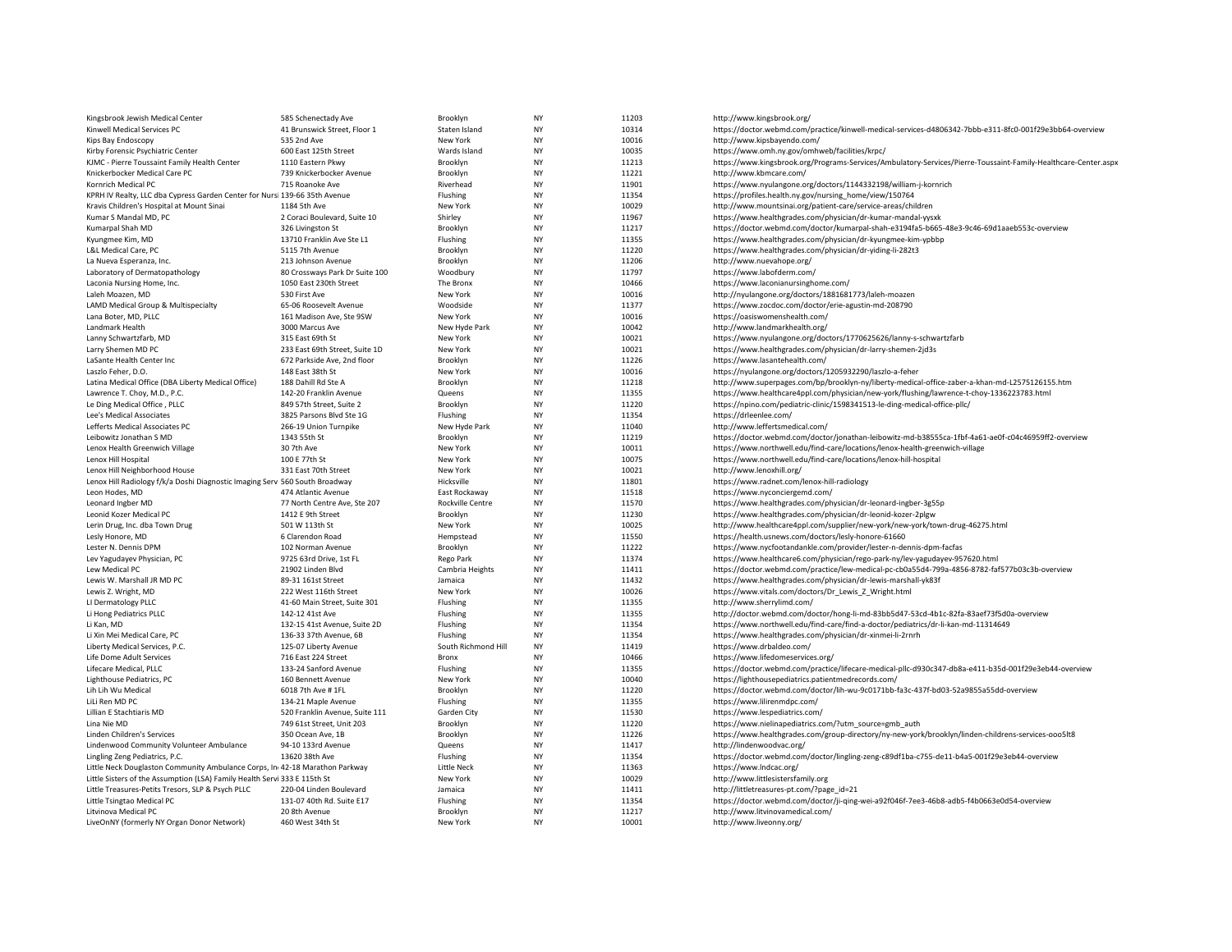| Kingsbrook Jewish Medical Center                                            | 585 Schenectady Ave                               | Brooklyn                          | <b>NY</b>       | 11203          | http://www.kingsbrook.org/                                                                                                     |
|-----------------------------------------------------------------------------|---------------------------------------------------|-----------------------------------|-----------------|----------------|--------------------------------------------------------------------------------------------------------------------------------|
| Kinwell Medical Services PC                                                 | 41 Brunswick Street, Floor 1                      | Staten Island                     | NY              | 10314          | https://doctor.webmd.com/practice/kinwell-medical-services-d4806342-7bbb-e311-8fc0-001f29e3bb64-overview                       |
| Kips Bay Endoscopy                                                          | 535 2nd Ave                                       | New York                          | <b>NY</b>       | 10016          | http://www.kipsbayendo.com/                                                                                                    |
| Kirby Forensic Psychiatric Center                                           | 600 East 125th Street                             | Wards Island                      | NY              | 10035          | https://www.omh.ny.gov/omhweb/facilities/krpc/                                                                                 |
| KJMC - Pierre Toussaint Family Health Center                                | 1110 Eastern Pkwy                                 | Brooklyn                          | <b>NY</b>       | 11213          | https://www.kingsbrook.org/Programs-Services/Ambulatory-Services/Pierre-Toussaint-Family-Healthcare-Center.aspx                |
| Knickerbocker Medical Care PC                                               | 739 Knickerbocker Avenue                          | Brooklyn                          | <b>NY</b>       | 11221          | http://www.kbmcare.com/                                                                                                        |
| Kornrich Medical PC                                                         | 715 Roanoke Ave                                   | Riverhead                         | <b>NY</b>       | 11901          | https://www.nyulangone.org/doctors/1144332198/william-j-kornrich                                                               |
| KPRH IV Realty, LLC dba Cypress Garden Center for Nursi 139-66 35th Avenue  |                                                   | Flushing                          | <b>NY</b>       | 11354          | https://profiles.health.ny.gov/nursing_home/view/150764                                                                        |
| Kravis Children's Hospital at Mount Sinai                                   | 1184 5th Ave                                      | New York                          | NY              | 10029          | http://www.mountsinai.org/patient-care/service-areas/children                                                                  |
| Kumar S Mandal MD, PC                                                       | 2 Coraci Boulevard, Suite 10                      | Shirley                           | NY              | 11967          | https://www.healthgrades.com/physician/dr-kumar-mandal-yysxk                                                                   |
| Kumarpal Shah MD                                                            | 326 Livingston St                                 | Brooklyn                          | <b>NY</b>       | 11217          | https://doctor.webmd.com/doctor/kumarpal-shah-e3194fa5-b665-48e3-9c46-69d1aaeb553c-overview                                    |
| Kyungmee Kim, MD                                                            | 13710 Franklin Ave Ste L1                         | Flushing                          | NY              | 11355          | https://www.healthgrades.com/physician/dr-kyungmee-kim-ypbbp                                                                   |
| L&L Medical Care, PC                                                        | 5115 7th Avenue                                   | Brooklyn                          | <b>NY</b>       | 11220          | https://www.healthgrades.com/physician/dr-yiding-li-282t3                                                                      |
| La Nueva Esperanza, Inc.                                                    | 213 Johnson Avenue                                | Brooklyn                          | <b>NY</b>       | 11206          | http://www.nuevahope.org/                                                                                                      |
| Laboratory of Dermatopathology                                              | 80 Crossways Park Dr Suite 100                    | Woodbury                          | <b>NY</b>       | 11797          | https://www.labofderm.com/                                                                                                     |
| Laconia Nursing Home, Inc.                                                  | 1050 East 230th Street                            | The Bronx                         | <b>NY</b>       | 10466          | https://www.laconianursinghome.com/                                                                                            |
| Laleh Moazen, MD                                                            | 530 First Ave                                     | New York                          | NY              | 10016          | http://nyulangone.org/doctors/1881681773/laleh-moazen                                                                          |
| LAMD Medical Group & Multispecialty                                         | 65-06 Roosevelt Avenue                            | Woodside                          | <b>NY</b>       | 11377          | https://www.zocdoc.com/doctor/erie-agustin-md-208790                                                                           |
| Lana Boter, MD, PLLC                                                        | 161 Madison Ave, Ste 9SW                          | New York                          | <b>NY</b>       | 10016          | https://oasiswomenshealth.com/                                                                                                 |
| Landmark Health                                                             | 3000 Marcus Ave                                   | New Hyde Park                     | NY              | 10042          | http://www.landmarkhealth.org/                                                                                                 |
| Lanny Schwartzfarb, MD                                                      | 315 East 69th St                                  | New York                          | <b>NY</b>       | 10021          | https://www.nyulangone.org/doctors/1770625626/lanny-s-schwartzfarb                                                             |
| Larry Shemen MD PC                                                          | 233 East 69th Street, Suite 1D                    | New York                          | <b>NY</b>       | 10021          | https://www.healthgrades.com/physician/dr-larry-shemen-2jd3s                                                                   |
| LaSante Health Center Inc                                                   | 672 Parkside Ave, 2nd floor                       | Brooklyn                          | <b>NY</b>       | 11226          | https://www.lasantehealth.com/                                                                                                 |
| Laszlo Feher, D.O.                                                          | 148 East 38th St                                  | New York                          | <b>NY</b>       | 10016          | https://nyulangone.org/doctors/1205932290/laszlo-a-feher                                                                       |
| Latina Medical Office (DBA Liberty Medical Office)                          | 188 Dahill Rd Ste A                               | Brooklyn                          | NY              | 11218          | http://www.superpages.com/bp/brooklyn-ny/liberty-medical-office-zaber-a-khan-md-L2575126155.htm                                |
| Lawrence T. Choy, M.D., P.C.                                                | 142-20 Franklin Avenue                            | Queens                            | <b>NY</b>       | 11355          | https://www.healthcare4ppl.com/physician/new-york/flushing/lawrence-t-choy-1336223783.html                                     |
| Le Ding Medical Office, PLLC                                                | 849 57th Street, Suite 2                          | Brooklyn                          | <b>NY</b>       | 11220          | https://npino.com/pediatric-clinic/1598341513-le-ding-medical-office-pllc/                                                     |
| Lee's Medical Associates                                                    | 3825 Parsons Blvd Ste 1G                          | Flushing                          | NY              | 11354          | https://drleenlee.com/                                                                                                         |
| Lefferts Medical Associates PC                                              | 266-19 Union Turnpike                             | New Hyde Park                     | <b>NY</b>       | 11040          | http://www.leffertsmedical.com/                                                                                                |
| Leibowitz Jonathan S MD                                                     | 1343 55th St                                      | Brooklyn                          | NY              | 11219          | https://doctor.webmd.com/doctor/jonathan-leibowitz-md-b38555ca-1fbf-4a61-ae0f-c04c46959ff2-overview                            |
| Lenox Health Greenwich Village                                              | 30 7th Ave                                        | New York                          | <b>NY</b>       | 10011          | https://www.northwell.edu/find-care/locations/lenox-health-greenwich-village                                                   |
| Lenox Hill Hospital                                                         | 100 E 77th St                                     | New York                          | NY              | 10075          | https://www.northwell.edu/find-care/locations/lenox-hill-hospital                                                              |
| Lenox Hill Neighborhood House                                               | 331 East 70th Street                              | New York                          | <b>NY</b>       | 10021          | http://www.lenoxhill.org/                                                                                                      |
| Lenox Hill Radiology f/k/a Doshi Diagnostic Imaging Serv 560 South Broadway |                                                   | Hicksville                        | <b>NY</b><br>NY | 11801          | https://www.radnet.com/lenox-hill-radiology                                                                                    |
| Leon Hodes, MD                                                              | 474 Atlantic Avenue                               | East Rockaway<br>Rockville Centre | <b>NY</b>       | 11518<br>11570 | https://www.nyconciergemd.com/                                                                                                 |
| Leonard Ingber MD                                                           | 77 North Centre Ave, Ste 207<br>1412 E 9th Street | Brooklyn                          | <b>NY</b>       | 11230          | https://www.healthgrades.com/physician/dr-leonard-ingber-3g55p<br>https://www.healthgrades.com/physician/dr-leonid-kozer-2plgw |
| Leonid Kozer Medical PC<br>Lerin Drug, Inc. dba Town Drug                   | 501 W 113th St                                    | New York                          | <b>NY</b>       | 10025          | http://www.healthcare4ppl.com/supplier/new-york/new-york/town-drug-46275.html                                                  |
| Lesly Honore, MD                                                            | 6 Clarendon Road                                  | Hempstead                         | NY              | 11550          | https://health.usnews.com/doctors/lesly-honore-61660                                                                           |
| Lester N. Dennis DPM                                                        | 102 Norman Avenue                                 | Brooklyn                          | <b>NY</b>       | 11222          | https://www.nycfootandankle.com/provider/lester-n-dennis-dpm-facfas                                                            |
| Lev Yagudayev Physician, PC                                                 | 9725 63rd Drive, 1st FL                           | Rego Park                         | <b>NY</b>       | 11374          | https://www.healthcare6.com/physician/rego-park-ny/lev-yagudayev-957620.html                                                   |
| Lew Medical PC                                                              | 21902 Linden Blvd                                 | Cambria Heights                   | <b>NY</b>       | 11411          | https://doctor.webmd.com/practice/lew-medical-pc-cb0a55d4-799a-4856-8782-faf577b03c3b-overview                                 |
| Lewis W. Marshall JR MD PC                                                  | 89-31 161st Street                                | Jamaica                           | NY              | 11432          | https://www.healthgrades.com/physician/dr-lewis-marshall-yk83f                                                                 |
| Lewis Z. Wright, MD                                                         | 222 West 116th Street                             | New York                          | <b>NY</b>       | 10026          | https://www.vitals.com/doctors/Dr_Lewis_Z_Wright.html                                                                          |
| LI Dermatology PLLC                                                         | 41-60 Main Street, Suite 301                      | Flushing                          | NY              | 11355          | http://www.sherrylimd.com/                                                                                                     |
| Li Hong Pediatrics PLLC                                                     | 142-12 41st Ave                                   | Flushing                          | <b>NY</b>       | 11355          | http://doctor.webmd.com/doctor/hong-li-md-83bb5d47-53cd-4b1c-82fa-83aef73f5d0a-overview                                        |
| Li Kan, MD                                                                  | 132-15 41st Avenue, Suite 2D                      | Flushing                          | <b>NY</b>       | 11354          | https://www.northwell.edu/find-care/find-a-doctor/pediatrics/dr-li-kan-md-11314649                                             |
| Li Xin Mei Medical Care, PC                                                 | 136-33 37th Avenue, 6B                            | Flushing                          | NY              | 11354          | https://www.healthgrades.com/physician/dr-xinmei-li-2rnrh                                                                      |
| Liberty Medical Services, P.C.                                              | 125-07 Liberty Avenue                             | South Richmond Hill               | <b>NY</b>       | 11419          | https://www.drbaldeo.com/                                                                                                      |
| Life Dome Adult Services                                                    | 716 East 224 Street                               | Bronx                             | <b>NY</b>       | 10466          | https://www.lifedomeservices.org/                                                                                              |
| Lifecare Medical, PLLC                                                      | 133-24 Sanford Avenue                             | Flushing                          | <b>NY</b>       | 11355          | https://doctor.webmd.com/practice/lifecare-medical-pllc-d930c347-db8a-e411-b35d-001f29e3eb44-overview                          |
| Lighthouse Pediatrics, PC                                                   | 160 Bennett Avenue                                | New York                          | <b>NY</b>       | 10040          | https://lighthousepediatrics.patientmedrecords.com/                                                                            |
| Lih Lih Wu Medical                                                          | 6018 7th Ave # 1FL                                | Brooklyn                          | NY              | 11220          | https://doctor.webmd.com/doctor/lih-wu-9c0171bb-fa3c-437f-bd03-52a9855a55dd-overview                                           |
| LiLi Ren MD PC                                                              | 134-21 Maple Avenue                               | Flushing                          | <b>NY</b>       | 11355          | https://www.lilirenmdpc.com/                                                                                                   |
| Lillian E Stachtiaris MD                                                    | 520 Franklin Avenue, Suite 111                    | Garden City                       | NY              | 11530          | https://www.lespediatrics.com/                                                                                                 |
| Lina Nie MD                                                                 | 749 61st Street, Unit 203                         | Brooklyn                          | <b>NY</b>       | 11220          | https://www.nielinapediatrics.com/?utm_source=gmb_auth                                                                         |
| Linden Children's Services                                                  | 350 Ocean Ave, 1B                                 | Brooklyn                          | <b>NY</b>       | 11226          | https://www.healthgrades.com/group-directory/ny-new-york/brooklyn/linden-childrens-services-ooo5lt8                            |
| Lindenwood Community Volunteer Ambulance                                    | 94-10 133rd Avenue                                | Queens                            | NY              | 11417          | http://lindenwoodvac.org/                                                                                                      |
| Lingling Zeng Pediatrics, P.C.                                              | 13620 38th Ave                                    | Flushing                          | <b>NY</b>       | 11354          | https://doctor.webmd.com/doctor/lingling-zeng-c89df1ba-c755-de11-b4a5-001f29e3eb44-overview                                    |
| Little Neck Douglaston Community Ambulance Corps, In 42-18 Marathon Parkway |                                                   | <b>Little Neck</b>                | <b>NY</b>       | 11363          | https://www.indcac.org/                                                                                                        |
| Little Sisters of the Assumption (LSA) Family Health Servi 333 E 115th St   |                                                   | New York                          | NY              | 10029          | http://www.littlesistersfamily.org                                                                                             |
| Little Treasures-Petits Tresors, SLP & Psych PLLC                           | 220-04 Linden Boulevard                           | Jamaica                           | <b>NY</b>       | 11411          | http://littletreasures-pt.com/?page_id=21                                                                                      |
| Little Tsingtao Medical PC                                                  | 131-07 40th Rd. Suite E17                         | Flushing                          | NY              | 11354          | https://doctor.webmd.com/doctor/ji-qing-wei-a92f046f-7ee3-46b8-adb5-f4b0663e0d54-overview                                      |
| Litvinova Medical PC                                                        | 20 8th Avenue                                     | Brooklyn                          | <b>NY</b>       | 11217          | http://www.litvinovamedical.com/                                                                                               |
| LiveOnNY (formerly NY Organ Donor Network)                                  | 460 West 34th St                                  | New York                          | <b>NY</b>       | 10001          | http://www.liveonny.org/                                                                                                       |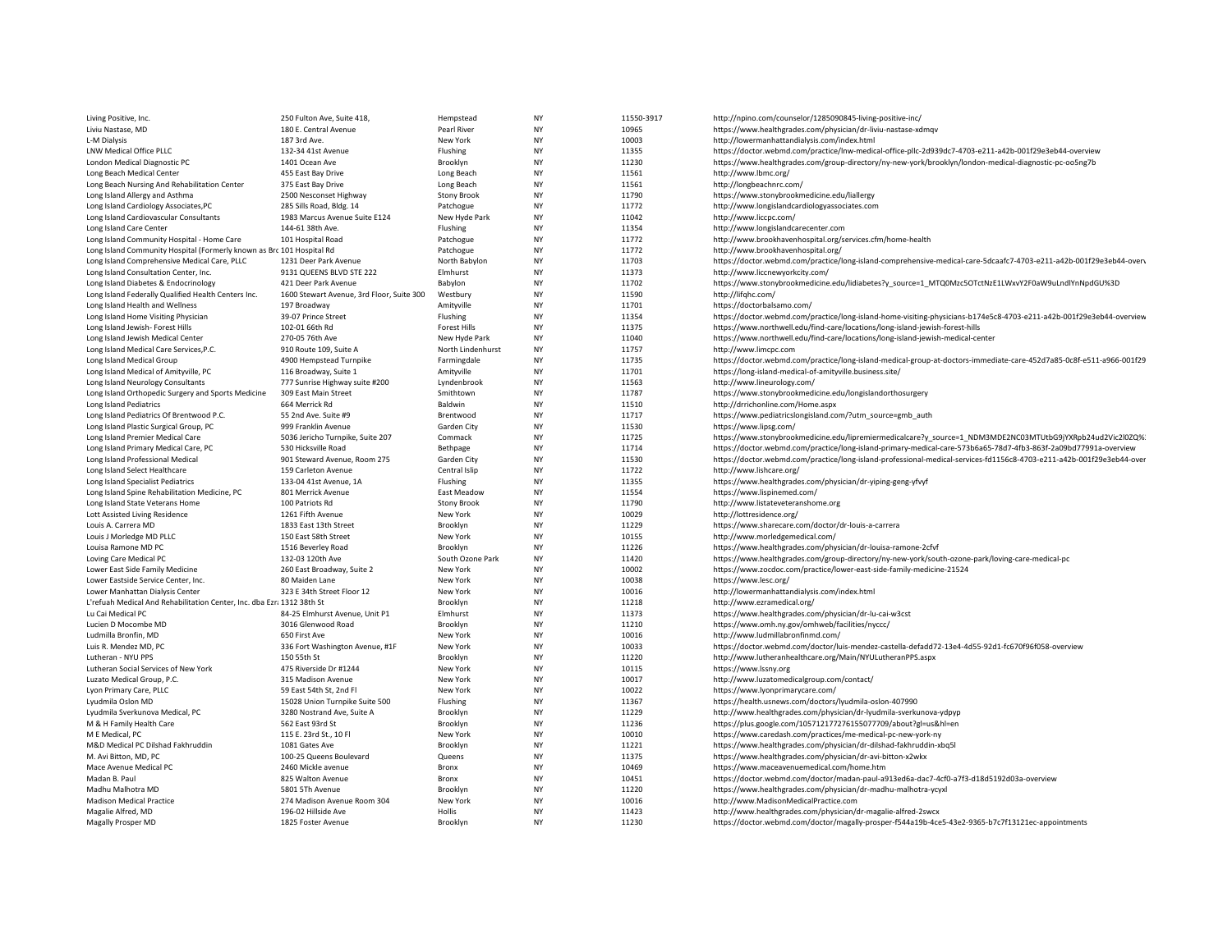| Living Positive, Inc.                                                  | 250 Fulton Ave, Suite 418,                           | Hempstead            | <b>NY</b>       | 11550-3917     | http://npino.com/counselor/1285090845-living-positive-inc/                                                                                                       |
|------------------------------------------------------------------------|------------------------------------------------------|----------------------|-----------------|----------------|------------------------------------------------------------------------------------------------------------------------------------------------------------------|
| Liviu Nastase, MD                                                      | 180 E. Central Avenue                                | Pearl River          | NY              | 10965          | https://www.healthgrades.com/physician/dr-liviu-nastase-xdmqv                                                                                                    |
| L-M Dialysis                                                           | 187 3rd Ave.                                         | New York             | NY              | 10003          | http://lowermanhattandialysis.com/index.html                                                                                                                     |
| LNW Medical Office PLLC                                                | 132-34 41st Avenue                                   | Flushing             | NY              | 11355          | https://doctor.webmd.com/practice/lnw-medical-office-pllc-2d939dc7-4703-e211-a42b-001f29e3eb44-overview                                                          |
| London Medical Diagnostic PC                                           | 1401 Ocean Ave                                       | Brooklyn             | NY              | 11230          | https://www.healthgrades.com/group-directory/ny-new-york/brooklyn/london-medical-diagnostic-pc-oo5ng7b                                                           |
| Long Beach Medical Center                                              | 455 East Bay Drive                                   | Long Beach           | NY              | 11561          | http://www.lbmc.org/                                                                                                                                             |
| Long Beach Nursing And Rehabilitation Center                           | 375 East Bay Drive                                   | Long Beach           | NY              | 11561          | http://longbeachnrc.com/                                                                                                                                         |
| Long Island Allergy and Asthma                                         | 2500 Nesconset Highway                               | <b>Stony Brook</b>   | NY              | 11790          | https://www.stonybrookmedicine.edu/liallergy                                                                                                                     |
| Long Island Cardiology Associates, PC                                  | 285 Sills Road, Bldg. 14                             | Patchogue            | NY              | 11772          | http://www.longislandcardiologyassociates.com                                                                                                                    |
| Long Island Cardiovascular Consultants                                 | 1983 Marcus Avenue Suite E124                        | New Hyde Park        | NY              | 11042          | http://www.liccpc.com/                                                                                                                                           |
| Long Island Care Center                                                | 144-61 38th Ave.                                     | Flushing             | <b>NY</b>       | 11354          | http://www.longislandcarecenter.com                                                                                                                              |
| Long Island Community Hospital - Home Care                             | 101 Hospital Road                                    | Patchogue            | NY              | 11772          | http://www.brookhavenhospital.org/services.cfm/home-health                                                                                                       |
| Long Island Community Hospital (Formerly known as Brc 101 Hospital Rd  |                                                      | Patchogue            | <b>NY</b>       | 11772          | http://www.brookhavenhospital.org/                                                                                                                               |
| Long Island Comprehensive Medical Care, PLLC                           | 1231 Deer Park Avenue                                | North Babylon        | NY              | 11703          | https://doctor.webmd.com/practice/long-island-comprehensive-medical-care-5dcaafc7-4703-e211-a42b-001f29e3eb44-overv                                              |
| Long Island Consultation Center, Inc.                                  | 9131 QUEENS BLVD STE 222                             | Elmhurst             | NY              | 11373          | http://www.liccnewyorkcity.com/                                                                                                                                  |
| Long Island Diabetes & Endocrinology                                   | 421 Deer Park Avenue                                 | Babylon              | NY              | 11702          | https://www.stonybrookmedicine.edu/lidiabetes?y_source=1_MTQ0Mzc5OTctNzE1LWxvY2F0aW9uLndlYnNpdGU%3D                                                              |
| Long Island Federally Qualified Health Centers Inc.                    | 1600 Stewart Avenue, 3rd Floor, Suite 300            | Westbury             | NY              | 11590          | http://lifghc.com/                                                                                                                                               |
| Long Island Health and Wellness                                        | 197 Broadway                                         | Amityville           | NY              | 11701          | https://doctorbalsamo.com/                                                                                                                                       |
| Long Island Home Visiting Physician                                    | 39-07 Prince Street                                  | Flushing             | NY              | 11354          | https://doctor.webmd.com/practice/long-island-home-visiting-physicians-b174e5c8-4703-e211-a42b-001f29e3eb44-overview                                             |
| Long Island Jewish- Forest Hills                                       | 102-01 66th Rd                                       | Forest Hills         | NY              | 11375          | https://www.northwell.edu/find-care/locations/long-island-jewish-forest-hills                                                                                    |
| Long Island Jewish Medical Center                                      | 270-05 76th Ave                                      | New Hyde Park        | NY              | 11040          | https://www.northwell.edu/find-care/locations/long-island-jewish-medical-center                                                                                  |
| Long Island Medical Care Services, P.C.                                | 910 Route 109, Suite A                               | North Lindenhurst    | NY              | 11757          | http://www.limcpc.com                                                                                                                                            |
| Long Island Medical Group                                              | 4900 Hempstead Turnpike                              | Farmingdale          | <b>NY</b>       | 11735          | https://doctor.webmd.com/practice/long-island-medical-group-at-doctors-immediate-care-452d7a85-0c8f-e511-a966-001f29                                             |
| Long Island Medical of Amityville, PC                                  | 116 Broadway, Suite 1                                | Amityville           | NY              | 11701          | https://long-island-medical-of-amityville.business.site/                                                                                                         |
| Long Island Neurology Consultants                                      | 777 Sunrise Highway suite #200                       | Lyndenbrook          | NY              | 11563          | http://www.lineurology.com/                                                                                                                                      |
| Long Island Orthopedic Surgery and Sports Medicine                     | 309 East Main Street                                 | Smithtown            | NY              | 11787          | https://www.stonybrookmedicine.edu/longislandorthosurgery                                                                                                        |
| Long Island Pediatrics                                                 | 664 Merrick Rd                                       | Baldwin              | NY              | 11510          | http://drrichonline.com/Home.aspx                                                                                                                                |
| Long Island Pediatrics Of Brentwood P.C.                               | 55 2nd Ave. Suite #9                                 | Brentwood            | NY              | 11717          | https://www.pediatricslongisland.com/?utm_source=gmb_auth                                                                                                        |
| Long Island Plastic Surgical Group, PC                                 | 999 Franklin Avenue                                  | Garden City          | NY              | 11530          | https://www.lipsg.com/                                                                                                                                           |
| Long Island Premier Medical Care                                       | 5036 Jericho Turnpike, Suite 207                     | Commack              | <b>NY</b>       | 11725          | https://www.stonybrookmedicine.edu/lipremiermedicalcare?y_source=1_NDM3MDE2NC03MTUtbG9jYXRpb24ud2Vic2l0ZQ%                                                       |
| Long Island Primary Medical Care, PC                                   | 530 Hicksville Road                                  | Bethpage             | NY              | 11714          | https://doctor.webmd.com/practice/long-island-primary-medical-care-573b6a65-78d7-4fb3-863f-2a09bd77991a-overview                                                 |
| Long Island Professional Medical                                       | 901 Steward Avenue, Room 275                         | Garden City          | NY              | 11530          | https://doctor.webmd.com/practice/long-island-professional-medical-services-fd1156c8-4703-e211-a42b-001f29e3eb44-over                                            |
| Long Island Select Healthcare                                          | 159 Carleton Avenue                                  | Central Islip        | <b>NY</b>       | 11722          | http://www.lishcare.org/                                                                                                                                         |
| Long Island Specialist Pediatrics                                      | 133-04 41st Avenue, 1A                               | Flushing             | NY              | 11355          | https://www.healthgrades.com/physician/dr-yiping-geng-yfvyf                                                                                                      |
| Long Island Spine Rehabilitation Medicine, PC                          | 801 Merrick Avenue                                   | East Meadow          | NY              | 11554          | https://www.lispinemed.com/                                                                                                                                      |
| Long Island State Veterans Home                                        | 100 Patriots Rd                                      | <b>Stony Brook</b>   | NY              | 11790          | http://www.listateveteranshome.org                                                                                                                               |
| Lott Assisted Living Residence                                         | 1261 Fifth Avenue                                    | New York             | NY              | 10029          | http://lottresidence.org/                                                                                                                                        |
| Louis A. Carrera MD                                                    | 1833 East 13th Street                                | Brooklyn             | NY              | 11229          | https://www.sharecare.com/doctor/dr-louis-a-carrera                                                                                                              |
| Louis J Morledge MD PLLC                                               | 150 East 58th Street                                 | New York             | NY              | 10155          | http://www.morledgemedical.com/                                                                                                                                  |
| Louisa Ramone MD PC                                                    | 1516 Beverley Road                                   | Brooklyn             | <b>NY</b>       | 11226          | https://www.healthgrades.com/physician/dr-louisa-ramone-2cfvf                                                                                                    |
| Loving Care Medical PC                                                 | 132-03 120th Ave                                     | South Ozone Park     | NY              | 11420          | https://www.healthgrades.com/group-directory/ny-new-york/south-ozone-park/loving-care-medical-pc                                                                 |
| Lower East Side Family Medicine                                        | 260 East Broadway, Suite 2                           | New York             | NY              | 10002          | https://www.zocdoc.com/practice/lower-east-side-family-medicine-21524                                                                                            |
| Lower Eastside Service Center, Inc.                                    | 80 Maiden Lane                                       | New York             | <b>NY</b>       | 10038          | https://www.lesc.org/                                                                                                                                            |
| Lower Manhattan Dialysis Center                                        | 323 E 34th Street Floor 12                           | New York             | NY              | 10016          | http://lowermanhattandialysis.com/index.html                                                                                                                     |
| L'refuah Medical And Rehabilitation Center, Inc. dba Ezr: 1312 38th St |                                                      | Brooklyn             | <b>NY</b>       | 11218          | http://www.ezramedical.org/                                                                                                                                      |
| Lu Cai Medical PC                                                      | 84-25 Elmhurst Avenue, Unit P1<br>3016 Glenwood Road | Elmhurst             | NY<br><b>NY</b> | 11373<br>11210 | https://www.healthgrades.com/physician/dr-lu-cai-w3cst                                                                                                           |
| Lucien D Mocombe MD                                                    | 650 First Ave                                        | Brooklyn             | NY              | 10016          | https://www.omh.ny.gov/omhweb/facilities/nyccc/<br>http://www.ludmillabronfinmd.com/                                                                             |
| Ludmilla Bronfin, MD                                                   |                                                      | New York             | NY              | 10033          |                                                                                                                                                                  |
| Luis R. Mendez MD, PC<br>Lutheran - NYU PPS                            | 336 Fort Washington Avenue, #1F<br>150 55th St       | New York<br>Brooklyn | <b>NY</b>       | 11220          | https://doctor.webmd.com/doctor/luis-mendez-castella-defadd72-13e4-4d55-92d1-fc670f96f058-overview<br>http://www.lutheranhealthcare.org/Main/NYULutheranPPS.aspx |
| Lutheran Social Services of New York                                   | 475 Riverside Dr #1244                               | New York             | NY              | 10115          | https://www.lssny.org                                                                                                                                            |
| Luzato Medical Group, P.C.                                             | 315 Madison Avenue                                   | New York             | NY              | 10017          | http://www.luzatomedicalgroup.com/contact/                                                                                                                       |
| Lyon Primary Care, PLLC                                                | 59 East 54th St, 2nd Fl                              | New York             | <b>NY</b>       | 10022          | https://www.lyonprimarycare.com/                                                                                                                                 |
| Lyudmila Oslon MD                                                      | 15028 Union Turnpike Suite 500                       | Flushing             | NY              | 11367          | https://health.usnews.com/doctors/lyudmila-oslon-407990                                                                                                          |
| Lyudmila Sverkunova Medical, PC                                        | 3280 Nostrand Ave, Suite A                           | Brooklyn             | <b>NY</b>       | 11229          | http://www.healthgrades.com/physician/dr-lyudmila-sverkunova-ydpyp                                                                                               |
| M & H Family Health Care                                               | 562 East 93rd St                                     | Brooklyn             | NY              | 11236          | https://plus.google.com/105712177276155077709/about?gl=us&hl=en                                                                                                  |
| M E Medical, PC                                                        | 115 E. 23rd St., 10 Fl                               | New York             | <b>NY</b>       | 10010          | https://www.caredash.com/practices/me-medical-pc-new-york-ny                                                                                                     |
| M&D Medical PC Dilshad Fakhruddin                                      | 1081 Gates Ave                                       | Brooklyn             | NY              | 11221          | https://www.healthgrades.com/physician/dr-dilshad-fakhruddin-xbq5l                                                                                               |
| M. Avi Bitton, MD, PC                                                  | 100-25 Queens Boulevard                              | Queens               | NY              | 11375          | https://www.healthgrades.com/physician/dr-avi-bitton-x2wkx                                                                                                       |
| Mace Avenue Medical PC                                                 | 2460 Mickle avenue                                   | Bronx                | <b>NY</b>       | 10469          | https://www.maceavenuemedical.com/home.htm                                                                                                                       |
| Madan B. Paul                                                          | 825 Walton Avenue                                    | Bronx                | <b>NY</b>       | 10451          | https://doctor.webmd.com/doctor/madan-paul-a913ed6a-dac7-4cf0-a7f3-d18d5192d03a-overview                                                                         |
| Madhu Malhotra MD                                                      | 5801 5Th Avenue                                      | Brooklyn             | NY              | 11220          | https://www.healthgrades.com/physician/dr-madhu-malhotra-ycyxl                                                                                                   |
| <b>Madison Medical Practice</b>                                        | 274 Madison Avenue Room 304                          | New York             | <b>NY</b>       | 10016          | http://www.MadisonMedicalPractice.com                                                                                                                            |
| Magalie Alfred, MD                                                     | 196-02 Hillside Ave                                  | Hollis               | <b>NY</b>       | 11423          | http://www.healthgrades.com/physician/dr-magalie-alfred-2swcx                                                                                                    |
| Magally Prosper MD                                                     | 1825 Foster Avenue                                   | Brooklyn             | <b>NY</b>       | 11230          | https://doctor.webmd.com/doctor/magally-prosper-f544a19b-4ce5-43e2-9365-b7c7f13121ec-appointments                                                                |
|                                                                        |                                                      |                      |                 |                |                                                                                                                                                                  |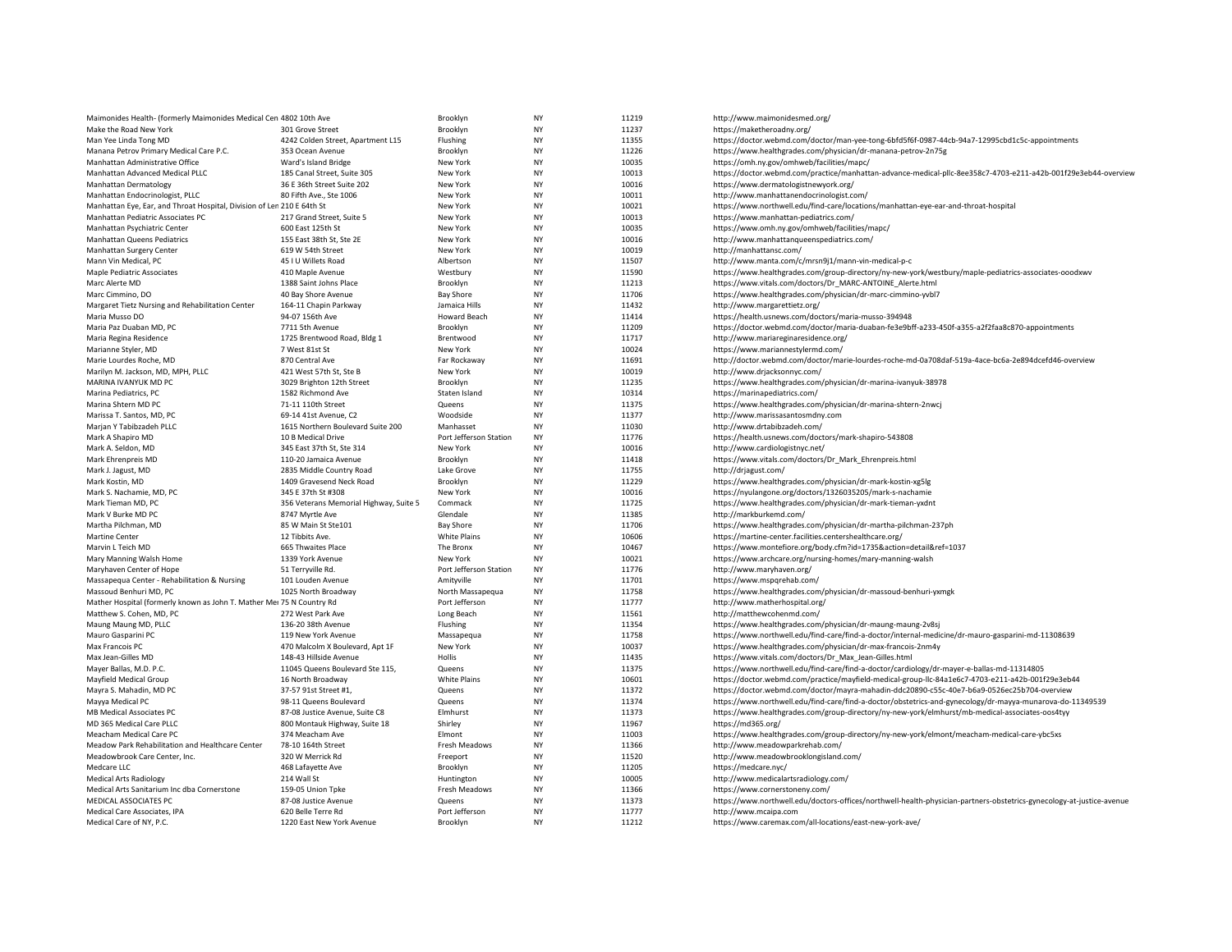| Maimonides Health- (formerly Maimonides Medical Cen 4802 10th Ave      |                                        | Brooklyn               | <b>NY</b> | 11219 | http://www.maimonidesmed.org/                                                                                         |
|------------------------------------------------------------------------|----------------------------------------|------------------------|-----------|-------|-----------------------------------------------------------------------------------------------------------------------|
| Make the Road New York                                                 | 301 Grove Street                       | Brooklyn               | <b>NY</b> | 11237 | https://maketheroadny.org/                                                                                            |
| Man Yee Linda Tong MD                                                  | 4242 Colden Street, Apartment L15      | Flushing               | <b>NY</b> | 11355 | https://doctor.webmd.com/doctor/man-yee-tong-6bfd5f6f-0987-44cb-94a7-12995cbd1c5c-appointments                        |
| Manana Petrov Primary Medical Care P.C.                                | 353 Ocean Avenue                       | Brooklyn               | <b>NY</b> | 11226 | https://www.healthgrades.com/physician/dr-manana-petrov-2n75g                                                         |
| Manhattan Administrative Office                                        | Ward's Island Bridge                   | New York               | <b>NY</b> | 10035 | https://omh.ny.gov/omhweb/facilities/mapc/                                                                            |
| Manhattan Advanced Medical PLLC                                        | 185 Canal Street, Suite 305            | New York               | <b>NY</b> | 10013 | https://doctor.webmd.com/practice/manhattan-advance-medical-pllc-8ee358c7-4703-e211-a42b-001f29e3eb44-overview        |
|                                                                        |                                        |                        | <b>NY</b> |       |                                                                                                                       |
| Manhattan Dermatology                                                  | 36 E 36th Street Suite 202             | New York               |           | 10016 | https://www.dermatologistnewyork.org/                                                                                 |
| Manhattan Endocrinologist, PLLC                                        | 80 Fifth Ave., Ste 1006                | New York               | <b>NY</b> | 10011 | http://www.manhattanendocrinologist.com/                                                                              |
| Manhattan Eye, Ear, and Throat Hospital, Division of Len 210 E 64th St |                                        | New York               | <b>NY</b> | 10021 | https://www.northwell.edu/find-care/locations/manhattan-eye-ear-and-throat-hospital                                   |
| Manhattan Pediatric Associates PC                                      | 217 Grand Street, Suite 5              | New York               | <b>NY</b> | 10013 | https://www.manhattan-pediatrics.com/                                                                                 |
| Manhattan Psychiatric Center                                           | 600 East 125th St                      | New York               | NY        | 10035 | https://www.omh.ny.gov/omhweb/facilities/mapc/                                                                        |
| Manhattan Queens Pediatrics                                            | 155 East 38th St, Ste 2E               | New York               | <b>NY</b> | 10016 | http://www.manhattanqueenspediatrics.com/                                                                             |
| Manhattan Surgery Center                                               | 619 W 54th Street                      | New York               | ΝY        | 10019 | http://manhattansc.com/                                                                                               |
| Mann Vin Medical, PC                                                   | 45 I U Willets Road                    | Albertson              | <b>NY</b> | 11507 | http://www.manta.com/c/mrsn9j1/mann-vin-medical-p-c                                                                   |
| Maple Pediatric Associates                                             | 410 Maple Avenue                       | Westbury               | <b>NY</b> | 11590 | https://www.healthgrades.com/group-directory/ny-new-york/westbury/maple-pediatrics-associates-ooodxwv                 |
| Marc Alerte MD                                                         | 1388 Saint Johns Place                 | Brooklyn               | <b>NY</b> | 11213 | https://www.vitals.com/doctors/Dr MARC-ANTOINE Alerte.html                                                            |
| Marc Cimmino, DO                                                       | 40 Bay Shore Avenue                    | <b>Bay Shore</b>       | <b>NY</b> | 11706 | https://www.healthgrades.com/physician/dr-marc-cimmino-yvbl7                                                          |
| Margaret Tietz Nursing and Rehabilitation Center                       | 164-11 Chapin Parkway                  | Jamaica Hills          | <b>NY</b> | 11432 | http://www.margarettietz.org/                                                                                         |
| Maria Musso DO                                                         | 94-07 156th Ave                        | Howard Beach           | <b>NY</b> | 11414 | https://health.usnews.com/doctors/maria-musso-394948                                                                  |
| Maria Paz Duaban MD, PC                                                | 7711 5th Avenue                        | Brooklyn               | <b>NY</b> | 11209 | https://doctor.webmd.com/doctor/maria-duaban-fe3e9bff-a233-450f-a355-a2f2faa8c870-appointments                        |
| Maria Regina Residence                                                 | 1725 Brentwood Road, Bldg 1            | Brentwooc              | <b>NY</b> | 11717 | http://www.mariareginaresidence.org/                                                                                  |
| Marianne Styler, MD                                                    | 7 West 81st St                         | New York               | <b>NY</b> | 10024 | https://www.mariannestylermd.com/                                                                                     |
| Marie Lourdes Roche, MD                                                | 870 Central Ave                        | Far Rockaway           | NY        | 11691 | http://doctor.webmd.com/doctor/marie-lourdes-roche-md-0a708daf-519a-4ace-bc6a-2e894dcefd46-overview                   |
| Marilyn M. Jackson, MD, MPH, PLLC                                      | 421 West 57th St, Ste B                | New York               | <b>NY</b> | 10019 | http://www.drjacksonnyc.com/                                                                                          |
| MARINA IVANYUK MD PC                                                   | 3029 Brighton 12th Street              | Brooklyn               | NY        | 11235 | https://www.healthgrades.com/physician/dr-marina-ivanyuk-38978                                                        |
|                                                                        |                                        |                        |           |       |                                                                                                                       |
| Marina Pediatrics, PC                                                  | 1582 Richmond Ave                      | Staten Island          | <b>NY</b> | 10314 | https://marinapediatrics.com/                                                                                         |
| Marina Shtern MD PC                                                    | 71-11 110th Street                     | Queens                 | <b>NY</b> | 11375 | https://www.healthgrades.com/physician/dr-marina-shtern-2nwcj                                                         |
| Marissa T. Santos, MD, PC                                              | 69-14 41st Avenue, C2                  | Woodside               | <b>NY</b> | 11377 | http://www.marissasantosmdny.com                                                                                      |
| Marjan Y Tabibzadeh PLLC                                               | 1615 Northern Boulevard Suite 200      | Manhasset              | <b>NY</b> | 11030 | http://www.drtabibzadeh.com/                                                                                          |
| Mark A Shapiro MD                                                      | 10 B Medical Drive                     | Port Jefferson Station | <b>NY</b> | 11776 | https://health.usnews.com/doctors/mark-shapiro-543808                                                                 |
| Mark A. Seldon, MD                                                     | 345 East 37th St, Ste 314              | New York               | <b>NY</b> | 10016 | http://www.cardiologistnyc.net/                                                                                       |
| Mark Ehrenpreis MD                                                     | 110-20 Jamaica Avenue                  | Brooklyn               | <b>NY</b> | 11418 | https://www.vitals.com/doctors/Dr Mark Ehrenpreis.html                                                                |
| Mark J. Jagust, MD                                                     | 2835 Middle Country Road               | Lake Grove             | <b>NY</b> | 11755 | http://drjagust.com/                                                                                                  |
| Mark Kostin, MD                                                        | 1409 Gravesend Neck Road               | Brooklyn               | <b>NY</b> | 11229 | https://www.healthgrades.com/physician/dr-mark-kostin-xg5lg                                                           |
| Mark S. Nachamie, MD, PC                                               | 345 E 37th St #308                     | New York               | <b>NY</b> | 10016 | https://nyulangone.org/doctors/1326035205/mark-s-nachamie                                                             |
| Mark Tieman MD, PC                                                     | 356 Veterans Memorial Highway, Suite 5 | Commack                | <b>NY</b> | 11725 | https://www.healthgrades.com/physician/dr-mark-tieman-yxdnt                                                           |
| Mark V Burke MD PC                                                     | 8747 Myrtle Ave                        | Glendale               | <b>NY</b> | 11385 | http://markburkemd.com/                                                                                               |
| Martha Pilchman, MD                                                    | 85 W Main St Ste101                    | <b>Bay Shore</b>       | ΝY        | 11706 | https://www.healthgrades.com/physician/dr-martha-pilchman-237ph                                                       |
| Martine Center                                                         | 12 Tibbits Ave.                        | White Plains           | <b>NY</b> | 10606 | https://martine-center.facilities.centershealthcare.org/                                                              |
| Marvin L Teich MD                                                      | 665 Thwaites Place                     | The Bronx              | <b>NY</b> | 10467 | https://www.montefiore.org/body.cfm?id=1735&action=detail&ref=1037                                                    |
| Mary Manning Walsh Home                                                | 1339 York Avenue                       | New York               | <b>NY</b> | 10021 | https://www.archcare.org/nursing-homes/mary-manning-walsh                                                             |
| Maryhaven Center of Hope                                               | 51 Terryville Rd.                      | Port Jefferson Station | <b>NY</b> | 11776 | http://www.maryhaven.org/                                                                                             |
| Massapequa Center - Rehabilitation & Nursing                           | 101 Louden Avenue                      | Amityville             | <b>NY</b> | 11701 | https://www.mspqrehab.com/                                                                                            |
|                                                                        |                                        |                        |           |       |                                                                                                                       |
| Massoud Benhuri MD, PC                                                 | 1025 North Broadway                    | North Massapequa       | NY        | 11758 | https://www.healthgrades.com/physician/dr-massoud-benhuri-yxmgk                                                       |
| Mather Hospital (formerly known as John T. Mather Mei 75 N Country Rd  |                                        | Port Jefferson         | <b>NY</b> | 11777 | http://www.matherhospital.org/                                                                                        |
| Matthew S. Cohen, MD, PC                                               | 272 West Park Ave                      | Long Beach             | <b>NY</b> | 11561 | http://matthewcohenmd.com/                                                                                            |
| Maung Maung MD, PLLC                                                   | 136-20 38th Avenue                     | Flushing               | <b>NY</b> | 11354 | https://www.healthgrades.com/physician/dr-maung-maung-2v8sj                                                           |
| Mauro Gasparini PC                                                     | 119 New York Avenue                    | Massapequa             | <b>NY</b> | 11758 | https://www.northwell.edu/find-care/find-a-doctor/internal-medicine/dr-mauro-gasparini-md-11308639                    |
| Max Francois PC                                                        | 470 Malcolm X Boulevard, Apt 1F        | New York               | <b>NY</b> | 10037 | https://www.healthgrades.com/physician/dr-max-francois-2nm4y                                                          |
| Max Jean-Gilles MD                                                     | 148-43 Hillside Avenue                 | Hollis                 | <b>NY</b> | 11435 | https://www.vitals.com/doctors/Dr Max Jean-Gilles.html                                                                |
| Mayer Ballas, M.D. P.C.                                                | 11045 Queens Boulevard Ste 115,        | Queens                 | <b>NY</b> | 11375 | https://www.northwell.edu/find-care/find-a-doctor/cardiology/dr-mayer-e-ballas-md-11314805                            |
| Mayfield Medical Group                                                 | 16 North Broadway                      | <b>White Plains</b>    | <b>NY</b> | 10601 | https://doctor.webmd.com/practice/mayfield-medical-group-llc-84a1e6c7-4703-e211-a42b-001f29e3eb44                     |
| Mayra S. Mahadin, MD PC                                                | 37-57 91st Street #1,                  | Queens                 | <b>NY</b> | 11372 | https://doctor.webmd.com/doctor/mayra-mahadin-ddc20890-c55c-40e7-b6a9-0526ec25b704-overview                           |
| Mayya Medical PC                                                       | 98-11 Queens Boulevard                 | Queens                 | <b>NY</b> | 11374 | https://www.northwell.edu/find-care/find-a-doctor/obstetrics-and-gynecology/dr-mayya-munarova-do-11349539             |
| MB Medical Associates PC                                               | 87-08 Justice Avenue, Suite C8         | Elmhurst               | <b>NY</b> | 11373 | https://www.healthgrades.com/group-directory/ny-new-york/elmhurst/mb-medical-associates-oos4tyy                       |
| MD 365 Medical Care PLLC                                               | 800 Montauk Highway, Suite 18          | Shirley                | <b>NY</b> | 11967 | https://md365.org/                                                                                                    |
| Meacham Medical Care PC                                                | 374 Meacham Ave                        | Elmont                 | <b>NY</b> | 11003 | https://www.healthgrades.com/group-directory/ny-new-york/elmont/meacham-medical-care-ybc5xs                           |
| Meadow Park Rehabilitation and Healthcare Center                       | 78-10 164th Street                     | Fresh Meadows          | ΝY        | 11366 | http://www.meadowparkrehab.com/                                                                                       |
| Meadowbrook Care Center, Inc.                                          | 320 W Merrick Rd                       | Freeport               | <b>NY</b> | 11520 | http://www.meadowbrooklongisland.com/                                                                                 |
| Medcare LLC                                                            | 468 Lafayette Ave                      | Brooklyn               | <b>NY</b> | 11205 | https://medcare.nyc/                                                                                                  |
| <b>Medical Arts Radiology</b>                                          | 214 Wall St                            | Huntington             | NY        | 10005 | http://www.medicalartsradiology.com/                                                                                  |
| Medical Arts Sanitarium Inc dba Cornerstone                            | 159-05 Union Tpke                      | Fresh Meadows          | <b>NY</b> | 11366 | https://www.cornerstoneny.com/                                                                                        |
| MEDICAL ASSOCIATES PC                                                  |                                        |                        | <b>NY</b> | 11373 |                                                                                                                       |
|                                                                        | 87-08 Justice Avenue                   | Queens                 |           |       | https://www.northwell.edu/doctors-offices/northwell-health-physician-partners-obstetrics-gynecology-at-justice-avenue |
| Medical Care Associates, IPA                                           | 620 Belle Terre Rd                     | Port Jefferson         | <b>NY</b> | 11777 | http://www.mcaipa.com                                                                                                 |
| Medical Care of NY, P.C.                                               | 1220 East New York Avenue              | Brooklyn               | <b>NY</b> | 11212 | https://www.caremax.com/all-locations/east-new-york-ave/                                                              |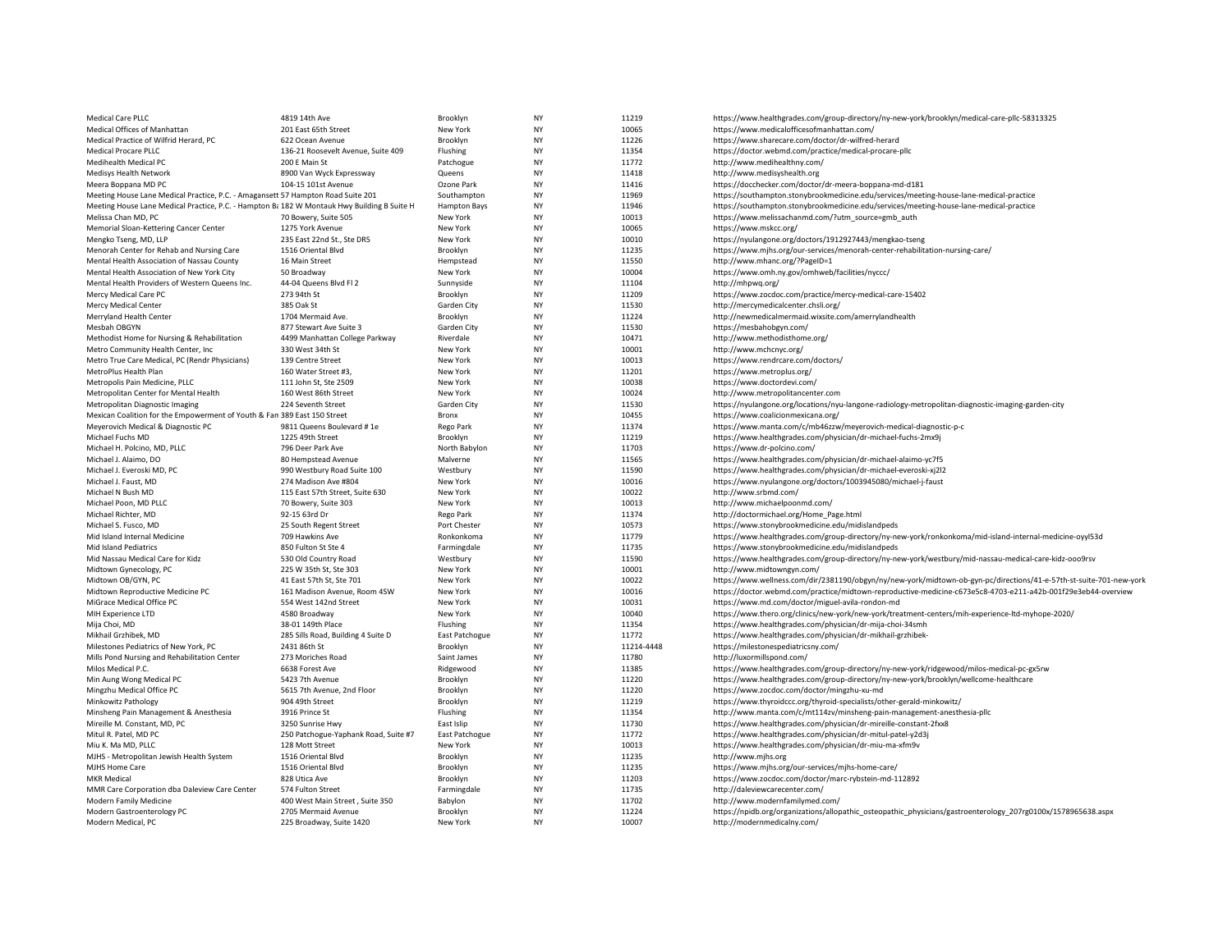| Medical Care PLLC                                                                           | 4819 14th Ave                        | Brooklyn       | <b>NY</b> | 11219      | https://www.healthgrades.com/group-directory/ny-new-york/brooklyn/medical-care-pllc-58313325                        |
|---------------------------------------------------------------------------------------------|--------------------------------------|----------------|-----------|------------|---------------------------------------------------------------------------------------------------------------------|
| Medical Offices of Manhattan                                                                | 201 East 65th Street                 | New York       | <b>NY</b> | 10065      | https://www.medicalofficesofmanhattan.com/                                                                          |
| Medical Practice of Wilfrid Herard, PC                                                      | 622 Ocean Avenue                     | Brooklyn       | <b>NY</b> | 11226      | https://www.sharecare.com/doctor/dr-wilfred-herard                                                                  |
| <b>Medical Procare PLLC</b>                                                                 | 136-21 Roosevelt Avenue, Suite 409   | Flushing       | <b>NY</b> | 11354      | https://doctor.webmd.com/practice/medical-procare-pllc                                                              |
| Medihealth Medical PC                                                                       | 200 E Main St                        | Patchogue      | <b>NY</b> | 11772      | http://www.medihealthny.com/                                                                                        |
| Medisys Health Network                                                                      | 8900 Van Wyck Expressway             | Queens         | <b>NY</b> | 11418      | http://www.medisyshealth.org                                                                                        |
| Meera Boppana MD PC                                                                         | 104-15 101st Avenue                  | Ozone Park     | <b>NY</b> | 11416      | https://docchecker.com/doctor/dr-meera-boppana-md-d181                                                              |
| Meeting House Lane Medical Practice, P.C. - Amagansett 57 Hampton Road Suite 201            |                                      | Southampton    | <b>NY</b> | 11969      | https://southampton.stonybrookmedicine.edu/services/meeting-house-lane-medical-practice                             |
| Meeting House Lane Medical Practice, P.C. - Hampton B: 182 W Montauk Hwy Building B Suite H |                                      | Hampton Bays   | <b>NY</b> | 11946      | https://southampton.stonybrookmedicine.edu/services/meeting-house-lane-medical-practice                             |
| Melissa Chan MD, PC                                                                         | 70 Bowery, Suite 505                 | New York       | <b>NY</b> | 10013      | https://www.melissachanmd.com/?utm_source=gmb_auth                                                                  |
| Memorial Sloan-Kettering Cancer Center                                                      | 1275 York Avenue                     | New York       | NY        | 10065      | https://www.mskcc.org/                                                                                              |
| Mengko Tseng, MD, LLP                                                                       | 235 East 22nd St., Ste DR5           | New York       | <b>NY</b> | 10010      | https://nyulangone.org/doctors/1912927443/mengkao-tseng                                                             |
| Menorah Center for Rehab and Nursing Care                                                   | 1516 Oriental Blvd                   | Brooklyn       | <b>NY</b> | 11235      | https://www.mjhs.org/our-services/menorah-center-rehabilitation-nursing-care/                                       |
| Mental Health Association of Nassau County                                                  | 16 Main Street                       | Hempstead      | <b>NY</b> | 11550      | http://www.mhanc.org/?PageID=1                                                                                      |
| Mental Health Association of New York City                                                  | 50 Broadway                          | New York       | <b>NY</b> | 10004      | https://www.omh.ny.gov/omhweb/facilities/nyccc/                                                                     |
| Mental Health Providers of Western Queens Inc.                                              | 44-04 Queens Blvd Fl 2               | Sunnyside      | <b>NY</b> | 11104      | http://mhpwq.org/                                                                                                   |
| Mercy Medical Care PC                                                                       | 273 94th St                          | Brooklyn       | <b>NY</b> | 11209      | https://www.zocdoc.com/practice/mercy-medical-care-15402                                                            |
| Mercy Medical Center                                                                        | 385 Oak St                           | Garden City    | <b>NY</b> | 11530      | http://mercymedicalcenter.chsli.org/                                                                                |
| Merryland Health Center                                                                     | 1704 Mermaid Ave.                    | Brooklyn       | <b>NY</b> | 11224      | http://newmedicalmermaid.wixsite.com/amerrylandhealth                                                               |
| Mesbah OBGYN                                                                                | 877 Stewart Ave Suite 3              | Garden City    | <b>NY</b> | 11530      | https://mesbahobgyn.com/                                                                                            |
| Methodist Home for Nursing & Rehabilitation                                                 | 4499 Manhattan College Parkway       | Riverdale      | <b>NY</b> | 10471      | http://www.methodisthome.org/                                                                                       |
| Metro Community Health Center, Inc.                                                         | 330 West 34th St                     | New York       | <b>NY</b> | 10001      | http://www.mchcnyc.org/                                                                                             |
| Metro True Care Medical, PC (Rendr Physicians)                                              | 139 Centre Street                    | New York       | <b>NY</b> | 10013      | https://www.rendrcare.com/doctors/                                                                                  |
| MetroPlus Health Plan                                                                       | 160 Water Street #3                  | New York       | <b>NY</b> | 11201      | https://www.metroplus.org/                                                                                          |
| Metropolis Pain Medicine, PLLC                                                              | 111 John St, Ste 2509                | New York       | <b>NY</b> | 10038      | https://www.doctordevi.com/                                                                                         |
| Metropolitan Center for Mental Health                                                       | 160 West 86th Street                 | New York       | <b>NY</b> | 10024      | http://www.metropolitancenter.com                                                                                   |
| Metropolitan Diagnostic Imaging                                                             | 224 Seventh Street                   | Garden City    | <b>NY</b> | 11530      | https://nyulangone.org/locations/nyu-langone-radiology-metropolitan-diagnostic-imaging-garden-city                  |
| Mexican Coalition for the Empowerment of Youth & Fan 389 East 150 Street                    |                                      | Bronx          | <b>NY</b> | 10455      | https://www.coalicionmexicana.org/                                                                                  |
| Meyerovich Medical & Diagnostic PC                                                          | 9811 Queens Boulevard #1e            | Rego Park      | <b>NY</b> | 11374      | https://www.manta.com/c/mb46zzw/meyerovich-medical-diagnostic-p-c                                                   |
| Michael Fuchs MD                                                                            | 1225 49th Street                     | Brooklyn       | <b>NY</b> | 11219      | https://www.healthgrades.com/physician/dr-michael-fuchs-2mx9j                                                       |
| Michael H. Polcino, MD, PLLC                                                                | 796 Deer Park Ave                    | North Babylon  | <b>NY</b> | 11703      | https://www.dr-polcino.com/                                                                                         |
| Michael J. Alaimo, DO                                                                       | 80 Hempstead Avenue                  | Malverne       | NY        | 11565      | https://www.healthgrades.com/physician/dr-michael-alaimo-yc7f5                                                      |
| Michael J. Everoski MD, PC                                                                  | 990 Westbury Road Suite 100          | Westbury       | <b>NY</b> | 11590      | https://www.healthgrades.com/physician/dr-michael-everoski-xj2l2                                                    |
| Michael J. Faust, MD                                                                        | 274 Madison Ave #804                 | New York       | <b>NY</b> | 10016      | https://www.nyulangone.org/doctors/1003945080/michael-j-faust                                                       |
| Michael N Bush MD                                                                           | 115 East 57th Street, Suite 630      | New York       | <b>NY</b> | 10022      | http://www.srbmd.com/                                                                                               |
| Michael Poon, MD PLLC                                                                       | 70 Bowery, Suite 303                 | New York       | <b>NY</b> | 10013      | http://www.michaelpoonmd.com/                                                                                       |
| Michael Richter, MD                                                                         | 92-15 63rd Dr                        | Rego Park      | <b>NY</b> | 11374      | http://doctormichael.org/Home_Page.html                                                                             |
| Michael S. Fusco, MD                                                                        | 25 South Regent Street               | Port Chester   | <b>NY</b> | 10573      | https://www.stonybrookmedicine.edu/midislandpeds                                                                    |
| Mid Island Internal Medicine                                                                | 709 Hawkins Ave                      | Ronkonkoma     | <b>NY</b> | 11779      | https://www.healthgrades.com/group-directory/ny-new-york/ronkonkoma/mid-island-internal-medicine-oyyl53d            |
| Mid Island Pediatrics                                                                       | 850 Fulton St Ste 4                  | Farmingdale    | <b>NY</b> | 11735      | https://www.stonybrookmedicine.edu/midislandpeds                                                                    |
| Mid Nassau Medical Care for Kidz                                                            | 530 Old Country Road                 | Westbury       | <b>NY</b> | 11590      | https://www.healthgrades.com/group-directory/ny-new-york/westbury/mid-nassau-medical-care-kidz-ooo9rsv              |
| Midtown Gynecology, PC                                                                      | 225 W 35th St, Ste 303               | New York       | <b>NY</b> | 10001      | http://www.midtowngyn.com/                                                                                          |
| Midtown OB/GYN, PC                                                                          | 41 East 57th St, Ste 701             | New York       | <b>NY</b> | 10022      | https://www.wellness.com/dir/2381190/obgyn/ny/new-york/midtown-ob-gyn-pc/directions/41-e-57th-st-suite-701-new-york |
| Midtown Reproductive Medicine PC                                                            | 161 Madison Avenue, Room 4SW         | New York       | <b>NY</b> | 10016      | https://doctor.webmd.com/practice/midtown-reproductive-medicine-c673e5c8-4703-e211-a42b-001f29e3eb44-overview       |
| MiGrace Medical Office PC                                                                   | 554 West 142nd Street                | New York       | <b>NY</b> | 10031      | https://www.md.com/doctor/miguel-avila-rondon-md                                                                    |
| MIH Experience LTD                                                                          | 4580 Broadway                        | New York       | <b>NY</b> | 10040      | https://www.thero.org/clinics/new-york/new-york/treatment-centers/mih-experience-ltd-myhope-2020/                   |
| Mija Choi, MD                                                                               | 38-01 149th Place                    | Flushing       | <b>NY</b> | 11354      | https://www.healthgrades.com/physician/dr-mija-choi-34smh                                                           |
| Mikhail Grzhibek, MD                                                                        | 285 Sills Road, Building 4 Suite D   | East Patchogue | <b>NY</b> | 11772      | https://www.healthgrades.com/physician/dr-mikhail-grzhibek-                                                         |
| Milestones Pediatrics of New York, PC                                                       | 2431 86th St                         | Brooklyn       | <b>NY</b> | 11214-4448 | https://milestonespediatricsny.com/                                                                                 |
| Mills Pond Nursing and Rehabilitation Center                                                | 273 Moriches Road                    | Saint James    | <b>NY</b> | 11780      | http://luxormillspond.com/                                                                                          |
| Milos Medical P.C.                                                                          | 6638 Forest Ave                      | Ridgewood      | <b>NY</b> | 11385      | https://www.healthgrades.com/group-directory/ny-new-york/ridgewood/milos-medical-pc-gx5rw                           |
| Min Aung Wong Medical PC                                                                    | 5423 7th Avenue                      | Brooklyn       | <b>NY</b> | 11220      | https://www.healthgrades.com/group-directory/ny-new-york/brooklyn/wellcome-healthcare                               |
| Mingzhu Medical Office PC                                                                   | 5615 7th Avenue, 2nd Floor           | Brooklyn       | NY        | 11220      | https://www.zocdoc.com/doctor/mingzhu-xu-md                                                                         |
| Minkowitz Pathology                                                                         | 904 49th Street                      | Brooklyn       | <b>NY</b> | 11219      | https://www.thyroidccc.org/thyroid-specialists/other-gerald-minkowitz/                                              |
| Minsheng Pain Management & Anesthesia                                                       | 3916 Prince St                       | Flushing       | <b>NY</b> | 11354      | http://www.manta.com/c/mt114zv/minsheng-pain-management-anesthesia-pllc                                             |
| Mireille M. Constant, MD. PC                                                                | 3250 Sunrise Hwy                     | East Islip     | <b>NY</b> | 11730      | https://www.healthgrades.com/physician/dr-mireille-constant-2fxx8                                                   |
| Mitul R. Patel, MD PC                                                                       | 250 Patchogue-Yaphank Road, Suite #7 | East Patchogue | <b>NY</b> | 11772      | https://www.healthgrades.com/physician/dr-mitul-patel-y2d3j                                                         |
| Miu K. Ma MD, PLLC                                                                          | 128 Mott Street                      | New York       | <b>NY</b> | 10013      | https://www.healthgrades.com/physician/dr-miu-ma-xfm9v                                                              |
| MJHS - Metropolitan Jewish Health System                                                    | 1516 Oriental Blvd                   | Brooklyn       | <b>NY</b> | 11235      | http://www.mjhs.org                                                                                                 |
| MJHS Home Care                                                                              | 1516 Oriental Blvd                   | Brooklyn       | <b>NY</b> | 11235      | https://www.mjhs.org/our-services/mjhs-home-care/                                                                   |
| <b>MKR</b> Medical                                                                          | 828 Utica Ave                        | Brooklyn       | <b>NY</b> | 11203      | https://www.zocdoc.com/doctor/marc-rybstein-md-112892                                                               |
| MMR Care Corporation dba Daleview Care Center                                               | 574 Fulton Street                    | Farmingdale    | <b>NY</b> | 11735      | http://daleviewcarecenter.com/                                                                                      |
| Modern Family Medicine                                                                      | 400 West Main Street, Suite 350      | Babylon        | <b>NY</b> | 11702      | http://www.modernfamilymed.com/                                                                                     |
| Modern Gastroenterology PC                                                                  | 2705 Mermaid Avenue                  | Brooklyn       | <b>NY</b> | 11224      | https://npidb.org/organizations/allopathic_osteopathic_physicians/gastroenterology_207rg0100x/1578965638.aspx       |
| Modern Medical, PC                                                                          | 225 Broadway, Suite 1420             | New York       | <b>NY</b> | 10007      | http://modernmedicalny.com/                                                                                         |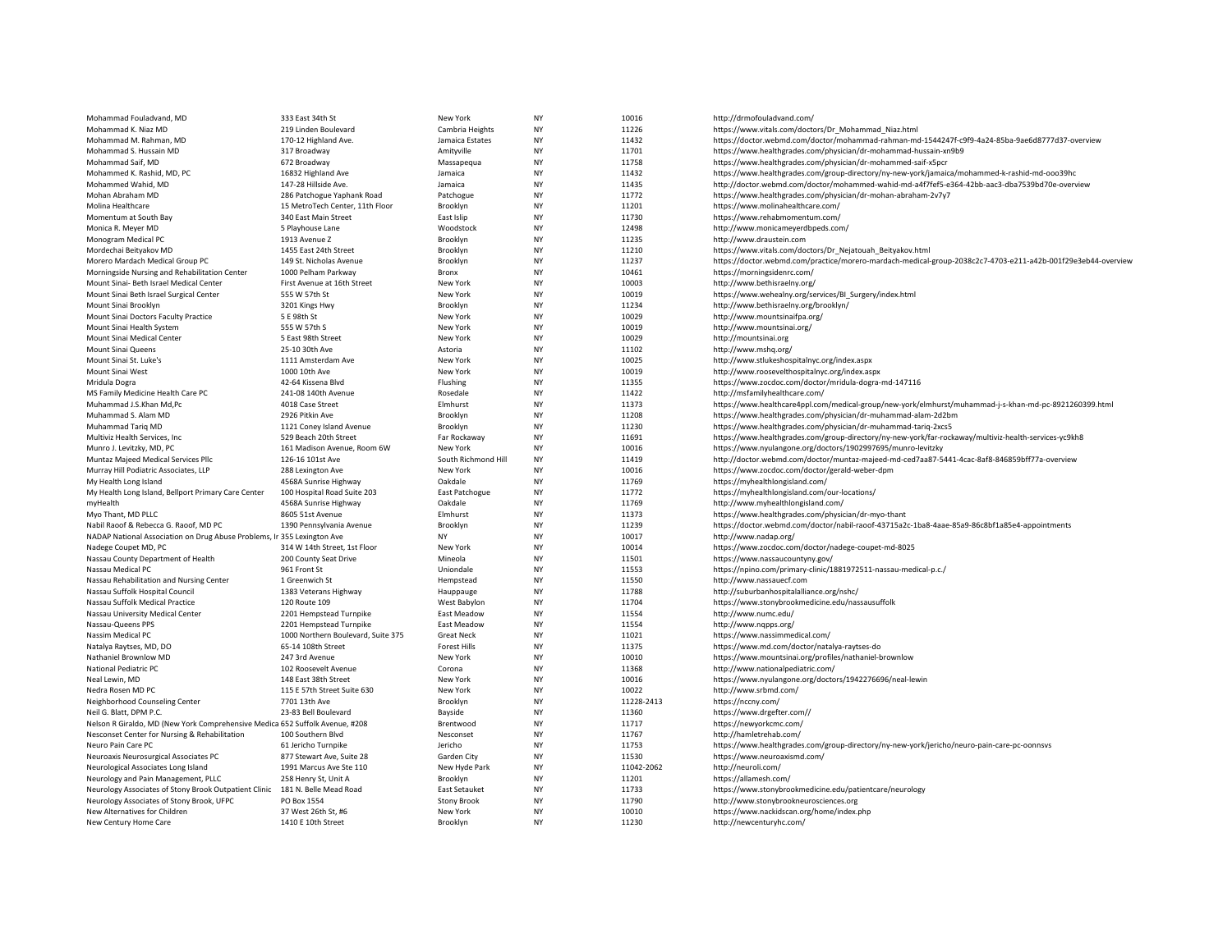| Mohammad Fouladvand, MD                                                      | 333 East 34th St                           | New York             | <b>NY</b> | 10016          | http://drmofouladvand.com/                                                                                                                           |
|------------------------------------------------------------------------------|--------------------------------------------|----------------------|-----------|----------------|------------------------------------------------------------------------------------------------------------------------------------------------------|
| Mohammad K. Niaz MD                                                          | 219 Linden Boulevard                       | Cambria Heights      | NY        | 11226          | https://www.vitals.com/doctors/Dr_Mohammad_Niaz.html                                                                                                 |
| Mohammad M. Rahman, MD                                                       | 170-12 Highland Ave.                       | Jamaica Estates      | NY        | 11432          | https://doctor.webmd.com/doctor/mohammad-rahman-md-1544247f-c9f9-4a24-85ba-9ae6d8777d37-overview                                                     |
| Mohammad S. Hussain MD                                                       | 317 Broadway                               | Amityville           | NY        | 11701          | https://www.healthgrades.com/physician/dr-mohammad-hussain-xn9b9                                                                                     |
| Mohammad Saif, MD                                                            | 672 Broadway                               | Massapequa           | NY        | 11758          | https://www.healthgrades.com/physician/dr-mohammed-saif-x5pcr                                                                                        |
| Mohammed K. Rashid, MD, PC                                                   | 16832 Highland Ave                         | Jamaica              | NY        | 11432          | https://www.healthgrades.com/group-directory/ny-new-york/jamaica/mohammed-k-rashid-md-ooo39hc                                                        |
| Mohammed Wahid, MD                                                           | 147-28 Hillside Ave.                       | Jamaica              | NY        | 11435          | http://doctor.webmd.com/doctor/mohammed-wahid-md-a4f7fef5-e364-42bb-aac3-dba7539bd70e-overview                                                       |
| Mohan Abraham MD                                                             | 286 Patchogue Yaphank Road                 | Patchogue            | <b>NY</b> | 11772          | https://www.healthgrades.com/physician/dr-mohan-abraham-2v7y7                                                                                        |
| Molina Healthcare                                                            | 15 MetroTech Center, 11th Floor            | Brooklyn             | NY        | 11201          | https://www.molinahealthcare.com/                                                                                                                    |
| Momentum at South Bay                                                        | 340 East Main Street                       | East Islip           | NY        | 11730          | https://www.rehabmomentum.com/                                                                                                                       |
| Monica R. Meyer MD                                                           | 5 Playhouse Lane                           | Woodstock            | <b>NY</b> | 12498          | http://www.monicameyerdbpeds.com/                                                                                                                    |
| Monogram Medical PC                                                          | 1913 Avenue Z                              | Brooklyn             | ΝY        | 11235          | http://www.draustein.com                                                                                                                             |
| Mordechai Beityakov MD                                                       | 1455 East 24th Street                      | Brooklyn             | <b>NY</b> | 11210          | https://www.vitals.com/doctors/Dr_Nejatouah_Beityakov.html                                                                                           |
| Morero Mardach Medical Group PC                                              | 149 St. Nicholas Avenue                    | Brooklyn             | NY        | 11237          | https://doctor.webmd.com/practice/morero-mardach-medical-group-2038c2c7-4703-e211-a42b-001f29e3eb44-overview                                         |
| Morningside Nursing and Rehabilitation Center                                | 1000 Pelham Parkway                        | Bronx                | NY        | 10461          | https://morningsidenrc.com/                                                                                                                          |
| Mount Sinai- Beth Israel Medical Center                                      | First Avenue at 16th Street                | New York             | NY        | 10003          | http://www.bethisraelny.org/                                                                                                                         |
| Mount Sinai Beth Israel Surgical Center                                      | 555 W 57th St                              | New York             | ΝY        | 10019          | https://www.wehealny.org/services/BI_Surgery/index.html                                                                                              |
| Mount Sinai Brooklyn                                                         | 3201 Kings Hwy                             | Brooklyn             | <b>NY</b> | 11234          | http://www.bethisraelny.org/brooklyn/                                                                                                                |
| Mount Sinai Doctors Faculty Practice                                         | 5 E 98th St                                | New York             | NY        | 10029          | http://www.mountsinaifpa.org/                                                                                                                        |
| Mount Sinai Health System                                                    | 555 W 57th S                               | New York             | NY        | 10019          | http://www.mountsinai.org/                                                                                                                           |
| Mount Sinai Medical Center                                                   | 5 East 98th Street                         | New York             | <b>NY</b> | 10029          | http://mountsinai.org                                                                                                                                |
| Mount Sinai Queens                                                           | 25-10 30th Ave                             | Astoria              | NY        | 11102          | http://www.mshq.org/                                                                                                                                 |
| Mount Sinai St. Luke's                                                       | 1111 Amsterdam Ave                         | New York             | <b>NY</b> | 10025          | http://www.stlukeshospitalnyc.org/index.aspx                                                                                                         |
| Mount Sinai West                                                             | 1000 10th Ave                              | New York             | NY        | 10019          | http://www.roosevelthospitalnyc.org/index.aspx                                                                                                       |
| Mridula Dogra                                                                | 42-64 Kissena Blvd                         | Flushing             | NY        | 11355          | https://www.zocdoc.com/doctor/mridula-dogra-md-147116                                                                                                |
| MS Family Medicine Health Care PC                                            | 241-08 140th Avenue                        | Rosedale             | <b>NY</b> | 11422          | http://msfamilyhealthcare.com/                                                                                                                       |
| Muhammad J.S.Khan Md,Pc                                                      | 4018 Case Street                           | Elmhurst             | NY        | 11373          | https://www.healthcare4ppl.com/medical-group/new-york/elmhurst/muhammad-j-s-khan-md-pc-8921260399.html                                               |
| Muhammad S. Alam MD                                                          | 2926 Pitkin Ave                            | Brooklyn             | NY        | 11208          | https://www.healthgrades.com/physician/dr-muhammad-alam-2d2bm                                                                                        |
| Muhammad Tarig MD                                                            | 1121 Coney Island Avenue                   | Brooklyn             | <b>NY</b> | 11230          | https://www.healthgrades.com/physician/dr-muhammad-tariq-2xcs5                                                                                       |
| Multiviz Health Services, Inc                                                | 529 Beach 20th Street                      | Far Rockaway         | NY        | 11691          | https://www.healthgrades.com/group-directory/ny-new-york/far-rockaway/multiviz-health-services-yc9kh8                                                |
| Munro J. Levitzky, MD, PC                                                    | 161 Madison Avenue, Room 6W                | New York             | <b>NY</b> | 10016          | https://www.nyulangone.org/doctors/1902997695/munro-levitzky                                                                                         |
| Muntaz Majeed Medical Services Pllc                                          | 126-16 101st Ave                           | South Richmond Hill  | NY        | 11419          | http://doctor.webmd.com/doctor/muntaz-majeed-md-ced7aa87-5441-4cac-8af8-846859bff77a-overview                                                        |
| Murray Hill Podiatric Associates, LLP                                        |                                            | New York             | NY        | 10016          | https://www.zocdoc.com/doctor/gerald-weber-dpm                                                                                                       |
|                                                                              | 288 Lexington Ave<br>4568A Sunrise Highway | Oakdale              | <b>NY</b> | 11769          | https://myhealthlongisland.com/                                                                                                                      |
| My Health Long Island                                                        |                                            |                      |           | 11772          |                                                                                                                                                      |
| My Health Long Island, Bellport Primary Care Center                          | 100 Hospital Road Suite 203                | East Patchogue       | ΝY<br>NY  | 11769          | https://myhealthlongisland.com/our-locations/                                                                                                        |
| myHealth                                                                     | 4568A Sunrise Highway                      | Oakdale              |           |                | http://www.myhealthlongisland.com/                                                                                                                   |
| Myo Thant, MD PLLC<br>Nabil Raoof & Rebecca G. Raoof, MD PC                  | 8605 51st Avenue                           | Elmhurst<br>Brooklyn | NY<br>NY  | 11373<br>11239 | https://www.healthgrades.com/physician/dr-myo-thant<br>https://doctor.webmd.com/doctor/nabil-raoof-43715a2c-1ba8-4aae-85a9-86c8bf1a85e4-appointments |
|                                                                              | 1390 Pennsylvania Avenue                   |                      |           |                |                                                                                                                                                      |
| NADAP National Association on Drug Abuse Problems, Ir 355 Lexington Ave      |                                            | NY                   | ΝY        | 10017          | http://www.nadap.org/                                                                                                                                |
| Nadege Coupet MD, PC                                                         | 314 W 14th Street, 1st Floor               | New York             | NY        | 10014          | https://www.zocdoc.com/doctor/nadege-coupet-md-8025                                                                                                  |
| Nassau County Department of Health                                           | 200 County Seat Drive                      | Mineola              | <b>NY</b> | 11501          | https://www.nassaucountyny.gov/                                                                                                                      |
| Nassau Medical PC                                                            | 961 Front St                               | Uniondale            | NY        | 11553          | https://npino.com/primary-clinic/1881972511-nassau-medical-p.c./                                                                                     |
| Nassau Rehabilitation and Nursing Center                                     | 1 Greenwich St                             | Hempstead            | NY        | 11550          | http://www.nassauecf.com                                                                                                                             |
| Nassau Suffolk Hospital Council                                              | 1383 Veterans Highway                      | Hauppauge            | <b>NY</b> | 11788          | http://suburbanhospitalalliance.org/nshc/                                                                                                            |
| Nassau Suffolk Medical Practice                                              | 120 Route 109                              | West Babylon         | NY        | 11704          | https://www.stonybrookmedicine.edu/nassausuffolk                                                                                                     |
| Nassau University Medical Center                                             | 2201 Hempstead Turnpike                    | East Meadow          | <b>NY</b> | 11554          | http://www.numc.edu/                                                                                                                                 |
| Nassau-Queens PPS                                                            | 2201 Hempstead Turnpike                    | East Meadow          | <b>NY</b> | 11554          | http://www.ngpps.org/                                                                                                                                |
| Nassim Medical PC                                                            | 1000 Northern Boulevard, Suite 375         | <b>Great Neck</b>    | NY        | 11021          | https://www.nassimmedical.com/                                                                                                                       |
| Natalya Raytses, MD, DO                                                      | 65-14 108th Street                         | <b>Forest Hills</b>  | <b>NY</b> | 11375          | https://www.md.com/doctor/natalya-raytses-do                                                                                                         |
| Nathaniel Brownlow MD                                                        | 247 3rd Avenue                             | New York             | NY        | 10010          | https://www.mountsinai.org/profiles/nathaniel-brownlow                                                                                               |
| National Pediatric PC                                                        | 102 Roosevelt Avenue                       | Corona               | NY        | 11368          | http://www.nationalpediatric.com/                                                                                                                    |
| Neal Lewin, MD                                                               | 148 East 38th Street                       | New York             | NY        | 10016          | https://www.nyulangone.org/doctors/1942276696/neal-lewin                                                                                             |
| Nedra Rosen MD PC                                                            | 115 E 57th Street Suite 630                | New York             | ΝY        | 10022          | http://www.srbmd.com/                                                                                                                                |
| Neighborhood Counseling Center                                               | 7701 13th Ave                              | Brooklyn             | NY        | 11228-2413     | https://nccny.com/                                                                                                                                   |
| Neil G. Blatt, DPM P.C.                                                      | 23-83 Bell Boulevard                       | Bayside              | ΝY        | 11360          | https://www.drgefter.com//                                                                                                                           |
| Nelson R Giraldo, MD (New York Comprehensive Medica 652 Suffolk Avenue, #208 |                                            | Brentwood            | <b>NY</b> | 11717          | https://newyorkcmc.com/                                                                                                                              |
| Nesconset Center for Nursing & Rehabilitation                                | 100 Southern Blvd                          | Nesconset            | <b>NY</b> | 11767          | http://hamletrehab.com/                                                                                                                              |
| Neuro Pain Care PC                                                           | 61 Jericho Turnpike                        | Jericho              | NY        | 11753          | https://www.healthgrades.com/group-directory/ny-new-york/jericho/neuro-pain-care-pc-oonnsvs                                                          |
| Neuroaxis Neurosurgical Associates PC                                        | 877 Stewart Ave, Suite 28                  | Garden City          | <b>NY</b> | 11530          | https://www.neuroaxismd.com/                                                                                                                         |
| Neurological Associates Long Island                                          | 1991 Marcus Ave Ste 110                    | New Hyde Park        | <b>NY</b> | 11042-2062     | http://neuroli.com/                                                                                                                                  |
| Neurology and Pain Management, PLLC                                          | 258 Henry St, Unit A                       | Brooklyn             | NY        | 11201          | https://allamesh.com/                                                                                                                                |
| Neurology Associates of Stony Brook Outpatient Clinic                        | 181 N. Belle Mead Road                     | East Setauket        | <b>NY</b> | 11733          | https://www.stonybrookmedicine.edu/patientcare/neurology                                                                                             |
| Neurology Associates of Stony Brook, UFPC                                    | PO Box 1554                                | <b>Stony Brook</b>   | NY        | 11790          | http://www.stonybrookneurosciences.org                                                                                                               |
| New Alternatives for Children                                                | 37 West 26th St, #6                        | New York             | <b>NY</b> | 10010          | https://www.nackidscan.org/home/index.php                                                                                                            |
| New Century Home Care                                                        | 1410 E 10th Street                         | Brooklyn             | <b>NY</b> | 11230          | http://newcenturyhc.com/                                                                                                                             |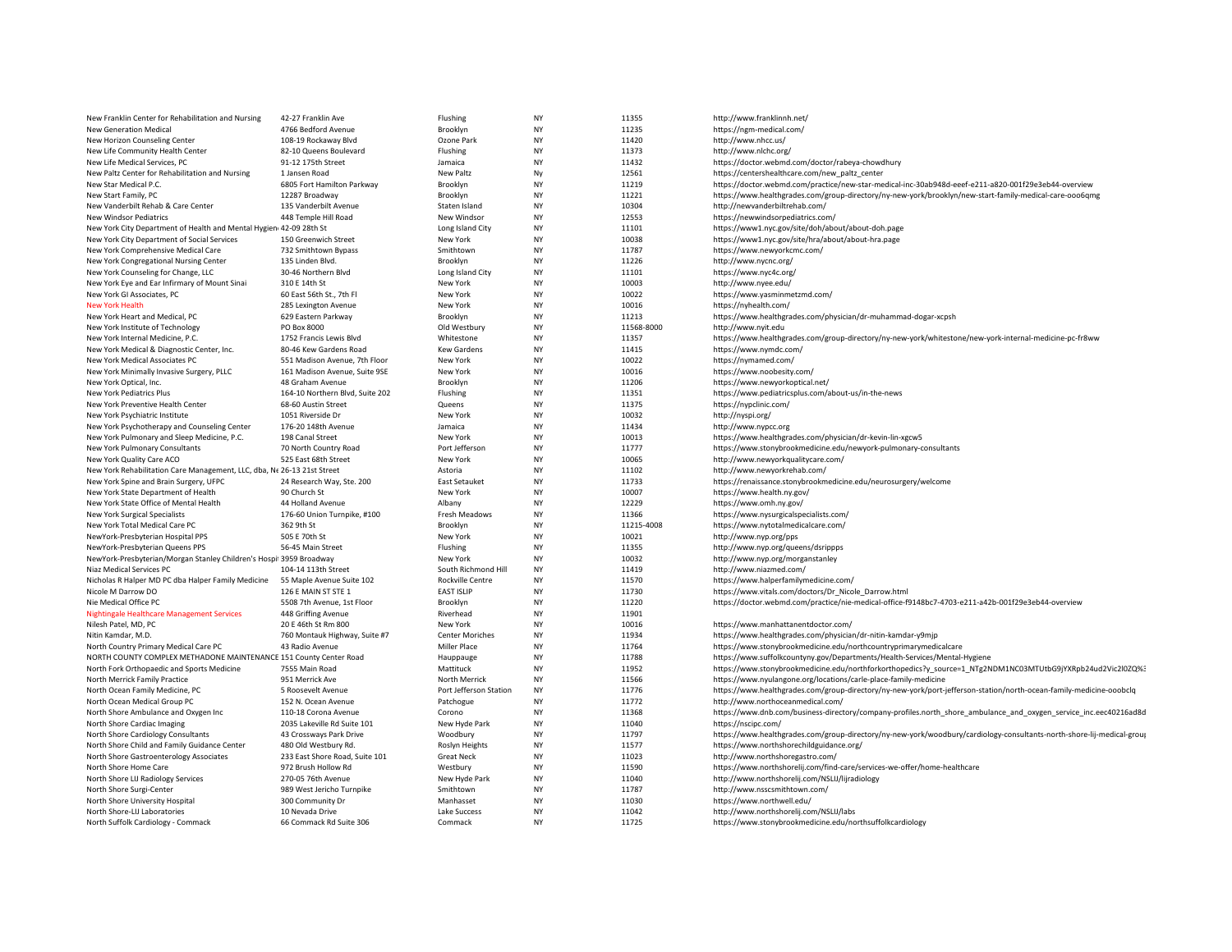| New Franklin Center for Rehabilitation and Nursing                      | 42-27 Franklin Ave              | Flushing               | <b>NY</b> | 11355      | http://www.franklinnh.net/                                                                                             |
|-------------------------------------------------------------------------|---------------------------------|------------------------|-----------|------------|------------------------------------------------------------------------------------------------------------------------|
| <b>New Generation Medical</b>                                           | 4766 Bedford Avenue             | Brooklyn               | <b>NY</b> | 11235      | https://ngm-medical.com/                                                                                               |
| New Horizon Counseling Center                                           | 108-19 Rockaway Blvd            | Ozone Park             | <b>NY</b> | 11420      | http://www.nhcc.us/                                                                                                    |
| New Life Community Health Center                                        | 82-10 Queens Boulevard          | Flushing               | <b>NY</b> | 11373      | http://www.nlchc.org/                                                                                                  |
| New Life Medical Services, PC                                           | 91-12 175th Street              | Jamaica                | <b>NY</b> | 11432      | https://doctor.webmd.com/doctor/rabeya-chowdhury                                                                       |
| New Paltz Center for Rehabilitation and Nursing                         | 1 Jansen Road                   | <b>New Paltz</b>       | Ny        | 12561      | https://centershealthcare.com/new_paltz_center                                                                         |
| New Star Medical P.C.                                                   | 6805 Fort Hamilton Parkway      | Brooklyn               | <b>NY</b> | 11219      | https://doctor.webmd.com/practice/new-star-medical-inc-30ab948d-eeef-e211-a820-001f29e3eb44-overview                   |
| New Start Family, PC                                                    | 12287 Broadway                  | Brooklyn               | <b>NY</b> | 11221      | https://www.healthgrades.com/group-directory/ny-new-york/brooklyn/new-start-family-medical-care-ooo6qmg                |
| New Vanderbilt Rehab & Care Center                                      | 135 Vanderbilt Avenue           | Staten Island          | <b>NY</b> | 10304      |                                                                                                                        |
|                                                                         |                                 |                        |           |            | http://newvanderbiltrehab.com/                                                                                         |
| New Windsor Pediatrics                                                  | 448 Temple Hill Road            | New Windsor            | <b>NY</b> | 12553      | https://newwindsorpediatrics.com/                                                                                      |
| New York City Department of Health and Mental Hygien 42-09 28th St      |                                 | Long Island City       | NY        | 11101      | https://www1.nyc.gov/site/doh/about/about-doh.page                                                                     |
| New York City Department of Social Services                             | 150 Greenwich Street            | New York               | NY        | 10038      | https://www1.nyc.gov/site/hra/about/about-hra.page                                                                     |
| New York Comprehensive Medical Care                                     | 732 Smithtown Bypass            | Smithtown              | <b>NY</b> | 11787      | https://www.newyorkcmc.com/                                                                                            |
| New York Congregational Nursing Center                                  | 135 Linden Blvd.                | Brooklyn               | <b>NY</b> | 11226      | http://www.nycnc.org/                                                                                                  |
| New York Counseling for Change, LLC                                     | 30-46 Northern Blvd             | Long Island City       | NY        | 11101      | https://www.nyc4c.org/                                                                                                 |
| New York Eye and Ear Infirmary of Mount Sinai                           | 310 E 14th St                   | New York               | <b>NY</b> | 10003      | http://www.nyee.edu/                                                                                                   |
| New York GI Associates, PC                                              | 60 East 56th St., 7th Fl        | New York               | <b>NY</b> | 10022      | https://www.yasminmetzmd.com/                                                                                          |
| <b>New York Health</b>                                                  | 285 Lexington Avenue            | New York               | NY        | 10016      | https://nyhealth.com/                                                                                                  |
| New York Heart and Medical, PC                                          | 629 Eastern Parkway             | Brooklyn               | <b>NY</b> | 11213      | https://www.healthgrades.com/physician/dr-muhammad-dogar-xcpsh                                                         |
| New York Institute of Technology                                        | PO Box 8000                     | Old Westbury           | NY        | 11568-8000 | http://www.nyit.edu                                                                                                    |
| New York Internal Medicine, P.C.                                        | 1752 Francis Lewis Blvd         | Whitestone             | <b>NY</b> | 11357      | https://www.healthgrades.com/group-directory/ny-new-york/whitestone/new-york-internal-medicine-pc-fr8ww                |
| New York Medical & Diagnostic Center, Inc.                              | 80-46 Kew Gardens Road          | <b>Kew Gardens</b>     | NY        | 11415      | https://www.nymdc.com/                                                                                                 |
| New York Medical Associates PC                                          | 551 Madison Avenue, 7th Floor   | New York               | <b>NY</b> | 10022      | https://nymamed.com/                                                                                                   |
| New York Minimally Invasive Surgery, PLLC                               | 161 Madison Avenue, Suite 9SE   | New York               | NY        | 10016      | https://www.noobesity.com/                                                                                             |
| New York Optical, Inc.                                                  | 48 Graham Avenue                | Brooklyn               | NY        | 11206      | https://www.newyorkoptical.net/                                                                                        |
| New York Pediatrics Plus                                                | 164-10 Northern Blvd, Suite 202 | Flushing               | <b>NY</b> | 11351      | https://www.pediatricsplus.com/about-us/in-the-news                                                                    |
|                                                                         |                                 |                        |           |            |                                                                                                                        |
| New York Preventive Health Center                                       | 68-60 Austin Street             | Queens                 | <b>NY</b> | 11375      | https://nypclinic.com/                                                                                                 |
| New York Psychiatric Institute                                          | 1051 Riverside Dr               | New York               | <b>NY</b> | 10032      | http://nyspi.org/                                                                                                      |
| New York Psychotherapy and Counseling Center                            | 176-20 148th Avenue             | Jamaica                | <b>NY</b> | 11434      | http://www.nypcc.org                                                                                                   |
| New York Pulmonary and Sleep Medicine, P.C.                             | 198 Canal Street                | New York               | <b>NY</b> | 10013      | https://www.healthgrades.com/physician/dr-kevin-lin-xgcw5                                                              |
| New York Pulmonary Consultants                                          | 70 North Country Road           | Port Jefferson         | NY        | 11777      | https://www.stonybrookmedicine.edu/newyork-pulmonary-consultants                                                       |
| New York Quality Care ACO                                               | 525 East 68th Street            | New York               | <b>NY</b> | 10065      | http://www.newyorkqualitycare.com/                                                                                     |
| New York Rehabilitation Care Management, LLC, dba, Ne 26-13 21st Street |                                 | Astoria                | <b>NY</b> | 11102      | http://www.newyorkrehab.com/                                                                                           |
| New York Spine and Brain Surgery, UFPC                                  | 24 Research Way, Ste. 200       | East Setauket          | <b>NY</b> | 11733      | https://renaissance.stonybrookmedicine.edu/neurosurgery/welcome                                                        |
| New York State Department of Health                                     | 90 Church St                    | New York               | NY        | 10007      | https://www.health.ny.gov/                                                                                             |
| New York State Office of Mental Health                                  | 44 Holland Avenue               | Albany                 | <b>NY</b> | 12229      | https://www.omh.ny.gov/                                                                                                |
| New York Surgical Specialists                                           | 176-60 Union Turnpike, #100     | Fresh Meadows          | NY        | 11366      | https://www.nysurgicalspecialists.com/                                                                                 |
| New York Total Medical Care PC                                          | 362 9th St                      | Brooklyn               | <b>NY</b> | 11215-4008 | https://www.nytotalmedicalcare.com/                                                                                    |
| NewYork-Presbyterian Hospital PPS                                       | 505 E 70th St                   | New York               | <b>NY</b> | 10021      | http://www.nyp.org/pps                                                                                                 |
| NewYork-Presbyterian Queens PPS                                         | 56-45 Main Street               | Flushing               | <b>NY</b> | 11355      | http://www.nyp.org/queens/dsrippps                                                                                     |
| NewYork-Presbyterian/Morgan Stanley Children's Hospi 3959 Broadway      |                                 | New York               | NY        | 10032      | http://www.nyp.org/morganstanley                                                                                       |
| Niaz Medical Services PC                                                | 104-14 113th Street             | South Richmond Hill    | <b>NY</b> | 11419      | http://www.niazmed.com/                                                                                                |
| Nicholas R Halper MD PC dba Halper Family Medicine                      | 55 Maple Avenue Suite 102       | Rockville Centre       | <b>NY</b> | 11570      | https://www.halperfamilymedicine.com/                                                                                  |
| Nicole M Darrow DO                                                      | 126 E MAIN ST STE 1             | <b>EAST ISLIP</b>      | NY        | 11730      | https://www.vitals.com/doctors/Dr_Nicole_Darrow.html                                                                   |
| Nie Medical Office PC                                                   | 5508 7th Avenue, 1st Floor      | Brooklyn               | <b>NY</b> | 11220      | https://doctor.webmd.com/practice/nie-medical-office-f9148bc7-4703-e211-a42b-001f29e3eb44-overview                     |
|                                                                         |                                 | Riverhead              | <b>NY</b> | 11901      |                                                                                                                        |
| Nightingale Healthcare Management Services                              | 448 Griffing Avenue             |                        |           |            |                                                                                                                        |
| Nilesh Patel, MD, PC                                                    | 20 E 46th St Rm 800             | New York               | <b>NY</b> | 10016      | https://www.manhattanentdoctor.com/                                                                                    |
| Nitin Kamdar, M.D.                                                      | 760 Montauk Highway, Suite #7   | <b>Center Moriches</b> | NY        | 11934      | https://www.healthgrades.com/physician/dr-nitin-kamdar-y9mjp                                                           |
| North Country Primary Medical Care PC                                   | 43 Radio Avenue                 | Miller Place           | <b>NY</b> | 11764      | https://www.stonybrookmedicine.edu/northcountryprimarymedicalcare                                                      |
| NORTH COUNTY COMPLEX METHADONE MAINTENANCE 151 County Center Road       |                                 | Hauppauge              | NY        | 11788      | https://www.suffolkcountyny.gov/Departments/Health-Services/Mental-Hygiene                                             |
| North Fork Orthopaedic and Sports Medicine                              | 7555 Main Road                  | Mattituck              | NY        | 11952      | https://www.stonybrookmedicine.edu/northforkorthopedics?y_source=1_NTg2NDM1NC03MTUtbG9jYXRpb24ud2Vic2l0ZQ%3            |
| North Merrick Family Practice                                           | 951 Merrick Ave                 | North Merrick          | <b>NY</b> | 11566      | https://www.nyulangone.org/locations/carle-place-family-medicine                                                       |
| North Ocean Family Medicine, PC                                         | 5 Roosevelt Avenue              | Port Jefferson Station | <b>NY</b> | 11776      | https://www.healthgrades.com/group-directory/ny-new-york/port-jefferson-station/north-ocean-family-medicine-ooobclq    |
| North Ocean Medical Group PC                                            | 152 N. Ocean Avenue             | Patchogue              | <b>NY</b> | 11772      | http://www.northoceanmedical.com/                                                                                      |
| North Shore Ambulance and Oxygen Inc                                    | 110-18 Corona Avenue            | Corono                 | ΝY        | 11368      | https://www.dnb.com/business-directory/company-profiles.north_shore_ambulance_and_oxygen_service_inc.eec40216ad8d      |
| North Shore Cardiac Imaging                                             | 2035 Lakeville Rd Suite 101     | New Hyde Park          | <b>NY</b> | 11040      | https://nscipc.com/                                                                                                    |
| North Shore Cardiology Consultants                                      | 43 Crossways Park Drive         | Woodbury               | NY        | 11797      | https://www.healthgrades.com/group-directory/ny-new-york/woodbury/cardiology-consultants-north-shore-lij-medical-group |
| North Shore Child and Family Guidance Center                            | 480 Old Westbury Rd.            | Roslyn Heights         | <b>NY</b> | 11577      | https://www.northshorechildguidance.org/                                                                               |
| North Shore Gastroenterology Associates                                 | 233 East Shore Road, Suite 101  | <b>Great Neck</b>      | <b>NY</b> | 11023      | http://www.northshoregastro.com/                                                                                       |
| North Shore Home Care                                                   | 972 Brush Hollow Rd             | Westbury               | NY        | 11590      | https://www.northshorelij.com/find-care/services-we-offer/home-healthcare                                              |
| North Shore LIJ Radiology Services                                      | 270-05 76th Avenue              | New Hyde Park          | <b>NY</b> | 11040      | http://www.northshorelij.com/NSLIJ/lijradiology                                                                        |
|                                                                         |                                 | Smithtown              | <b>NY</b> | 11787      |                                                                                                                        |
| North Shore Surgi-Center                                                | 989 West Jericho Turnpike       |                        |           |            | http://www.nsscsmithtown.com/                                                                                          |
| North Shore University Hospital                                         | 300 Community Dr                | Manhasset              | NY        | 11030      | https://www.northwell.edu/                                                                                             |
| North Shore-LIJ Laboratories                                            | 10 Nevada Drive                 | Lake Success           | <b>NY</b> | 11042      | http://www.northshorelij.com/NSLIJ/labs                                                                                |
| North Suffolk Cardiology - Commack                                      | 66 Commack Rd Suite 306         | Commack                | NY        | 11725      | https://www.stonybrookmedicine.edu/northsuffolkcardiology                                                              |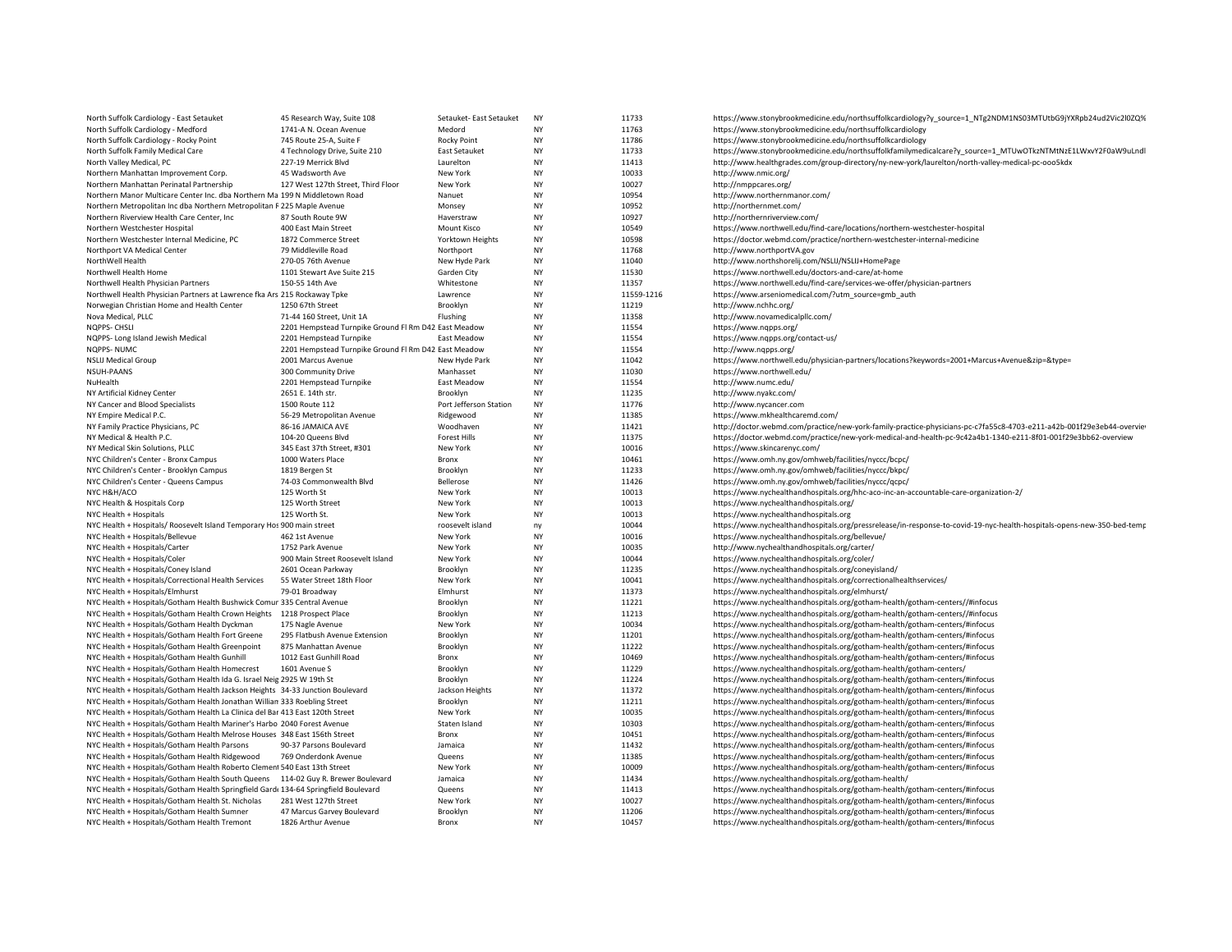| North Suffolk Cardiology - East Setauket                                                                                                                 | 45 Research Way, Suite 108                           | Setauket- East Setauket   | <b>NY</b>       | 11733          | https://www.stonybrookmedicine.edu/northsuffolkcardiology?y_source=1_NTg2NDM1NS03MTUtbG9jYXRpb24ud2Vic2l0ZQ%                                               |
|----------------------------------------------------------------------------------------------------------------------------------------------------------|------------------------------------------------------|---------------------------|-----------------|----------------|------------------------------------------------------------------------------------------------------------------------------------------------------------|
| North Suffolk Cardiology - Medford                                                                                                                       | 1741-A N. Ocean Avenue                               | Medord                    | <b>NY</b>       | 11763          | https://www.stonybrookmedicine.edu/northsuffolkcardiology                                                                                                  |
| North Suffolk Cardiology - Rocky Point                                                                                                                   | 745 Route 25-A, Suite F                              | Rocky Point               | <b>NY</b>       | 11786          | https://www.stonybrookmedicine.edu/northsuffolkcardiology                                                                                                  |
| North Suffolk Family Medical Care                                                                                                                        | 4 Technology Drive, Suite 210                        | <b>East Setauket</b>      | <b>NY</b>       | 11733          | https://www.stonybrookmedicine.edu/northsuffolkfamilymedicalcare?y_source=1_MTUwOTkzNTMtNzE1LWxvY2F0aW9uLndl                                               |
| North Valley Medical, PC                                                                                                                                 | 227-19 Merrick Blvd                                  | Laurelton                 | <b>NY</b>       | 11413          | http://www.healthgrades.com/group-directory/ny-new-york/laurelton/north-valley-medical-pc-ooo5kdx                                                          |
| Northern Manhattan Improvement Corp.                                                                                                                     | 45 Wadsworth Ave                                     | New York                  | <b>NY</b>       | 10033          | http://www.nmic.org/                                                                                                                                       |
| Northern Manhattan Perinatal Partnership                                                                                                                 | 127 West 127th Street, Third Floor                   | New York                  | <b>NY</b>       | 10027          | http://nmppcares.org/                                                                                                                                      |
| Northern Manor Multicare Center Inc. dba Northern Ma 199 N Middletown Road                                                                               |                                                      | Nanuet                    | <b>NY</b>       | 10954          | http://www.northernmanor.com/                                                                                                                              |
| Northern Metropolitan Inc dba Northern Metropolitan F 225 Maple Avenue                                                                                   |                                                      | Monsey                    | <b>NY</b>       | 10952          | http://northernmet.com/                                                                                                                                    |
| Northern Riverview Health Care Center, Inc.                                                                                                              | 87 South Route 9W                                    | Haverstraw                | <b>NY</b>       | 10927          | http://northernriverview.com/                                                                                                                              |
| Northern Westchester Hospital                                                                                                                            | 400 East Main Street                                 | Mount Kisco               | <b>NY</b>       | 10549          | https://www.northwell.edu/find-care/locations/northern-westchester-hospital                                                                                |
| Northern Westchester Internal Medicine, PC                                                                                                               | 1872 Commerce Street                                 | <b>Yorktown Heights</b>   | <b>NY</b>       | 10598          | https://doctor.webmd.com/practice/northern-westchester-internal-medicine                                                                                   |
| Northport VA Medical Center                                                                                                                              | 79 Middleville Road                                  | Northport                 | <b>NY</b>       | 11768          | http://www.northportVA.gov                                                                                                                                 |
| NorthWell Health                                                                                                                                         | 270-05 76th Avenue                                   | New Hyde Park             | <b>NY</b>       | 11040          | http://www.northshorelij.com/NSLIJ/NSLIJ+HomePage                                                                                                          |
| Northwell Health Home                                                                                                                                    | 1101 Stewart Ave Suite 215                           | Garden City               | <b>NY</b>       | 11530          | https://www.northwell.edu/doctors-and-care/at-home                                                                                                         |
| Northwell Health Physician Partners                                                                                                                      | 150-55 14th Ave                                      | Whitestone                | <b>NY</b>       | 11357          | https://www.northwell.edu/find-care/services-we-offer/physician-partners                                                                                   |
| Northwell Health Physician Partners at Lawrence fka Ars 215 Rockaway Tpke                                                                                |                                                      | Lawrence                  | <b>NY</b>       | 11559-1216     | https://www.arseniomedical.com/?utm_source=gmb_auth                                                                                                        |
| Norwegian Christian Home and Health Center                                                                                                               | 1250 67th Street                                     | Brooklyn                  | <b>NY</b>       | 11219          | http://www.nchhc.org/                                                                                                                                      |
| Nova Medical, PLLC                                                                                                                                       | 71-44 160 Street, Unit 1A                            | Flushing                  | NY              | 11358          | http://www.novamedicalpllc.com/                                                                                                                            |
| NQPPS- CHSLI                                                                                                                                             | 2201 Hempstead Turnpike Ground FI Rm D42 East Meadow |                           | <b>NY</b>       | 11554          | https://www.ngpps.org/                                                                                                                                     |
| NQPPS- Long Island Jewish Medical                                                                                                                        | 2201 Hempstead Turnpike                              | East Meadow               | <b>NY</b>       | 11554          | https://www.nqpps.org/contact-us/                                                                                                                          |
| NQPPS-NUMC                                                                                                                                               | 2201 Hempstead Turnpike Ground FI Rm D42 East Meadow |                           | <b>NY</b>       | 11554          | http://www.ngpps.org/                                                                                                                                      |
| <b>NSLIJ Medical Group</b>                                                                                                                               | 2001 Marcus Avenue                                   | New Hyde Park             | <b>NY</b>       | 11042          | https://www.northwell.edu/physician-partners/locations?keywords=2001+Marcus+Avenue&zip=&type=                                                              |
| <b>NSUH-PAANS</b>                                                                                                                                        | 300 Community Drive                                  | Manhasset                 | <b>NY</b>       | 11030          | https://www.northwell.edu/                                                                                                                                 |
| NuHealth                                                                                                                                                 | 2201 Hempstead Turnpike                              | East Meadow               | <b>NY</b>       | 11554          | http://www.numc.edu/                                                                                                                                       |
| NY Artificial Kidney Center                                                                                                                              | 2651 E. 14th str.                                    | Brooklyn                  | <b>NY</b>       | 11235          | http://www.nyakc.com/                                                                                                                                      |
| NY Cancer and Blood Specialists                                                                                                                          | 1500 Route 112                                       | Port Jefferson Station    | <b>NY</b>       | 11776          | http://www.nycancer.com                                                                                                                                    |
| NY Empire Medical P.C.                                                                                                                                   | 56-29 Metropolitan Avenue                            | Ridgewood                 | <b>NY</b>       | 11385          | https://www.mkhealthcaremd.com/                                                                                                                            |
| NY Family Practice Physicians, PC                                                                                                                        | 86-16 JAMAICA AVE                                    | Woodhaven                 | <b>NY</b>       | 11421          | http://doctor.webmd.com/practice/new-york-family-practice-physicians-pc-c7fa55c8-4703-e211-a42b-001f29e3eb44-overvier                                      |
| NY Medical & Health P.C.                                                                                                                                 | 104-20 Queens Blvd                                   | <b>Forest Hills</b>       | <b>NY</b>       | 11375          | https://doctor.webmd.com/practice/new-york-medical-and-health-pc-9c42a4b1-1340-e211-8f01-001f29e3bb62-overview                                             |
| NY Medical Skin Solutions, PLLC                                                                                                                          | 345 East 37th Street, #301                           | New York                  | <b>NY</b>       | 10016          | https://www.skincarenyc.com/                                                                                                                               |
| NYC Children's Center - Bronx Campus                                                                                                                     | 1000 Waters Place                                    | Bronx                     | <b>NY</b>       | 10461          | https://www.omh.ny.gov/omhweb/facilities/nyccc/bcpc/                                                                                                       |
| NYC Children's Center - Brooklyn Campus                                                                                                                  | 1819 Bergen St                                       | Brooklyn                  | <b>NY</b>       | 11233          | https://www.omh.ny.gov/omhweb/facilities/nyccc/bkpc/                                                                                                       |
| NYC Children's Center - Queens Campus                                                                                                                    | 74-03 Commonwealth Blvd                              | Bellerose                 | <b>NY</b>       | 11426          | https://www.omh.ny.gov/omhweb/facilities/nyccc/qcpc/                                                                                                       |
| NYC H&H/ACO                                                                                                                                              | 125 Worth St                                         | New York                  | <b>NY</b>       | 10013          | https://www.nychealthandhospitals.org/hhc-aco-inc-an-accountable-care-organization-2/                                                                      |
| NYC Health & Hospitals Corp                                                                                                                              | 125 Worth Street                                     | New York                  | <b>NY</b>       | 10013          | https://www.nychealthandhospitals.org/                                                                                                                     |
| NYC Health + Hospitals                                                                                                                                   | 125 Worth St.                                        | New York                  | <b>NY</b>       | 10013          | https://www.nychealthandhospitals.org                                                                                                                      |
| NYC Health + Hospitals/ Roosevelt Island Temporary Hos 900 main street                                                                                   |                                                      | roosevelt island          | ny              | 10044          | https://www.nychealthandhospitals.org/pressrelease/in-response-to-covid-19-nyc-health-hospitals-opens-new-350-bed-temp                                     |
| NYC Health + Hospitals/Bellevue                                                                                                                          | 462 1st Avenue                                       | New York                  | <b>NY</b>       | 10016          | https://www.nychealthandhospitals.org/bellevue/                                                                                                            |
| NYC Health + Hospitals/Carter                                                                                                                            | 1752 Park Avenue                                     | New York                  | <b>NY</b>       | 10035          | http://www.nychealthandhospitals.org/carter/                                                                                                               |
| NYC Health + Hospitals/Coler                                                                                                                             | 900 Main Street Roosevelt Island                     | New York                  | <b>NY</b>       | 10044          | https://www.nychealthandhospitals.org/coler/                                                                                                               |
| NYC Health + Hospitals/Coney Island                                                                                                                      | 2601 Ocean Parkway                                   | Brooklyn                  | <b>NY</b>       | 11235          | https://www.nychealthandhospitals.org/coneyisland/                                                                                                         |
| NYC Health + Hospitals/Correctional Health Services                                                                                                      | 55 Water Street 18th Floor                           | New York                  | <b>NY</b>       | 10041          | https://www.nychealthandhospitals.org/correctionalhealthservices/                                                                                          |
| NYC Health + Hospitals/Elmhurst                                                                                                                          | 79-01 Broadway                                       | Elmhurst                  | <b>NY</b>       | 11373          | https://www.nychealthandhospitals.org/elmhurst/                                                                                                            |
| NYC Health + Hospitals/Gotham Health Bushwick Comur 335 Central Avenue                                                                                   |                                                      | Brooklyn                  | <b>NY</b>       | 11221          | https://www.nychealthandhospitals.org/gotham-health/gotham-centers//#infocus                                                                               |
| NYC Health + Hospitals/Gotham Health Crown Heights 1218 Prospect Place                                                                                   |                                                      | Brooklyn                  | <b>NY</b>       | 11213          | https://www.nychealthandhospitals.org/gotham-health/gotham-centers//#infocus                                                                               |
| NYC Health + Hospitals/Gotham Health Dyckman                                                                                                             | 175 Nagle Avenue                                     | New York                  | <b>NY</b>       | 10034          | https://www.nychealthandhospitals.org/gotham-health/gotham-centers/#infocus                                                                                |
| NYC Health + Hospitals/Gotham Health Fort Greene                                                                                                         | 295 Flatbush Avenue Extension                        | Brooklyn                  | <b>NY</b>       | 11201          | https://www.nychealthandhospitals.org/gotham-health/gotham-centers/#infocus                                                                                |
| NYC Health + Hospitals/Gotham Health Greenpoint                                                                                                          | 875 Manhattan Avenue                                 | Brooklyn                  | <b>NY</b>       | 11222          | https://www.nychealthandhospitals.org/gotham-health/gotham-centers/#infocus                                                                                |
| NYC Health + Hospitals/Gotham Health Gunhill                                                                                                             | 1012 East Gunhill Road                               | Bronx                     | <b>NY</b>       | 10469          | https://www.nychealthandhospitals.org/gotham-health/gotham-centers/#infocus                                                                                |
| NYC Health + Hospitals/Gotham Health Homecrest                                                                                                           | 1601 Avenue S                                        | Brooklyn                  | <b>NY</b>       | 11229          | https://www.nychealthandhospitals.org/gotham-health/gotham-centers/                                                                                        |
| NYC Health + Hospitals/Gotham Health Ida G. Israel Neig 2925 W 19th St                                                                                   |                                                      | Brooklyn                  | <b>NY</b>       | 11224          | https://www.nychealthandhospitals.org/gotham-health/gotham-centers/#infocus                                                                                |
| NYC Health + Hospitals/Gotham Health Jackson Heights 34-33 Junction Boulevard                                                                            |                                                      | Jackson Heights           | <b>NY</b>       | 11372          | https://www.nychealthandhospitals.org/gotham-health/gotham-centers/#infocus                                                                                |
| NYC Health + Hospitals/Gotham Health Jonathan Willian 333 Roebling Street                                                                                |                                                      | Brooklyn                  | <b>NY</b>       | 11211<br>10035 | https://www.nychealthandhospitals.org/gotham-health/gotham-centers/#infocus                                                                                |
| NYC Health + Hospitals/Gotham Health La Clinica del Bar 413 East 120th Street<br>NYC Health + Hospitals/Gotham Health Mariner's Harbo 2040 Forest Avenue |                                                      | New York<br>Staten Island | ΝY<br><b>NY</b> | 10303          | https://www.nychealthandhospitals.org/gotham-health/gotham-centers/#infocus<br>https://www.nychealthandhospitals.org/gotham-health/gotham-centers/#infocus |
| NYC Health + Hospitals/Gotham Health Melrose Houses 348 East 156th Street                                                                                |                                                      | Bronx                     | <b>NY</b>       | 10451          | https://www.nychealthandhospitals.org/gotham-health/gotham-centers/#infocus                                                                                |
|                                                                                                                                                          |                                                      | Jamaica                   | <b>NY</b>       | 11432          |                                                                                                                                                            |
| NYC Health + Hospitals/Gotham Health Parsons<br>NYC Health + Hospitals/Gotham Health Ridgewood                                                           | 90-37 Parsons Boulevard<br>769 Onderdonk Avenue      | Queens                    | <b>NY</b>       | 11385          | https://www.nychealthandhospitals.org/gotham-health/gotham-centers/#infocus<br>https://www.nychealthandhospitals.org/gotham-health/gotham-centers/#infocus |
| NYC Health + Hospitals/Gotham Health Roberto Clemen! 540 East 13th Street                                                                                |                                                      | New York                  | <b>NY</b>       | 10009          | https://www.nychealthandhospitals.org/gotham-health/gotham-centers/#infocus                                                                                |
| NYC Health + Hospitals/Gotham Health South Queens 114-02 Guy R. Brewer Boulevard                                                                         |                                                      | Jamaica                   | <b>NY</b>       | 11434          | https://www.nychealthandhospitals.org/gotham-health/                                                                                                       |
| NYC Health + Hospitals/Gotham Health Springfield Gard: 134-64 Springfield Boulevard                                                                      |                                                      | Queens                    | <b>NY</b>       | 11413          | https://www.nychealthandhospitals.org/gotham-health/gotham-centers/#infocus                                                                                |
| NYC Health + Hospitals/Gotham Health St. Nicholas                                                                                                        | 281 West 127th Street                                | New York                  | NY              | 10027          | https://www.nychealthandhospitals.org/gotham-health/gotham-centers/#infocus                                                                                |
| NYC Health + Hospitals/Gotham Health Sumner                                                                                                              | 47 Marcus Garvey Boulevard                           | Brooklyn                  | <b>NY</b>       | 11206          | https://www.nychealthandhospitals.org/gotham-health/gotham-centers/#infocus                                                                                |
| NYC Health + Hospitals/Gotham Health Tremont                                                                                                             | 1826 Arthur Avenue                                   | Bronx                     | <b>NY</b>       | 10457          | https://www.nychealthandhospitals.org/gotham-health/gotham-centers/#infocus                                                                                |
|                                                                                                                                                          |                                                      |                           |                 |                |                                                                                                                                                            |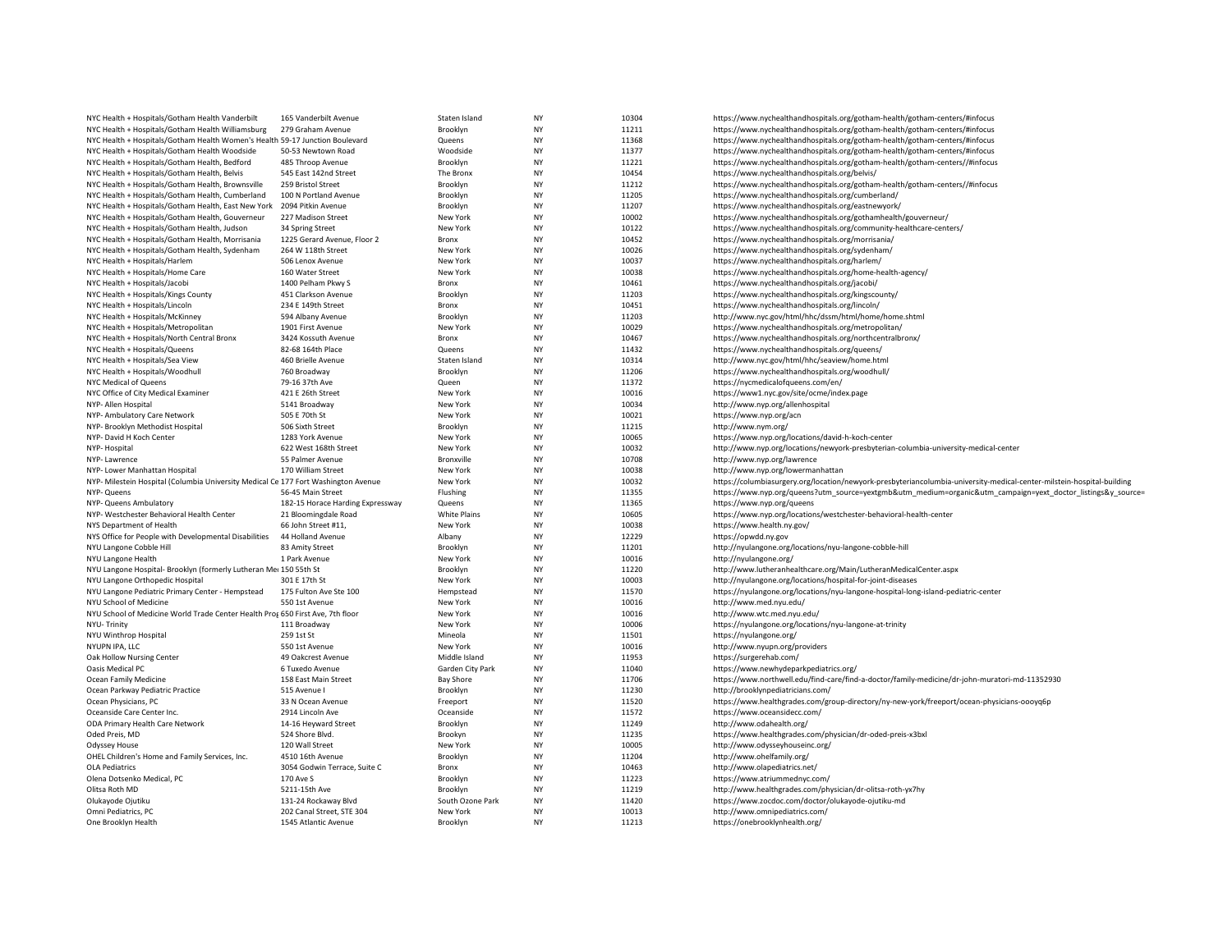| NYC Health + Hospitals/Gotham Health Vanderbilt                                    | 165 Vanderbilt Avenue                | Staten Island        | NY        | 10304          | https://www.nychealthandhospitals.org/gotham-health/gotham-centers/#infocus                                            |
|------------------------------------------------------------------------------------|--------------------------------------|----------------------|-----------|----------------|------------------------------------------------------------------------------------------------------------------------|
| NYC Health + Hospitals/Gotham Health Williamsburg                                  | 279 Graham Avenue                    | Brooklyn             | <b>NY</b> | 11211          | https://www.nychealthandhospitals.org/gotham-health/gotham-centers/#infocus                                            |
| NYC Health + Hospitals/Gotham Health Women's Health 59-17 Junction Boulevard       |                                      | Queens               | NY        | 11368          | https://www.nychealthandhospitals.org/gotham-health/gotham-centers/#infocus                                            |
| NYC Health + Hospitals/Gotham Health Woodside                                      | 50-53 Newtown Road                   | Woodside             | NY        | 11377          | https://www.nychealthandhospitals.org/gotham-health/gotham-centers/#infocus                                            |
| NYC Health + Hospitals/Gotham Health, Bedford                                      | 485 Throop Avenue                    | Brooklyn             | NY        | 11221          | https://www.nychealthandhospitals.org/gotham-health/gotham-centers//#infocus                                           |
| NYC Health + Hospitals/Gotham Health, Belvis                                       | 545 East 142nd Street                | The Bronx            | NY        | 10454          | https://www.nychealthandhospitals.org/belvis/                                                                          |
| NYC Health + Hospitals/Gotham Health, Brownsville                                  | 259 Bristol Street                   | Brooklyn             | NY        | 11212          | https://www.nychealthandhospitals.org/gotham-health/gotham-centers//#infocus                                           |
| NYC Health + Hospitals/Gotham Health, Cumberland                                   | 100 N Portland Avenue                | Brooklyn             | NY        | 11205          | https://www.nychealthandhospitals.org/cumberland/                                                                      |
| NYC Health + Hospitals/Gotham Health, East New York                                | 2094 Pitkin Avenue                   | Brooklyn             | NY        | 11207          | https://www.nychealthandhospitals.org/eastnewyork/                                                                     |
| NYC Health + Hospitals/Gotham Health, Gouverneur                                   | 227 Madison Street                   | New York             | NY        | 10002          | https://www.nychealthandhospitals.org/gothamhealth/gouverneur/                                                         |
| NYC Health + Hospitals/Gotham Health, Judson                                       | 34 Spring Street                     | New York             | NY        | 10122          | https://www.nychealthandhospitals.org/community-healthcare-centers/                                                    |
| NYC Health + Hospitals/Gotham Health, Morrisania                                   | 1225 Gerard Avenue, Floor 2          | Bronx                | NY        | 10452          | https://www.nychealthandhospitals.org/morrisania/                                                                      |
|                                                                                    | 264 W 118th Street                   |                      | NY        | 10026          |                                                                                                                        |
| NYC Health + Hospitals/Gotham Health, Sydenham                                     |                                      | New York             | NY        | 10037          | https://www.nychealthandhospitals.org/sydenham/                                                                        |
| NYC Health + Hospitals/Harlem                                                      | 506 Lenox Avenue                     | New York             |           |                | https://www.nychealthandhospitals.org/harlem/                                                                          |
| NYC Health + Hospitals/Home Care                                                   | 160 Water Street                     | New York             | NY        | 10038          | https://www.nychealthandhospitals.org/home-health-agency/                                                              |
| NYC Health + Hospitals/Jacobi                                                      | 1400 Pelham Pkwy S                   | Bronx                | NY        | 10461          | https://www.nychealthandhospitals.org/jacobi/                                                                          |
| NYC Health + Hospitals/Kings County                                                | 451 Clarkson Avenue                  | Brooklyn             | NY        | 11203          | https://www.nychealthandhospitals.org/kingscounty/                                                                     |
| NYC Health + Hospitals/Lincoln                                                     | 234 E 149th Street                   | Bronx                | NY        | 10451          | https://www.nychealthandhospitals.org/lincoln/                                                                         |
| NYC Health + Hospitals/McKinney                                                    | 594 Albany Avenue                    | Brooklyn             | NY        | 11203          | http://www.nyc.gov/html/hhc/dssm/html/home/home.shtml                                                                  |
| NYC Health + Hospitals/Metropolitan                                                | 1901 First Avenue                    | New York             | <b>NY</b> | 10029          | https://www.nychealthandhospitals.org/metropolitan/                                                                    |
| NYC Health + Hospitals/North Central Bronx                                         | 3424 Kossuth Avenue                  | Bronx                | NY        | 10467          | https://www.nychealthandhospitals.org/northcentralbronx/                                                               |
| NYC Health + Hospitals/Queens                                                      | 82-68 164th Place                    | Queens               | NY        | 11432          | https://www.nychealthandhospitals.org/queens/                                                                          |
| NYC Health + Hospitals/Sea View                                                    | 460 Brielle Avenue                   | Staten Island        | NY        | 10314          | http://www.nyc.gov/html/hhc/seaview/home.html                                                                          |
| NYC Health + Hospitals/Woodhull                                                    | 760 Broadway                         | Brooklyn             | NY        | 11206          | https://www.nychealthandhospitals.org/woodhull/                                                                        |
| NYC Medical of Queens                                                              | 79-16 37th Ave                       | Queen                | NY        | 11372          | https://nycmedicalofqueens.com/en/                                                                                     |
| NYC Office of City Medical Examiner                                                | 421 E 26th Street                    | New York             | NY        | 10016          | https://www1.nyc.gov/site/ocme/index.page                                                                              |
| NYP- Allen Hospital                                                                | 5141 Broadway                        | New York             | NY        | 10034          | http://www.nyp.org/allenhospital                                                                                       |
| NYP- Ambulatory Care Network                                                       | 505 E 70th St                        | New York             | <b>NY</b> | 10021          | https://www.nyp.org/acn                                                                                                |
|                                                                                    |                                      |                      | NY        |                |                                                                                                                        |
| NYP- Brooklyn Methodist Hospital<br>NYP- David H Koch Center                       | 506 Sixth Street<br>1283 York Avenue | Brooklyn<br>New York | NY        | 11215<br>10065 | http://www.nym.org/                                                                                                    |
|                                                                                    |                                      |                      |           |                | https://www.nyp.org/locations/david-h-koch-center                                                                      |
| NYP-Hospital                                                                       | 622 West 168th Street                | New York             | NY        | 10032          | http://www.nyp.org/locations/newyork-presbyterian-columbia-university-medical-center                                   |
| NYP-Lawrence                                                                       | 55 Palmer Avenue                     | Bronxville           | NY        | 10708          | http://www.nyp.org/lawrence                                                                                            |
| NYP- Lower Manhattan Hospital                                                      | 170 William Street                   | New York             | NY        | 10038          | http://www.nyp.org/lowermanhattan                                                                                      |
| NYP- Milestein Hospital (Columbia University Medical Ce 177 Fort Washington Avenue |                                      | New York             | NY        | 10032          | https://columbiasurgery.org/location/newyork-presbyteriancolumbia-university-medical-center-milstein-hospital-building |
| NYP- Queens                                                                        | 56-45 Main Street                    | Flushing             | <b>NY</b> | 11355          | https://www.nyp.org/queens?utm_source=yextgmb&utm_medium=organic&utm_campaign=yext_doctor_listings&y_source=           |
| NYP- Queens Ambulatory                                                             | 182-15 Horace Harding Expressway     | Queens               | NY        | 11365          | https://www.nyp.org/queens                                                                                             |
| NYP- Westchester Behavioral Health Center                                          | 21 Bloomingdale Road                 | White Plains         | NY        | 10605          | https://www.nyp.org/locations/westchester-behavioral-health-center                                                     |
| NYS Department of Health                                                           | 66 John Street #11,                  | New York             | NY        | 10038          | https://www.health.ny.gov/                                                                                             |
| NYS Office for People with Developmental Disabilities                              | 44 Holland Avenue                    | Albany               | NY        | 12229          | https://opwdd.ny.gov                                                                                                   |
| NYU Langone Cobble Hill                                                            | 83 Amity Street                      | Brooklyn             | NY        | 11201          | http://nyulangone.org/locations/nyu-langone-cobble-hill                                                                |
| NYU Langone Health                                                                 | 1 Park Avenue                        | New York             | NY        | 10016          | http://nyulangone.org/                                                                                                 |
| NYU Langone Hospital- Brooklyn (formerly Lutheran Me: 150 55th St                  |                                      | Brooklyn             | NY        | 11220          | http://www.lutheranhealthcare.org/Main/LutheranMedicalCenter.aspx                                                      |
| NYU Langone Orthopedic Hospital                                                    | 301 E 17th St                        | New York             | NY        | 10003          | http://nyulangone.org/locations/hospital-for-joint-diseases                                                            |
|                                                                                    | 175 Fulton Ave Ste 100               |                      | <b>NY</b> | 11570          | https://nyulangone.org/locations/nyu-langone-hospital-long-island-pediatric-center                                     |
| NYU Langone Pediatric Primary Center - Hempstead                                   |                                      | Hempstead            |           |                |                                                                                                                        |
| NYU School of Medicine                                                             | 550 1st Avenue                       | New York             | NY        | 10016          | http://www.med.nyu.edu/                                                                                                |
| NYU School of Medicine World Trade Center Health Prof 650 First Ave, 7th floor     |                                      | New York             | <b>NY</b> | 10016          | http://www.wtc.med.nyu.edu/                                                                                            |
| NYU-Trinity                                                                        | 111 Broadway                         | New York             | NY        | 10006          | https://nyulangone.org/locations/nyu-langone-at-trinity                                                                |
| NYU Winthrop Hospital                                                              | 259 1st St                           | Mineola              | NY        | 11501          | https://nyulangone.org/                                                                                                |
| NYUPN IPA, LLC                                                                     | 550 1st Avenue                       | New York             | NY        | 10016          | http://www.nyupn.org/providers                                                                                         |
| Oak Hollow Nursing Center                                                          | 49 Oakcrest Avenue                   | Middle Island        | NY        | 11953          | https://surgerehab.com/                                                                                                |
| Oasis Medical PC                                                                   | 6 Tuxedo Avenue                      | Garden City Park     | <b>NY</b> | 11040          | https://www.newhydeparkpediatrics.org/                                                                                 |
| Ocean Family Medicine                                                              | 158 East Main Street                 | <b>Bay Shore</b>     | NY        | 11706          | https://www.northwell.edu/find-care/find-a-doctor/family-medicine/dr-john-muratori-md-11352930                         |
| Ocean Parkway Pediatric Practice                                                   | 515 Avenue I                         | Brooklyn             | NY        | 11230          | http://brooklynpediatricians.com/                                                                                      |
| Ocean Physicians, PC                                                               | 33 N Ocean Avenue                    | Freeport             | NY        | 11520          | https://www.healthgrades.com/group-directory/ny-new-york/freeport/ocean-physicians-oooyq6p                             |
| Oceanside Care Center Inc.                                                         | 2914 Lincoln Ave                     | Oceanside            | <b>NY</b> | 11572          | https://www.oceansidecc.com/                                                                                           |
| ODA Primary Health Care Network                                                    | 14-16 Heyward Street                 | Brooklyn             | NY        | 11249          | http://www.odahealth.org/                                                                                              |
| Oded Preis, MD                                                                     | 524 Shore Blvd.                      | Brookyn              | NY        | 11235          | https://www.healthgrades.com/physician/dr-oded-preis-x3bxl                                                             |
| Odyssey House                                                                      | 120 Wall Street                      | New York             | NY        | 10005          | http://www.odysseyhouseinc.org/                                                                                        |
|                                                                                    |                                      |                      |           |                |                                                                                                                        |
| OHEL Children's Home and Family Services, Inc.                                     | 4510 16th Avenue                     | Brooklyn             | NY        | 11204          | http://www.ohelfamily.org/                                                                                             |
| <b>OLA Pediatrics</b>                                                              | 3054 Godwin Terrace, Suite C         | Bronx                | NY        | 10463          | http://www.olapediatrics.net/                                                                                          |
| Olena Dotsenko Medical, PC                                                         | 170 Ave S                            | Brooklyn             | NY        | 11223          | https://www.atriummednyc.com/                                                                                          |
| Olitsa Roth MD                                                                     | 5211-15th Ave                        | Brooklyn             | NY        | 11219          | http://www.healthgrades.com/physician/dr-olitsa-roth-yx7hy                                                             |
| Olukayode Ojutiku                                                                  | 131-24 Rockaway Blvd                 | South Ozone Park     | NY        | 11420          | https://www.zocdoc.com/doctor/olukayode-ojutiku-md                                                                     |
| Omni Pediatrics, PC                                                                | 202 Canal Street, STE 304            | New York             | NY        | 10013          | http://www.omnipediatrics.com/                                                                                         |
| One Brooklyn Health                                                                | 1545 Atlantic Avenue                 | Brooklyn             | NY        | 11213          | https://onebrooklynhealth.org/                                                                                         |
|                                                                                    |                                      |                      |           |                |                                                                                                                        |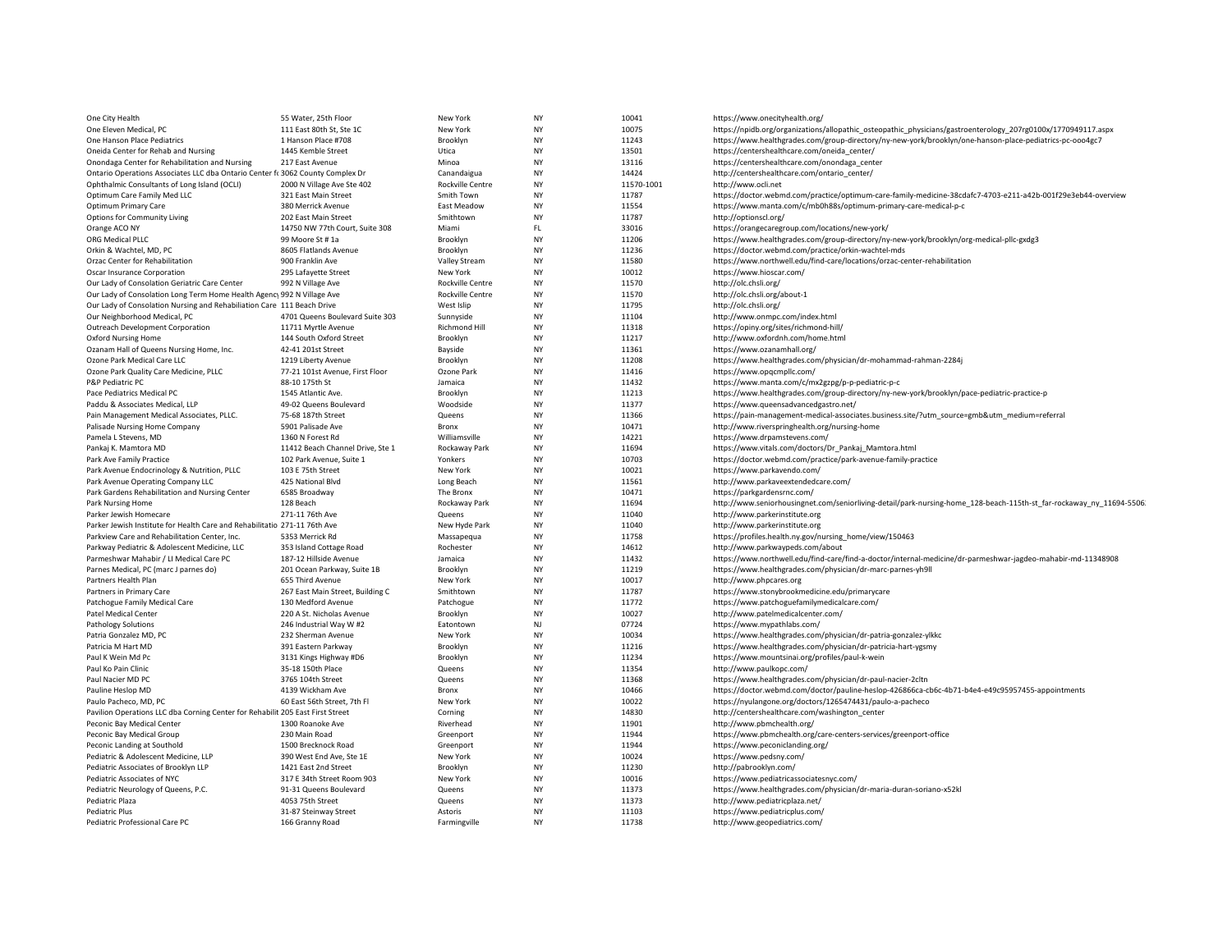| One City Health                                                                | 55 Water, 25th Floor                            | New York                | <b>NY</b>              | 10041          | https://www.onecityhealth.org/                                                                                      |
|--------------------------------------------------------------------------------|-------------------------------------------------|-------------------------|------------------------|----------------|---------------------------------------------------------------------------------------------------------------------|
| One Eleven Medical, PC                                                         | 111 East 80th St, Ste 1C                        | New York                | <b>NY</b>              | 10075          | https://npidb.org/organizations/allopathic osteopathic physicians/gastroenterology 207rg0100x/1770949117.aspx       |
| One Hanson Place Pediatrics                                                    | 1 Hanson Place #708                             | Brooklyn                | <b>NY</b>              | 11243          | https://www.healthgrades.com/group-directory/ny-new-york/brooklyn/one-hanson-place-pediatrics-pc-ooo4gc7            |
| Oneida Center for Rehab and Nursing                                            | 1445 Kemble Street                              | Utica                   | <b>NY</b>              | 13501          | https://centershealthcare.com/oneida_center/                                                                        |
| Onondaga Center for Rehabilitation and Nursing                                 | 217 East Avenue                                 | Minoa                   | NY                     | 13116          | https://centershealthcare.com/onondaga_center                                                                       |
| Ontario Operations Associates LLC dba Ontario Center fr 3062 County Complex Dr |                                                 | Canandaigua             | <b>NY</b>              | 14424          | http://centershealthcare.com/ontario_center/                                                                        |
| Ophthalmic Consultants of Long Island (OCLI)                                   | 2000 N Village Ave Ste 402                      | Rockville Centre        | <b>NY</b>              | 11570-1001     | http://www.ocli.net                                                                                                 |
| Optimum Care Family Med LLC                                                    | 321 East Main Street                            | Smith Town              | <b>NY</b>              | 11787          | https://doctor.webmd.com/practice/optimum-care-family-medicine-38cdafc7-4703-e211-a42b-001f29e3eb44-overview        |
| Optimum Primary Care                                                           | 380 Merrick Avenue                              | East Meadow             | NY                     | 11554          | https://www.manta.com/c/mb0h88s/optimum-primary-care-medical-p-c                                                    |
| Options for Community Living                                                   | 202 East Main Street                            | Smithtown               | <b>NY</b>              | 11787          | http://optionscl.org/                                                                                               |
| Orange ACO NY                                                                  | 14750 NW 77th Court, Suite 308                  | Miami                   | FL.                    | 33016          | https://orangecaregroup.com/locations/new-york/                                                                     |
| ORG Medical PLLC                                                               | 99 Moore St #1a                                 | Brooklyn                | <b>NY</b>              | 11206          | https://www.healthgrades.com/group-directory/ny-new-york/brooklyn/org-medical-pllc-gxdg3                            |
| Orkin & Wachtel, MD, PC                                                        | 8605 Flatlands Avenue                           | Brooklyn                | <b>NY</b>              | 11236          | https://doctor.webmd.com/practice/orkin-wachtel-mds                                                                 |
| Orzac Center for Rehabilitation                                                | 900 Franklin Ave                                | Valley Stream           | <b>NY</b>              | 11580          | https://www.northwell.edu/find-care/locations/orzac-center-rehabilitation                                           |
| Oscar Insurance Corporation                                                    | 295 Lafayette Street                            | New York                | NY                     | 10012          | https://www.hioscar.com/                                                                                            |
| Our Lady of Consolation Geriatric Care Center                                  | 992 N Village Ave                               | <b>Rockville Centre</b> | <b>NY</b>              | 11570          | http://olc.chsli.org/                                                                                               |
| Our Lady of Consolation Long Term Home Health Agency 992 N Village Ave         |                                                 | Rockville Centre        | NY                     | 11570          | http://olc.chsli.org/about-1                                                                                        |
| Our Lady of Consolation Nursing and Rehabiliation Care 111 Beach Drive         |                                                 | West Islip              | <b>NY</b>              | 11795          | http://olc.chsli.org/                                                                                               |
| Our Neighborhood Medical, PC                                                   | 4701 Queens Boulevard Suite 303                 | Sunnyside               | NY                     | 11104          | http://www.onmpc.com/index.html                                                                                     |
| Outreach Development Corporation                                               | 11711 Myrtle Avenue                             | Richmond Hill           | NY                     | 11318          | https://opiny.org/sites/richmond-hill/                                                                              |
| <b>Oxford Nursing Home</b>                                                     | 144 South Oxford Street                         | Brooklyn                | <b>NY</b>              | 11217          | http://www.oxfordnh.com/home.html                                                                                   |
| Ozanam Hall of Queens Nursing Home, Inc.                                       | 42-41 201st Street                              | Bayside                 | <b>NY</b>              | 11361          | https://www.ozanamhall.org/                                                                                         |
| Ozone Park Medical Care LLC                                                    | 1219 Liberty Avenue                             | Brooklyn                | <b>NY</b>              | 11208          | https://www.healthgrades.com/physician/dr-mohammad-rahman-2284j                                                     |
| Ozone Park Quality Care Medicine, PLLC                                         | 77-21 101st Avenue, First Floor                 | Ozone Park              | NY                     | 11416          | https://www.opgcmpllc.com/                                                                                          |
| P&P Pediatric PC                                                               | 88-10 175th St                                  | Jamaica                 | <b>NY</b>              | 11432          | https://www.manta.com/c/mx2gzpg/p-p-pediatric-p-c                                                                   |
| Pace Pediatrics Medical PC                                                     | 1545 Atlantic Ave.                              | Brooklyn                | <b>NY</b>              | 11213          | https://www.healthgrades.com/group-directory/ny-new-york/brooklyn/pace-pediatric-practice-p                         |
| Paddu & Associates Medical, LLP                                                | 49-02 Queens Boulevard                          | Woodside                | <b>NY</b>              | 11377          | https://www.queensadvancedgastro.net/                                                                               |
| Pain Management Medical Associates, PLLC.                                      | 75-68 187th Street                              | Queens                  | <b>NY</b>              | 11366          | https://pain-management-medical-associates.business.site/?utm_source=gmb&utm_medium=referral                        |
| Palisade Nursing Home Company                                                  | 5901 Palisade Ave                               | <b>Bronx</b>            | <b>NY</b>              | 10471          | http://www.riverspringhealth.org/nursing-home                                                                       |
| Pamela L Stevens, MD                                                           | 1360 N Forest Rd                                | Williamsville           | NY                     | 14221          | https://www.drpamstevens.com/                                                                                       |
| Pankaj K. Mamtora MD                                                           | 11412 Beach Channel Drive, Ste 1                | Rockaway Park           | <b>NY</b>              | 11694          | https://www.vitals.com/doctors/Dr_Pankaj_Mamtora.html                                                               |
| Park Ave Family Practice                                                       | 102 Park Avenue, Suite 1                        | Yonkers                 | NY                     | 10703          | https://doctor.webmd.com/practice/park-avenue-family-practice                                                       |
| Park Avenue Endocrinology & Nutrition, PLLC                                    | 103 E 75th Street                               | New York                | <b>NY</b>              | 10021          | https://www.parkavendo.com/                                                                                         |
| Park Avenue Operating Company LLC                                              | 425 National Blvd                               | Long Beach              | NY                     | 11561          | http://www.parkaveextendedcare.com/                                                                                 |
| Park Gardens Rehabilitation and Nursing Center                                 | 6585 Broadway                                   | The Bronx               | <b>NY</b>              | 10471          | https://parkgardensrnc.com/                                                                                         |
| Park Nursing Home                                                              | 128 Beach                                       | Rockaway Park           | <b>NY</b>              | 11694          | http://www.seniorhousingnet.com/seniorliving-detail/park-nursing-home_128-beach-115th-st_far-rockaway_ny_11694-5506 |
| Parker Jewish Homecare                                                         | 271-11 76th Ave                                 | Queens                  | <b>NY</b>              | 11040          | http://www.parkerinstitute.org                                                                                      |
| Parker Jewish Institute for Health Care and Rehabilitatio 271-11 76th Ave      |                                                 | New Hyde Park           | <b>NY</b>              | 11040          | http://www.parkerinstitute.org                                                                                      |
| Parkview Care and Rehabilitation Center, Inc.                                  | 5353 Merrick Rd                                 | Massapegua              | <b>NY</b>              | 11758          | https://profiles.health.ny.gov/nursing_home/view/150463                                                             |
| Parkway Pediatric & Adolescent Medicine, LLC                                   | 353 Island Cottage Road                         | Rochester               | NY                     | 14612          | http://www.parkwaypeds.com/about                                                                                    |
| Parmeshwar Mahabir / LI Medical Care PC                                        | 187-12 Hillside Avenue                          | Jamaica                 | <b>NY</b>              | 11432          | https://www.northwell.edu/find-care/find-a-doctor/internal-medicine/dr-parmeshwar-jagdeo-mahabir-md-11348908        |
| Parnes Medical, PC (marc J parnes do)                                          | 201 Ocean Parkway, Suite 1B                     | Brooklyn                | <b>NY</b>              | 11219          | https://www.healthgrades.com/physician/dr-marc-parnes-yh9ll                                                         |
| Partners Health Plan                                                           | 655 Third Avenue                                | New York                | <b>NY</b>              | 10017          | http://www.phpcares.org                                                                                             |
| Partners in Primary Care                                                       | 267 East Main Street, Building C                | Smithtown               | <b>NY</b>              | 11787          | https://www.stonybrookmedicine.edu/primarycare                                                                      |
| Patchogue Family Medical Care<br><b>Patel Medical Center</b>                   | 130 Medford Avenue<br>220 A St. Nicholas Avenue | Patchogue<br>Brooklyn   | <b>NY</b><br><b>NY</b> | 11772<br>10027 | https://www.patchoguefamilymedicalcare.com/<br>http://www.patelmedicalcenter.com/                                   |
|                                                                                |                                                 | Eatontown               | NJ                     | 07724          |                                                                                                                     |
| <b>Pathology Solutions</b><br>Patria Gonzalez MD, PC                           | 246 Industrial Way W #2<br>232 Sherman Avenue   | New York                | <b>NY</b>              | 10034          | https://www.mypathlabs.com/<br>https://www.healthgrades.com/physician/dr-patria-gonzalez-ylkkc                      |
| Patricia M Hart MD                                                             | 391 Eastern Parkway                             | Brooklyn                | NY                     | 11216          | https://www.healthgrades.com/physician/dr-patricia-hart-ygsmy                                                       |
| Paul K Wein Md Pc                                                              | 3131 Kings Highway #D6                          | Brooklyn                | <b>NY</b>              | 11234          | https://www.mountsinai.org/profiles/paul-k-wein                                                                     |
| Paul Ko Pain Clinic                                                            | 35-18 150th Place                               | Queens                  | <b>NY</b>              | 11354          | http://www.paulkopc.com/                                                                                            |
| Paul Nacier MD PC                                                              | 3765 104th Street                               | Queens                  | <b>NY</b>              | 11368          | https://www.healthgrades.com/physician/dr-paul-nacier-2cltn                                                         |
| Pauline Heslop MD                                                              | 4139 Wickham Ave                                | Bronx                   | NY                     | 10466          | https://doctor.webmd.com/doctor/pauline-heslop-426866ca-cb6c-4b71-b4e4-e49c95957455-appointments                    |
| Paulo Pacheco, MD, PC                                                          | 60 East 56th Street, 7th Fl                     | New York                | <b>NY</b>              | 10022          | https://nyulangone.org/doctors/1265474431/paulo-a-pacheco                                                           |
| Pavilion Operations LLC dba Corning Center for Rehabilit 205 East First Street |                                                 | Corning                 | NY                     | 14830          | http://centershealthcare.com/washington_center                                                                      |
| Peconic Bay Medical Center                                                     | 1300 Roanoke Ave                                | Riverhead               | <b>NY</b>              | 11901          | http://www.pbmchealth.org/                                                                                          |
| Peconic Bay Medical Group                                                      | 230 Main Road                                   | Greenport               | NY                     | 11944          | https://www.pbmchealth.org/care-centers-services/greenport-office                                                   |
| Peconic Landing at Southold                                                    | 1500 Brecknock Road                             | Greenport               | <b>NY</b>              | 11944          | https://www.peconiclanding.org/                                                                                     |
| Pediatric & Adolescent Medicine, LLP                                           | 390 West End Ave, Ste 1E                        | New York                | NY                     | 10024          | https://www.pedsny.com/                                                                                             |
| Pediatric Associates of Brooklyn LLP                                           | 1421 East 2nd Street                            | Brooklyn                | <b>NY</b>              | 11230          | http://pabrooklyn.com/                                                                                              |
| Pediatric Associates of NYC                                                    | 317 E 34th Street Room 903                      | New York                | NY                     | 10016          | https://www.pediatricassociatesnyc.com/                                                                             |
| Pediatric Neurology of Queens, P.C.                                            | 91-31 Queens Boulevard                          | Queens                  | <b>NY</b>              | 11373          | https://www.healthgrades.com/physician/dr-maria-duran-soriano-x52kl                                                 |
| Pediatric Plaza                                                                | 4053 75th Street                                | Queens                  | <b>NY</b>              | 11373          | http://www.pediatricplaza.net/                                                                                      |
| Pediatric Plus                                                                 | 31-87 Steinway Street                           | Astoris                 | <b>NY</b>              | 11103          | https://www.pediatricplus.com/                                                                                      |
| Pediatric Professional Care PC                                                 | 166 Granny Road                                 | Farmingville            | <b>NY</b>              | 11738          | http://www.geopediatrics.com/                                                                                       |
|                                                                                |                                                 |                         |                        |                |                                                                                                                     |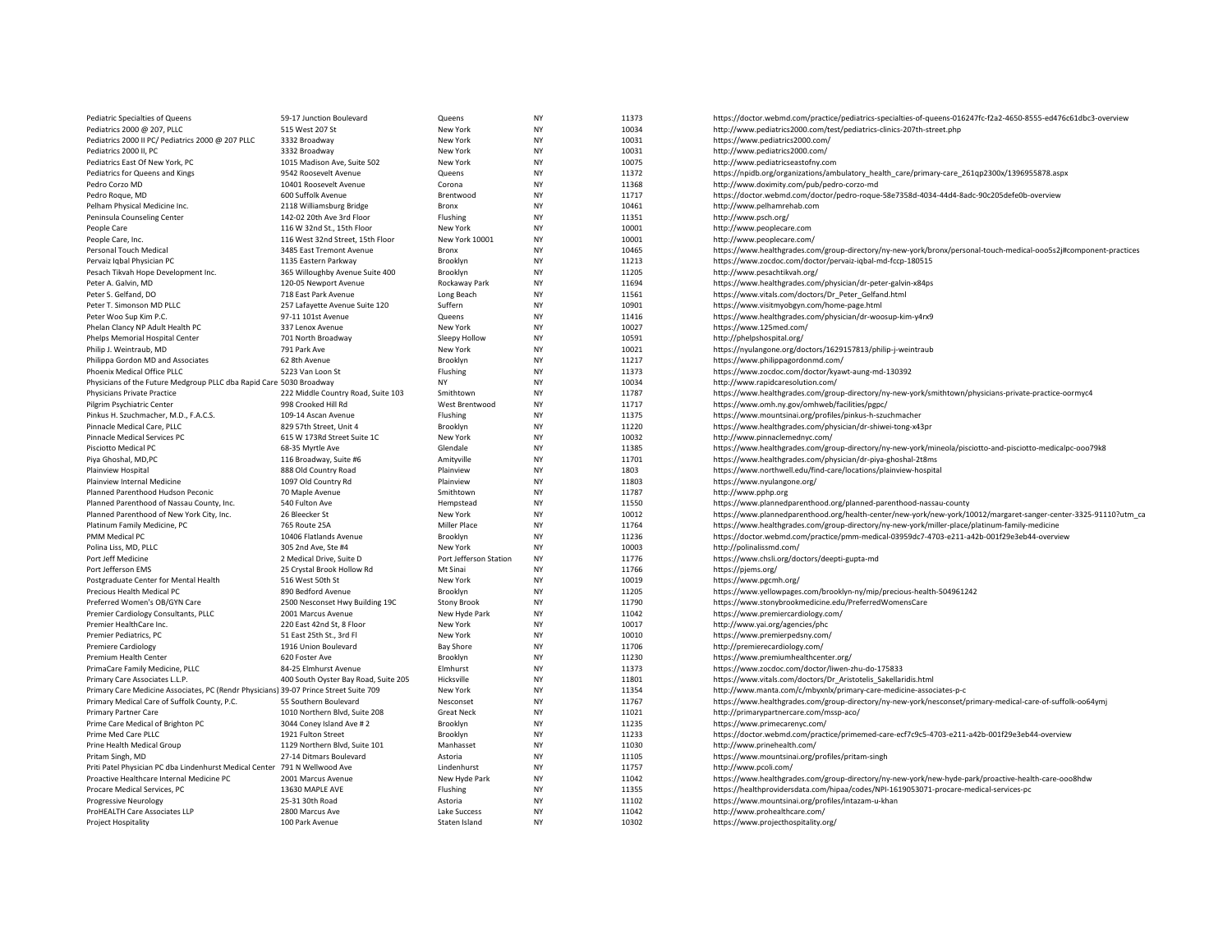| Pediatric Specialties of Queens                                                       | 59-17 Junction Boulevard             | Queens                 | <b>NY</b> | 11373 | https://doctor.webmd.com/practice/pediatrics-specialties-of-queens-016247fc-f2a2-4650-8555-ed476c61dbc3-overview  |
|---------------------------------------------------------------------------------------|--------------------------------------|------------------------|-----------|-------|-------------------------------------------------------------------------------------------------------------------|
| Pediatrics 2000 @ 207, PLLC                                                           | 515 West 207 St                      | New York               | <b>NY</b> | 10034 | http://www.pediatrics2000.com/test/pediatrics-clinics-207th-street.php                                            |
| Pediatrics 2000 II PC/ Pediatrics 2000 @ 207 PLLC                                     | 3332 Broadway                        | New York               | NY        | 10031 | https://www.pediatrics2000.com/                                                                                   |
| Pediatrics 2000 II, PC                                                                | 3332 Broadway                        | New York               | <b>NY</b> | 10031 | http://www.pediatrics2000.com/                                                                                    |
| Pediatrics East Of New York, PC                                                       | 1015 Madison Ave, Suite 502          | New York               | <b>NY</b> | 10075 | http://www.pediatricseastofny.com                                                                                 |
| Pediatrics for Queens and Kings                                                       | 9542 Roosevelt Avenue                | Queens                 | <b>NY</b> | 11372 | https://npidb.org/organizations/ambulatory_health_care/primary-care_261qp2300x/1396955878.aspx                    |
| Pedro Corzo MD                                                                        | 10401 Roosevelt Avenue               | Corona                 | <b>NY</b> | 11368 | http://www.doximity.com/pub/pedro-corzo-md                                                                        |
|                                                                                       |                                      |                        | <b>NY</b> |       |                                                                                                                   |
| Pedro Roque, MD                                                                       | 600 Suffolk Avenue                   | Brentwood              |           | 11717 | https://doctor.webmd.com/doctor/pedro-roque-58e7358d-4034-44d4-8adc-90c205defe0b-overview                         |
| Pelham Physical Medicine Inc.                                                         | 2118 Williamsburg Bridge             | Bronx                  | <b>NY</b> | 10461 | http://www.pelhamrehab.com                                                                                        |
| Peninsula Counseling Center                                                           | 142-02 20th Ave 3rd Floor            | Flushing               | <b>NY</b> | 11351 | http://www.psch.org/                                                                                              |
| People Care                                                                           | 116 W 32nd St., 15th Floor           | New York               | NY        | 10001 | http://www.peoplecare.com                                                                                         |
| People Care, Inc.                                                                     | 116 West 32nd Street, 15th Floor     | New York 10001         | NY        | 10001 | http://www.peoplecare.com/                                                                                        |
| Personal Touch Medical                                                                | 3485 East Tremont Avenue             | Bronx                  | <b>NY</b> | 10465 | https://www.healthgrades.com/group-directory/ny-new-york/bronx/personal-touch-medical-ooo5s2j#component-practices |
| Pervaiz Igbal Physician PC                                                            | 1135 Eastern Parkway                 | Brooklyn               | <b>NY</b> | 11213 | https://www.zocdoc.com/doctor/pervaiz-iqbal-md-fccp-180515                                                        |
| Pesach Tikvah Hope Development Inc.                                                   | 365 Willoughby Avenue Suite 400      | Brooklyn               | <b>NY</b> | 11205 | http://www.pesachtikvah.org/                                                                                      |
| Peter A. Galvin, MD                                                                   | 120-05 Newport Avenue                | Rockaway Park          | <b>NY</b> | 11694 | https://www.healthgrades.com/physician/dr-peter-galvin-x84ps                                                      |
| Peter S. Gelfand, DO                                                                  | 718 East Park Avenue                 | Long Beach             | <b>NY</b> | 11561 | https://www.vitals.com/doctors/Dr Peter Gelfand.html                                                              |
| Peter T. Simonson MD PLLC                                                             | 257 Lafayette Avenue Suite 120       | Suffern                | NY        | 10901 | https://www.visitmyobgyn.com/home-page.html                                                                       |
| Peter Woo Sup Kim P.C.                                                                | 97-11 101st Avenue                   | Queens                 | <b>NY</b> | 11416 | https://www.healthgrades.com/physician/dr-woosup-kim-y4rx9                                                        |
| Phelan Clancy NP Adult Health PC                                                      | 337 Lenox Avenue                     | New York               | <b>NY</b> | 10027 | https://www.125med.com/                                                                                           |
| Phelps Memorial Hospital Center                                                       | 701 North Broadway                   | Sleepy Hollow          | <b>NY</b> | 10591 | http://phelpshospital.org/                                                                                        |
| Philip J. Weintraub, MD                                                               | 791 Park Ave                         | New York               | <b>NY</b> | 10021 | https://nyulangone.org/doctors/1629157813/philip-j-weintraub                                                      |
| Philippa Gordon MD and Associates                                                     | 62 8th Avenue                        | Brooklyn               | <b>NY</b> | 11217 | https://www.philippagordonmd.com/                                                                                 |
| Phoenix Medical Office PLLC                                                           | 5223 Van Loon St                     | Flushing               | <b>NY</b> | 11373 | https://www.zocdoc.com/doctor/kyawt-aung-md-130392                                                                |
|                                                                                       |                                      |                        |           |       |                                                                                                                   |
| Physicians of the Future Medgroup PLLC dba Rapid Care 5030 Broadway                   |                                      | NY                     | NY        | 10034 | http://www.rapidcaresolution.com/                                                                                 |
| <b>Physicians Private Practice</b>                                                    | 222 Middle Country Road, Suite 103   | Smithtown              | <b>NY</b> | 11787 | https://www.healthgrades.com/group-directory/ny-new-york/smithtown/physicians-private-practice-oormyc4            |
| Pilgrim Psychiatric Center                                                            | 998 Crooked Hill Rd                  | West Brentwood         | <b>NY</b> | 11717 | https://www.omh.ny.gov/omhweb/facilities/pgpc/                                                                    |
| Pinkus H. Szuchmacher, M.D., F.A.C.S.                                                 | 109-14 Ascan Avenue                  | Flushing               | <b>NY</b> | 11375 | https://www.mountsinai.org/profiles/pinkus-h-szuchmacher                                                          |
| Pinnacle Medical Care, PLLC                                                           | 829 57th Street, Unit 4              | Brooklyn               | <b>NY</b> | 11220 | https://www.healthgrades.com/physician/dr-shiwei-tong-x43pr                                                       |
| Pinnacle Medical Services PC                                                          | 615 W 173Rd Street Suite 1C          | New York               | <b>NY</b> | 10032 | http://www.pinnaclemednyc.com/                                                                                    |
| Pisciotto Medical PC                                                                  | 68-35 Myrtle Ave                     | Glendale               | <b>NY</b> | 11385 | https://www.healthgrades.com/group-directory/ny-new-york/mineola/pisciotto-and-pisciotto-medicalpc-ooo79k8        |
| Piya Ghoshal, MD,PC                                                                   | 116 Broadway, Suite #6               | Amityville             | <b>NY</b> | 11701 | https://www.healthgrades.com/physician/dr-piya-ghoshal-2t8ms                                                      |
| Plainview Hospital                                                                    | 888 Old Country Road                 | Plainview              | <b>NY</b> | 1803  | https://www.northwell.edu/find-care/locations/plainview-hospital                                                  |
| Plainview Internal Medicine                                                           | 1097 Old Country Rd                  | Plainview              | <b>NY</b> | 11803 | https://www.nyulangone.org/                                                                                       |
| Planned Parenthood Hudson Peconic                                                     | 70 Maple Avenue                      | Smithtown              | NY        | 11787 | http://www.pphp.org                                                                                               |
| Planned Parenthood of Nassau County, Inc.                                             | 540 Fulton Ave                       | Hempstead              | <b>NY</b> | 11550 | https://www.plannedparenthood.org/planned-parenthood-nassau-county                                                |
| Planned Parenthood of New York City, Inc.                                             | 26 Bleecker St                       | New York               | <b>NY</b> | 10012 | https://www.plannedparenthood.org/health-center/new-york/new-york/10012/margaret-sanger-center-3325-91110?utm_ca  |
| Platinum Family Medicine, PC                                                          | 765 Route 25A                        | <b>Miller Place</b>    | <b>NY</b> | 11764 | https://www.healthgrades.com/group-directory/ny-new-york/miller-place/platinum-family-medicine                    |
| PMM Medical PC                                                                        | 10406 Flatlands Avenue               | Brooklyn               | ΝY        | 11236 | https://doctor.webmd.com/practice/pmm-medical-03959dc7-4703-e211-a42b-001f29e3eb44-overview                       |
| Polina Liss, MD, PLLC                                                                 | 305 2nd Ave, Ste #4                  | New York               | <b>NY</b> | 10003 | http://polinalissmd.com/                                                                                          |
| Port Jeff Medicine                                                                    | 2 Medical Drive, Suite D             | Port Jefferson Station | <b>NY</b> | 11776 | https://www.chsli.org/doctors/deepti-gupta-md                                                                     |
| Port Jefferson EMS                                                                    | 25 Crystal Brook Hollow Rd           | Mt Sinai               | <b>NY</b> | 11766 | https://pjems.org/                                                                                                |
| Postgraduate Center for Mental Health                                                 | 516 West 50th St                     | New York               | <b>NY</b> | 10019 | https://www.pgcmh.org/                                                                                            |
| Precious Health Medical PC                                                            | 890 Bedford Avenue                   | Brooklyn               | <b>NY</b> | 11205 | https://www.yellowpages.com/brooklyn-ny/mip/precious-health-504961242                                             |
|                                                                                       |                                      |                        |           |       |                                                                                                                   |
| Preferred Women's OB/GYN Care                                                         | 2500 Nesconset Hwy Building 19C      | <b>Stony Brook</b>     | NY        | 11790 | https://www.stonybrookmedicine.edu/PreferredWomensCare                                                            |
| Premier Cardiology Consultants, PLLC                                                  | 2001 Marcus Avenue                   | New Hyde Park          | <b>NY</b> | 11042 | https://www.premiercardiology.com/                                                                                |
| Premier HealthCare Inc.                                                               | 220 East 42nd St, 8 Floor            | New York               | <b>NY</b> | 10017 | http://www.yai.org/agencies/phc                                                                                   |
| Premier Pediatrics, PC                                                                | 51 East 25th St., 3rd Fl             | New York               | <b>NY</b> | 10010 | https://www.premierpedsny.com/                                                                                    |
| <b>Premiere Cardiology</b>                                                            | 1916 Union Boulevard                 | <b>Bay Shore</b>       | <b>NY</b> | 11706 | http://premierecardiology.com/                                                                                    |
| Premium Health Center                                                                 | 620 Foster Ave                       | Brooklyn               | <b>NY</b> | 11230 | https://www.premiumhealthcenter.org/                                                                              |
| PrimaCare Family Medicine, PLLC                                                       | 84-25 Elmhurst Avenue                | Elmhurst               | <b>NY</b> | 11373 | https://www.zocdoc.com/doctor/liwen-zhu-do-175833                                                                 |
| Primary Care Associates L.L.P.                                                        | 400 South Oyster Bay Road, Suite 205 | Hicksville             | NY        | 11801 | https://www.vitals.com/doctors/Dr_Aristotelis_Sakellaridis.html                                                   |
| Primary Care Medicine Associates, PC (Rendr Physicians) 39-07 Prince Street Suite 709 |                                      | New York               | <b>NY</b> | 11354 | http://www.manta.com/c/mbyxnlx/primary-care-medicine-associates-p-c                                               |
| Primary Medical Care of Suffolk County, P.C.                                          | 55 Southern Boulevard                | Nesconset              | <b>NY</b> | 11767 | https://www.healthgrades.com/group-directory/ny-new-york/nesconset/primary-medical-care-of-suffolk-oo64ymj        |
| Primary Partner Care                                                                  | 1010 Northern Blvd, Suite 208        | <b>Great Neck</b>      | <b>NY</b> | 11021 | http://primarypartnercare.com/mssp-aco/                                                                           |
| Prime Care Medical of Brighton PC                                                     | 3044 Coney Island Ave # 2            | Brooklyn               | <b>NY</b> | 11235 | https://www.primecarenyc.com/                                                                                     |
| Prime Med Care PLLC                                                                   | 1921 Fulton Street                   | Brooklyn               | <b>NY</b> | 11233 | https://doctor.webmd.com/practice/primemed-care-ecf7c9c5-4703-e211-a42b-001f29e3eb44-overview                     |
| Prine Health Medical Group                                                            | 1129 Northern Blvd, Suite 101        | Manhasset              | <b>NY</b> | 11030 | http://www.prinehealth.com/                                                                                       |
| Pritam Singh, MD                                                                      | 27-14 Ditmars Boulevard              | Astoria                | NY        | 11105 | https://www.mountsinai.org/profiles/pritam-singh                                                                  |
| Priti Patel Physician PC dba Lindenhurst Medical Center 791 N Wellwood Ave            |                                      | Lindenhurst            | <b>NY</b> | 11757 | http://www.pcoli.com/                                                                                             |
| Proactive Healthcare Internal Medicine PC                                             | 2001 Marcus Avenue                   | New Hyde Park          | <b>NY</b> | 11042 | https://www.healthgrades.com/group-directory/ny-new-york/new-hyde-park/proactive-health-care-ooo8hdw              |
| Procare Medical Services, PC                                                          | 13630 MAPLE AVE                      | Flushing               | NY        | 11355 | https://healthprovidersdata.com/hipaa/codes/NPI-1619053071-procare-medical-services-pc                            |
| Progressive Neurology                                                                 | 25-31 30th Road                      | Astoria                | NY        | 11102 | https://www.mountsinai.org/profiles/intazam-u-khan                                                                |
|                                                                                       | 2800 Marcus Ave                      | Lake Success           | <b>NY</b> | 11042 | http://www.prohealthcare.com/                                                                                     |
| ProHEALTH Care Associates LLP                                                         | 100 Park Avenue                      | Staten Island          | NY        | 10302 |                                                                                                                   |
| Project Hospitality                                                                   |                                      |                        |           |       | https://www.projecthospitality.org/                                                                               |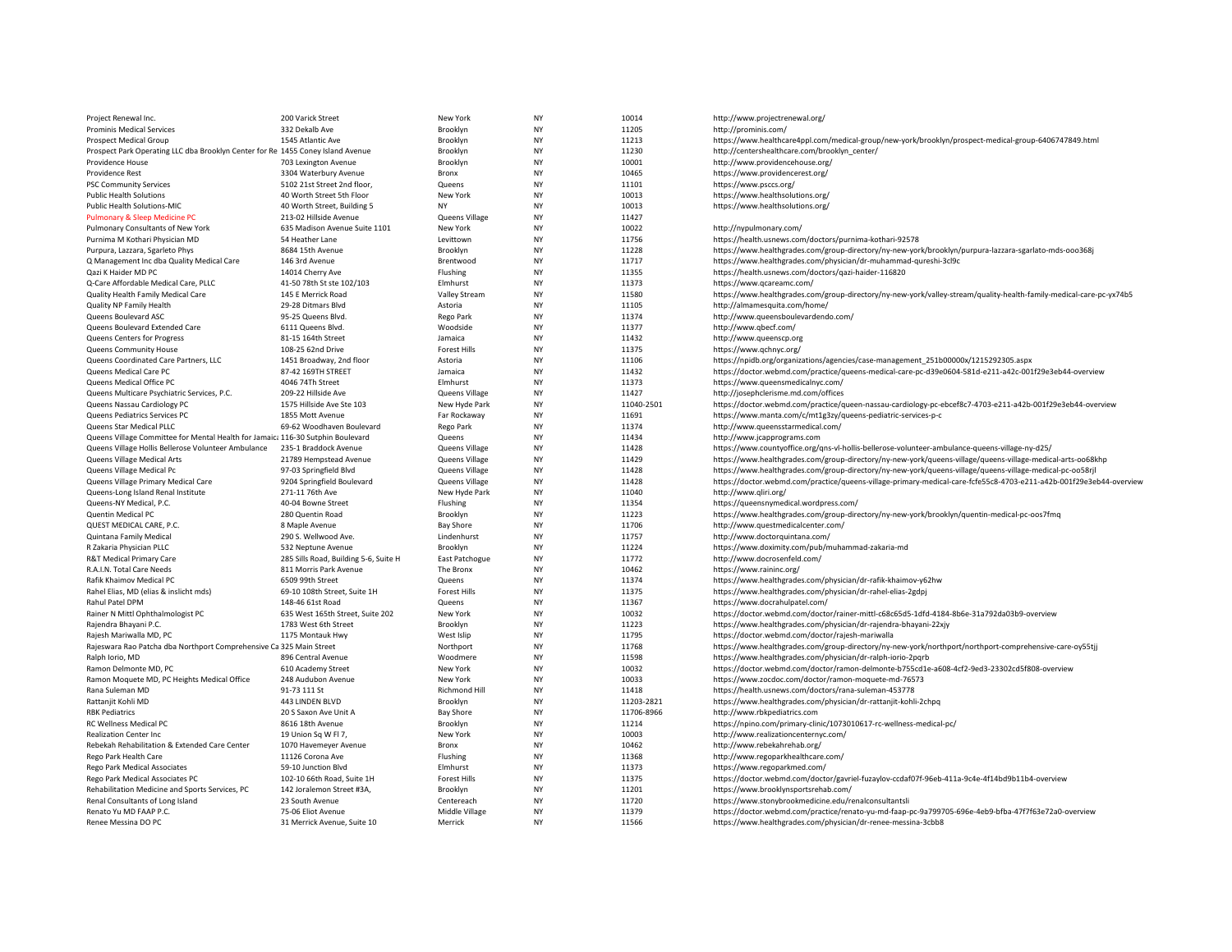| Project Renewal Inc.                                                            | 200 Varick Street                     | New York            | NY        | 10014      | http://www.projectrenewal.org/                                                                                      |
|---------------------------------------------------------------------------------|---------------------------------------|---------------------|-----------|------------|---------------------------------------------------------------------------------------------------------------------|
| Prominis Medical Services                                                       | 332 Dekalb Ave                        | Brooklyn            | <b>NY</b> | 11205      | http://prominis.com/                                                                                                |
| Prospect Medical Group                                                          | 1545 Atlantic Ave                     | Brooklyn            | <b>NY</b> | 11213      | https://www.healthcare4ppl.com/medical-group/new-york/brooklyn/prospect-medical-group-6406747849.html               |
| Prospect Park Operating LLC dba Brooklyn Center for Re 1455 Coney Island Avenue |                                       | Brooklyn            | NY        | 11230      | http://centershealthcare.com/brooklyn_center/                                                                       |
| Providence House                                                                | 703 Lexington Avenue                  | Brooklyn            | <b>NY</b> | 10001      | http://www.providencehouse.org/                                                                                     |
| Providence Rest                                                                 | 3304 Waterbury Avenue                 | Bronx               | <b>NY</b> | 10465      | https://www.providencerest.org/                                                                                     |
| <b>PSC Community Services</b>                                                   | 5102 21st Street 2nd floor,           | Queens              | NY        | 11101      | https://www.psccs.org/                                                                                              |
| <b>Public Health Solutions</b>                                                  | 40 Worth Street 5th Floor             | New York            | NY        | 10013      | https://www.healthsolutions.org/                                                                                    |
| Public Health Solutions-MIC                                                     | 40 Worth Street, Building 5           | <b>NY</b>           | <b>NY</b> | 10013      | https://www.healthsolutions.org/                                                                                    |
| Pulmonary & Sleep Medicine PC                                                   | 213-02 Hillside Avenue                | Queens Village      | <b>NY</b> | 11427      |                                                                                                                     |
| Pulmonary Consultants of New York                                               | 635 Madison Avenue Suite 1101         | New York            | NY        | 10022      | http://nypulmonary.com/                                                                                             |
| Purnima M Kothari Physician MD                                                  | 54 Heather Lane                       | Levittown           | <b>NY</b> | 11756      | https://health.usnews.com/doctors/purnima-kothari-92578                                                             |
| Purpura, Lazzara, Sgarleto Phys                                                 | 8684 15th Avenue                      | Brooklyn            | <b>NY</b> | 11228      | https://www.healthgrades.com/group-directory/ny-new-york/brooklyn/purpura-lazzara-sgarlato-mds-ooo368j              |
| Q Management Inc dba Quality Medical Care                                       | 146 3rd Avenue                        | Brentwood           | <b>NY</b> | 11717      | https://www.healthgrades.com/physician/dr-muhammad-qureshi-3cl9c                                                    |
| Qazi K Haider MD PC                                                             | 14014 Cherry Ave                      | Flushing            | NY        | 11355      | https://health.usnews.com/doctors/qazi-haider-116820                                                                |
| Q-Care Affordable Medical Care, PLLC                                            | 41-50 78th St ste 102/103             | Elmhurst            | <b>NY</b> | 11373      | https://www.qcareamc.com/                                                                                           |
| Quality Health Family Medical Care                                              | 145 E Merrick Road                    | Valley Stream       | <b>NY</b> | 11580      | https://www.healthgrades.com/group-directory/ny-new-york/valley-stream/quality-health-family-medical-care-pc-yx74b5 |
| Quality NP Family Health                                                        | 29-28 Ditmars Blvd                    | Astoria             | NY        | 11105      | http://almamesquita.com/home/                                                                                       |
| Queens Boulevard ASC                                                            | 95-25 Queens Blvd.                    | Rego Park           | <b>NY</b> | 11374      | http://www.queensboulevardendo.com/                                                                                 |
| Queens Boulevard Extended Care                                                  | 6111 Queens Blvd.                     | Woodside            | NY        | 11377      | http://www.qbecf.com/                                                                                               |
| Queens Centers for Progress                                                     | 81-15 164th Street                    | Jamaica             | <b>NY</b> | 11432      | http://www.queenscp.org                                                                                             |
| Queens Community House                                                          | 108-25 62nd Drive                     | <b>Forest Hills</b> | NY        | 11375      | https://www.qchnyc.org/                                                                                             |
| Queens Coordinated Care Partners, LLC                                           | 1451 Broadway, 2nd floor              | Astoria             | <b>NY</b> | 11106      | https://npidb.org/organizations/agencies/case-management_251b00000x/1215292305.aspx                                 |
| Queens Medical Care PC                                                          | 87-42 169TH STREET                    | Jamaica             | <b>NY</b> | 11432      | https://doctor.webmd.com/practice/queens-medical-care-pc-d39e0604-581d-e211-a42c-001f29e3eb44-overview              |
| Queens Medical Office PC                                                        | 4046 74Th Street                      | Elmhurst            | NY        | 11373      | https://www.queensmedicalnyc.com/                                                                                   |
| Queens Multicare Psychiatric Services, P.C.                                     | 209-22 Hillside Ave                   | Queens Village      | <b>NY</b> | 11427      | http://josephclerisme.md.com/offices                                                                                |
| Queens Nassau Cardiology PC                                                     | 1575 Hillside Ave Ste 103             | New Hyde Park       | NY        | 11040-2501 | https://doctor.webmd.com/practice/queen-nassau-cardiology-pc-ebcef8c7-4703-e211-a42b-001f29e3eb44-overview          |
| Queens Pediatrics Services PC                                                   | 1855 Mott Avenue                      | Far Rockaway        | <b>NY</b> | 11691      | https://www.manta.com/c/mt1g3zy/queens-pediatric-services-p-c                                                       |
| Queens Star Medical PLLC                                                        | 69-62 Woodhaven Boulevard             | Rego Park           | NY        | 11374      | http://www.queensstarmedical.com/                                                                                   |
| Queens Village Committee for Mental Health for Jamaic: 116-30 Sutphin Boulevard |                                       | Queens              | <b>NY</b> | 11434      | http://www.jcapprograms.com                                                                                         |
| Queens Village Hollis Bellerose Volunteer Ambulance                             | 235-1 Braddock Avenue                 | Queens Village      | <b>NY</b> | 11428      | https://www.countyoffice.org/gns-vl-hollis-bellerose-volunteer-ambulance-queens-village-ny-d25/                     |
| Queens Village Medical Arts                                                     | 21789 Hempstead Avenue                | Queens Village      | NY        | 11429      | https://www.healthgrades.com/group-directory/ny-new-york/queens-village/queens-village-medical-arts-oo68khp         |
| Queens Village Medical Pc                                                       | 97-03 Springfield Blvd                | Queens Village      | <b>NY</b> | 11428      | https://www.healthgrades.com/group-directory/ny-new-york/queens-village/queens-village-medical-pc-oo58rjl           |
| Queens Village Primary Medical Care                                             | 9204 Springfield Boulevard            | Queens Village      | NY        | 11428      | https://doctor.webmd.com/practice/queens-village-primary-medical-care-fcfe55c8-4703-e211-a42b-001f29e3eb44-overview |
| Queens-Long Island Renal Institute                                              | 271-11 76th Ave                       | New Hyde Park       | <b>NY</b> | 11040      | http://www.gliri.org/                                                                                               |
| Queens-NY Medical, P.C.                                                         | 40-04 Bowne Street                    | Flushing            | NY        | 11354      | https://queensnymedical.wordpress.com/                                                                              |
| Quentin Medical PC                                                              | 280 Quentin Road                      | Brooklyn            | <b>NY</b> | 11223      | https://www.healthgrades.com/group-directory/ny-new-york/brooklyn/quentin-medical-pc-oos7fmq                        |
| QUEST MEDICAL CARE, P.C.                                                        | 8 Maple Avenue                        | <b>Bay Shore</b>    | NY        | 11706      | http://www.questmedicalcenter.com/                                                                                  |
| Quintana Family Medical                                                         | 290 S. Wellwood Ave.                  | Lindenhurst         | NY        | 11757      | http://www.doctorquintana.com/                                                                                      |
| R Zakaria Physician PLLC                                                        | 532 Neptune Avenue                    | Brooklyn            | <b>NY</b> | 11224      | https://www.doximity.com/pub/muhammad-zakaria-md                                                                    |
| R&T Medical Primary Care                                                        | 285 Sills Road, Building 5-6, Suite H | East Patchogue      | NY        | 11772      | http://www.docrosenfeld.com/                                                                                        |
| R.A.I.N. Total Care Needs                                                       | 811 Morris Park Avenue                | The Bronx           | <b>NY</b> | 10462      | https://www.raininc.org/                                                                                            |
| Rafik Khaimov Medical PC                                                        | 6509 99th Street                      | Queens              | NY        | 11374      | https://www.healthgrades.com/physician/dr-rafik-khaimov-y62hw                                                       |
| Rahel Elias, MD (elias & inslicht mds)                                          | 69-10 108th Street, Suite 1H          | <b>Forest Hills</b> | <b>NY</b> | 11375      | https://www.healthgrades.com/physician/dr-rahel-elias-2gdpj                                                         |
| Rahul Patel DPM                                                                 | 148-46 61st Road                      | Queens              | <b>NY</b> | 11367      | https://www.docrahulpatel.com/                                                                                      |
| Rainer N Mittl Ophthalmologist PC                                               | 635 West 165th Street, Suite 202      | New York            | NY        | 10032      | https://doctor.webmd.com/doctor/rainer-mittl-c68c65d5-1dfd-4184-8b6e-31a792da03b9-overview                          |
| Rajendra Bhayani P.C.                                                           | 1783 West 6th Street                  | Brooklyn            | <b>NY</b> | 11223      | https://www.healthgrades.com/physician/dr-rajendra-bhayani-22xjy                                                    |
| Rajesh Mariwalla MD, PC                                                         | 1175 Montauk Hwy                      | West Islip          | NY        | 11795      | https://doctor.webmd.com/doctor/rajesh-mariwalla                                                                    |
| Rajeswara Rao Patcha dba Northport Comprehensive Ca 325 Main Street             |                                       | Northport           | <b>NY</b> | 11768      | https://www.healthgrades.com/group-directory/ny-new-york/northport/northport-comprehensive-care-oy55tjj             |
| Ralph Iorio, MD                                                                 | 896 Central Avenue                    | Woodmere            | NY        | 11598      | https://www.healthgrades.com/physician/dr-ralph-iorio-2pqrb                                                         |
| Ramon Delmonte MD, PC                                                           | 610 Academy Street                    | New York            | <b>NY</b> | 10032      | https://doctor.webmd.com/doctor/ramon-delmonte-b755cd1e-a608-4cf2-9ed3-23302cd5f808-overview                        |
| Ramon Moquete MD, PC Heights Medical Office                                     | 248 Audubon Avenue                    | New York            | <b>NY</b> | 10033      | https://www.zocdoc.com/doctor/ramon-moquete-md-76573                                                                |
| Rana Suleman MD                                                                 | 91-73 111 St                          | Richmond Hill       | NY        | 11418      | https://health.usnews.com/doctors/rana-suleman-453778                                                               |
| Rattanjit Kohli MD                                                              | 443 LINDEN BLVD                       | Brooklyn            | <b>NY</b> | 11203-2821 | https://www.healthgrades.com/physician/dr-rattanjit-kohli-2chpq                                                     |
| <b>RBK Pediatrics</b>                                                           | 20 S Saxon Ave Unit A                 | <b>Bay Shore</b>    | NY        | 11706-8966 | http://www.rbkpediatrics.com                                                                                        |
| RC Wellness Medical PC                                                          | 8616 18th Avenue                      | Brooklyn            | NY        | 11214      | https://npino.com/primary-clinic/1073010617-rc-wellness-medical-pc/                                                 |
| <b>Realization Center Inc</b>                                                   | 19 Union Sq W Fl 7,                   | New York            | NY        | 10003      | http://www.realizationcenternyc.com/                                                                                |
| Rebekah Rehabilitation & Extended Care Center                                   | 1070 Havemeyer Avenue                 | Bronx               | NY        | 10462      | http://www.rebekahrehab.org/                                                                                        |
| Rego Park Health Care                                                           | 11126 Corona Ave                      | Flushing            | <b>NY</b> | 11368      | http://www.regoparkhealthcare.com/                                                                                  |
| Rego Park Medical Associates                                                    | 59-10 Junction Blvd                   | Elmhurst            | <b>NY</b> | 11373      | https://www.regoparkmed.com/                                                                                        |
| Rego Park Medical Associates PC                                                 | 102-10 66th Road, Suite 1H            | Forest Hills        | <b>NY</b> | 11375      | https://doctor.webmd.com/doctor/gavriel-fuzaylov-ccdaf07f-96eb-411a-9c4e-4f14bd9b11b4-overview                      |
| Rehabilitation Medicine and Sports Services, PC                                 | 142 Joralemon Street #3A,             | Brooklyn            | NY        | 11201      | https://www.brooklynsportsrehab.com/                                                                                |
| Renal Consultants of Long Island                                                | 23 South Avenue                       | Centereach          | NY        | 11720      | https://www.stonybrookmedicine.edu/renalconsultantsli                                                               |
| Renato Yu MD FAAP P.C.                                                          | 75-06 Eliot Avenue                    | Middle Village      | NY        | 11379      | https://doctor.webmd.com/practice/renato-yu-md-faap-pc-9a799705-696e-4eb9-bfba-47f7f63e72a0-overview                |
| Renee Messina DO PC                                                             | 31 Merrick Avenue, Suite 10           | Merrick             | <b>NY</b> | 11566      | https://www.healthgrades.com/physician/dr-renee-messina-3cbb8                                                       |
|                                                                                 |                                       |                     |           |            |                                                                                                                     |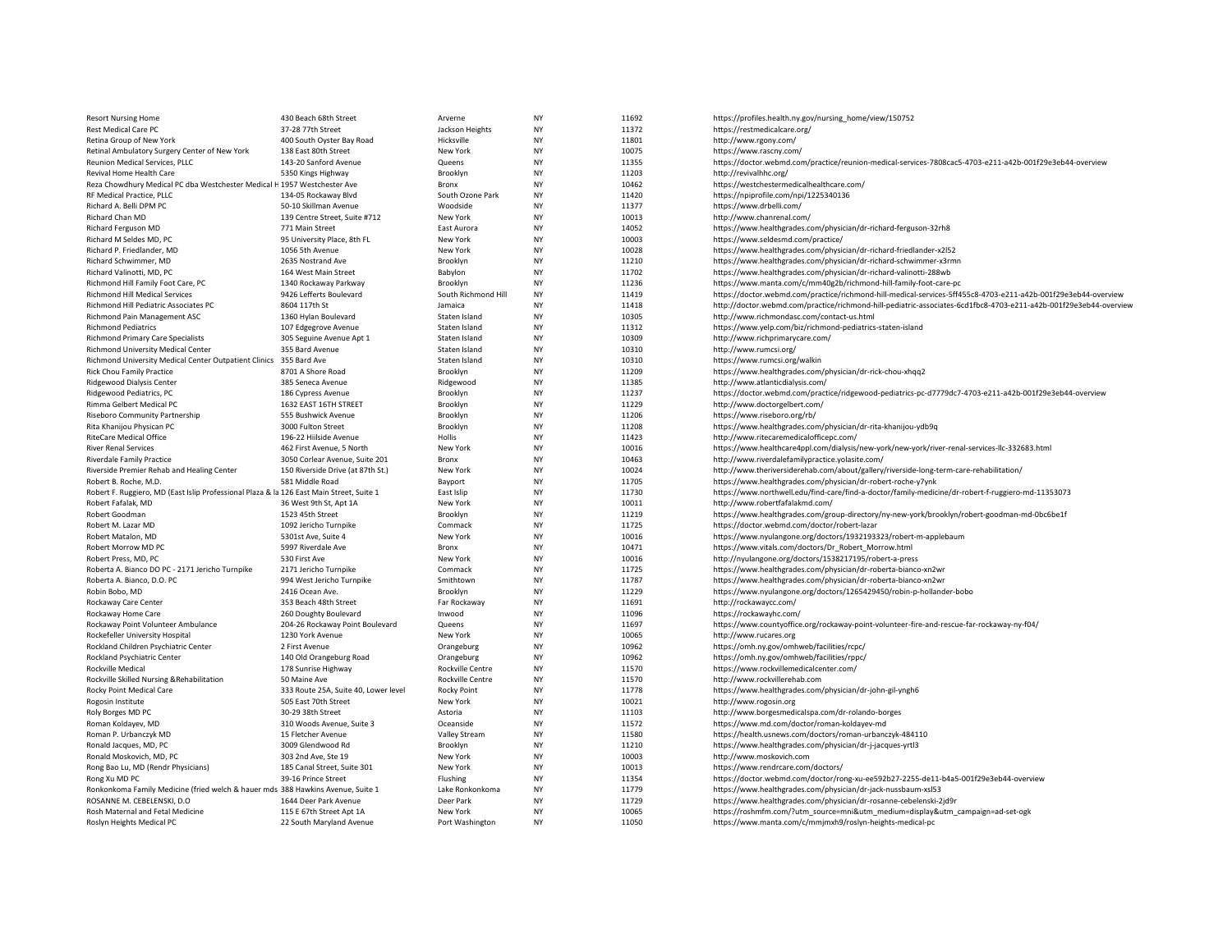| <b>Resort Nursing Home</b>                                                               | 430 Beach 68th Street                   | Arverne             | <b>NY</b> | 11692 | https://profiles.health.ny.gov/nursing_home/view/150752                                                           |
|------------------------------------------------------------------------------------------|-----------------------------------------|---------------------|-----------|-------|-------------------------------------------------------------------------------------------------------------------|
| Rest Medical Care PC                                                                     | 37-28 77th Street                       | Jackson Heights     | <b>NY</b> | 11372 | https://restmedicalcare.org/                                                                                      |
| Retina Group of New York                                                                 | 400 South Oyster Bay Road               | Hicksville          | <b>NY</b> | 11801 | http://www.rgony.com/                                                                                             |
| Retinal Ambulatory Surgery Center of New York                                            | 138 East 80th Street                    | New York            | <b>NY</b> | 10075 | https://www.rascny.com/                                                                                           |
| Reunion Medical Services, PLLC                                                           | 143-20 Sanford Avenue                   | Queens              | <b>NY</b> | 11355 | https://doctor.webmd.com/practice/reunion-medical-services-7808cac5-4703-e211-a42b-001f29e3eb44-overview          |
| Revival Home Health Care                                                                 | 5350 Kings Highway                      | Brooklyn            | <b>NY</b> | 11203 | http://revivalhhc.org/                                                                                            |
| Reza Chowdhury Medical PC dba Westchester Medical H 1957 Westchester Ave                 |                                         | Bronx               | NY        | 10462 | https://westchestermedicalhealthcare.com/                                                                         |
| RF Medical Practice, PLLC                                                                | 134-05 Rockaway Blvd                    | South Ozone Park    | <b>NY</b> | 11420 | https://npiprofile.com/npi/1225340136                                                                             |
| Richard A. Belli DPM PC                                                                  | 50-10 Skillman Avenue                   | Woodside            | <b>NY</b> | 11377 | https://www.drbelli.com/                                                                                          |
| Richard Chan MD                                                                          | 139 Centre Street, Suite #712           | New York            | <b>NY</b> | 10013 | http://www.chanrenal.com/                                                                                         |
| Richard Ferguson MD                                                                      | 771 Main Street                         | East Aurora         | <b>NY</b> | 14052 | https://www.healthgrades.com/physician/dr-richard-ferguson-32rh8                                                  |
| Richard M Seldes MD, PC                                                                  | 95 University Place, 8th FL             | New York            | ΝY        | 10003 | https://www.seldesmd.com/practice/                                                                                |
| Richard P. Friedlander, MD                                                               | 1056 5th Avenue                         | New York            | <b>NY</b> | 10028 | https://www.healthgrades.com/physician/dr-richard-friedlander-x2l52                                               |
| Richard Schwimmer, MD                                                                    | 2635 Nostrand Ave                       | Brooklyn            | <b>NY</b> | 11210 | https://www.healthgrades.com/physician/dr-richard-schwimmer-x3rmn                                                 |
| Richard Valinotti, MD, PC                                                                | 164 West Main Street                    | Babylon             | <b>NY</b> | 11702 | https://www.healthgrades.com/physician/dr-richard-valinotti-288wb                                                 |
| Richmond Hill Family Foot Care, PC                                                       | 1340 Rockaway Parkway                   | Brooklyn            | <b>NY</b> | 11236 | https://www.manta.com/c/mm40g2b/richmond-hill-family-foot-care-pc                                                 |
| Richmond Hill Medical Services                                                           | 9426 Lefferts Boulevard                 | South Richmond Hill | <b>NY</b> | 11419 | https://doctor.webmd.com/practice/richmond-hill-medical-services-5ff455c8-4703-e211-a42b-001f29e3eb44-overview    |
| Richmond Hill Pediatric Associates PC                                                    | 8604 117th St                           | Jamaica             | <b>NY</b> | 11418 | http://doctor.webmd.com/practice/richmond-hill-pediatric-associates-6cd1fbc8-4703-e211-a42b-001f29e3eb44-overview |
| Richmond Pain Management ASC                                                             | 1360 Hylan Boulevard                    | Staten Island       | <b>NY</b> | 10305 | http://www.richmondasc.com/contact-us.html                                                                        |
| <b>Richmond Pediatrics</b>                                                               | 107 Edgegrove Avenue                    | Staten Island       | <b>NY</b> | 11312 | https://www.yelp.com/biz/richmond-pediatrics-staten-island                                                        |
| Richmond Primary Care Specialists                                                        | 305 Seguine Avenue Apt 1                | Staten Island       | <b>NY</b> | 10309 | http://www.richprimarycare.com/                                                                                   |
| Richmond University Medical Center                                                       | 355 Bard Avenue                         | Staten Island       | <b>NY</b> | 10310 | http://www.rumcsi.org/                                                                                            |
| Richmond University Medical Center Outpatient Clinics 355 Bard Ave                       |                                         | Staten Island       | <b>NY</b> | 10310 | https://www.rumcsi.org/walkin                                                                                     |
| <b>Rick Chou Family Practice</b>                                                         | 8701 A Shore Road                       | Brooklyn            | <b>NY</b> | 11209 | https://www.healthgrades.com/physician/dr-rick-chou-xhqq2                                                         |
| Ridgewood Dialysis Center                                                                |                                         | Ridgewood           | <b>NY</b> | 11385 | http://www.atlanticdialysis.com/                                                                                  |
| Ridgewood Pediatrics, PC                                                                 | 385 Seneca Avenue<br>186 Cypress Avenue | Brooklyn            | <b>NY</b> | 11237 |                                                                                                                   |
|                                                                                          |                                         |                     |           |       | https://doctor.webmd.com/practice/ridgewood-pediatrics-pc-d7779dc7-4703-e211-a42b-001f29e3eb44-overview           |
| Rimma Gelbert Medical PC                                                                 | 1632 EAST 16TH STREET                   | Brooklyn            | <b>NY</b> | 11229 | http://www.doctorgelbert.com/                                                                                     |
| Riseboro Community Partnership                                                           | 555 Bushwick Avenue                     | Brooklyn            | <b>NY</b> | 11206 | https://www.riseboro.org/rb/                                                                                      |
| Rita Khaniiou Physican PC                                                                | 3000 Fulton Street                      | Brooklyn            | <b>NY</b> | 11208 | https://www.healthgrades.com/physician/dr-rita-khanijou-ydb9q                                                     |
| <b>RiteCare Medical Office</b>                                                           | 196-22 Hiilside Avenue                  | Hollis              | <b>NY</b> | 11423 | http://www.ritecaremedicalofficepc.com/                                                                           |
| <b>River Renal Services</b>                                                              | 462 First Avenue, 5 North               | New York            | <b>NY</b> | 10016 | https://www.healthcare4ppl.com/dialysis/new-york/new-york/river-renal-services-llc-332683.html                    |
| <b>Riverdale Family Practice</b>                                                         | 3050 Corlear Avenue, Suite 201          | Bronx               | <b>NY</b> | 10463 | http://www.riverdalefamilypractice.yolasite.com/                                                                  |
| Riverside Premier Rehab and Healing Center                                               | 150 Riverside Drive (at 87th St.)       | New York            | <b>NY</b> | 10024 | http://www.theriversiderehab.com/about/gallery/riverside-long-term-care-rehabilitation/                           |
| Robert B. Roche, M.D.                                                                    | 581 Middle Road                         | Bayport             | <b>NY</b> | 11705 | https://www.healthgrades.com/physician/dr-robert-roche-y7ynk                                                      |
| Robert F. Ruggiero, MD (East Islip Professional Plaza & la 126 East Main Street, Suite 1 |                                         | East Islip          | <b>NY</b> | 11730 | https://www.northwell.edu/find-care/find-a-doctor/family-medicine/dr-robert-f-ruggiero-md-11353073                |
| Robert Fafalak, MD                                                                       | 36 West 9th St, Apt 1A                  | New York            | <b>NY</b> | 10011 | http://www.robertfafalakmd.com/                                                                                   |
| Robert Goodman                                                                           | 1523 45th Street                        | Brooklyn            | <b>NY</b> | 11219 | https://www.healthgrades.com/group-directory/ny-new-york/brooklyn/robert-goodman-md-0bc6be1f                      |
| Robert M. Lazar MD                                                                       | 1092 Jericho Turnpike                   | Commack             | <b>NY</b> | 11725 | https://doctor.webmd.com/doctor/robert-lazar                                                                      |
| Robert Matalon, MD                                                                       | 5301st Ave, Suite 4                     | New York            | <b>NY</b> | 10016 | https://www.nyulangone.org/doctors/1932193323/robert-m-applebaum                                                  |
| Robert Morrow MD PC                                                                      | 5997 Riverdale Ave                      | Bronx               | <b>NY</b> | 10471 | https://www.vitals.com/doctors/Dr_Robert_Morrow.html                                                              |
| Robert Press, MD, PC                                                                     | 530 First Ave                           | New York            | <b>NY</b> | 10016 | http://nyulangone.org/doctors/1538217195/robert-a-press                                                           |
| Roberta A. Bianco DO PC - 2171 Jericho Turnpike                                          | 2171 Jericho Turnpike                   | Commack             | <b>NY</b> | 11725 | https://www.healthgrades.com/physician/dr-roberta-bianco-xn2wr                                                    |
| Roberta A. Bianco, D.O. PC                                                               | 994 West Jericho Turnpike               | Smithtown           | <b>NY</b> | 11787 | https://www.healthgrades.com/physician/dr-roberta-bianco-xn2wr                                                    |
| Robin Bobo, MD                                                                           | 2416 Ocean Ave.                         | Brooklyn            | <b>NY</b> | 11229 | https://www.nyulangone.org/doctors/1265429450/robin-p-hollander-bobo                                              |
| Rockaway Care Center                                                                     | 353 Beach 48th Street                   | Far Rockaway        | <b>NY</b> | 11691 | http://rockawaycc.com/                                                                                            |
| Rockaway Home Care                                                                       | 260 Doughty Boulevard                   | Inwood              | <b>NY</b> | 11096 | https://rockawayhc.com/                                                                                           |
| Rockaway Point Volunteer Ambulance                                                       | 204-26 Rockaway Point Boulevard         | Queens              | <b>NY</b> | 11697 | https://www.countyoffice.org/rockaway-point-volunteer-fire-and-rescue-far-rockaway-ny-f04/                        |
| Rockefeller University Hospital                                                          | 1230 York Avenue                        | New York            | <b>NY</b> | 10065 | http://www.rucares.org                                                                                            |
| Rockland Children Psychiatric Center                                                     | 2 First Avenue                          | Orangeburg          | <b>NY</b> | 10962 | https://omh.ny.gov/omhweb/facilities/rcpc/                                                                        |
| Rockland Psychiatric Center                                                              | 140 Old Orangeburg Road                 | Orangeburg          | <b>NY</b> | 10962 | https://omh.ny.gov/omhweb/facilities/rppc/                                                                        |
| Rockville Medical                                                                        | 178 Sunrise Highway                     | Rockville Centre    | <b>NY</b> | 11570 | https://www.rockvillemedicalcenter.com/                                                                           |
| Rockville Skilled Nursing & Rehabilitation                                               | 50 Maine Ave                            | Rockville Centre    | <b>NY</b> | 11570 | http://www.rockvillerehab.com                                                                                     |
| Rocky Point Medical Care                                                                 | 333 Route 25A, Suite 40, Lower level    | <b>Rocky Point</b>  | ΝY        | 11778 | https://www.healthgrades.com/physician/dr-john-gil-yngh6                                                          |
| Rogosin Institute                                                                        | 505 East 70th Street                    | New York            | <b>NY</b> | 10021 | http://www.rogosin.org                                                                                            |
| Roly Borges MD PC                                                                        | 30-29 38th Street                       | Astoria             | NY        | 11103 | http://www.borgesmedicalspa.com/dr-rolando-borges                                                                 |
| Roman Koldayev, MD                                                                       | 310 Woods Avenue, Suite 3               | Oceanside           | <b>NY</b> | 11572 | https://www.md.com/doctor/roman-koldayev-md                                                                       |
| Roman P. Urbanczyk MD                                                                    | 15 Fletcher Avenue                      | Valley Stream       | <b>NY</b> | 11580 | https://health.usnews.com/doctors/roman-urbanczyk-484110                                                          |
| Ronald Jacques, MD, PC                                                                   | 3009 Glendwood Rd                       | Brooklyn            | <b>NY</b> | 11210 | https://www.healthgrades.com/physician/dr-j-jacques-yrtl3                                                         |
| Ronald Moskovich, MD, PC                                                                 | 303 2nd Ave, Ste 19                     | New York            | <b>NY</b> | 10003 | http://www.moskovich.com                                                                                          |
| Rong Bao Lu, MD (Rendr Physicians)                                                       | 185 Canal Street, Suite 301             | New York            | <b>NY</b> | 10013 | https://www.rendrcare.com/doctors/                                                                                |
| Rong Xu MD PC                                                                            | 39-16 Prince Street                     | Flushing            | <b>NY</b> | 11354 | https://doctor.webmd.com/doctor/rong-xu-ee592b27-2255-de11-b4a5-001f29e3eb44-overview                             |
| Ronkonkoma Family Medicine (fried welch & hauer mds 388 Hawkins Avenue, Suite 1          |                                         | Lake Ronkonkoma     | <b>NY</b> | 11779 | https://www.healthgrades.com/physician/dr-jack-nussbaum-xsl53                                                     |
| ROSANNE M. CEBELENSKI, D.O.                                                              | 1644 Deer Park Avenue                   | Deer Park           | <b>NY</b> | 11729 | https://www.healthgrades.com/physician/dr-rosanne-cebelenski-2jd9r                                                |
| Rosh Maternal and Fetal Medicine                                                         | 115 E 67th Street Apt 1A                | New York            | <b>NY</b> | 10065 | https://roshmfm.com/?utm_source=mni&utm_medium=display&utm_campaign=ad-set-ogk                                    |
| Roslyn Heights Medical PC                                                                | 22 South Maryland Avenue                | Port Washington     | <b>NY</b> | 11050 | https://www.manta.com/c/mmjmxh9/roslyn-heights-medical-pc                                                         |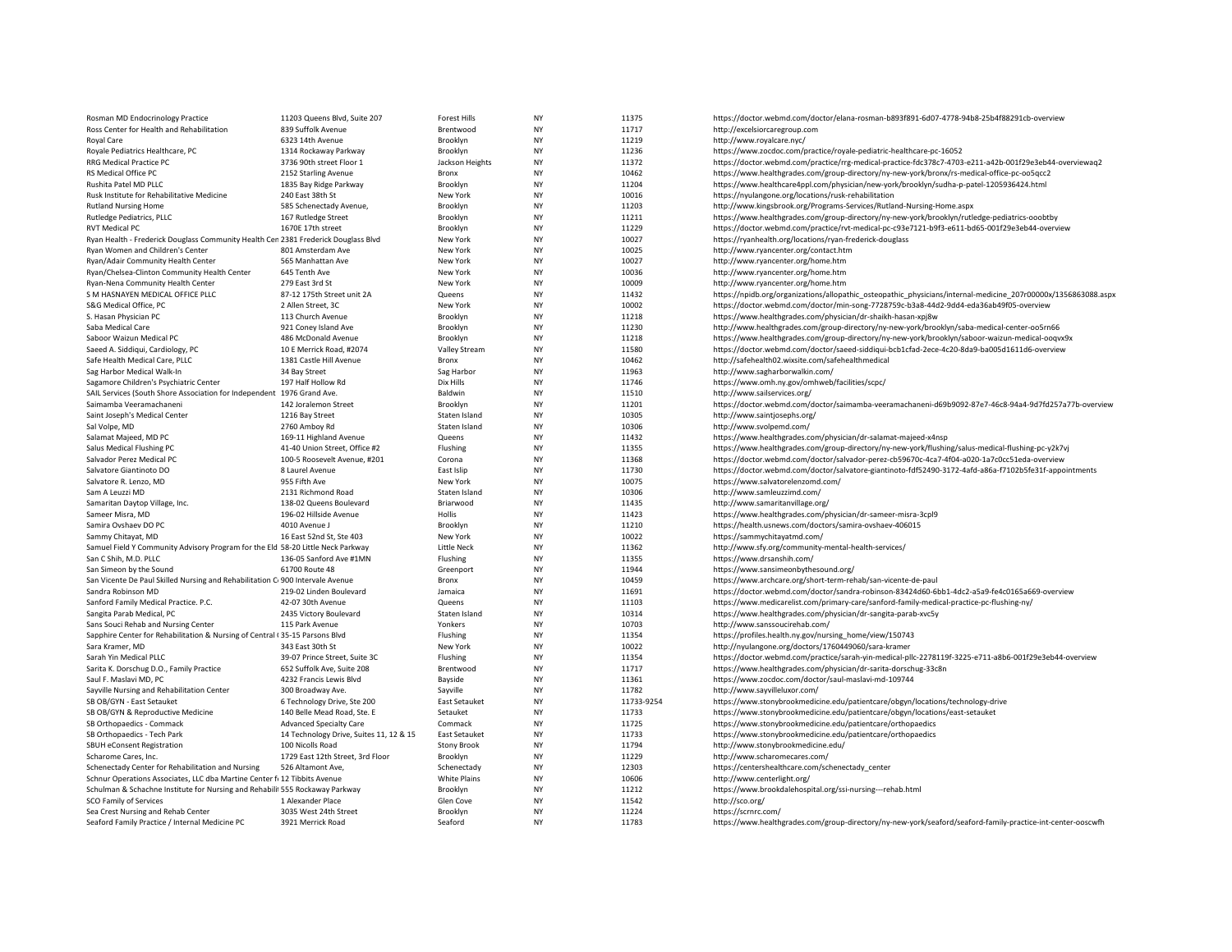| Rosman MD Endocrinology Practice                                                                      | 11203 Queens Blvd, Suite 207            | <b>Forest Hills</b>            | <b>NY</b>              | 11375          | https://doctor.webmd.com/doctor/elana-rosman-b893f891-6d07-4778-94b8-25b4f88291cb-overview                     |
|-------------------------------------------------------------------------------------------------------|-----------------------------------------|--------------------------------|------------------------|----------------|----------------------------------------------------------------------------------------------------------------|
| Ross Center for Health and Rehabilitation                                                             | 839 Suffolk Avenue                      | Brentwood                      | <b>NY</b>              | 11717          | http://excelsiorcaregroup.com                                                                                  |
| <b>Royal Care</b>                                                                                     | 6323 14th Avenue                        | Brooklyn                       | <b>NY</b>              | 11219          | http://www.royalcare.nyc/                                                                                      |
| Royale Pediatrics Healthcare, PC                                                                      | 1314 Rockaway Parkway                   | Brooklyn                       | <b>NY</b>              | 11236          | https://www.zocdoc.com/practice/royale-pediatric-healthcare-pc-16052                                           |
| RRG Medical Practice PC                                                                               | 3736 90th street Floor 1                | Jackson Heights                | <b>NY</b>              | 11372          | https://doctor.webmd.com/practice/rrg-medical-practice-fdc378c7-4703-e211-a42b-001f29e3eb44-overviewaq2        |
| RS Medical Office PC                                                                                  | 2152 Starling Avenue                    | Bronx                          | <b>NY</b>              | 10462          | https://www.healthgrades.com/group-directory/ny-new-york/bronx/rs-medical-office-pc-oo5qcc2                    |
| Rushita Patel MD PLLC                                                                                 | 1835 Bay Ridge Parkway                  | Brooklyn                       | NY                     | 11204          | https://www.healthcare4ppl.com/physician/new-york/brooklyn/sudha-p-patel-1205936424.html                       |
| Rusk Institute for Rehabilitative Medicine                                                            | 240 East 38th St                        | New York                       | <b>NY</b>              | 10016          | https://nyulangone.org/locations/rusk-rehabilitation                                                           |
| <b>Rutland Nursing Home</b>                                                                           | 585 Schenectady Avenue,                 | Brooklyn                       | <b>NY</b>              | 11203          | http://www.kingsbrook.org/Programs-Services/Rutland-Nursing-Home.aspx                                          |
| Rutledge Pediatrics, PLLC                                                                             | 167 Rutledge Street                     | Brooklyn                       | <b>NY</b>              | 11211          | https://www.healthgrades.com/group-directory/ny-new-york/brooklyn/rutledge-pediatrics-ooobtby                  |
| <b>RVT Medical PC</b>                                                                                 | 1670E 17th street                       | Brooklyn                       | <b>NY</b>              | 11229          | https://doctor.webmd.com/practice/rvt-medical-pc-c93e7121-b9f3-e611-bd65-001f29e3eb44-overview                 |
| Ryan Health - Frederick Douglass Community Health Cen 2381 Frederick Douglass Blvd                    |                                         | New York                       | <b>NY</b>              | 10027          | https://ryanhealth.org/locations/ryan-frederick-douglass                                                       |
| Ryan Women and Children's Center                                                                      | 801 Amsterdam Ave                       | New York                       | <b>NY</b>              | 10025          | http://www.ryancenter.org/contact.htm                                                                          |
| Ryan/Adair Community Health Center                                                                    | 565 Manhattan Ave                       | New York                       | <b>NY</b>              | 10027          | http://www.ryancenter.org/home.htm                                                                             |
| Ryan/Chelsea-Clinton Community Health Center                                                          | 645 Tenth Ave                           | New York                       | <b>NY</b>              | 10036          | http://www.ryancenter.org/home.htm                                                                             |
| Ryan-Nena Community Health Center                                                                     | 279 East 3rd St                         | New York                       | <b>NY</b>              | 10009          | http://www.ryancenter.org/home.htm                                                                             |
| S M HASNAYEN MEDICAL OFFICE PLLC                                                                      | 87-12 175th Street unit 2A              | Queens                         | ΝY                     | 11432          | https://npidb.org/organizations/allopathic_osteopathic_physicians/internal-medicine_207r00000x/1356863088.aspx |
| S&G Medical Office, PC                                                                                | 2 Allen Street, 3C                      | New York                       | <b>NY</b>              | 10002          | https://doctor.webmd.com/doctor/min-song-7728759c-b3a8-44d2-9dd4-eda36ab49f05-overview                         |
| S. Hasan Physician PC                                                                                 | 113 Church Avenue                       | Brooklyn                       | <b>NY</b>              | 11218          | https://www.healthgrades.com/physician/dr-shaikh-hasan-xpj8w                                                   |
| Saba Medical Care                                                                                     | 921 Coney Island Ave                    | Brooklyn                       | <b>NY</b>              | 11230          | http://www.healthgrades.com/group-directory/ny-new-york/brooklyn/saba-medical-center-oo5rn66                   |
| Saboor Waizun Medical PC                                                                              | 486 McDonald Avenue                     | Brooklyn                       | <b>NY</b>              | 11218          | https://www.healthgrades.com/group-directory/ny-new-york/brooklyn/saboor-waizun-medical-ooqvx9x                |
| Saeed A. Siddiqui, Cardiology, PC                                                                     | 10 E Merrick Road, #2074                | <b>Valley Stream</b>           | <b>NY</b>              | 11580          | https://doctor.webmd.com/doctor/saeed-siddiqui-bcb1cfad-2ece-4c20-8da9-ba005d1611d6-overview                   |
| Safe Health Medical Care, PLLC                                                                        | 1381 Castle Hill Avenue                 | Bronx                          | <b>NY</b>              | 10462          | http://safehealth02.wixsite.com/safehealthmedical                                                              |
| Sag Harbor Medical Walk-In                                                                            | 34 Bay Street                           | Sag Harbor                     | <b>NY</b>              | 11963          | http://www.sagharborwalkin.com/                                                                                |
| Sagamore Children's Psychiatric Center                                                                | 197 Half Hollow Rd                      | Dix Hills                      | <b>NY</b>              | 11746          | https://www.omh.ny.gov/omhweb/facilities/scpc/                                                                 |
| SAIL Services (South Shore Association for Independent 1976 Grand Ave.                                |                                         | Baldwin                        | <b>NY</b>              | 11510          | http://www.sailservices.org/                                                                                   |
| Saimamba Veeramachaneni                                                                               | 142 Joralemon Street                    | Brooklyn                       | <b>NY</b><br><b>NY</b> | 11201<br>10305 | https://doctor.webmd.com/doctor/saimamba-veeramachaneni-d69b9092-87e7-46c8-94a4-9d7fd257a77b-overview          |
| Saint Joseph's Medical Center<br>Sal Volpe, MD                                                        | 1216 Bay Street<br>2760 Amboy Rd        | Staten Island<br>Staten Island | <b>NY</b>              | 10306          | http://www.saintjosephs.org/<br>http://www.svolpemd.com/                                                       |
| Salamat Majeed, MD PC                                                                                 | 169-11 Highland Avenue                  | Queens                         | <b>NY</b>              | 11432          | https://www.healthgrades.com/physician/dr-salamat-majeed-x4nsp                                                 |
| Salus Medical Flushing PC                                                                             | 41-40 Union Street, Office #2           | Flushing                       | <b>NY</b>              | 11355          | https://www.healthgrades.com/group-directory/ny-new-york/flushing/salus-medical-flushing-pc-y2k7vj             |
| Salvador Perez Medical PC                                                                             | 100-5 Roosevelt Avenue, #201            | Corona                         | <b>NY</b>              | 11368          | https://doctor.webmd.com/doctor/salvador-perez-cb59670c-4ca7-4f04-a020-1a7c0cc51eda-overview                   |
| Salvatore Giantinoto DO                                                                               | 8 Laurel Avenue                         | East Islip                     | <b>NY</b>              | 11730          | https://doctor.webmd.com/doctor/salvatore-giantinoto-fdf52490-3172-4afd-a86a-f7102b5fe31f-appointments         |
| Salvatore R. Lenzo, MD                                                                                | 955 Fifth Ave                           | New York                       | <b>NY</b>              | 10075          | https://www.salvatorelenzomd.com/                                                                              |
| Sam A Leuzzi MD                                                                                       | 2131 Richmond Road                      | Staten Island                  | <b>NY</b>              | 10306          | http://www.samleuzzimd.com/                                                                                    |
| Samaritan Daytop Village, Inc.                                                                        | 138-02 Queens Boulevard                 | Briarwood                      | <b>NY</b>              | 11435          | http://www.samaritanvillage.org/                                                                               |
| Sameer Misra, MD                                                                                      | 196-02 Hillside Avenue                  | Hollis                         | <b>NY</b>              | 11423          | https://www.healthgrades.com/physician/dr-sameer-misra-3cpl9                                                   |
| Samira Ovshaev DO PC                                                                                  | 4010 Avenue J                           | Brooklyn                       | <b>NY</b>              | 11210          | https://health.usnews.com/doctors/samira-ovshaev-406015                                                        |
| Sammy Chitayat, MD                                                                                    | 16 East 52nd St, Ste 403                | New York                       | NY                     | 10022          | https://sammychitayatmd.com/                                                                                   |
| Samuel Field Y Community Advisory Program for the Eld 58-20 Little Neck Parkway                       |                                         | Little Neck                    | <b>NY</b>              | 11362          | http://www.sfy.org/community-mental-health-services/                                                           |
| San C Shih, M.D. PLLC                                                                                 | 136-05 Sanford Ave #1MN                 | Flushing                       | <b>NY</b>              | 11355          | https://www.drsanshih.com/                                                                                     |
| San Simeon by the Sound                                                                               | 61700 Route 48                          | Greenport                      | <b>NY</b>              | 11944          | https://www.sansimeonbythesound.org/                                                                           |
| San Vicente De Paul Skilled Nursing and Rehabilitation C 900 Intervale Avenue                         |                                         | Bronx                          | <b>NY</b>              | 10459          | https://www.archcare.org/short-term-rehab/san-vicente-de-paul                                                  |
| Sandra Robinson MD                                                                                    | 219-02 Linden Boulevard                 | Jamaica                        | <b>NY</b>              | 11691          | https://doctor.webmd.com/doctor/sandra-robinson-83424d60-6bb1-4dc2-a5a9-fe4c0165a669-overview                  |
| Sanford Family Medical Practice. P.C.                                                                 | 42-07 30th Avenue                       | Queens                         | <b>NY</b>              | 11103          | https://www.medicarelist.com/primary-care/sanford-family-medical-practice-pc-flushing-ny/                      |
| Sangita Parab Medical, PC                                                                             | 2435 Victory Boulevard                  | Staten Island                  | <b>NY</b>              | 10314          | https://www.healthgrades.com/physician/dr-sangita-parab-xvc5y                                                  |
| Sans Souci Rehab and Nursing Center                                                                   | 115 Park Avenue                         | Yonkers                        | <b>NY</b>              | 10703          | http://www.sanssoucirehab.com/                                                                                 |
| Sapphire Center for Rehabilitation & Nursing of Central (35-15 Parsons Blvd                           |                                         | Flushing                       | <b>NY</b>              | 11354          | https://profiles.health.ny.gov/nursing_home/view/150743                                                        |
| Sara Kramer, MD                                                                                       | 343 East 30th St                        | New York                       | <b>NY</b>              | 10022          | http://nyulangone.org/doctors/1760449060/sara-kramer                                                           |
| Sarah Yin Medical PLLC                                                                                | 39-07 Prince Street, Suite 3C           | Flushing                       | <b>NY</b>              | 11354          | https://doctor.webmd.com/practice/sarah-yin-medical-pllc-2278119f-3225-e711-a8b6-001f29e3eb44-overview         |
| Sarita K. Dorschug D.O., Family Practice                                                              | 652 Suffolk Ave, Suite 208              | Brentwood                      | <b>NY</b>              | 11717          | https://www.healthgrades.com/physician/dr-sarita-dorschug-33c8n                                                |
| Saul F. Maslavi MD, PC                                                                                | 4232 Francis Lewis Blvd                 | Bayside                        | NY                     | 11361          | https://www.zocdoc.com/doctor/saul-maslavi-md-109744                                                           |
| Sayville Nursing and Rehabilitation Center                                                            | 300 Broadway Ave.                       | Sayville                       | <b>NY</b>              | 11782          | http://www.sayvilleluxor.com/                                                                                  |
| SB OB/GYN - East Setauket                                                                             | 6 Technology Drive, Ste 200             | East Setauket                  | <b>NY</b>              | 11733-9254     | https://www.stonybrookmedicine.edu/patientcare/obgyn/locations/technology-drive                                |
| SB OB/GYN & Reproductive Medicine                                                                     | 140 Belle Mead Road, Ste. E             | Setauket                       | <b>NY</b>              | 11733          | https://www.stonybrookmedicine.edu/patientcare/obgyn/locations/east-setauket                                   |
| SB Orthopaedics - Commack                                                                             | <b>Advanced Specialty Care</b>          | Commack                        | <b>NY</b>              | 11725          | https://www.stonybrookmedicine.edu/patientcare/orthopaedics                                                    |
| SB Orthopaedics - Tech Park                                                                           | 14 Technology Drive, Suites 11, 12 & 15 | East Setauket                  | <b>NY</b>              | 11733          | https://www.stonybrookmedicine.edu/patientcare/orthopaedics                                                    |
| SBUH eConsent Registration                                                                            | 100 Nicolls Road                        | <b>Stony Brook</b>             | <b>NY</b>              | 11794          | http://www.stonybrookmedicine.edu/                                                                             |
| Scharome Cares, Inc.                                                                                  | 1729 East 12th Street, 3rd Floor        | Brooklyn                       | <b>NY</b>              | 11229          | http://www.scharomecares.com/                                                                                  |
| Schenectady Center for Rehabilitation and Nursing                                                     | 526 Altamont Ave,                       | Schenectady                    | <b>NY</b><br><b>NY</b> | 12303<br>10606 | https://centershealthcare.com/schenectady_center                                                               |
| Schnur Operations Associates, LLC dba Martine Center f: 12 Tibbits Avenue                             |                                         | White Plains                   | <b>NY</b>              | 11212          | http://www.centerlight.org/                                                                                    |
| Schulman & Schachne Institute for Nursing and Rehabili 555 Rockaway Parkway<br>SCO Family of Services | 1 Alexander Place                       | Brooklyn<br>Glen Cove          | <b>NY</b>              | 11542          | https://www.brookdalehospital.org/ssi-nursing---rehab.html<br>http://sco.org/                                  |
| Sea Crest Nursing and Rehab Center                                                                    | 3035 West 24th Street                   | Brooklyn                       | <b>NY</b>              | 11224          | https://scrnrc.com/                                                                                            |
| Seaford Family Practice / Internal Medicine PC                                                        | 3921 Merrick Road                       | Seaford                        | <b>NY</b>              | 11783          | https://www.healthgrades.com/group-directory/ny-new-york/seaford/seaford-family-practice-int-center-ooscwfh    |
|                                                                                                       |                                         |                                |                        |                |                                                                                                                |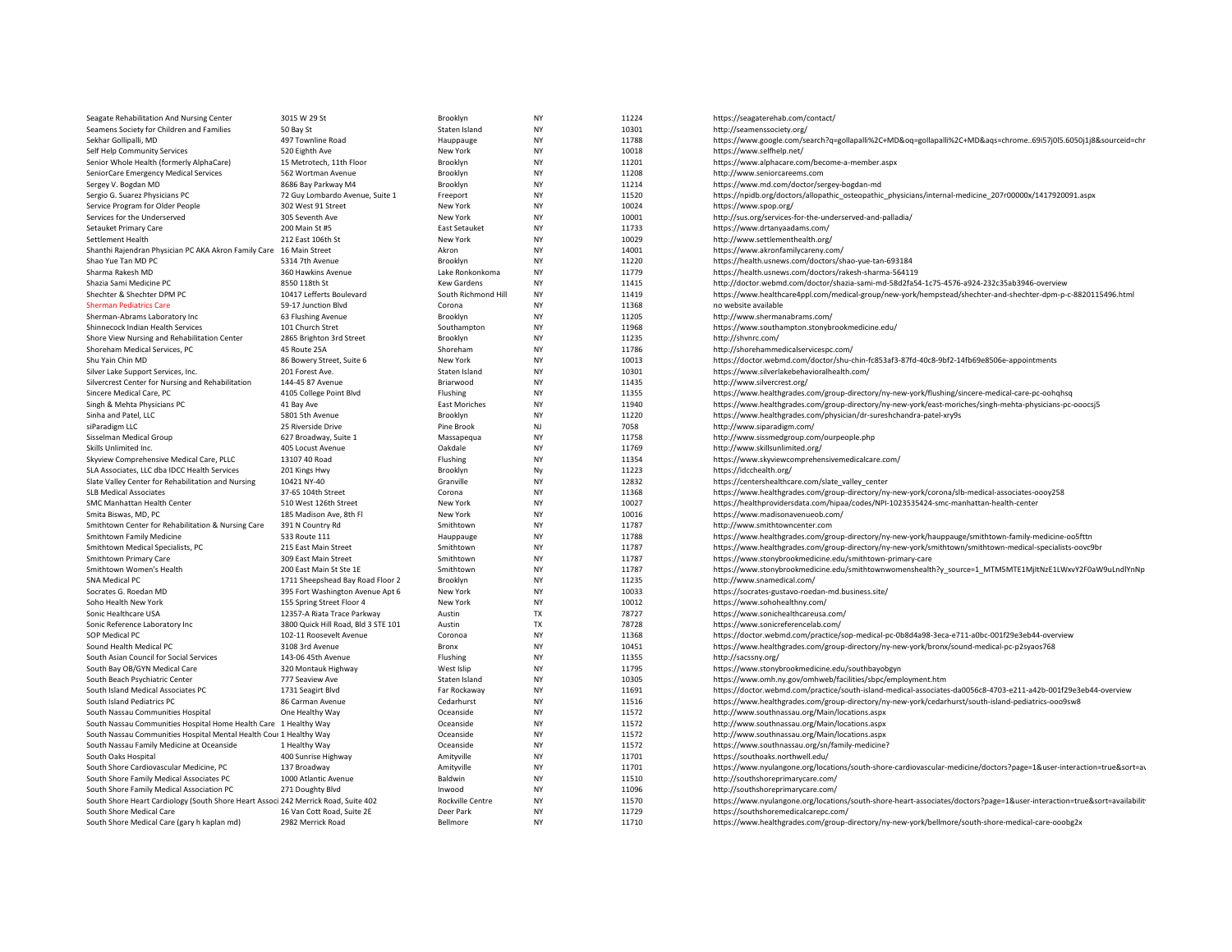| Seagate Rehabilitation And Nursing Center                                          | 3015 W 29 St                                | Brooklyn              | <b>NY</b>       | 11224          | https://seagaterehab.com/contact/                                                                                       |
|------------------------------------------------------------------------------------|---------------------------------------------|-----------------------|-----------------|----------------|-------------------------------------------------------------------------------------------------------------------------|
| Seamens Society for Children and Families                                          | 50 Bay St                                   | Staten Island         | NY              | 10301          | http://seamenssociety.org/                                                                                              |
| Sekhar Gollipalli, MD                                                              | 497 Townline Road                           | Hauppauge             | <b>NY</b>       | 11788          | https://www.google.com/search?q=gollapalli%2C+MD&oq=gollapalli%2C+MD&aqs=chrome69i57j0l5.6050j1j8&sourceid=chr          |
| Self Help Community Services                                                       | 520 Eighth Ave                              | New York              | NY              | 10018          | https://www.selfhelp.net/                                                                                               |
| Senior Whole Health (formerly AlphaCare)                                           | 15 Metrotech, 11th Floor                    | Brooklyn              | <b>NY</b>       | 11201          | https://www.alphacare.com/become-a-member.aspx                                                                          |
| SeniorCare Emergency Medical Services                                              | 562 Wortman Avenue                          | Brooklyn              | NY              | 11208          | http://www.seniorcareems.com                                                                                            |
| Sergey V. Bogdan MD                                                                | 8686 Bay Parkway M4                         | Brooklyn              | NY              | 11214          | https://www.md.com/doctor/sergey-bogdan-md                                                                              |
| Sergio G. Suarez Physicians PC                                                     | 72 Guy Lombardo Avenue, Suite 1             | Freeport              | <b>NY</b>       | 11520          | https://npidb.org/doctors/allopathic_osteopathic_physicians/internal-medicine_207r00000x/1417920091.aspx                |
| Service Program for Older People                                                   | 302 West 91 Street                          | New York              | NY              | 10024          | https://www.spop.org/                                                                                                   |
| Services for the Underserved                                                       | 305 Seventh Ave                             | New York              | NY              | 10001          | http://sus.org/services-for-the-underserved-and-palladia/                                                               |
| Setauket Primary Care                                                              | 200 Main St #5                              | East Setauket         | <b>NY</b>       | 11733          | https://www.drtanyaadams.com/                                                                                           |
| Settlement Health                                                                  | 212 East 106th St                           | New York              | NY              | 10029          | http://www.settlementhealth.org/                                                                                        |
| Shanthi Rajendran Physician PC AKA Akron Family Care 16 Main Street                |                                             | Akron                 | <b>NY</b>       | 14001          | https://www.akronfamilycareny.com/                                                                                      |
| Shao Yue Tan MD PC                                                                 | 5314 7th Avenue                             | Brooklyn              | NY              | 11220          | https://health.usnews.com/doctors/shao-yue-tan-693184                                                                   |
| Sharma Rakesh MD                                                                   | 360 Hawkins Avenue                          | Lake Ronkonkoma       | <b>NY</b>       | 11779          | https://health.usnews.com/doctors/rakesh-sharma-564119                                                                  |
| Shazia Sami Medicine PC                                                            | 8550 118th St                               | <b>Kew Gardens</b>    | NY              | 11415          | http://doctor.webmd.com/doctor/shazia-sami-md-58d2fa54-1c75-4576-a924-232c35ab3946-overview                             |
| Shechter & Shechter DPM PC                                                         | 10417 Lefferts Boulevard                    | South Richmond Hill   | NY              | 11419          | https://www.healthcare4ppl.com/medical-group/new-york/hempstead/shechter-and-shechter-dpm-p-c-8820115496.html           |
| <b>Sherman Pediatrics Care</b>                                                     | 59-17 Junction Blvd                         | Corona                | NY              | 11368          | no website available                                                                                                    |
| Sherman-Abrams Laboratory Inc                                                      | 63 Flushing Avenue                          | Brooklyn              | NY              | 11205          | http://www.shermanabrams.com/                                                                                           |
| Shinnecock Indian Health Services                                                  | 101 Church Stret                            | Southampton           | <b>NY</b>       | 11968          | https://www.southampton.stonybrookmedicine.edu/                                                                         |
| Shore View Nursing and Rehabilitation Center                                       | 2865 Brighton 3rd Street                    | Brooklyn              | NY              | 11235          | http://shvnrc.com/                                                                                                      |
| Shoreham Medical Services, PC                                                      | 45 Route 25A                                | Shoreham              | <b>NY</b>       | 11786          | http://shorehammedicalservicespc.com/                                                                                   |
| Shu Yain Chin MD                                                                   | 86 Bowery Street, Suite 6                   | New York              | <b>NY</b>       | 10013          | https://doctor.webmd.com/doctor/shu-chin-fc853af3-87fd-40c8-9bf2-14fb69e8506e-appointments                              |
| Silver Lake Support Services, Inc.                                                 | 201 Forest Ave.                             | Staten Island         | NY              | 10301          | https://www.silverlakebehavioralhealth.com/                                                                             |
| Silvercrest Center for Nursing and Rehabilitation                                  | 144-45 87 Avenue                            | Briarwood             | <b>NY</b>       | 11435          | http://www.silvercrest.org/                                                                                             |
| Sincere Medical Care, PC                                                           | 4105 College Point Blvd                     | Flushing              | NY              | 11355          | https://www.healthgrades.com/group-directory/ny-new-york/flushing/sincere-medical-care-pc-oohqhsq                       |
| Singh & Mehta Physicians PC                                                        | 41 Bay Ave                                  | <b>East Moriches</b>  | <b>NY</b>       | 11940          | https://www.healthgrades.com/group-directory/ny-new-york/east-moriches/singh-mehta-physicians-pc-ooocsj5                |
| Sinha and Patel, LLC                                                               | 5801 5th Avenue                             | Brooklyn              | <b>NY</b>       | 11220          | https://www.healthgrades.com/physician/dr-sureshchandra-patel-xry9s                                                     |
| siParadigm LLC                                                                     | 25 Riverside Drive                          | Pine Brook            | NJ              | 7058           | http://www.siparadigm.com/                                                                                              |
| Sisselman Medical Group                                                            | 627 Broadway, Suite 1                       | Massapegua            | <b>NY</b>       | 11758          | http://www.sissmedgroup.com/ourpeople.php                                                                               |
| Skills Unlimited Inc.                                                              | 405 Locust Avenue                           | Oakdale               | NY              | 11769          | http://www.skillsunlimited.org/                                                                                         |
| Skyview Comprehensive Medical Care, PLLC                                           | 13107 40 Road                               | Flushing              | <b>NY</b>       | 11354          | https://www.skyviewcomprehensivemedicalcare.com/                                                                        |
| SLA Associates, LLC dba IDCC Health Services                                       | 201 Kings Hwy                               | Brooklyn              | Ny              | 11223          | https://idcchealth.org/                                                                                                 |
| Slate Valley Center for Rehabilitation and Nursing                                 | 10421 NY-40                                 | Granville             | NY              | 12832          | https://centershealthcare.com/slate_valley_center                                                                       |
| <b>SLB Medical Associates</b>                                                      | 37-65 104th Street                          | Corona                | <b>NY</b><br>NY | 11368          | https://www.healthgrades.com/group-directory/ny-new-york/corona/slb-medical-associates-oooy258                          |
| SMC Manhattan Health Center                                                        | 510 West 126th Street                       | New York              | <b>NY</b>       | 10027<br>10016 | https://healthprovidersdata.com/hipaa/codes/NPI-1023535424-smc-manhattan-health-center                                  |
| Smita Biswas, MD, PC<br>Smithtown Center for Rehabilitation & Nursing Care         | 185 Madison Ave, 8th Fl<br>391 N Country Rd | New York<br>Smithtown | NY              | 11787          | https://www.madisonavenueob.com/<br>http://www.smithtowncenter.com                                                      |
| Smithtown Family Medicine                                                          | 533 Route 111                               | Hauppauge             | <b>NY</b>       | 11788          | https://www.healthgrades.com/group-directory/ny-new-york/hauppauge/smithtown-family-medicine-oo5fttn                    |
| Smithtown Medical Specialists, PC                                                  | 215 East Main Street                        | Smithtown             | NY              | 11787          | https://www.healthgrades.com/group-directory/ny-new-york/smithtown/smithtown-medical-specialists-oovc9br                |
| Smithtown Primary Care                                                             | 309 East Main Street                        | Smithtown             | NY              | 11787          | https://www.stonybrookmedicine.edu/smithtown-primary-care                                                               |
| Smithtown Women's Health                                                           | 200 East Main St Ste 1E                     | Smithtown             | <b>NY</b>       | 11787          | https://www.stonybrookmedicine.edu/smithtownwomenshealth?y_source=1_MTM5MTE1MjItNzE1LWxvY2F0aW9uLndlYnNp                |
| SNA Medical PC                                                                     | 1711 Sheepshead Bay Road Floor 2            | Brooklyn              | <b>NY</b>       | 11235          | http://www.snamedical.com/                                                                                              |
| Socrates G. Roedan MD                                                              | 395 Fort Washington Avenue Apt 6            | New York              | NY              | 10033          | https://socrates-gustavo-roedan-md.business.site/                                                                       |
| Soho Health New York                                                               | 155 Spring Street Floor 4                   | New York              | <b>NY</b>       | 10012          | https://www.sohohealthny.com/                                                                                           |
| Sonic Healthcare USA                                                               | 12357-A Riata Trace Parkway                 | Austin                | TX              | 78727          | https://www.sonichealthcareusa.com/                                                                                     |
| Sonic Reference Laboratory Inc                                                     | 3800 Quick Hill Road, Bld 3 STE 101         | Austin                | <b>TX</b>       | 78728          | https://www.sonicreferencelab.com/                                                                                      |
| SOP Medical PC                                                                     | 102-11 Roosevelt Avenue                     | Coronoa               | NY              | 11368          | https://doctor.webmd.com/practice/sop-medical-pc-0b8d4a98-3eca-e711-a0bc-001f29e3eb44-overview                          |
| Sound Health Medical PC                                                            | 3108 3rd Avenue                             | Bronx                 | <b>NY</b>       | 10451          | https://www.healthgrades.com/group-directory/ny-new-york/bronx/sound-medical-pc-p2syaos768                              |
| South Asian Council for Social Services                                            | 143-06 45th Avenue                          | Flushing              | <b>NY</b>       | 11355          | http://sacssny.org/                                                                                                     |
| South Bay OB/GYN Medical Care                                                      | 320 Montauk Highway                         | West Islip            | NY              | 11795          | https://www.stonybrookmedicine.edu/southbayobgyn                                                                        |
| South Beach Psychiatric Center                                                     | 777 Seaview Ave                             | Staten Island         | <b>NY</b>       | 10305          | https://www.omh.ny.gov/omhweb/facilities/sbpc/employment.htm                                                            |
| South Island Medical Associates PC                                                 | 1731 Seagirt Blvd                           | Far Rockaway          | <b>NY</b>       | 11691          | https://doctor.webmd.com/practice/south-island-medical-associates-da0056c8-4703-e211-a42b-001f29e3eb44-overview         |
| South Island Pediatrics PC                                                         | 86 Carman Avenue                            | Cedarhurst            | NY              | 11516          | https://www.healthgrades.com/group-directory/ny-new-york/cedarhurst/south-island-pediatrics-ooo9sw8                     |
| South Nassau Communities Hospital                                                  | One Healthy Way                             | Oceanside             | <b>NY</b>       | 11572          | http://www.southnassau.org/Main/locations.aspx                                                                          |
| South Nassau Communities Hospital Home Health Care 1 Healthy Way                   |                                             | Oceanside             | NY              | 11572          | http://www.southnassau.org/Main/locations.aspx                                                                          |
| South Nassau Communities Hospital Mental Health Cour 1 Healthy Way                 |                                             | Oceanside             | <b>NY</b>       | 11572          | http://www.southnassau.org/Main/locations.aspx                                                                          |
| South Nassau Family Medicine at Oceanside                                          | 1 Healthy Way                               | Oceanside             | NY              | 11572          | https://www.southnassau.org/sn/family-medicine?                                                                         |
| South Oaks Hospital                                                                | 400 Sunrise Highway                         | Amityville            | <b>NY</b>       | 11701          | https://southoaks.northwell.edu/                                                                                        |
| South Shore Cardiovascular Medicine, PC                                            | 137 Broadway                                | Amityville            | NY              | 11701          | https://www.nyulangone.org/locations/south-shore-cardiovascular-medicine/doctors?page=1&user-interaction=true&sort=av   |
| South Shore Family Medical Associates PC                                           | 1000 Atlantic Avenue                        | Baldwin               | NY              | 11510          | http://southshoreprimarycare.com/                                                                                       |
| South Shore Family Medical Association PC                                          | 271 Doughty Blvd                            | Inwood                | <b>NY</b>       | 11096          | http://southshoreprimarycare.com/                                                                                       |
| South Shore Heart Cardiology (South Shore Heart Associ 242 Merrick Road, Suite 402 |                                             | Rockville Centre      | <b>NY</b>       | 11570          | https://www.nyulangone.org/locations/south-shore-heart-associates/doctors?page=1&user-interaction=true&sort=availabilit |
| South Shore Medical Care                                                           | 16 Van Cott Road, Suite 2E                  | Deer Park             | <b>NY</b>       | 11729          | https://southshoremedicalcarepc.com/                                                                                    |
| South Shore Medical Care (gary h kaplan md)                                        | 2982 Merrick Road                           | Bellmore              | <b>NY</b>       | 11710          | https://www.healthgrades.com/group-directory/ny-new-york/bellmore/south-shore-medical-care-ooobg2x                      |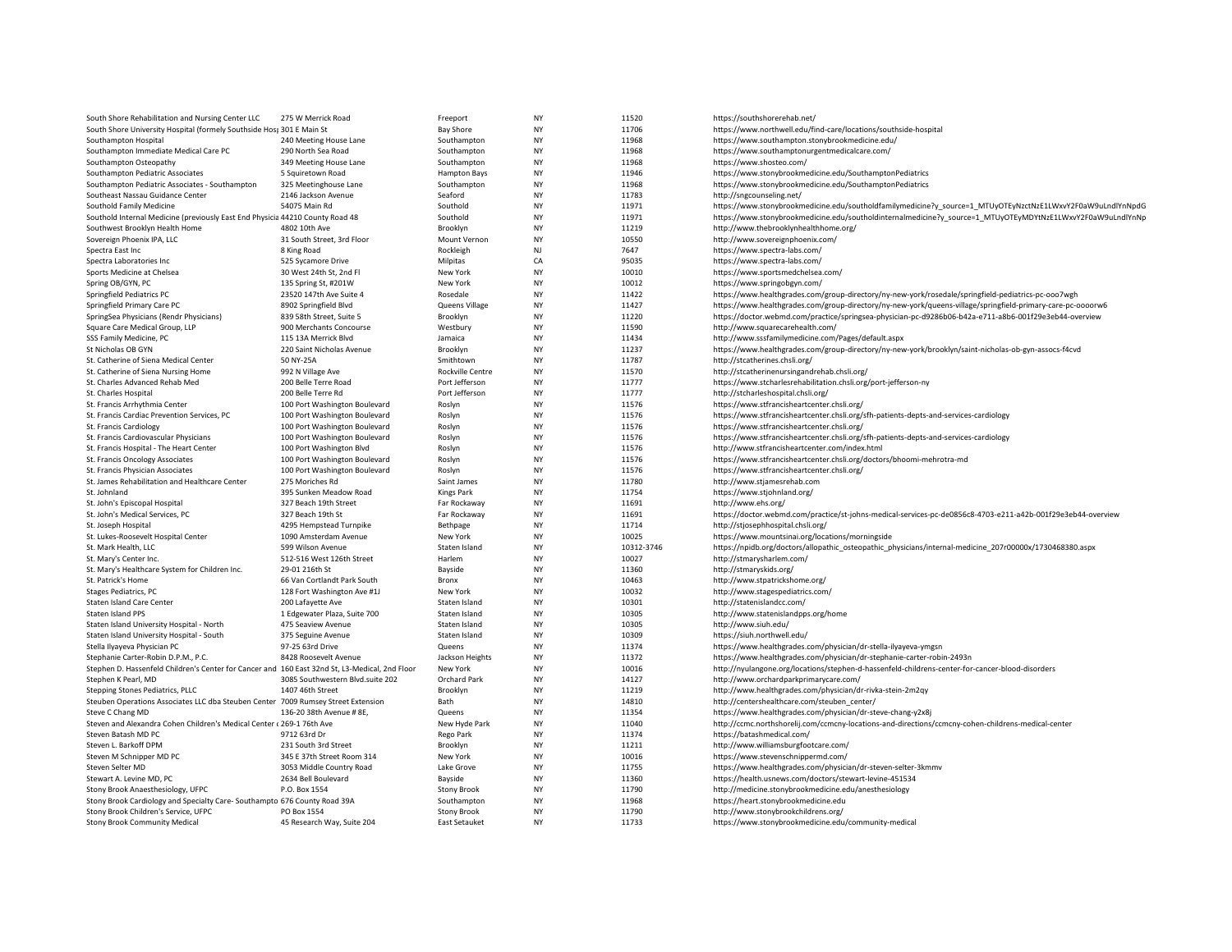| South Shore Rehabilitation and Nursing Center LLC                                              | 275 W Merrick Road               | Freeport             | NY        | 11520      | https://southshorerehab.net/                                                                                 |
|------------------------------------------------------------------------------------------------|----------------------------------|----------------------|-----------|------------|--------------------------------------------------------------------------------------------------------------|
| South Shore University Hospital (formely Southside Hos; 301 E Main St                          |                                  | <b>Bay Shore</b>     | NY        | 11706      | https://www.northwell.edu/find-care/locations/southside-hospital                                             |
| Southampton Hospital                                                                           | 240 Meeting House Lane           | Southampton          | <b>NY</b> | 11968      | https://www.southampton.stonybrookmedicine.edu/                                                              |
| Southampton Immediate Medical Care PC                                                          | 290 North Sea Road               | Southampton          | NY        | 11968      | https://www.southamptonurgentmedicalcare.com/                                                                |
| Southampton Osteopathy                                                                         | 349 Meeting House Lane           | Southampton          | NY        | 11968      | https://www.shosteo.com/                                                                                     |
| Southampton Pediatric Associates                                                               | 5 Squiretown Road                | <b>Hampton Bays</b>  | NY        | 11946      | https://www.stonybrookmedicine.edu/SouthamptonPediatrics                                                     |
| Southampton Pediatric Associates - Southampton                                                 | 325 Meetinghouse Lane            | Southampton          | NY        | 11968      | https://www.stonybrookmedicine.edu/SouthamptonPediatrics                                                     |
| Southeast Nassau Guidance Center                                                               | 2146 Jackson Avenue              | Seaford              | <b>NY</b> | 11783      | http://sngcounseling.net/                                                                                    |
| Southold Family Medicine                                                                       | 54075 Main Rd                    | Southold             | NY        | 11971      | https://www.stonybrookmedicine.edu/southoldfamilymedicine?y_source=1_MTUyOTEyNzctNzE1LWxvY2F0aW9uLndlYnNpdG  |
|                                                                                                |                                  | Southold             | <b>NY</b> | 11971      | https://www.stonybrookmedicine.edu/southoldinternalmedicine?y_source=1_MTUyOTEyMDYtNzE1LWxvY2F0aW9uLndlYnNp  |
| Southold Internal Medicine (previously East End Physicia 44210 County Road 48                  |                                  |                      |           |            |                                                                                                              |
| Southwest Brooklyn Health Home                                                                 | 4802 10th Ave                    | Brooklyn             | NY        | 11219      | http://www.thebrooklynhealthhome.org/                                                                        |
| Sovereign Phoenix IPA, LLC                                                                     | 31 South Street, 3rd Floor       | Mount Vernon         | NY        | 10550      | http://www.sovereignphoenix.com/                                                                             |
| Spectra East Inc                                                                               | 8 King Road                      | Rockleigh            | NJ        | 7647       | https://www.spectra-labs.com/                                                                                |
| Spectra Laboratories Inc                                                                       | 525 Sycamore Drive               | Milpitas             | CA        | 95035      | https://www.spectra-labs.com/                                                                                |
| Sports Medicine at Chelsea                                                                     | 30 West 24th St, 2nd Fl          | New York             | NY        | 10010      | https://www.sportsmedchelsea.com/                                                                            |
| Spring OB/GYN, PC                                                                              | 135 Spring St, #201W             | New York             | NY        | 10012      | https://www.springobgyn.com/                                                                                 |
| Springfield Pediatrics PC                                                                      | 23520 147th Ave Suite 4          | Rosedale             | NY        | 11422      | https://www.healthgrades.com/group-directory/ny-new-york/rosedale/springfield-pediatrics-pc-ooo7wgh          |
| Springfield Primary Care PC                                                                    | 8902 Springfield Blvd            | Queens Village       | <b>NY</b> | 11427      | https://www.healthgrades.com/group-directory/ny-new-york/queens-village/springfield-primary-care-pc-oooorw6  |
| SpringSea Physicians (Rendr Physicians)                                                        | 839 58th Street, Suite 5         | Brooklyn             | NY        | 11220      | https://doctor.webmd.com/practice/springsea-physician-pc-d9286b06-b42a-e711-a8b6-001f29e3eb44-overview       |
| Square Care Medical Group, LLP                                                                 | 900 Merchants Concourse          | Westbury             | NY        | 11590      | http://www.squarecarehealth.com/                                                                             |
| SSS Family Medicine, PC                                                                        | 115 13A Merrick Blvd             | Jamaica              | NY        | 11434      | http://www.sssfamilymedicine.com/Pages/default.aspx                                                          |
| St Nicholas OB GYN                                                                             | 220 Saint Nicholas Avenue        | Brooklyn             | NY        | 11237      | https://www.healthgrades.com/group-directory/ny-new-york/brooklyn/saint-nicholas-ob-gyn-assocs-f4cvd         |
| St. Catherine of Siena Medical Center                                                          | 50 NY-25A                        | Smithtown            | <b>NY</b> | 11787      | http://stcatherines.chsli.org/                                                                               |
| St. Catherine of Siena Nursing Home                                                            | 992 N Village Ave                | Rockville Centre     | NY        | 11570      | http://stcatherinenursingandrehab.chsli.org/                                                                 |
| St. Charles Advanced Rehab Med                                                                 | 200 Belle Terre Road             | Port Jefferson       | NY        | 11777      | https://www.stcharlesrehabilitation.chsli.org/port-jefferson-ny                                              |
|                                                                                                |                                  |                      | NY        | 11777      |                                                                                                              |
| St. Charles Hospital                                                                           | 200 Belle Terre Rd               | Port Jefferson       |           |            | http://stcharleshospital.chsli.org/                                                                          |
| St. Francis Arrhythmia Center                                                                  | 100 Port Washington Boulevard    | Roslyn               | NY        | 11576      | https://www.stfrancisheartcenter.chsli.org/                                                                  |
| St. Francis Cardiac Prevention Services, PC                                                    | 100 Port Washington Boulevard    | Roslyn               | NY        | 11576      | https://www.stfrancisheartcenter.chsli.org/sfh-patients-depts-and-services-cardiology                        |
| St. Francis Cardiology                                                                         | 100 Port Washington Boulevard    | Roslyn               | NY        | 11576      | https://www.stfrancisheartcenter.chsli.org/                                                                  |
| St. Francis Cardiovascular Physicians                                                          | 100 Port Washington Boulevard    | Roslyn               | NY        | 11576      | https://www.stfrancisheartcenter.chsli.org/sfh-patients-depts-and-services-cardiology                        |
| St. Francis Hospital - The Heart Center                                                        | 100 Port Washington Blvd         | Roslyn               | NY        | 11576      | http://www.stfrancisheartcenter.com/index.html                                                               |
| St. Francis Oncology Associates                                                                | 100 Port Washington Boulevard    | Roslyn               | NY        | 11576      | https://www.stfrancisheartcenter.chsli.org/doctors/bhoomi-mehrotra-md                                        |
| St. Francis Physician Associates                                                               | 100 Port Washington Boulevard    | Roslyn               | <b>NY</b> | 11576      | https://www.stfrancisheartcenter.chsli.org/                                                                  |
| St. James Rehabilitation and Healthcare Center                                                 | 275 Moriches Rd                  | Saint James          | NY        | 11780      | http://www.stjamesrehab.com                                                                                  |
| St. Johnland                                                                                   | 395 Sunken Meadow Road           | Kings Park           | NY        | 11754      | https://www.stjohnland.org/                                                                                  |
| St. John's Episcopal Hospital                                                                  | 327 Beach 19th Street            | Far Rockaway         | NY        | 11691      | http://www.ehs.org/                                                                                          |
| St. John's Medical Services, PC                                                                | 327 Beach 19th St                | Far Rockaway         | NY        | 11691      | https://doctor.webmd.com/practice/st-johns-medical-services-pc-de0856c8-4703-e211-a42b-001f29e3eb44-overview |
| St. Joseph Hospital                                                                            | 4295 Hempstead Turnpike          | Bethpage             | NY        | 11714      | http://stjosephhospital.chsli.org/                                                                           |
| St. Lukes-Roosevelt Hospital Center                                                            | 1090 Amsterdam Avenue            | New York             | NY        | 10025      | https://www.mountsinai.org/locations/morningside                                                             |
| St. Mark Health, LLC                                                                           | 599 Wilson Avenue                | Staten Island        | <b>NY</b> | 10312-3746 | https://npidb.org/doctors/allopathic_osteopathic_physicians/internal-medicine_207r00000x/1730468380.aspx     |
| St. Mary's Center Inc.                                                                         | 512-516 West 126th Street        | Harlem               | NY        | 10027      | http://stmarysharlem.com/                                                                                    |
|                                                                                                | 29-01 216th St                   | Bayside              | NY        | 11360      | http://stmaryskids.org/                                                                                      |
| St. Mary's Healthcare System for Children Inc.                                                 |                                  |                      |           |            |                                                                                                              |
| St. Patrick's Home                                                                             | 66 Van Cortlandt Park South      | Bronx                | <b>NY</b> | 10463      | http://www.stpatrickshome.org/                                                                               |
| <b>Stages Pediatrics, PC</b>                                                                   | 128 Fort Washington Ave #1J      | New York             | <b>NY</b> | 10032      | http://www.stagespediatrics.com/                                                                             |
| Staten Island Care Center                                                                      | 200 Lafayette Ave                | Staten Island        | NY        | 10301      | http://statenislandcc.com/                                                                                   |
| Staten Island PPS                                                                              | 1 Edgewater Plaza, Suite 700     | Staten Island        | NY        | 10305      | http://www.statenislandpps.org/home                                                                          |
| Staten Island University Hospital - North                                                      | 475 Seaview Avenue               | Staten Island        | NY        | 10305      | http://www.siuh.edu/                                                                                         |
| Staten Island University Hospital - South                                                      | 375 Seguine Avenue               | Staten Island        | <b>NY</b> | 10309      | https://siuh.northwell.edu/                                                                                  |
| Stella Ilyayeva Physician PC                                                                   | 97-25 63rd Drive                 | Queens               | NY        | 11374      | https://www.healthgrades.com/physician/dr-stella-ilyayeva-ymgsn                                              |
| Stephanie Carter-Robin D.P.M., P.C.                                                            | 8428 Roosevelt Avenue            | Jackson Heights      | NY        | 11372      | https://www.healthgrades.com/physician/dr-stephanie-carter-robin-2493n                                       |
| Stephen D. Hassenfeld Children's Center for Cancer and 160 East 32nd St, L3-Medical, 2nd Floor |                                  | New York             | NY        | 10016      | http://nyulangone.org/locations/stephen-d-hassenfeld-childrens-center-for-cancer-blood-disorders             |
| Stephen K Pearl, MD                                                                            | 3085 Southwestern Blvd.suite 202 | Orchard Park         | NY        | 14127      | http://www.orchardparkprimarycare.com/                                                                       |
| Stepping Stones Pediatrics, PLLC                                                               | 1407 46th Street                 | Brooklyn             | <b>NY</b> | 11219      | http://www.healthgrades.com/physician/dr-rivka-stein-2m2qy                                                   |
| Steuben Operations Associates LLC dba Steuben Center 7009 Rumsey Street Extension              |                                  | Bath                 | NY        | 14810      | http://centershealthcare.com/steuben_center/                                                                 |
| Steve C Chang MD                                                                               | 136-20 38th Avenue # 8E,         | Queens               | NY        | 11354      | https://www.healthgrades.com/physician/dr-steve-chang-y2x8j                                                  |
| Steven and Alexandra Cohen Children's Medical Center (269-176th Ave                            |                                  | New Hyde Park        | NY        | 11040      | http://ccmc.northshorelij.com/ccmcny-locations-and-directions/ccmcny-cohen-childrens-medical-center          |
| Steven Batash MD PC                                                                            | 9712 63rd Dr                     | Rego Park            | NY        | 11374      | https://batashmedical.com/                                                                                   |
| Steven L. Barkoff DPM                                                                          | 231 South 3rd Street             | Brooklyn             | <b>NY</b> | 11211      |                                                                                                              |
|                                                                                                |                                  |                      |           |            | http://www.williamsburgfootcare.com/                                                                         |
| Steven M Schnipper MD PC                                                                       | 345 E 37th Street Room 314       | New York             | NY        | 10016      | https://www.stevenschnippermd.com/                                                                           |
| Steven Selter MD                                                                               | 3053 Middle Country Road         | Lake Grove           | NY        | 11755      | https://www.healthgrades.com/physician/dr-steven-selter-3kmmv                                                |
| Stewart A. Levine MD. PC                                                                       | 2634 Bell Boulevard              | Bayside              | <b>NY</b> | 11360      | https://health.usnews.com/doctors/stewart-levine-451534                                                      |
| Stony Brook Anaesthesiology, UFPC                                                              | P.O. Box 1554                    | <b>Stony Brook</b>   | NY        | 11790      | http://medicine.stonybrookmedicine.edu/anesthesiology                                                        |
| Stony Brook Cardiology and Specialty Care-Southampto 676 County Road 39A                       |                                  | Southampton          | <b>NY</b> | 11968      | https://heart.stonybrookmedicine.edu                                                                         |
| Stony Brook Children's Service, UFPC                                                           | PO Box 1554                      | <b>Stony Brook</b>   | NY        | 11790      | http://www.stonybrookchildrens.org/                                                                          |
| <b>Stony Brook Community Medical</b>                                                           | 45 Research Way, Suite 204       | <b>East Setauket</b> | <b>NY</b> | 11733      | https://www.stonybrookmedicine.edu/community-medical                                                         |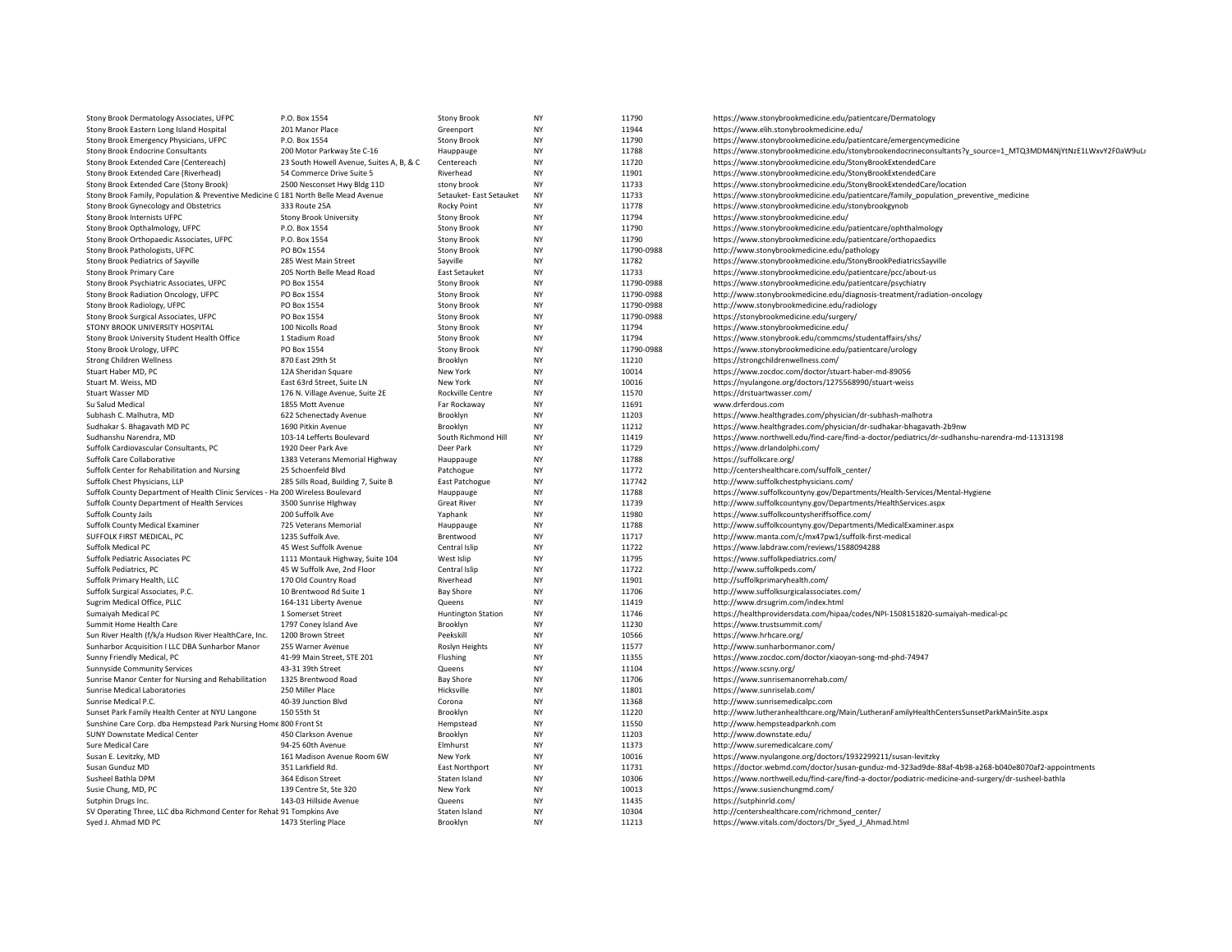| Stony Brook Dermatology Associates, UFPC                                           | P.O. Box 1554                            | <b>Stony Brook</b>             | NY              | 11790          | https://www.stonybrookmedicine.edu/patientcare/Dermatology                                                  |
|------------------------------------------------------------------------------------|------------------------------------------|--------------------------------|-----------------|----------------|-------------------------------------------------------------------------------------------------------------|
| Stony Brook Eastern Long Island Hospital                                           | 201 Manor Place                          | Greenport                      | NY              | 11944          | https://www.elih.stonybrookmedicine.edu/                                                                    |
| Stony Brook Emergency Physicians, UFPC                                             | P.O. Box 1554                            | <b>Stony Brook</b>             | NY              | 11790          | https://www.stonybrookmedicine.edu/patientcare/emergencymedicine                                            |
| Stony Brook Endocrine Consultants                                                  | 200 Motor Parkway Ste C-16               | Hauppauge                      | NY              | 11788          | https://www.stonybrookmedicine.edu/stonybrookendocrineconsultants?y_source=1_MTQ3MDM4NjYtNzE1LWxvY2F0aW9uLi |
| Stony Brook Extended Care (Centereach)                                             | 23 South Howell Avenue, Suites A, B, & C | Centereach                     | NY              | 11720          | https://www.stonybrookmedicine.edu/StonyBrookExtendedCare                                                   |
| Stony Brook Extended Care (Riverhead)                                              | 54 Commerce Drive Suite 5                | Riverhead                      | NY              | 11901          | https://www.stonybrookmedicine.edu/StonyBrookExtendedCare                                                   |
| Stony Brook Extended Care (Stony Brook)                                            | 2500 Nesconset Hwy Bldg 11D              | stony brook                    | <b>NY</b>       | 11733          | https://www.stonybrookmedicine.edu/StonyBrookExtendedCare/location                                          |
| Stony Brook Family, Population & Preventive Medicine G 181 North Belle Mead Avenue |                                          | Setauket- East Setauket        | NY              | 11733          | https://www.stonybrookmedicine.edu/patientcare/family_population_preventive_medicine                        |
| Stony Brook Gynecology and Obstetrics                                              | 333 Route 25A                            | <b>Rocky Point</b>             | <b>NY</b>       | 11778          | https://www.stonybrookmedicine.edu/stonybrookgynob                                                          |
| Stony Brook Internists UFPC                                                        | Stony Brook University                   | <b>Stony Brook</b>             | NY              | 11794          | https://www.stonybrookmedicine.edu/                                                                         |
| Stony Brook Opthalmology, UFPC                                                     | P.O. Box 1554                            | <b>Stony Brook</b>             | NY              | 11790          | https://www.stonybrookmedicine.edu/patientcare/ophthalmology                                                |
| Stony Brook Orthopaedic Associates, UFPC                                           | P.O. Box 1554                            | <b>Stony Brook</b>             | <b>NY</b>       | 11790          | https://www.stonybrookmedicine.edu/patientcare/orthopaedics                                                 |
| Stony Brook Pathologists, UFPC                                                     | PO BOx 1554                              | <b>Stony Brook</b>             | NY              | 11790-0988     | http://www.stonybrookmedicine.edu/pathology                                                                 |
| Stony Brook Pediatrics of Sayville                                                 | 285 West Main Street                     | Sayville                       | <b>NY</b>       | 11782          | https://www.stonybrookmedicine.edu/StonyBrookPediatricsSayville                                             |
| Stony Brook Primary Care                                                           | 205 North Belle Mead Road                | East Setauket                  | NY              | 11733          | https://www.stonybrookmedicine.edu/patientcare/pcc/about-us                                                 |
| Stony Brook Psychiatric Associates, UFPC                                           | PO Box 1554                              | <b>Stony Brook</b>             | NY              | 11790-0988     | https://www.stonybrookmedicine.edu/patientcare/psychiatry                                                   |
| Stony Brook Radiation Oncology, UFPC                                               | PO Box 1554                              | <b>Stony Brook</b>             | <b>NY</b>       | 11790-0988     | http://www.stonybrookmedicine.edu/diagnosis-treatment/radiation-oncology                                    |
| Stony Brook Radiology, UFPC                                                        | PO Box 1554                              | <b>Stony Brook</b>             | NY              | 11790-0988     | http://www.stonybrookmedicine.edu/radiology                                                                 |
| Stony Brook Surgical Associates, UFPC                                              | PO Box 1554                              | <b>Stony Brook</b>             | <b>NY</b>       | 11790-0988     | https://stonybrookmedicine.edu/surgery/                                                                     |
| STONY BROOK UNIVERSITY HOSPITAL                                                    | 100 Nicolls Road                         | <b>Stony Brook</b>             | NY              | 11794          | https://www.stonybrookmedicine.edu/                                                                         |
| Stony Brook University Student Health Office                                       | 1 Stadium Road                           | Stony Brook                    | NY              | 11794          | https://www.stonybrook.edu/commcms/studentaffairs/shs/                                                      |
| Stony Brook Urology, UFPC                                                          | PO Box 1554                              | <b>Stony Brook</b>             | NY              | 11790-0988     | https://www.stonybrookmedicine.edu/patientcare/urology                                                      |
| <b>Strong Children Wellness</b>                                                    | 870 East 29th St                         | Brooklyn                       | NY              | 11210          | https://strongchildrenwellness.com/                                                                         |
| Stuart Haber MD, PC                                                                | 12A Sheridan Square                      | New York                       | <b>NY</b>       | 10014          | https://www.zocdoc.com/doctor/stuart-haber-md-89056                                                         |
| Stuart M. Weiss, MD                                                                | East 63rd Street, Suite LN               | New York                       | NY              | 10016          | https://nyulangone.org/doctors/1275568990/stuart-weiss                                                      |
| Stuart Wasser MD                                                                   | 176 N. Village Avenue, Suite 2E          | Rockville Centre               | NY              | 11570          | https://drstuartwasser.com/                                                                                 |
| Su Salud Medical                                                                   | 1855 Mott Avenue                         | Far Rockaway                   | NY              | 11691          | www.drferdous.com                                                                                           |
| Subhash C. Malhutra, MD                                                            | 622 Schenectady Avenue                   | Brooklyn                       | NY              | 11203          | https://www.healthgrades.com/physician/dr-subhash-malhotra                                                  |
| Sudhakar S. Bhagavath MD PC                                                        | 1690 Pitkin Avenue                       | Brooklyn                       | <b>NY</b>       | 11212          | https://www.healthgrades.com/physician/dr-sudhakar-bhagavath-2b9nw                                          |
| Sudhanshu Narendra, MD                                                             | 103-14 Lefferts Boulevard                | South Richmond Hill            | NY              | 11419          | https://www.northwell.edu/find-care/find-a-doctor/pediatrics/dr-sudhanshu-narendra-md-11313198              |
| Suffolk Cardiovascular Consultants, PC                                             | 1920 Deer Park Ave                       | Deer Park                      | NY              | 11729          | https://www.drlandolphi.com/                                                                                |
| Suffolk Care Collaborative                                                         | 1383 Veterans Memorial Highway           | Hauppauge                      | NY              | 11788          | https://suffolkcare.org/                                                                                    |
| Suffolk Center for Rehabilitation and Nursing                                      | 25 Schoenfeld Blvd                       | Patchogue                      | NY              | 11772          | http://centershealthcare.com/suffolk_center/                                                                |
| Suffolk Chest Physicians, LLP                                                      | 285 Sills Road, Building 7, Suite B      | East Patchogue                 | <b>NY</b>       | 117742         | http://www.suffolkchestphysicians.com/                                                                      |
| Suffolk County Department of Health Clinic Services - Ha 200 Wireless Boulevard    |                                          | Hauppauge                      | NY              | 11788          | https://www.suffolkcountyny.gov/Departments/Health-Services/Mental-Hygiene                                  |
| Suffolk County Department of Health Services                                       | 3500 Sunrise Highway                     | <b>Great River</b>             | <b>NY</b>       | 11739          | http://www.suffolkcountyny.gov/Departments/HealthServices.aspx                                              |
| Suffolk County Jails                                                               | 200 Suffolk Ave                          | Yaphank                        | NY              | 11980          | https://www.suffolkcountysheriffsoffice.com/                                                                |
| <b>Suffolk County Medical Examiner</b>                                             | 725 Veterans Memorial                    | Hauppauge                      | NY              | 11788          | http://www.suffolkcountyny.gov/Departments/MedicalExaminer.aspx                                             |
| SUFFOLK FIRST MEDICAL, PC                                                          | 1235 Suffolk Ave.                        | Brentwood                      | NY              | 11717          | http://www.manta.com/c/mx47pw1/suffolk-first-medical                                                        |
| Suffolk Medical PC                                                                 | 45 West Suffolk Avenue                   | Central Islip                  | NY              | 11722          | https://www.labdraw.com/reviews/1588094288                                                                  |
| Suffolk Pediatric Associates PC                                                    | 1111 Montauk Highway, Suite 104          | West Islip                     | NY              | 11795          | https://www.suffolkpediatrics.com/                                                                          |
| Suffolk Pediatrics, PC                                                             | 45 W Suffolk Ave, 2nd Floor              | Central Islip                  | NY              | 11722          | http://www.suffolkpeds.com/                                                                                 |
| Suffolk Primary Health, LLC                                                        | 170 Old Country Road                     | Riverhead                      | NY              | 11901          | http://suffolkprimaryhealth.com/                                                                            |
| Suffolk Surgical Associates, P.C.                                                  | 10 Brentwood Rd Suite 1                  | Bay Shore                      | <b>NY</b>       | 11706          | http://www.suffolksurgicalassociates.com/                                                                   |
| Sugrim Medical Office, PLLC                                                        | 164-131 Liberty Avenue                   | Queens                         | NY              | 11419          | http://www.drsugrim.com/index.html                                                                          |
| Sumaiyah Medical PC                                                                | 1 Somerset Street                        | <b>Huntington Station</b>      | <b>NY</b>       | 11746          | https://healthprovidersdata.com/hipaa/codes/NPI-1508151820-sumaiyah-medical-pc                              |
| Summit Home Health Care                                                            | 1797 Coney Island Ave                    | Brooklyn                       | NY              | 11230          | https://www.trustsummit.com/                                                                                |
| Sun River Health (f/k/a Hudson River HealthCare, Inc.                              | 1200 Brown Street                        | Peekskill                      | NY              | 10566          | https://www.hrhcare.org/                                                                                    |
| Sunharbor Acquisition I LLC DBA Sunharbor Manor                                    | 255 Warner Avenue                        | Roslyn Heights                 | NY              | 11577          | http://www.sunharbormanor.com/                                                                              |
| Sunny Friendly Medical, PC                                                         | 41-99 Main Street, STE 201               | Flushing                       | NY<br><b>NY</b> | 11355<br>11104 | https://www.zocdoc.com/doctor/xiaoyan-song-md-phd-74947                                                     |
| <b>Sunnyside Community Services</b>                                                | 43-31 39th Street                        | Queens                         |                 |                | https://www.scsny.org/                                                                                      |
| Sunrise Manor Center for Nursing and Rehabilitation                                | 1325 Brentwood Road<br>250 Miller Place  | <b>Bay Shore</b><br>Hicksville | NY<br>NY        | 11706<br>11801 | https://www.sunrisemanorrehab.com/                                                                          |
| Sunrise Medical Laboratories<br>Sunrise Medical P.C.                               | 40-39 Junction Blvd                      | Corona                         | NY              | 11368          | https://www.sunriselab.com/<br>http://www.sunrisemedicalpc.com                                              |
| Sunset Park Family Health Center at NYU Langone                                    | 150 55th St                              | Brooklyn                       | NY              | 11220          | http://www.lutheranhealthcare.org/Main/LutheranFamilyHealthCentersSunsetParkMainSite.aspx                   |
| Sunshine Care Corp. dba Hempstead Park Nursing Home 800 Front St                   |                                          | Hempstead                      | NY              | 11550          | http://www.hempsteadparknh.com                                                                              |
| <b>SUNY Downstate Medical Center</b>                                               | 450 Clarkson Avenue                      | Brooklyn                       | NY              | 11203          | http://www.downstate.edu/                                                                                   |
| Sure Medical Care                                                                  | 94-25 60th Avenue                        | Elmhurst                       | NY              | 11373          | http://www.suremedicalcare.com/                                                                             |
| Susan E. Levitzky, MD                                                              | 161 Madison Avenue Room 6W               | New York                       | NY              | 10016          | https://www.nyulangone.org/doctors/1932299211/susan-levitzky                                                |
| Susan Gunduz MD                                                                    | 351 Larkfield Rd.                        | <b>East Northport</b>          | NY              | 11731          | https://doctor.webmd.com/doctor/susan-gunduz-md-323ad9de-88af-4b98-a268-b040e8070af2-appointments           |
| Susheel Bathla DPM                                                                 | 364 Edison Street                        | Staten Island                  | <b>NY</b>       | 10306          | https://www.northwell.edu/find-care/find-a-doctor/podiatric-medicine-and-surgery/dr-susheel-bathla          |
| Susie Chung, MD, PC                                                                | 139 Centre St, Ste 320                   | New York                       | NY              | 10013          | https://www.susienchungmd.com/                                                                              |
| Sutphin Drugs Inc.                                                                 | 143-03 Hillside Avenue                   | Queens                         | <b>NY</b>       | 11435          | https://sutphinrld.com/                                                                                     |
| SV Operating Three, LLC dba Richmond Center for Rehal 91 Tompkins Ave              |                                          | Staten Island                  | NY              | 10304          | http://centershealthcare.com/richmond_center/                                                               |
| Syed J. Ahmad MD PC                                                                | 1473 Sterling Place                      | Brooklyn                       | <b>NY</b>       | 11213          | https://www.vitals.com/doctors/Dr Syed J Ahmad.html                                                         |
|                                                                                    |                                          |                                |                 |                |                                                                                                             |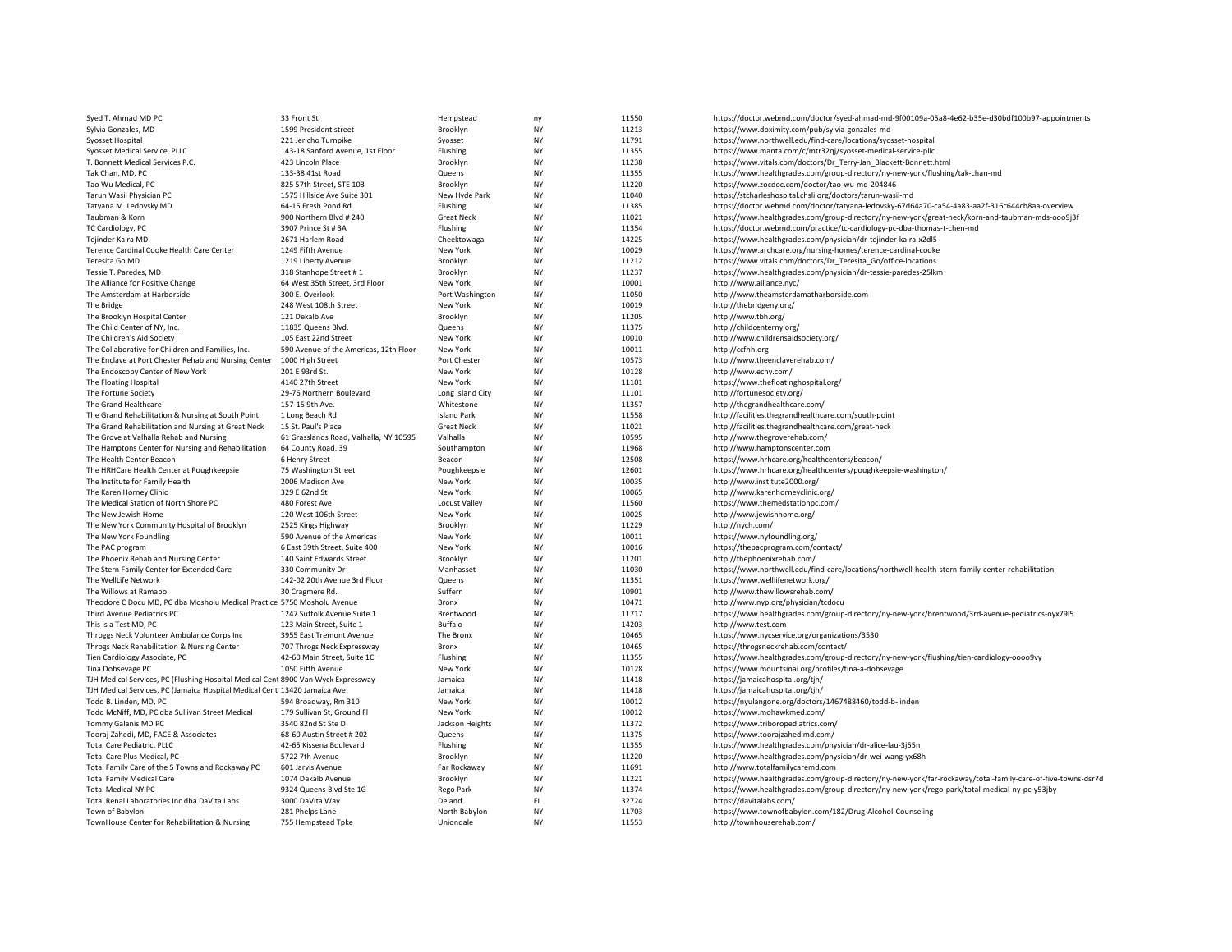| Syed T. Ahmad MD PC                                                               | 33 Front St                             | Hempstead                 | ny              | 11550          | https://doctor.webmd.com/doctor/syed-ahmad-md-9f00109a-05a8-4e62-b35e-d30bdf100b97-appointments             |
|-----------------------------------------------------------------------------------|-----------------------------------------|---------------------------|-----------------|----------------|-------------------------------------------------------------------------------------------------------------|
| Sylvia Gonzales, MD                                                               | 1599 President street                   | Brooklyn                  | <b>NY</b>       | 11213          | https://www.doximity.com/pub/sylvia-gonzales-md                                                             |
| Syosset Hospital                                                                  | 221 Jericho Turnpike                    | Syosset                   | NY              | 11791          | https://www.northwell.edu/find-care/locations/syosset-hospital                                              |
| Syosset Medical Service, PLLC                                                     | 143-18 Sanford Avenue, 1st Floor        | Flushing                  | <b>NY</b>       | 11355          | https://www.manta.com/c/mtr32qj/syosset-medical-service-pllc                                                |
| T. Bonnett Medical Services P.C.                                                  | 423 Lincoln Place                       | Brooklyn                  | NY              | 11238          | https://www.vitals.com/doctors/Dr_Terry-Jan_Blackett-Bonnett.html                                           |
| Tak Chan, MD, PC                                                                  | 133-38 41st Road                        | Queens                    | <b>NY</b>       | 11355          | https://www.healthgrades.com/group-directory/ny-new-york/flushing/tak-chan-md                               |
| Tao Wu Medical, PC                                                                | 825 57th Street, STE 103                | Brooklyn                  | <b>NY</b>       | 11220          | https://www.zocdoc.com/doctor/tao-wu-md-204846                                                              |
| Tarun Wasil Physician PC                                                          | 1575 Hillside Ave Suite 301             | New Hyde Park             | NY              | 11040          | https://stcharleshospital.chsli.org/doctors/tarun-wasil-md                                                  |
| Tatyana M. Ledovsky MD                                                            | 64-15 Fresh Pond Rd                     | Flushing                  | <b>NY</b>       | 11385          | https://doctor.webmd.com/doctor/tatyana-ledovsky-67d64a70-ca54-4a83-aa2f-316c644cb8aa-overview              |
| Taubman & Korn                                                                    | 900 Northern Blvd # 240                 | <b>Great Neck</b>         | NY              | 11021          | https://www.healthgrades.com/group-directory/ny-new-york/great-neck/korn-and-taubman-mds-ooo9j3f            |
| TC Cardiology, PC                                                                 | 3907 Prince St # 3A                     | Flushing                  | NY              | 11354          | https://doctor.webmd.com/practice/tc-cardiology-pc-dba-thomas-t-chen-md                                     |
| Tejinder Kalra MD                                                                 | 2671 Harlem Road                        | Cheektowaga               | <b>NY</b>       | 14225          | https://www.healthgrades.com/physician/dr-tejinder-kalra-x2dl5                                              |
| Terence Cardinal Cooke Health Care Center                                         | 1249 Fifth Avenue                       | New York                  | NY              | 10029          | https://www.archcare.org/nursing-homes/terence-cardinal-cooke                                               |
| Teresita Go MD                                                                    | 1219 Liberty Avenue                     | Brooklyn                  | <b>NY</b>       | 11212          | https://www.vitals.com/doctors/Dr_Teresita_Go/office-locations                                              |
| Tessie T. Paredes, MD                                                             | 318 Stanhope Street #1                  | Brooklyn                  | NY              | 11237          | https://www.healthgrades.com/physician/dr-tessie-paredes-25lkm                                              |
| The Alliance for Positive Change                                                  | 64 West 35th Street, 3rd Floor          | New York                  | NY              | 10001          | http://www.alliance.nyc/                                                                                    |
| The Amsterdam at Harborside                                                       | 300 E. Overlook                         | Port Washington           | NY              | 11050          | http://www.theamsterdamatharborside.com                                                                     |
| The Bridge                                                                        | 248 West 108th Street                   | New York                  | NY              | 10019          | http://thebridgeny.org/                                                                                     |
| The Brooklyn Hospital Center                                                      | 121 Dekalb Ave                          | Brooklyn                  | <b>NY</b>       | 11205          | http://www.tbh.org/                                                                                         |
| The Child Center of NY, Inc.                                                      | 11835 Queens Blvd                       | Queens                    | <b>NY</b>       | 11375          | http://childcenterny.org/                                                                                   |
| The Children's Aid Society                                                        | 105 East 22nd Street                    | New York                  | <b>NY</b>       | 10010          | http://www.childrensaidsociety.org/                                                                         |
| The Collaborative for Children and Families, Inc.                                 | 590 Avenue of the Americas, 12th Floor  | New York                  | NY              | 10011          | http://ccfhh.org                                                                                            |
| The Enclave at Port Chester Rehab and Nursing Center                              | 1000 High Street                        | Port Chester              | NY              | 10573          | http://www.theenclaverehab.com/                                                                             |
| The Endoscopy Center of New York                                                  | 201 E 93rd St.                          | New York                  | <b>NY</b>       | 10128          | http://www.ecny.com/                                                                                        |
| The Floating Hospital                                                             | 4140 27th Street                        | New York                  | <b>NY</b>       | 11101          | https://www.thefloatinghospital.org/                                                                        |
| The Fortune Society                                                               | 29-76 Northern Boulevard                | Long Island City          | NY              | 11101          | http://fortunesociety.org/                                                                                  |
| The Grand Healthcare                                                              | 157-15 9th Ave.                         | Whitestone                | <b>NY</b>       | 11357          | http://thegrandhealthcare.com/                                                                              |
| The Grand Rehabilitation & Nursing at South Point                                 | 1 Long Beach Rd                         | <b>Island Park</b>        | NY              | 11558          | http://facilities.thegrandhealthcare.com/south-point                                                        |
| The Grand Rehabilitation and Nursing at Great Neck                                | 15 St. Paul's Place                     | <b>Great Neck</b>         | <b>NY</b>       | 11021          | http://facilities.thegrandhealthcare.com/great-neck                                                         |
| The Grove at Valhalla Rehab and Nursing                                           | 61 Grasslands Road, Valhalla, NY 10595  | Valhalla                  | NY              | 10595          | http://www.thegroverehab.com/                                                                               |
| The Hamptons Center for Nursing and Rehabilitation                                | 64 County Road. 39                      | Southampton               | NY              | 11968          | http://www.hamptonscenter.com                                                                               |
| The Health Center Beacon                                                          | 6 Henry Street                          | Beacon                    | NY              | 12508          | https://www.hrhcare.org/healthcenters/beacon/                                                               |
| The HRHCare Health Center at Poughkeepsie                                         | 75 Washington Street                    | Poughkeepsie              | NY              | 12601          | https://www.hrhcare.org/healthcenters/poughkeepsie-washington/                                              |
| The Institute for Family Health                                                   | 2006 Madison Ave                        | New York                  | NY              | 10035          | http://www.institute2000.org/                                                                               |
| The Karen Horney Clinic                                                           | 329 E 62nd St                           | New York                  | NY              | 10065          | http://www.karenhorneyclinic.org/                                                                           |
|                                                                                   |                                         |                           | NY              | 11560          |                                                                                                             |
| The Medical Station of North Shore PC<br>The New Jewish Home                      | 480 Forest Ave<br>120 West 106th Street | Locust Valley<br>New York | <b>NY</b>       | 10025          | https://www.themedstationpc.com/<br>http://www.jewishhome.org/                                              |
| The New York Community Hospital of Brooklyn                                       | 2525 Kings Highway                      | Brooklyn                  | NY              | 11229          | http://nych.com/                                                                                            |
| The New York Foundling                                                            | 590 Avenue of the Americas              | New York                  | <b>NY</b>       | 10011          | https://www.nyfoundling.org/                                                                                |
|                                                                                   |                                         |                           | NY              |                |                                                                                                             |
| The PAC program                                                                   | 6 East 39th Street, Suite 400           | New York                  | NY              | 10016          | https://thepacprogram.com/contact/                                                                          |
| The Phoenix Rehab and Nursing Center                                              | 140 Saint Edwards Street                | Brooklyn<br>Manhasset     | <b>NY</b>       | 11201<br>11030 | http://thephoenixrehab.com/                                                                                 |
| The Stern Family Center for Extended Care                                         | 330 Community Dr                        |                           |                 |                | https://www.northwell.edu/find-care/locations/northwell-health-stern-family-center-rehabilitation           |
| The WellLife Network                                                              | 142-02 20th Avenue 3rd Floor            | Queens                    | NY<br><b>NY</b> | 11351          | https://www.welllifenetwork.org/                                                                            |
| The Willows at Ramapo                                                             | 30 Cragmere Rd.                         | Suffern                   |                 | 10901          | http://www.thewillowsrehab.com/                                                                             |
| Theodore C Docu MD, PC dba Mosholu Medical Practice 5750 Mosholu Avenue           |                                         | Bronx                     | Ny              | 10471          | http://www.nyp.org/physician/tcdocu                                                                         |
| Third Avenue Pediatrics PC                                                        | 1247 Suffolk Avenue Suite 1             | Brentwood                 | <b>NY</b>       | 11717          | https://www.healthgrades.com/group-directory/ny-new-york/brentwood/3rd-avenue-pediatrics-oyx79l5            |
| This is a Test MD, PC                                                             | 123 Main Street, Suite 1                | Buffalo                   | <b>NY</b>       | 14203          | http://www.test.com                                                                                         |
| Throggs Neck Volunteer Ambulance Corps Inc                                        | 3955 East Tremont Avenue                | The Bronx                 | NY              | 10465          | https://www.nycservice.org/organizations/3530                                                               |
| Throgs Neck Rehabilitation & Nursing Center                                       | 707 Throgs Neck Expressway              | Bronx                     | <b>NY</b>       | 10465          | https://throgsneckrehab.com/contact/                                                                        |
| Tien Cardiology Associate, PC                                                     | 42-60 Main Street, Suite 1C             | Flushing                  | NY              | 11355          | https://www.healthgrades.com/group-directory/ny-new-york/flushing/tien-cardiology-00009vy                   |
| Tina Dobsevage PC                                                                 | 1050 Fifth Avenue                       | New York                  | NY              | 10128          | https://www.mountsinai.org/profiles/tina-a-dobsevage                                                        |
| TJH Medical Services, PC (Flushing Hospital Medical Cent 8900 Van Wyck Expressway |                                         | Jamaica                   | <b>NY</b>       | 11418          | https://jamaicahospital.org/tjh/                                                                            |
| TJH Medical Services, PC (Jamaica Hospital Medical Cent 13420 Jamaica Ave         |                                         | Jamaica                   | NY              | 11418          | https://jamaicahospital.org/tjh/                                                                            |
| Todd B. Linden, MD, PC                                                            | 594 Broadway, Rm 310                    | New York                  | <b>NY</b>       | 10012          | https://nyulangone.org/doctors/1467488460/todd-b-linden                                                     |
| Todd McNiff, MD, PC dba Sullivan Street Medical                                   | 179 Sullivan St, Ground Fl              | New York                  | NY              | 10012          | https://www.mohawkmed.com/                                                                                  |
| Tommy Galanis MD PC                                                               | 3540 82nd St Ste D                      | Jackson Heights           | NY              | 11372          | https://www.triboropediatrics.com/                                                                          |
| Tooraj Zahedi, MD, FACE & Associates                                              | 68-60 Austin Street #202                | Queens                    | NY              | 11375          | https://www.toorajzahedimd.com/                                                                             |
| <b>Total Care Pediatric, PLLC</b>                                                 | 42-65 Kissena Boulevard                 | Flushing                  | NY              | 11355          | https://www.healthgrades.com/physician/dr-alice-lau-3j55n                                                   |
| Total Care Plus Medical, PC                                                       | 5722 7th Avenue                         | Brooklyn                  | <b>NY</b>       | 11220          | https://www.healthgrades.com/physician/dr-wei-wang-yx68h                                                    |
| Total Family Care of the 5 Towns and Rockaway PC                                  | 601 Jarvis Avenue                       | Far Rockaway              | <b>NY</b>       | 11691          | http://www.totalfamilycaremd.com                                                                            |
| <b>Total Family Medical Care</b>                                                  | 1074 Dekalb Avenue                      | Brooklyn                  | NY              | 11221          | https://www.healthgrades.com/group-directory/ny-new-york/far-rockaway/total-family-care-of-five-towns-dsr7d |
| <b>Total Medical NY PC</b>                                                        | 9324 Queens Blvd Ste 1G                 | Rego Park                 | <b>NY</b>       | 11374          | https://www.healthgrades.com/group-directory/ny-new-york/rego-park/total-medical-ny-pc-y53jby               |
| Total Renal Laboratories Inc dba DaVita Labs                                      | 3000 DaVita Way                         | Deland                    | FL.             | 32724          | https://davitalabs.com/                                                                                     |
| Town of Babylon                                                                   | 281 Phelps Lane                         | North Babylon             | <b>NY</b>       | 11703          | https://www.townofbabylon.com/182/Drug-Alcohol-Counseling                                                   |
| TownHouse Center for Rehabilitation & Nursing                                     | 755 Hempstead Tpke                      | Uniondale                 | <b>NY</b>       | 11553          | http://townhouserehab.com/                                                                                  |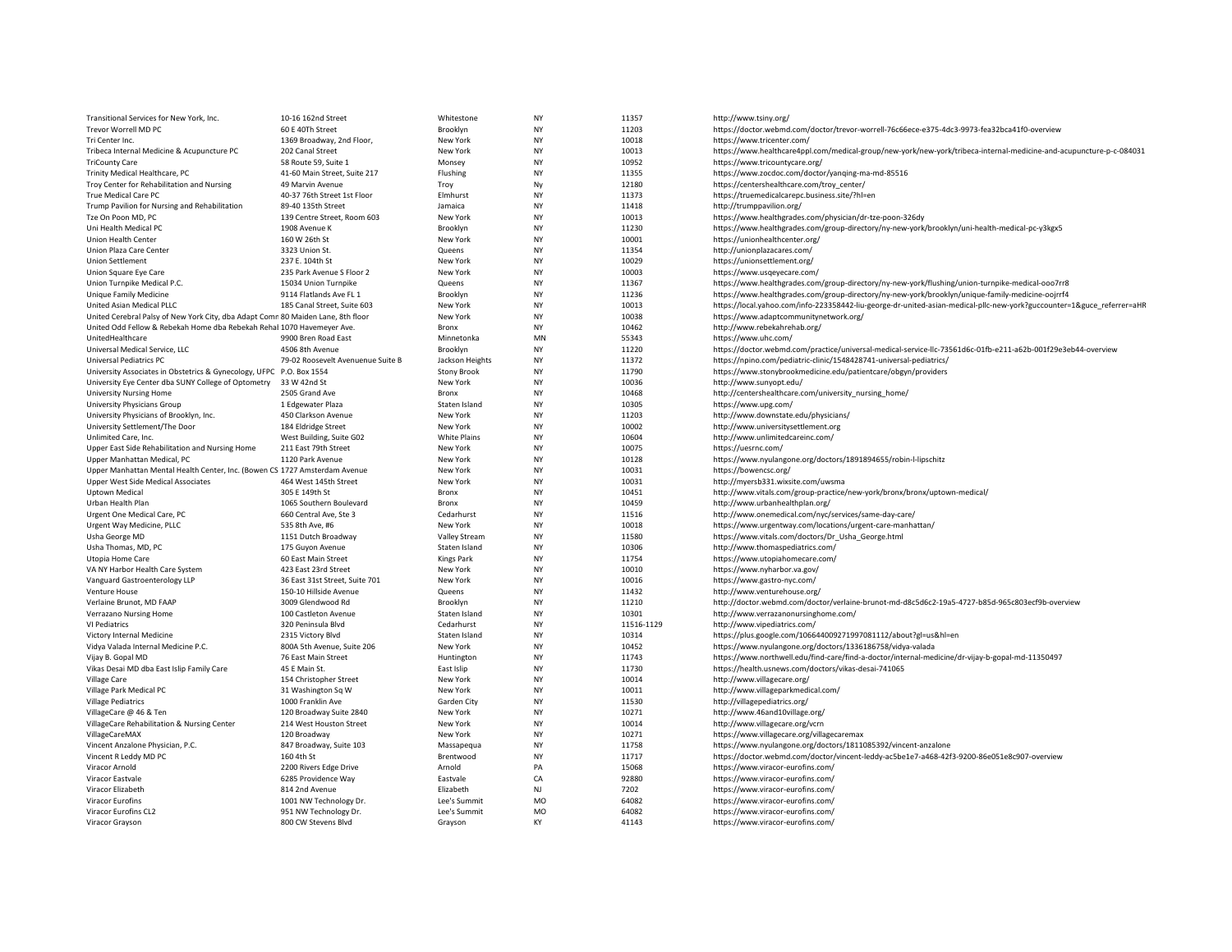| Transitional Services for New York, Inc.                                         | 10-16 162nd Street                      | Whitestone          | <b>NY</b>              | 11357          | http://www.tsiny.org/                                                                                                  |
|----------------------------------------------------------------------------------|-----------------------------------------|---------------------|------------------------|----------------|------------------------------------------------------------------------------------------------------------------------|
| Trevor Worrell MD PC                                                             | 60 E 40Th Street                        | Brooklyn            | <b>NY</b>              | 11203          | https://doctor.webmd.com/doctor/trevor-worrell-76c66ece-e375-4dc3-9973-fea32bca41f0-overview                           |
| Tri Center Inc.                                                                  | 1369 Broadway, 2nd Floor,               | New York            | <b>NY</b>              | 10018          | https://www.tricenter.com/                                                                                             |
| Tribeca Internal Medicine & Acupuncture PC                                       | 202 Canal Street                        | New York            | <b>NY</b>              | 10013          | https://www.healthcare4ppl.com/medical-group/new-york/new-york/tribeca-internal-medicine-and-acupuncture-p-c-084031    |
| <b>TriCounty Care</b>                                                            | 58 Route 59, Suite 1                    | Monsey              | <b>NY</b>              | 10952          | https://www.tricountycare.org/                                                                                         |
| Trinity Medical Healthcare, PC                                                   | 41-60 Main Street, Suite 217            | Flushing            | <b>NY</b>              | 11355          | https://www.zocdoc.com/doctor/yanqing-ma-md-85516                                                                      |
| Troy Center for Rehabilitation and Nursing                                       | 49 Marvin Avenue                        | Troy                | Ny                     | 12180          | https://centershealthcare.com/troy_center/                                                                             |
| True Medical Care PC                                                             | 40-37 76th Street 1st Floor             | Elmhurst            | <b>NY</b>              | 11373          | https://truemedicalcarepc.business.site/?hl=en                                                                         |
| Trump Pavilion for Nursing and Rehabilitation                                    | 89-40 135th Street                      | Jamaica             | <b>NY</b>              | 11418          | http://trumppavilion.org/                                                                                              |
| Tze On Poon MD, PC                                                               | 139 Centre Street, Room 603             | New York            | <b>NY</b>              | 10013          | https://www.healthgrades.com/physician/dr-tze-poon-326dy                                                               |
| Uni Health Medical PC                                                            | 1908 Avenue K                           | Brooklyn            | <b>NY</b>              | 11230          | https://www.healthgrades.com/group-directory/ny-new-york/brooklyn/uni-health-medical-pc-y3kgx5                         |
| <b>Union Health Center</b>                                                       | 160 W 26th St                           | New York            | <b>NY</b>              | 10001          | https://unionhealthcenter.org/                                                                                         |
| Union Plaza Care Center                                                          | 3323 Union St.                          | Queens              | <b>NY</b>              | 11354          | http://unionplazacares.com/                                                                                            |
| <b>Union Settlement</b>                                                          | 237 E. 104th St                         | New York            | <b>NY</b>              | 10029          | https://unionsettlement.org/                                                                                           |
| Union Square Eye Care                                                            | 235 Park Avenue S Floor 2               | New York            | NY                     | 10003          | https://www.usqeyecare.com/                                                                                            |
| Union Turnpike Medical P.C.                                                      | 15034 Union Turnpike                    | Queens              | <b>NY</b>              | 11367          | https://www.healthgrades.com/group-directory/ny-new-york/flushing/union-turnpike-medical-ooo7rr8                       |
| Unique Family Medicine                                                           | 9114 Flatlands Ave FL 1                 | Brooklyn            | <b>NY</b>              | 11236          | https://www.healthgrades.com/group-directory/ny-new-york/brooklyn/unique-family-medicine-oojrrf4                       |
| United Asian Medical PLLC                                                        | 185 Canal Street, Suite 603             | New York            | <b>NY</b>              | 10013          | https://local.yahoo.com/info-223358442-liu-george-dr-united-asian-medical-pllc-new-york?guccounter=1&guce_referrer=aHR |
| United Cerebral Palsy of New York City, dba Adapt Comr 80 Maiden Lane, 8th floor |                                         | New York            | <b>NY</b>              | 10038          | https://www.adaptcommunitynetwork.org/                                                                                 |
| United Odd Fellow & Rebekah Home dba Rebekah Rehal 1070 Havemeyer Ave.           |                                         | Bronx               | <b>NY</b>              | 10462          | http://www.rebekahrehab.org/                                                                                           |
| UnitedHealthcare                                                                 | 9900 Bren Road East                     | Minnetonka          | MN                     | 55343          | https://www.uhc.com/                                                                                                   |
| Universal Medical Service, LLC                                                   | 4506 8th Avenue                         | Brooklyn            | <b>NY</b>              | 11220          | https://doctor.webmd.com/practice/universal-medical-service-llc-73561d6c-01fb-e211-a62b-001f29e3eb44-overview          |
| Universal Pediatrics PC                                                          | 79-02 Roosevelt Avenuenue Suite B       | Jackson Heights     | <b>NY</b>              | 11372          | https://npino.com/pediatric-clinic/1548428741-universal-pediatrics/                                                    |
| University Associates in Obstetrics & Gynecology, UFPC P.O. Box 1554             |                                         | <b>Stony Brook</b>  | <b>NY</b>              | 11790          | https://www.stonybrookmedicine.edu/patientcare/obgyn/providers                                                         |
| University Eye Center dba SUNY College of Optometry                              | 33 W 42nd St                            | New York            | <b>NY</b>              | 10036          | http://www.sunyopt.edu/                                                                                                |
| <b>University Nursing Home</b>                                                   | 2505 Grand Ave                          | Bronx               | <b>NY</b>              | 10468          | http://centershealthcare.com/university_nursing_home/                                                                  |
| University Physicians Group                                                      | 1 Edgewater Plaza                       | Staten Island       | <b>NY</b>              | 10305          | https://www.upg.com/                                                                                                   |
| University Physicians of Brooklyn, Inc.                                          | 450 Clarkson Avenue                     | New York            | NY                     | 11203          | http://www.downstate.edu/physicians/                                                                                   |
| University Settlement/The Door                                                   | 184 Eldridge Street                     | New York            | <b>NY</b>              | 10002          | http://www.universitysettlement.org                                                                                    |
| Unlimited Care, Inc.                                                             | West Building, Suite G02                | White Plains        | <b>NY</b>              | 10604          | http://www.unlimitedcareinc.com/                                                                                       |
| Upper East Side Rehabilitation and Nursing Home                                  | 211 East 79th Street                    | New York            | <b>NY</b>              | 10075          | https://uesrnc.com/                                                                                                    |
| Upper Manhattan Medical, PC                                                      | 1120 Park Avenue                        | New York            | <b>NY</b>              | 10128          | https://www.nyulangone.org/doctors/1891894655/robin-l-lipschitz                                                        |
| Upper Manhattan Mental Health Center, Inc. (Bowen CS 1727 Amsterdam Avenue       |                                         | New York            | <b>NY</b><br><b>NY</b> | 10031<br>10031 | https://bowencsc.org/                                                                                                  |
| Upper West Side Medical Associates                                               | 464 West 145th Street<br>305 E 149th St | New York            | <b>NY</b>              | 10451          | http://myersb331.wixsite.com/uwsma                                                                                     |
| Uptown Medical<br>Urban Health Plan                                              | 1065 Southern Boulevard                 | Bronx               | <b>NY</b>              | 10459          | http://www.vitals.com/group-practice/new-york/bronx/bronx/uptown-medical/<br>http://www.urbanhealthplan.org/           |
| Urgent One Medical Care, PC                                                      | 660 Central Ave. Ste 3                  | Bronx<br>Cedarhurst | <b>NY</b>              | 11516          | http://www.onemedical.com/nyc/services/same-day-care/                                                                  |
| Urgent Way Medicine, PLLC                                                        | 535 8th Ave, #6                         | New York            | <b>NY</b>              | 10018          | https://www.urgentway.com/locations/urgent-care-manhattan/                                                             |
| Usha George MD                                                                   | 1151 Dutch Broadway                     | Valley Stream       | <b>NY</b>              | 11580          | https://www.vitals.com/doctors/Dr Usha George.html                                                                     |
| Usha Thomas, MD, PC                                                              | 175 Guyon Avenue                        | Staten Island       | <b>NY</b>              | 10306          | http://www.thomaspediatrics.com/                                                                                       |
| Utopia Home Care                                                                 | 60 East Main Street                     | <b>Kings Park</b>   | <b>NY</b>              | 11754          | https://www.utopiahomecare.com/                                                                                        |
| VA NY Harbor Health Care System                                                  | 423 East 23rd Street                    | New York            | <b>NY</b>              | 10010          | https://www.nyharbor.va.gov/                                                                                           |
| Vanguard Gastroenterology LLP                                                    | 36 East 31st Street, Suite 701          | New York            | <b>NY</b>              | 10016          | https://www.gastro-nyc.com/                                                                                            |
| Venture House                                                                    | 150-10 Hillside Avenue                  | Queens              | <b>NY</b>              | 11432          | http://www.venturehouse.org/                                                                                           |
| Verlaine Brunot, MD FAAP                                                         | 3009 Glendwood Rd                       | Brooklyn            | <b>NY</b>              | 11210          | http://doctor.webmd.com/doctor/verlaine-brunot-md-d8c5d6c2-19a5-4727-b85d-965c803ecf9b-overview                        |
| Verrazano Nursing Home                                                           | 100 Castleton Avenue                    | Staten Island       | <b>NY</b>              | 10301          | http://www.verrazanonursinghome.com/                                                                                   |
| VI Pediatrics                                                                    | 320 Peninsula Blvd                      | Cedarhurst          | <b>NY</b>              | 11516-1129     | http://www.vipediatrics.com/                                                                                           |
| Victory Internal Medicine                                                        | 2315 Victory Blvd                       | Staten Island       | <b>NY</b>              | 10314          | https://plus.google.com/106644009271997081112/about?gl=us&hl=en                                                        |
| Vidya Valada Internal Medicine P.C.                                              | 800A 5th Avenue, Suite 206              | New York            | <b>NY</b>              | 10452          | https://www.nyulangone.org/doctors/1336186758/vidya-valada                                                             |
| Vijay B. Gopal MD                                                                | 76 East Main Street                     | Huntington          | <b>NY</b>              | 11743          | https://www.northwell.edu/find-care/find-a-doctor/internal-medicine/dr-vijay-b-gopal-md-11350497                       |
| Vikas Desai MD dba East Islip Family Care                                        | 45 E Main St.                           | East Islip          | <b>NY</b>              | 11730          | https://health.usnews.com/doctors/vikas-desai-741065                                                                   |
| <b>Village Care</b>                                                              | 154 Christopher Street                  | New York            | <b>NY</b>              | 10014          | http://www.villagecare.org/                                                                                            |
| Village Park Medical PC                                                          | 31 Washington Sq W                      | New York            | <b>NY</b>              | 10011          | http://www.villageparkmedical.com/                                                                                     |
| <b>Village Pediatrics</b>                                                        | 1000 Franklin Ave                       | Garden City         | <b>NY</b>              | 11530          | http://villagepediatrics.org/                                                                                          |
| VillageCare @ 46 & Ten                                                           | 120 Broadway Suite 2840                 | New York            | <b>NY</b>              | 10271          | http://www.46and10village.org/                                                                                         |
| VillageCare Rehabilitation & Nursing Center                                      | 214 West Houston Street                 | New York            | <b>NY</b>              | 10014          | http://www.villagecare.org/vcrn                                                                                        |
| VillageCareMAX                                                                   | 120 Broadway                            | New York            | <b>NY</b>              | 10271          | https://www.villagecare.org/villagecaremax                                                                             |
| Vincent Anzalone Physician, P.C.                                                 | 847 Broadway, Suite 103                 | Massapequa          | <b>NY</b>              | 11758          | https://www.nyulangone.org/doctors/1811085392/vincent-anzalone                                                         |
| Vincent R Leddy MD PC                                                            | 160 4th St                              | Brentwood           | <b>NY</b>              | 11717          | https://doctor.webmd.com/doctor/vincent-leddy-ac5be1e7-a468-42f3-9200-86e051e8c907-overview                            |
| Viracor Arnold                                                                   | 2200 Rivers Edge Drive                  | Arnold              | PA                     | 15068          | https://www.viracor-eurofins.com/                                                                                      |
| Viracor Eastvale                                                                 | 6285 Providence Way                     | Eastvale            | CA                     | 92880          | https://www.viracor-eurofins.com/                                                                                      |
| Viracor Elizabeth                                                                | 814 2nd Avenue                          | Elizabeth           | NJ                     | 7202           | https://www.viracor-eurofins.com/                                                                                      |
| Viracor Eurofins                                                                 | 1001 NW Technology Dr.                  | Lee's Summit        | <b>MO</b>              | 64082          | https://www.viracor-eurofins.com/                                                                                      |
| Viracor Eurofins CL2                                                             | 951 NW Technology Dr.                   | Lee's Summit        | <b>MO</b>              | 64082          | https://www.viracor-eurofins.com/                                                                                      |
| Viracor Grayson                                                                  | 800 CW Stevens Blvd                     | Gravson             | <b>KY</b>              | 41143          | https://www.viracor-eurofins.com/                                                                                      |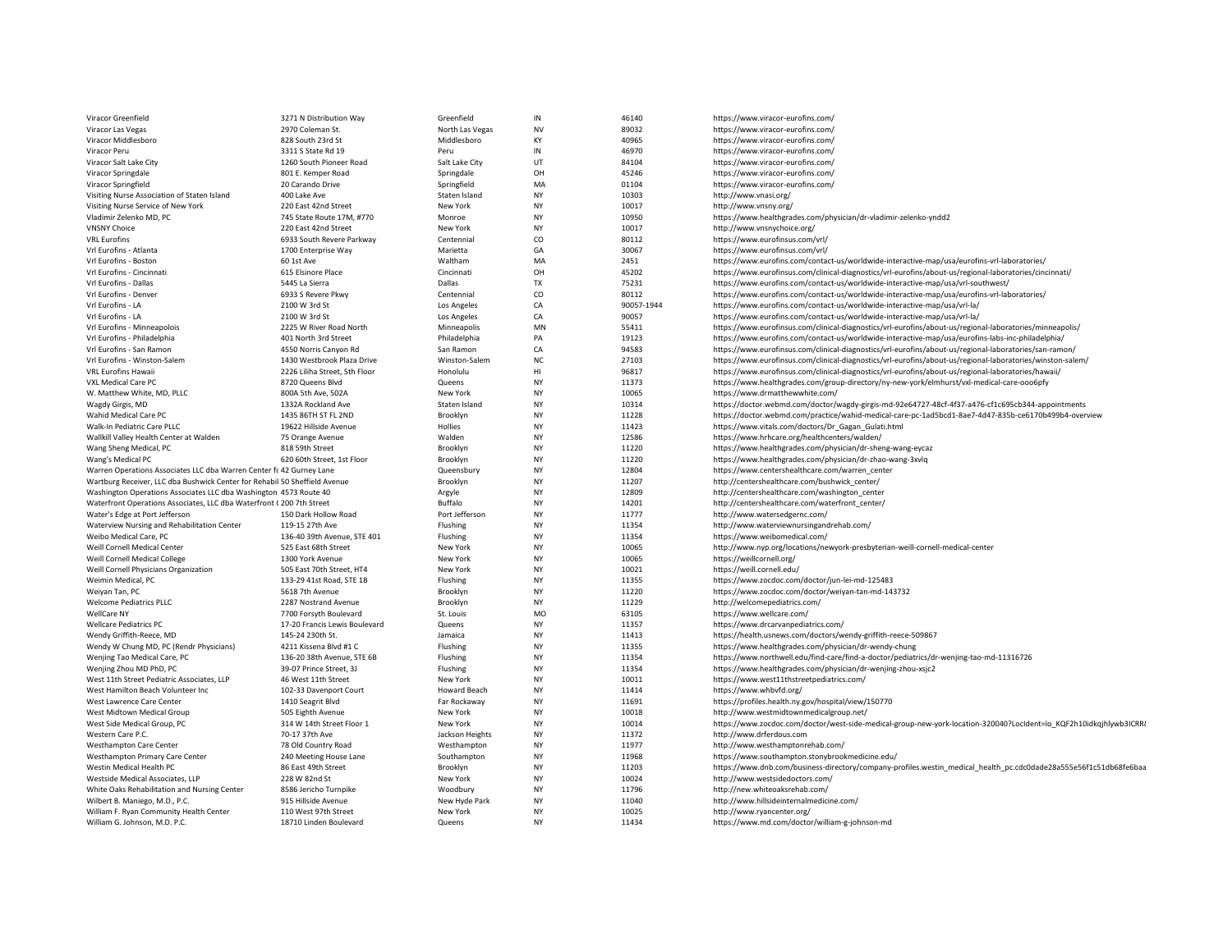| Viracor Greenfield                                                         | 3271 N Distribution Way                        | Greenfield            | ${\sf IN}$  | 46140          | https://www.viracor-eurofins.com/                                                                                  |
|----------------------------------------------------------------------------|------------------------------------------------|-----------------------|-------------|----------------|--------------------------------------------------------------------------------------------------------------------|
| Viracor Las Vegas                                                          | 2970 Coleman St.                               | North Las Vegas       | <b>NV</b>   | 89032          | https://www.viracor-eurofins.com/                                                                                  |
| Viracor Middlesboro                                                        | 828 South 23rd St                              | Middlesboro           | KY          | 40965          | https://www.viracor-eurofins.com/                                                                                  |
| Viracor Peru                                                               | 3311 S State Rd 19                             | Peru                  | ${\sf IN}$  | 46970          | https://www.viracor-eurofins.com/                                                                                  |
| Viracor Salt Lake City                                                     | 1260 South Pioneer Road                        | Salt Lake City        | UT          | 84104          | https://www.viracor-eurofins.com/                                                                                  |
| Viracor Springdale                                                         | 801 E. Kemper Road                             | Springdale            | OH          | 45246          | https://www.viracor-eurofins.com/                                                                                  |
| Viracor Springfield                                                        | 20 Carando Drive                               | Springfield           | MA          | 01104          | https://www.viracor-eurofins.com/                                                                                  |
| Visiting Nurse Association of Staten Island                                | 400 Lake Ave                                   | Staten Island         | NY          | 10303          | http://www.vnasi.org/                                                                                              |
| Visiting Nurse Service of New York                                         | 220 East 42nd Street                           | New York              | <b>NY</b>   | 10017          | http://www.vnsny.org/                                                                                              |
| Vladimir Zelenko MD, PC                                                    | 745 State Route 17M, #770                      | Monroe                | <b>NY</b>   | 10950          | https://www.healthgrades.com/physician/dr-vladimir-zelenko-yndd2                                                   |
| <b>VNSNY Choice</b>                                                        | 220 East 42nd Street                           | New York              | NY          | 10017          | http://www.vnsnychoice.org/                                                                                        |
| <b>VRL Eurofins</b>                                                        | 6933 South Revere Parkway                      | Centennial            | CO          | 80112          | https://www.eurofinsus.com/vrl/                                                                                    |
| Vrl Eurofins - Atlanta                                                     | 1700 Enterprise Way                            | Marietta              | GA          | 30067          | https://www.eurofinsus.com/vrl/                                                                                    |
| Vrl Eurofins - Boston                                                      | 60 1st Ave                                     | Waltham               | MA          | 2451           | https://www.eurofins.com/contact-us/worldwide-interactive-map/usa/eurofins-vrl-laboratories/                       |
| Vrl Eurofins - Cincinnati                                                  | 615 Elsinore Place                             | Cincinnati            | OH          | 45202          | https://www.eurofinsus.com/clinical-diagnostics/vrl-eurofins/about-us/regional-laboratories/cincinnati/            |
| Vrl Eurofins - Dallas                                                      | 5445 La Sierra                                 | Dallas                | <b>TX</b>   | 75231          | https://www.eurofins.com/contact-us/worldwide-interactive-map/usa/vrl-southwest/                                   |
| Vrl Eurofins - Denver                                                      | 6933 S Revere Pkwy                             | Centennial            | CO          | 80112          | https://www.eurofins.com/contact-us/worldwide-interactive-map/usa/eurofins-vrl-laboratories/                       |
| Vrl Eurofins - LA                                                          | 2100 W 3rd St                                  | Los Angeles           | CA          | 90057-1944     | https://www.eurofins.com/contact-us/worldwide-interactive-map/usa/vrl-la/                                          |
| Vrl Eurofins - LA                                                          | 2100 W 3rd St                                  | Los Angeles           | CA          | 90057          | https://www.eurofins.com/contact-us/worldwide-interactive-map/usa/vrl-la/                                          |
| Vrl Eurofins - Minneapolois                                                | 2225 W River Road North                        | Minneapolis           | MN          | 55411          | https://www.eurofinsus.com/clinical-diagnostics/vrl-eurofins/about-us/regional-laboratories/minneapolis/           |
| Vrl Eurofins - Philadelphia                                                | 401 North 3rd Street                           | Philadelphia          | PA          | 19123          | https://www.eurofins.com/contact-us/worldwide-interactive-map/usa/eurofins-labs-inc-philadelphia/                  |
| Vrl Eurofins - San Ramon                                                   | 4550 Norris Canyon Rd                          | San Ramon             | CA          | 94583          | https://www.eurofinsus.com/clinical-diagnostics/vrl-eurofins/about-us/regional-laboratories/san-ramon/             |
| Vrl Eurofins - Winston-Salem                                               | 1430 Westbrook Plaza Drive                     | Winston-Salem         | $_{\rm NC}$ | 27103          | https://www.eurofinsus.com/clinical-diagnostics/vrl-eurofins/about-us/regional-laboratories/winston-salem/         |
| <b>VRL Eurofins Hawaii</b>                                                 | 2226 Liliha Street, 5th Floor                  | Honolulu              | HI          | 96817          | https://www.eurofinsus.com/clinical-diagnostics/vrl-eurofins/about-us/regional-laboratories/hawaii/                |
| VXL Medical Care PC                                                        | 8720 Queens Blvd                               | Queens                | NY          | 11373          | https://www.healthgrades.com/group-directory/ny-new-york/elmhurst/vxl-medical-care-ooo6pfy                         |
| W. Matthew White, MD, PLLC                                                 | 800A 5th Ave, 502A                             | New York              | <b>NY</b>   | 10065          | https://www.drmatthewwhite.com/                                                                                    |
| Wagdy Girgis, MD                                                           | 1332A Rockland Ave                             | Staten Island         | NY          | 10314          | https://doctor.webmd.com/doctor/wagdy-girgis-md-92e64727-48cf-4f37-a476-cf1c695cb344-appointments                  |
| Wahid Medical Care PC                                                      | 1435 86TH ST FL 2ND                            | Brooklyn              | NY          | 11228          | https://doctor.webmd.com/practice/wahid-medical-care-pc-1ad5bcd1-8ae7-4d47-835b-ce6170b499b4-overview              |
| Walk-In Pediatric Care PLLC                                                | 19622 Hillside Avenue                          | Hollies               | <b>NY</b>   | 11423          | https://www.vitals.com/doctors/Dr_Gagan_Gulati.html                                                                |
| Wallkill Valley Health Center at Walden                                    | 75 Orange Avenue                               | Walden                | <b>NY</b>   | 12586          | https://www.hrhcare.org/healthcenters/walden/                                                                      |
| Wang Sheng Medical, PC                                                     | 818 59th Street                                | Brooklyn              | NY          | 11220          | https://www.healthgrades.com/physician/dr-sheng-wang-eycaz                                                         |
| Wang's Medical PC                                                          | 620 60th Street, 1st Floor                     | Brooklyn              | <b>NY</b>   | 11220          | https://www.healthgrades.com/physician/dr-zhao-wang-3xvlq                                                          |
| Warren Operations Associates LLC dba Warren Center fc 42 Gurney Lane       |                                                | Queensbury            | <b>NY</b>   | 12804          | https://www.centershealthcare.com/warren_center                                                                    |
| Wartburg Receiver, LLC dba Bushwick Center for Rehabil 50 Sheffield Avenue |                                                | Brooklyn              | NY          | 11207          | http://centershealthcare.com/bushwick_center/                                                                      |
| Washington Operations Associates LLC dba Washington 4573 Route 40          |                                                | Argyle                | NY          | 12809          | http://centershealthcare.com/washington_center                                                                     |
| Waterfront Operations Associates, LLC dba Waterfront (200 7th Street       |                                                | Buffalo               | <b>NY</b>   | 14201          | http://centershealthcare.com/waterfront_center/                                                                    |
| Water's Edge at Port Jefferson                                             | 150 Dark Hollow Road                           | Port Jefferson        | <b>NY</b>   | 11777          | http://www.watersedgernc.com/                                                                                      |
| Waterview Nursing and Rehabilitation Center                                | 119-15 27th Ave                                | Flushing              | <b>NY</b>   | 11354          | http://www.waterviewnursingandrehab.com/                                                                           |
| Weibo Medical Care, PC                                                     | 136-40 39th Avenue, STE 401                    | Flushing              | NY          | 11354          | https://www.weibomedical.com/                                                                                      |
| Weill Cornell Medical Center                                               | 525 East 68th Street                           | New York              | <b>NY</b>   | 10065          | http://www.nyp.org/locations/newyork-presbyterian-weill-cornell-medical-center                                     |
| Weill Cornell Medical College                                              | 1300 York Avenue                               | New York              | <b>NY</b>   | 10065          | https://weillcornell.org/                                                                                          |
| Weill Cornell Physicians Organization                                      | 505 East 70th Street, HT4                      | New York              | <b>NY</b>   | 10021          | https://weill.cornell.edu/                                                                                         |
| Weimin Medical, PC                                                         | 133-29 41st Road, STE 1B                       | Flushing              | <b>NY</b>   | 11355          | https://www.zocdoc.com/doctor/jun-lei-md-125483                                                                    |
| Weiyan Tan, PC                                                             | 5618 7th Avenue                                | Brooklyn              | <b>NY</b>   | 11220          | https://www.zocdoc.com/doctor/weiyan-tan-md-143732                                                                 |
| <b>Welcome Pediatrics PLLC</b><br>WellCare NY                              | 2287 Nostrand Avenue<br>7700 Forsyth Boulevard | Brooklyn<br>St. Louis | NY<br>MO    | 11229<br>63105 | http://welcomepediatrics.com/<br>https://www.wellcare.com/                                                         |
| <b>Wellcare Pediatrics PC</b>                                              | 17-20 Francis Lewis Boulevard                  | Queens                | NY          | 11357          | https://www.drcarvanpediatrics.com/                                                                                |
| Wendy Griffith-Reece, MD                                                   | 145-24 230th St.                               | Jamaica               | <b>NY</b>   | 11413          | https://health.usnews.com/doctors/wendy-griffith-reece-509867                                                      |
| Wendy W Chung MD, PC (Rendr Physicians)                                    | 4211 Kissena Blvd #1 C                         | Flushing              | <b>NY</b>   | 11355          | https://www.healthgrades.com/physician/dr-wendy-chung                                                              |
| Wenjing Tao Medical Care, PC                                               | 136-20 38th Avenue, STE 6B                     | Flushing              | <b>NY</b>   | 11354          | https://www.northwell.edu/find-care/find-a-doctor/pediatrics/dr-wenjing-tao-md-11316726                            |
| Wenjing Zhou MD PhD, PC                                                    | 39-07 Prince Street, 3J                        | Flushing              | <b>NY</b>   | 11354          | https://www.healthgrades.com/physician/dr-wenjing-zhou-xsjc2                                                       |
| West 11th Street Pediatric Associates, LLP                                 | 46 West 11th Street                            | New York              | NY          | 10011          | https://www.west11thstreetpediatrics.com/                                                                          |
| West Hamilton Beach Volunteer Inc.                                         | 102-33 Davenport Court                         | <b>Howard Beach</b>   | <b>NY</b>   | 11414          | https://www.whbvfd.org/                                                                                            |
| West Lawrence Care Center                                                  | 1410 Seagrit Blvd                              | Far Rockaway          | NY          | 11691          | https://profiles.health.ny.gov/hospital/view/150770                                                                |
| West Midtown Medical Group                                                 | 505 Eighth Avenue                              | New York              | <b>NY</b>   | 10018          | http://www.westmidtownmedicalgroup.net/                                                                            |
| West Side Medical Group, PC                                                | 314 W 14th Street Floor 1                      | New York              | <b>NY</b>   | 10014          | https://www.zocdoc.com/doctor/west-side-medical-group-new-york-location-320040?LocIdent=lo_KQF2h10idkqjhlywb3ICRRi |
| Western Care P.C.                                                          | 70-17 37th Ave                                 | Jackson Heights       | <b>NY</b>   | 11372          | http://www.drferdous.com                                                                                           |
| <b>Westhampton Care Center</b>                                             | 78 Old Country Road                            | Westhampton           | NY          | 11977          | http://www.westhamptonrehab.com/                                                                                   |
| Westhampton Primary Care Center                                            | 240 Meeting House Lane                         | Southampton           | NY          | 11968          | https://www.southampton.stonybrookmedicine.edu/                                                                    |
| Westin Medical Health PC                                                   | 86 East 49th Street                            | Brooklyn              | <b>NY</b>   | 11203          | https://www.dnb.com/business-directory/company-profiles.westin_medical_health_pc.cdc0dade28a555e56f1c51db68fe6baa  |
| Westside Medical Associates, LLP                                           | 228 W 82nd St                                  | New York              | <b>NY</b>   | 10024          | http://www.westsidedoctors.com/                                                                                    |
| White Oaks Rehabilitation and Nursing Center                               | 8586 Jericho Turnpike                          | Woodbury              | NY          | 11796          | http://new.whiteoaksrehab.com/                                                                                     |
| Wilbert B. Maniego, M.D., P.C.                                             | 915 Hillside Avenue                            | New Hyde Park         | <b>NY</b>   | 11040          | http://www.hillsideinternalmedicine.com/                                                                           |
| William F. Ryan Community Health Center                                    | 110 West 97th Street                           | New York              | <b>NY</b>   | 10025          | http://www.ryancenter.org/                                                                                         |
| William G. Johnson, M.D. P.C.                                              | 18710 Linden Boulevard                         | Queens                | <b>NY</b>   | 11434          | https://www.md.com/doctor/william-g-johnson-md                                                                     |
|                                                                            |                                                |                       |             |                |                                                                                                                    |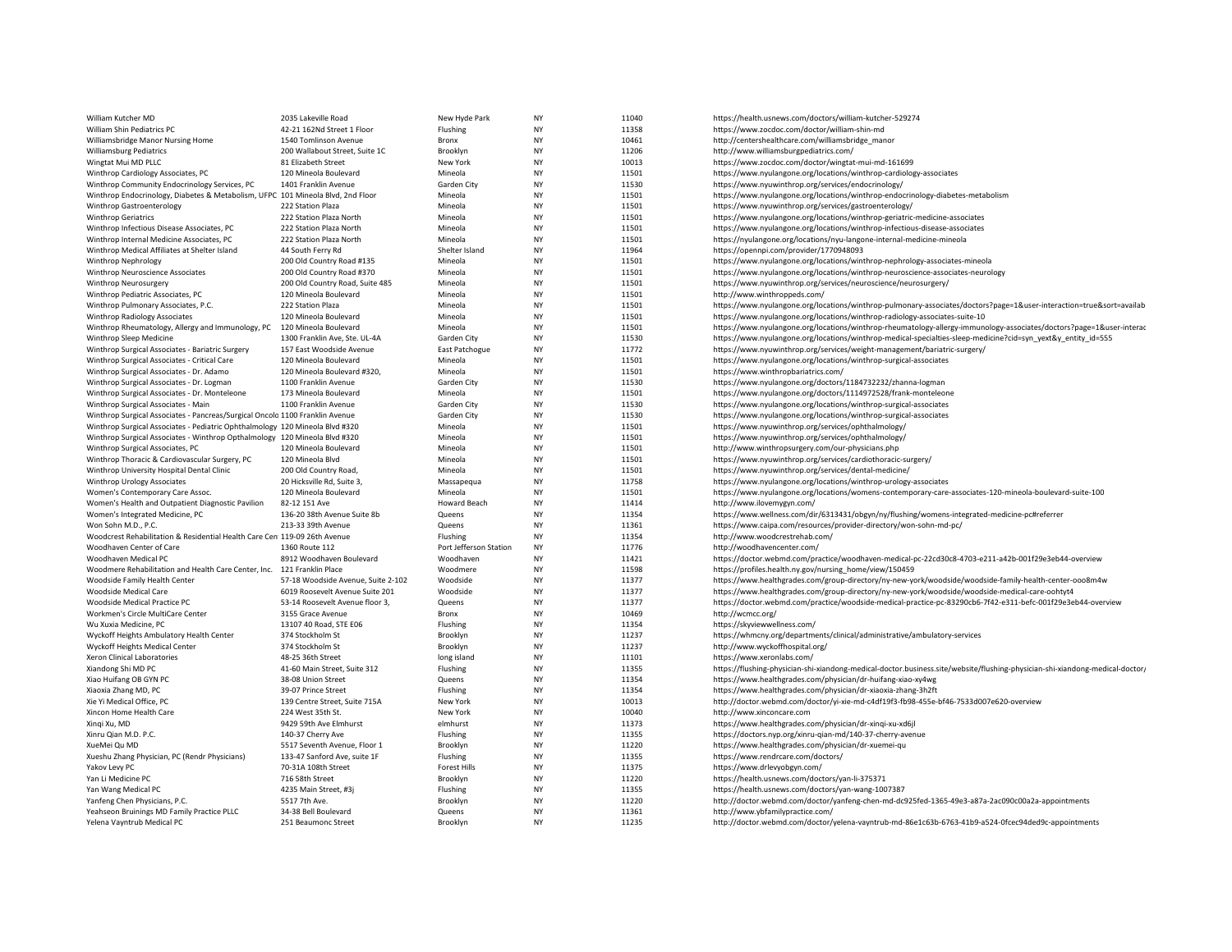| William Kutcher MD                                                              | 2035 Lakeville Road                               | New Hyde Park           | NY              | 11040          | https://health.usnews.com/doctors/william-kutcher-529274                                                                                                   |
|---------------------------------------------------------------------------------|---------------------------------------------------|-------------------------|-----------------|----------------|------------------------------------------------------------------------------------------------------------------------------------------------------------|
| William Shin Pediatrics PC                                                      | 42-21 162Nd Street 1 Floor                        | Flushing                | NY              | 11358          | https://www.zocdoc.com/doctor/william-shin-md                                                                                                              |
| Williamsbridge Manor Nursing Home                                               | 1540 Tomlinson Avenue                             | Bronx                   | <b>NY</b>       | 10461          | http://centershealthcare.com/williamsbridge_manor                                                                                                          |
| <b>Williamsburg Pediatrics</b>                                                  | 200 Wallabout Street, Suite 1C                    | Brooklyn                | <b>NY</b>       | 11206          | http://www.williamsburgpediatrics.com/                                                                                                                     |
| Wingtat Mui MD PLLC                                                             | 81 Elizabeth Street                               | New York                | <b>NY</b>       | 10013          | https://www.zocdoc.com/doctor/wingtat-mui-md-161699                                                                                                        |
| Winthrop Cardiology Associates, PC                                              | 120 Mineola Boulevard                             | Mineola                 | <b>NY</b>       | 11501          | https://www.nyulangone.org/locations/winthrop-cardiology-associates                                                                                        |
| Winthrop Community Endocrinology Services, PC                                   | 1401 Franklin Avenue                              | Garden City             | NY              | 11530          | https://www.nyuwinthrop.org/services/endocrinology/                                                                                                        |
| Winthrop Endocrinology, Diabetes & Metabolism, UFPC 101 Mineola Blvd, 2nd Floor |                                                   | Mineola                 | <b>NY</b>       | 11501          | https://www.nyulangone.org/locations/winthrop-endocrinology-diabetes-metabolism                                                                            |
| Winthrop Gastroenterology                                                       | 222 Station Plaza                                 | Mineola                 | NY              | 11501          | https://www.nyuwinthrop.org/services/gastroenterology/                                                                                                     |
| <b>Winthrop Geriatrics</b>                                                      | 222 Station Plaza North                           | Mineola                 | <b>NY</b>       | 11501          | https://www.nyulangone.org/locations/winthrop-geriatric-medicine-associates                                                                                |
| Winthrop Infectious Disease Associates, PC                                      | 222 Station Plaza North                           | Mineola                 | NY              | 11501          | https://www.nyulangone.org/locations/winthrop-infectious-disease-associates                                                                                |
| Winthrop Internal Medicine Associates, PC                                       | 222 Station Plaza North                           | Mineola                 | NY              | 11501          | https://nyulangone.org/locations/nyu-langone-internal-medicine-mineola                                                                                     |
| Winthrop Medical Affiliates at Shelter Island                                   | 44 South Ferry Rd                                 | Shelter Island          | NY              | 11964          | https://opennpi.com/provider/1770948093                                                                                                                    |
| Winthrop Nephrology                                                             | 200 Old Country Road #135                         | Mineola                 | NY              | 11501          | https://www.nyulangone.org/locations/winthrop-nephrology-associates-mineola                                                                                |
| Winthrop Neuroscience Associates                                                | 200 Old Country Road #370                         | Mineola                 | <b>NY</b>       | 11501          | https://www.nyulangone.org/locations/winthrop-neuroscience-associates-neurology                                                                            |
| Winthrop Neurosurgery                                                           | 200 Old Country Road, Suite 485                   | Mineola                 | NY              | 11501          | https://www.nyuwinthrop.org/services/neuroscience/neurosurgery/                                                                                            |
| Winthrop Pediatric Associates, PC                                               | 120 Mineola Boulevard                             | Mineola                 | NY              | 11501          | http://www.winthroppeds.com/                                                                                                                               |
| Winthrop Pulmonary Associates, P.C.                                             | 222 Station Plaza                                 | Mineola                 | <b>NY</b>       | 11501          | https://www.nyulangone.org/locations/winthrop-pulmonary-associates/doctors?page=1&user-interaction=true&sort=availab                                       |
| Winthrop Radiology Associates                                                   | 120 Mineola Boulevard                             | Mineola                 | NY              | 11501          | https://www.nyulangone.org/locations/winthrop-radiology-associates-suite-10                                                                                |
| Winthrop Rheumatology, Allergy and Immunology, PC                               | 120 Mineola Boulevard                             | Mineola                 | <b>NY</b>       | 11501          | https://www.nyulangone.org/locations/winthrop-rheumatology-allergy-immunology-associates/doctors?page=1&user-interac                                       |
| Winthrop Sleep Medicine                                                         | 1300 Franklin Ave, Ste. UL-4A                     | Garden City             | <b>NY</b>       | 11530          | https://www.nyulangone.org/locations/winthrop-medical-specialties-sleep-medicine?cid=syn yext&y entity id=555                                              |
| Winthrop Surgical Associates - Bariatric Surgery                                | 157 East Woodside Avenue                          | East Patchogue          | NY              | 11772          | https://www.nyuwinthrop.org/services/weight-management/bariatric-surgery/                                                                                  |
| Winthrop Surgical Associates - Critical Care                                    | 120 Mineola Boulevard                             | Mineola                 | <b>NY</b>       | 11501          | https://www.nyulangone.org/locations/winthrop-surgical-associates                                                                                          |
| Winthrop Surgical Associates - Dr. Adamo                                        | 120 Mineola Boulevard #320,                       | Mineola                 | NY              | 11501          | https://www.winthropbariatrics.com/                                                                                                                        |
| Winthrop Surgical Associates - Dr. Logman                                       | 1100 Franklin Avenue                              | Garden City             | <b>NY</b>       | 11530          | https://www.nyulangone.org/doctors/1184732232/zhanna-logman                                                                                                |
| Winthrop Surgical Associates - Dr. Monteleone                                   | 173 Mineola Boulevard                             | Mineola                 | NY              | 11501          | https://www.nyulangone.org/doctors/1114972528/frank-monteleone                                                                                             |
| Winthrop Surgical Associates - Main                                             | 1100 Franklin Avenue                              | Garden City             | NY              | 11530          | https://www.nyulangone.org/locations/winthrop-surgical-associates                                                                                          |
| Winthrop Surgical Associates - Pancreas/Surgical Oncolo 1100 Franklin Avenue    |                                                   | Garden City             | <b>NY</b>       | 11530          | https://www.nyulangone.org/locations/winthrop-surgical-associates                                                                                          |
| Winthrop Surgical Associates - Pediatric Ophthalmology 120 Mineola Blvd #320    |                                                   | Mineola                 | <b>NY</b>       | 11501          | https://www.nyuwinthrop.org/services/ophthalmology/                                                                                                        |
| Winthrop Surgical Associates - Winthrop Opthalmology 120 Mineola Blvd #320      |                                                   | Mineola                 | <b>NY</b>       | 11501          | https://www.nyuwinthrop.org/services/ophthalmology/                                                                                                        |
| Winthrop Surgical Associates, PC                                                | 120 Mineola Boulevard                             | Mineola                 | NY              | 11501          | http://www.winthropsurgery.com/our-physicians.php                                                                                                          |
| Winthrop Thoracic & Cardiovascular Surgery, PC                                  | 120 Mineola Blvd                                  | Mineola                 | NY              | 11501          | https://www.nyuwinthrop.org/services/cardiothoracic-surgery/                                                                                               |
| Winthrop University Hospital Dental Clinic                                      | 200 Old Country Road,                             | Mineola                 | <b>NY</b>       | 11501          | https://www.nyuwinthrop.org/services/dental-medicine/                                                                                                      |
| Winthrop Urology Associates                                                     | 20 Hicksville Rd, Suite 3,                        | Massapequa              | NY              | 11758          | https://www.nyulangone.org/locations/winthrop-urology-associates                                                                                           |
| Women's Contemporary Care Assoc.                                                | 120 Mineola Boulevard                             | Mineola                 | NY              | 11501          | https://www.nyulangone.org/locations/womens-contemporary-care-associates-120-mineola-boulevard-suite-100                                                   |
| Women's Health and Outpatient Diagnostic Pavilion                               | 82-12 151 Ave                                     | Howard Beach            | NY              | 11414          | http://www.ilovemygyn.com/                                                                                                                                 |
| Women's Integrated Medicine, PC                                                 | 136-20 38th Avenue Suite 8b                       | Queens                  | NY              | 11354          | https://www.wellness.com/dir/6313431/obgyn/ny/flushing/womens-integrated-medicine-pc#referrer                                                              |
| Won Sohn M.D., P.C.                                                             | 213-33 39th Avenue                                | Queens                  | NY              | 11361          | https://www.caipa.com/resources/provider-directory/won-sohn-md-pc/                                                                                         |
| Woodcrest Rehabilitation & Residential Health Care Cen 119-09 26th Avenue       |                                                   | Flushing                | NY              | 11354          | http://www.woodcrestrehab.com/                                                                                                                             |
| Woodhaven Center of Care                                                        | 1360 Route 112                                    | Port Jefferson Station  | <b>NY</b>       | 11776          | http://woodhavencenter.com/                                                                                                                                |
| Woodhaven Medical PC                                                            | 8912 Woodhaven Boulevard                          | Woodhaven               | NY              | 11421          | https://doctor.webmd.com/practice/woodhaven-medical-pc-22cd30c8-4703-e211-a42b-001f29e3eb44-overview                                                       |
| Woodmere Rehabilitation and Health Care Center, Inc.                            | 121 Franklin Place                                | Woodmere                | NY              | 11598          | https://profiles.health.ny.gov/nursing_home/view/150459                                                                                                    |
| Woodside Family Health Center                                                   | 57-18 Woodside Avenue, Suite 2-102                | Woodside                | <b>NY</b>       | 11377          | https://www.healthgrades.com/group-directory/ny-new-york/woodside/woodside-family-health-center-ooo8m4w                                                    |
| Woodside Medical Care                                                           | 6019 Roosevelt Avenue Suite 201                   | Woodside                | <b>NY</b>       | 11377          | https://www.healthgrades.com/group-directory/ny-new-york/woodside/woodside-medical-care-oohtyt4                                                            |
| Woodside Medical Practice PC                                                    | 53-14 Roosevelt Avenue floor 3,                   | Queens                  | NY              | 11377          | https://doctor.webmd.com/practice/woodside-medical-practice-pc-83290cb6-7f42-e311-befc-001f29e3eb44-overview                                               |
| Workmen's Circle MultiCare Center                                               | 3155 Grace Avenue                                 | Bronx                   | <b>NY</b>       | 10469          | http://wcmcc.org/                                                                                                                                          |
| Wu Xuxia Medicine, PC                                                           | 13107 40 Road, STE E06<br>374 Stockholm St        | Flushing                | NY<br><b>NY</b> | 11354<br>11237 | https://skyviewwellness.com/<br>https://whmcny.org/departments/clinical/administrative/ambulatory-services                                                 |
| Wyckoff Heights Ambulatory Health Center                                        |                                                   | Brooklyn                | NY              |                |                                                                                                                                                            |
| Wyckoff Heights Medical Center                                                  | 374 Stockholm St                                  | Brooklyn                | <b>NY</b>       | 11237          | http://www.wyckoffhospital.org/                                                                                                                            |
| Xeron Clinical Laboratories<br>Xiandong Shi MD PC                               | 48-25 36th Street<br>41-60 Main Street, Suite 312 | long island<br>Flushing | NY              | 11101<br>11355 | https://www.xeronlabs.com/<br>https://flushing-physician-shi-xiandong-medical-doctor.business.site/website/flushing-physician-shi-xiandong-medical-doctor, |
|                                                                                 |                                                   | Queens                  | NY              | 11354          |                                                                                                                                                            |
| Xiao Huifang OB GYN PC<br>Xiaoxia Zhang MD, PC                                  | 38-08 Union Street<br>39-07 Prince Street         | Flushing                | <b>NY</b>       | 11354          | https://www.healthgrades.com/physician/dr-huifang-xiao-xy4wg<br>https://www.healthgrades.com/physician/dr-xiaoxia-zhang-3h2ft                              |
| Xie Yi Medical Office, PC                                                       | 139 Centre Street, Suite 715A                     | New York                | NY              | 10013          | http://doctor.webmd.com/doctor/yi-xie-md-c4df19f3-fb98-455e-bf46-7533d007e620-overview                                                                     |
| Xincon Home Health Care                                                         | 224 West 35th St.                                 | New York                | NY              | 10040          | http://www.xinconcare.com                                                                                                                                  |
| Xingi Xu, MD                                                                    | 9429 59th Ave Elmhurst                            | elmhurst                | NY              | 11373          | https://www.healthgrades.com/physician/dr-xinqi-xu-xd6jl                                                                                                   |
| Xinru Qian M.D. P.C.                                                            | 140-37 Cherry Ave                                 | Flushing                | NY              | 11355          | https://doctors.nyp.org/xinru-qian-md/140-37-cherry-avenue                                                                                                 |
| XueMei Qu MD                                                                    | 5517 Seventh Avenue, Floor 1                      | Brooklyn                | <b>NY</b>       | 11220          | https://www.healthgrades.com/physician/dr-xuemei-qu                                                                                                        |
| Xueshu Zhang Physician, PC (Rendr Physicians)                                   | 133-47 Sanford Ave, suite 1F                      | Flushing                | NY              | 11355          | https://www.rendrcare.com/doctors/                                                                                                                         |
| Yakov Levy PC                                                                   | 70-31A 108th Street                               | <b>Forest Hills</b>     | NY              | 11375          | https://www.drlevyobgyn.com/                                                                                                                               |
| Yan Li Medicine PC                                                              | 716 58th Street                                   | Brooklyn                | <b>NY</b>       | 11220          | https://health.usnews.com/doctors/yan-li-375371                                                                                                            |
| Yan Wang Medical PC                                                             | 4235 Main Street, #3                              | Flushing                | NY              | 11355          | https://health.usnews.com/doctors/yan-wang-1007387                                                                                                         |
| Yanfeng Chen Physicians, P.C.                                                   | 5517 7th Ave.                                     | Brooklyn                | <b>NY</b>       | 11220          | http://doctor.webmd.com/doctor/yanfeng-chen-md-dc925fed-1365-49e3-a87a-2ac090c00a2a-appointments                                                           |
| Yeahseon Bruinings MD Family Practice PLLC                                      | 34-38 Bell Boulevard                              | Queens                  | ΝY              | 11361          | http://www.ybfamilypractice.com/                                                                                                                           |
| Yelena Vayntrub Medical PC                                                      | 251 Beaumonc Street                               | Brooklyn                | <b>NY</b>       | 11235          | http://doctor.webmd.com/doctor/yelena-vayntrub-md-86e1c63b-6763-41b9-a524-0fcec94ded9c-appointments                                                        |
|                                                                                 |                                                   |                         |                 |                |                                                                                                                                                            |